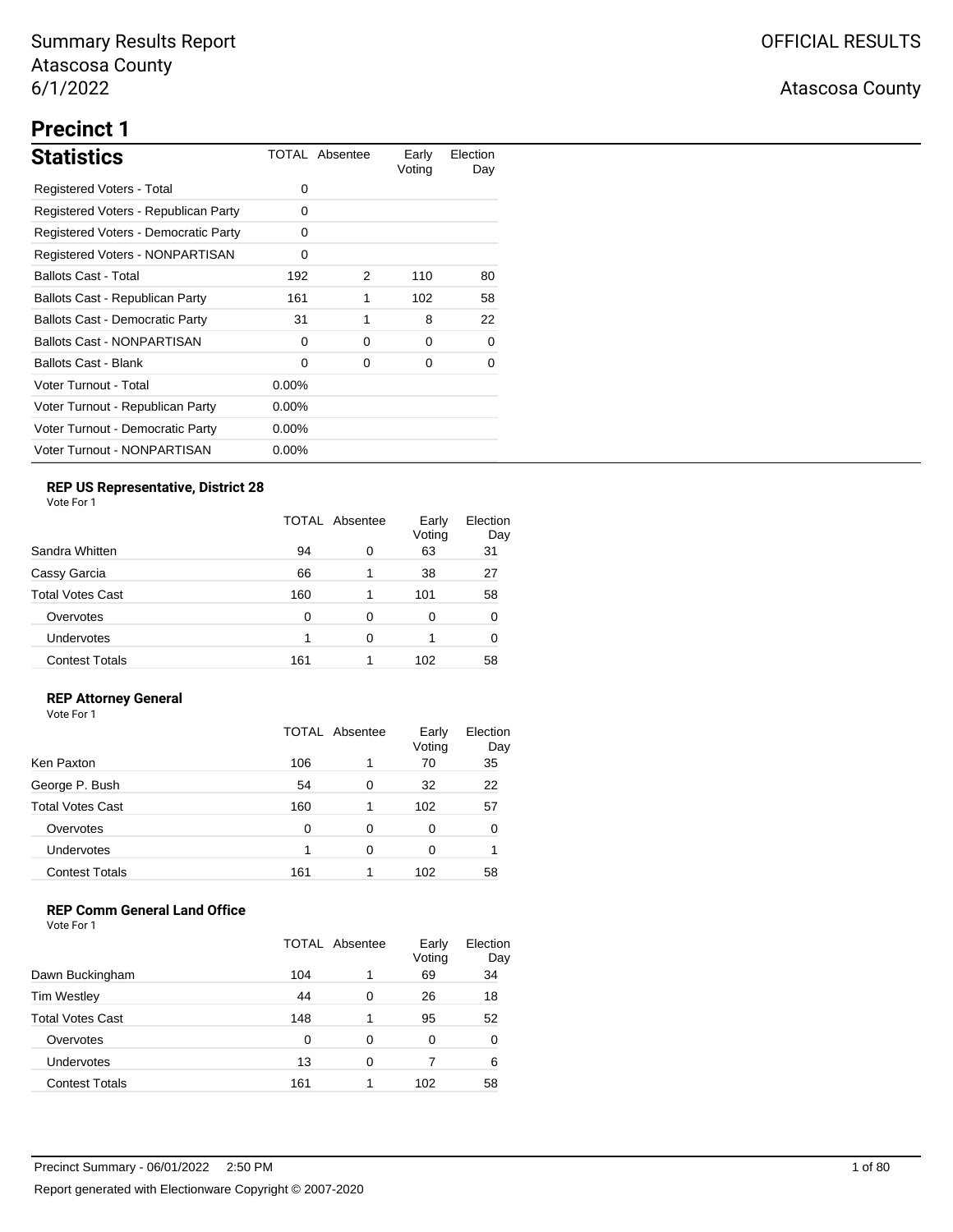## **Precinct 1**

| <b>Statistics</b>                      |          | TOTAL Absentee | Early<br>Voting | Election<br>Day |
|----------------------------------------|----------|----------------|-----------------|-----------------|
| Registered Voters - Total              | 0        |                |                 |                 |
| Registered Voters - Republican Party   | 0        |                |                 |                 |
| Registered Voters - Democratic Party   | 0        |                |                 |                 |
| Registered Voters - NONPARTISAN        | 0        |                |                 |                 |
| <b>Ballots Cast - Total</b>            | 192      | 2              | 110             | 80              |
| Ballots Cast - Republican Party        | 161      | 1              | 102             | 58              |
| <b>Ballots Cast - Democratic Party</b> | 31       | 1              | 8               | 22              |
| <b>Ballots Cast - NONPARTISAN</b>      | 0        | 0              | 0               | 0               |
| Ballots Cast - Blank                   | 0        | 0              | 0               | 0               |
| Voter Turnout - Total                  | $0.00\%$ |                |                 |                 |
| Voter Turnout - Republican Party       | $0.00\%$ |                |                 |                 |
| Voter Turnout - Democratic Party       | $0.00\%$ |                |                 |                 |
| Voter Turnout - NONPARTISAN            | $0.00\%$ |                |                 |                 |

## **REP US Representative, District 28**

Vote For 1

|                         | TOTAL Absentee |   | Early<br>Voting | Election<br>Day |
|-------------------------|----------------|---|-----------------|-----------------|
| Sandra Whitten          | 94             | 0 | 63              | 31              |
| Cassy Garcia            | 66             | 1 | 38              | 27              |
| <b>Total Votes Cast</b> | 160            | 1 | 101             | 58              |
| Overvotes               | 0              | 0 | 0               | 0               |
| Undervotes              |                | 0 | 1               |                 |
| <b>Contest Totals</b>   | 161            | 1 | 102             | 58              |

### **REP Attorney General**

Vote For 1

|                         | <b>TOTAL Absentee</b> |   | Early<br>Voting | Election<br>Day |
|-------------------------|-----------------------|---|-----------------|-----------------|
| Ken Paxton              | 106                   | 1 | 70              | 35              |
| George P. Bush          | 54                    | 0 | 32              | 22              |
| <b>Total Votes Cast</b> | 160                   | 1 | 102             | 57              |
| Overvotes               | 0                     | 0 | 0               |                 |
| Undervotes              |                       | 0 | 0               |                 |
| <b>Contest Totals</b>   | 161                   |   | 102             | 58              |

## **REP Comm General Land Office**

|                         | TOTAL Absentee |   | Early<br>Voting | Election<br>Day |
|-------------------------|----------------|---|-----------------|-----------------|
| Dawn Buckingham         | 104            | 1 | 69              | 34              |
| <b>Tim Westley</b>      | 44             | 0 | 26              | 18              |
| <b>Total Votes Cast</b> | 148            |   | 95              | 52              |
| Overvotes               | 0              | 0 | 0               | 0               |
| Undervotes              | 13             | 0 |                 | 6               |
| <b>Contest Totals</b>   | 161            |   | 102             | 58              |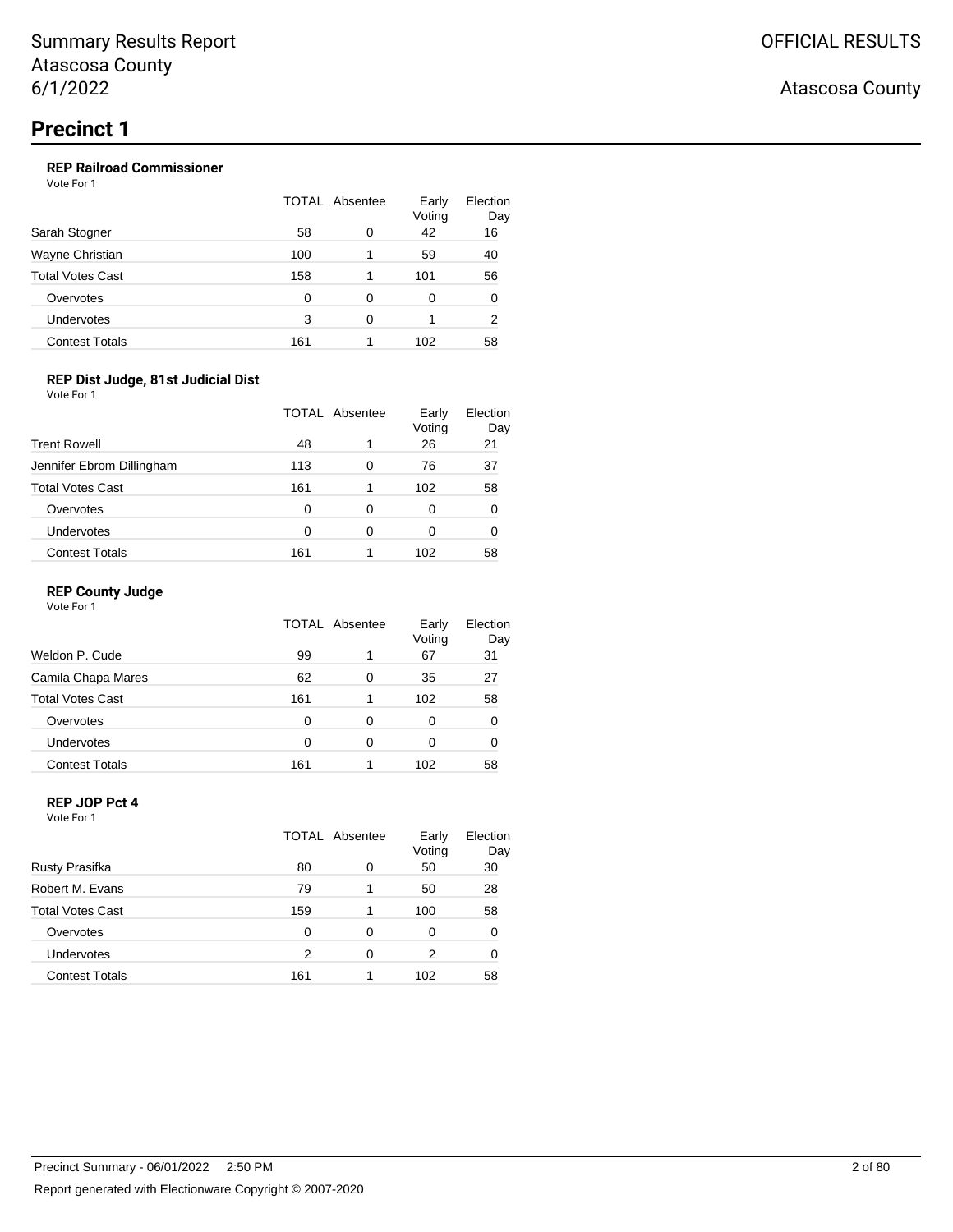## **REP Railroad Commissioner**

Vote For 1

| Sarah Stogner         | <b>TOTAL Absentee</b> |   | Early<br>Voting | Election<br>Day |
|-----------------------|-----------------------|---|-----------------|-----------------|
|                       | 58                    | 0 | 42              | 16              |
| Wayne Christian       | 100                   |   | 59              | 40              |
| Total Votes Cast      | 158                   |   | 101             | 56              |
| Overvotes             | O                     | 0 | 0               | 0               |
| Undervotes            | 3                     | ∩ |                 | 2               |
| <b>Contest Totals</b> | 161                   |   | 102             | 58              |

### **REP Dist Judge, 81st Judicial Dist**

Vote For 1

|                           | TOTAL Absentee |   | Early<br>Voting | Election<br>Day |
|---------------------------|----------------|---|-----------------|-----------------|
| <b>Trent Rowell</b>       | 48             | 1 | 26              | 21              |
| Jennifer Ebrom Dillingham | 113            | 0 | 76              | 37              |
| <b>Total Votes Cast</b>   | 161            | 1 | 102             | 58              |
| Overvotes                 | 0              | 0 | 0               | 0               |
| Undervotes                | 0              | 0 | 0               | 0               |
| <b>Contest Totals</b>     | 161            |   | 102             | 58              |

#### **REP County Judge**

Vote For 1

|                         | TOTAL Absentee |   | Early<br>Voting | Election<br>Day |
|-------------------------|----------------|---|-----------------|-----------------|
| Weldon P. Cude          | 99             | 1 | 67              | 31              |
| Camila Chapa Mares      | 62             | 0 | 35              | 27              |
| <b>Total Votes Cast</b> | 161            |   | 102             | 58              |
| Overvotes               | 0              | 0 | 0               | 0               |
| <b>Undervotes</b>       | O              | 0 | 0               | O               |
| <b>Contest Totals</b>   | 161            |   | 102             | 58              |

#### **REP JOP Pct 4** Vote For 1

|                         | <b>TOTAL Absentee</b> |   | Early<br>Voting | Election<br>Day |
|-------------------------|-----------------------|---|-----------------|-----------------|
| Rusty Prasifka          | 80                    | 0 | 50              | 30              |
| Robert M. Evans         | 79                    | 1 | 50              | 28              |
| <b>Total Votes Cast</b> | 159                   | 1 | 100             | 58              |
| Overvotes               | 0                     | 0 | 0               | 0               |
| Undervotes              | 2                     | 0 | 2               | 0               |
| <b>Contest Totals</b>   | 161                   | 1 | 102             | 58              |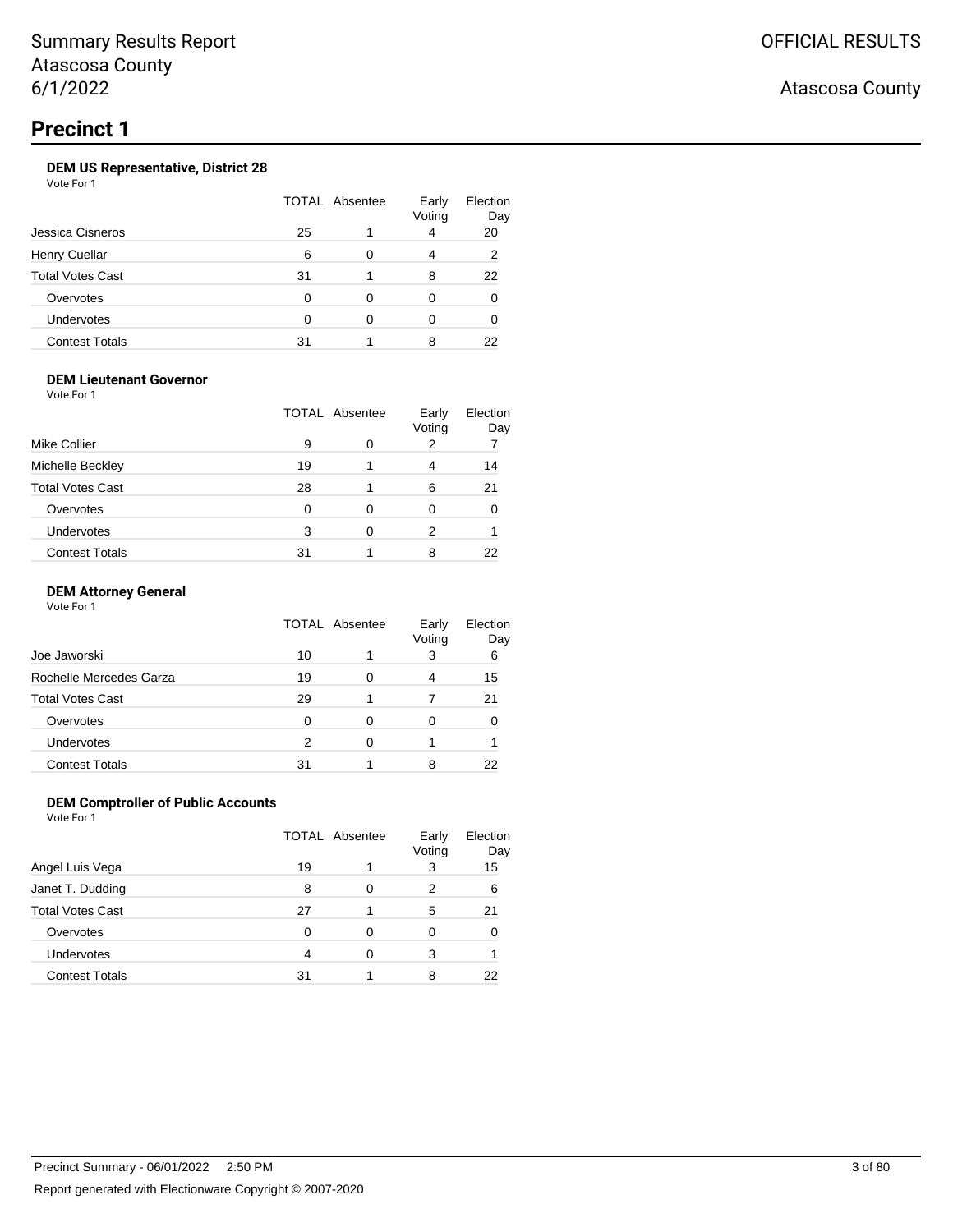## **Precinct 1**

## **DEM US Representative, District 28**

Vote For 1

|                         | TOTAL Absentee |   | Early<br>Voting | Election<br>Day |
|-------------------------|----------------|---|-----------------|-----------------|
| Jessica Cisneros        | 25             |   | 4               | 20              |
| <b>Henry Cuellar</b>    | 6              | ∩ | 4               | 2               |
| <b>Total Votes Cast</b> | 31             |   | 8               | 22              |
| Overvotes               | O              | 0 | Ω               |                 |
| Undervotes              |                |   | 0               |                 |
| <b>Contest Totals</b>   | 31             |   | 8               | 22              |

### **DEM Lieutenant Governor**

Vote For 1

|                         | TOTAL Absentee |   | Early<br>Voting | Election<br>Day |
|-------------------------|----------------|---|-----------------|-----------------|
| Mike Collier            | 9              | 0 | 2               |                 |
| Michelle Beckley        | 19             |   | 4               | 14              |
| <b>Total Votes Cast</b> | 28             |   | 6               | 21              |
| Overvotes               | 0              | ი | 0               |                 |
| Undervotes              | 3              | 0 | 2               |                 |
| <b>Contest Totals</b>   | 31             |   | 8               | 22              |

#### **DEM Attorney General**

Vote For 1

|                         | TOTAL Absentee |   | Early<br>Voting | Election<br>Day |
|-------------------------|----------------|---|-----------------|-----------------|
| Joe Jaworski            | 10             |   | 3               | 6               |
| Rochelle Mercedes Garza | 19             | Ω | 4               | 15              |
| Total Votes Cast        | 29             |   |                 | 21              |
| Overvotes               | O              | 0 |                 |                 |
| Undervotes              | 2              | 0 |                 |                 |
| <b>Contest Totals</b>   | 31             |   | 8               |                 |

### **DEM Comptroller of Public Accounts**

|                       | <b>TOTAL Absentee</b> |   | Early<br>Voting | Election<br>Day |
|-----------------------|-----------------------|---|-----------------|-----------------|
| Angel Luis Vega       | 19                    |   | 3               | 15              |
| Janet T. Dudding      | 8                     | 0 | 2               | 6               |
| Total Votes Cast      | 27                    |   | 5               | 21              |
| Overvotes             | O                     | 0 |                 |                 |
| Undervotes            | 4                     | O | 3               |                 |
| <b>Contest Totals</b> | 31                    |   | 8               | 22              |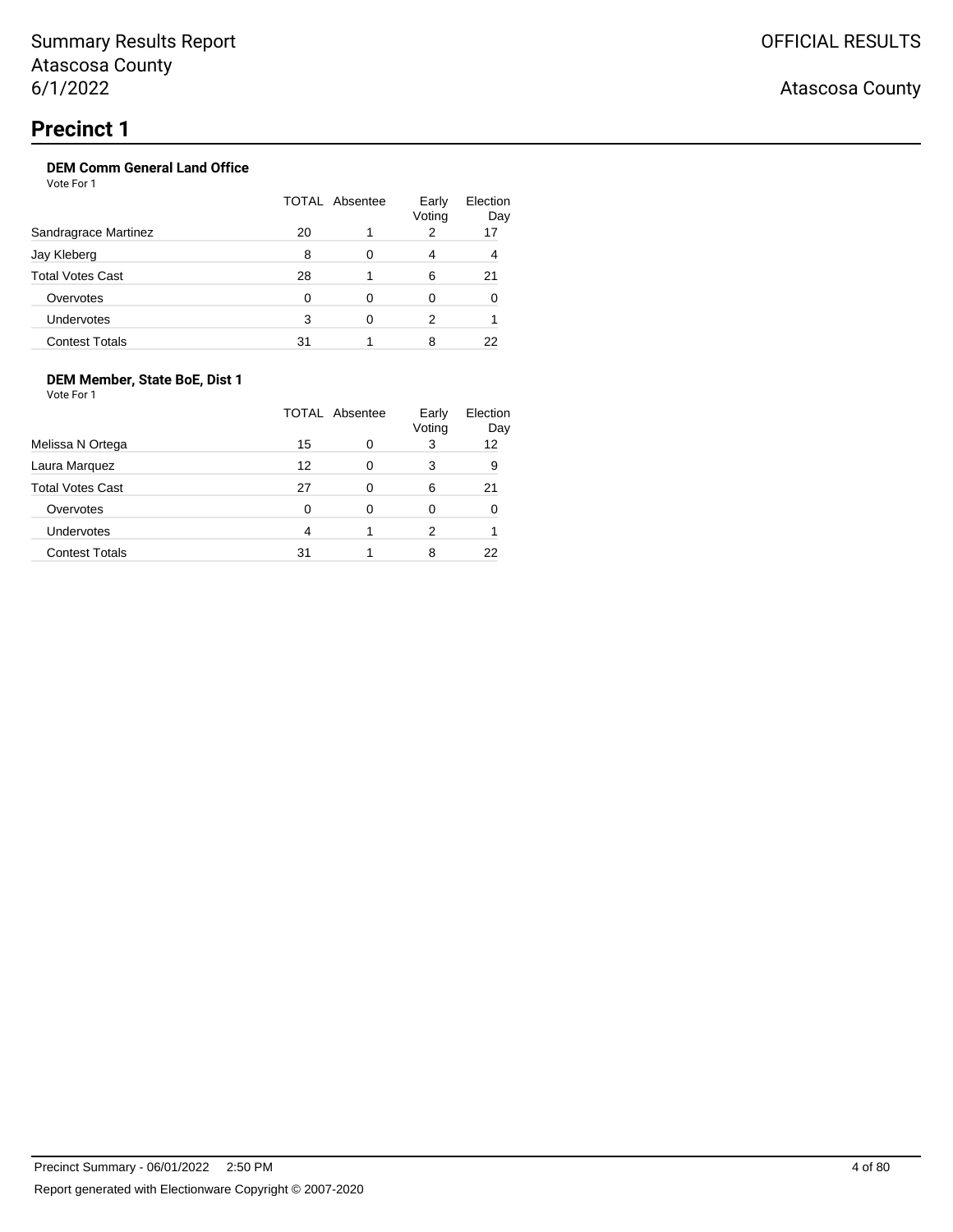# OFFICIAL RESULTS

## Atascosa County

## **Precinct 1**

## **DEM Comm General Land Office**

Vote For 1

|                         | TOTAL Absentee |   | Early<br>Voting | Election<br>Day |
|-------------------------|----------------|---|-----------------|-----------------|
| Sandragrace Martinez    | 20             |   | 2               | 17              |
| Jay Kleberg             | 8              | 0 | 4               | 4               |
| <b>Total Votes Cast</b> | 28             |   | 6               | 21              |
| Overvotes               | O              | ∩ | 0               |                 |
| Undervotes              | 3              |   | 2               |                 |
| <b>Contest Totals</b>   | 31             |   | 8               | 22              |

## **DEM Member, State BoE, Dist 1**

|                         | <b>TOTAL Absentee</b> |   | Early<br>Voting | Election<br>Day |
|-------------------------|-----------------------|---|-----------------|-----------------|
| Melissa N Ortega        | 15                    | 0 | 3               | 12              |
| Laura Marquez           | 12                    | 0 | 3               | 9               |
| <b>Total Votes Cast</b> | 27                    | 0 | 6               | 21              |
| Overvotes               | 0                     | 0 | 0               |                 |
| Undervotes              | 4                     |   | 2               |                 |
| <b>Contest Totals</b>   | 31                    |   | 8               |                 |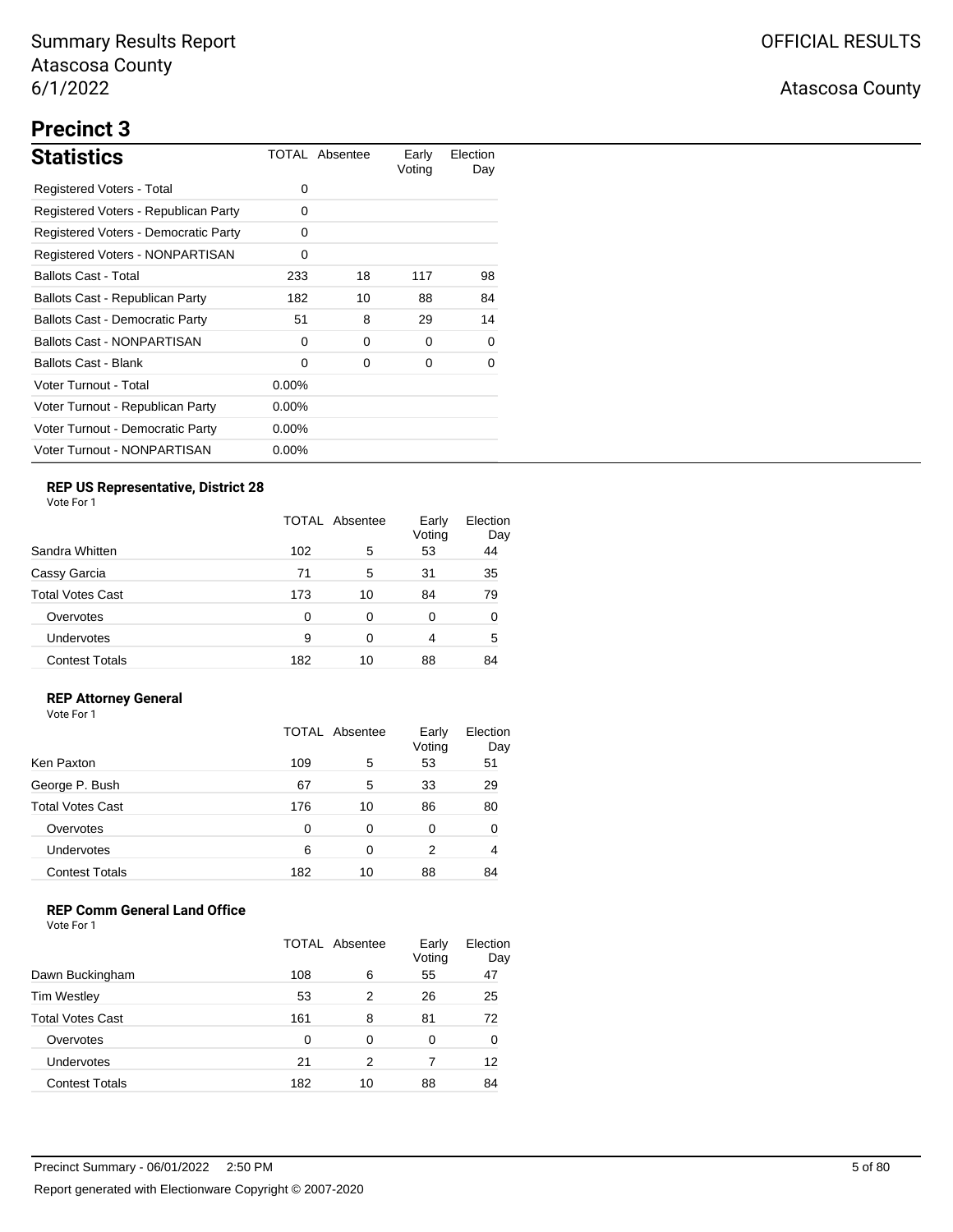# **Precinct 3**

| <b>Statistics</b>                      |          | TOTAL Absentee | Early<br>Voting | Election<br>Day |
|----------------------------------------|----------|----------------|-----------------|-----------------|
| Registered Voters - Total              | 0        |                |                 |                 |
| Registered Voters - Republican Party   | 0        |                |                 |                 |
| Registered Voters - Democratic Party   | 0        |                |                 |                 |
| Registered Voters - NONPARTISAN        | 0        |                |                 |                 |
| <b>Ballots Cast - Total</b>            | 233      | 18             | 117             | 98              |
| Ballots Cast - Republican Party        | 182      | 10             | 88              | 84              |
| <b>Ballots Cast - Democratic Party</b> | 51       | 8              | 29              | 14              |
| <b>Ballots Cast - NONPARTISAN</b>      | 0        | 0              | 0               | 0               |
| Ballots Cast - Blank                   | 0        | 0              | 0               | 0               |
| Voter Turnout - Total                  | $0.00\%$ |                |                 |                 |
| Voter Turnout - Republican Party       | $0.00\%$ |                |                 |                 |
| Voter Turnout - Democratic Party       | $0.00\%$ |                |                 |                 |
| Voter Turnout - NONPARTISAN            | $0.00\%$ |                |                 |                 |

## **REP US Representative, District 28**

Vote For 1

|                         | TOTAL Absentee |    | Early<br>Voting | Election<br>Day |
|-------------------------|----------------|----|-----------------|-----------------|
| Sandra Whitten          | 102            | 5  | 53              | 44              |
| Cassy Garcia            | 71             | 5  | 31              | 35              |
| <b>Total Votes Cast</b> | 173            | 10 | 84              | 79              |
| Overvotes               | 0              | 0  | 0               | 0               |
| <b>Undervotes</b>       | 9              | 0  | 4               | 5               |
| <b>Contest Totals</b>   | 182            | 10 | 88              | 84              |

### **REP Attorney General**

Vote For 1

|                         |     | TOTAL Absentee | Early<br>Voting | Election<br>Day |
|-------------------------|-----|----------------|-----------------|-----------------|
| Ken Paxton              | 109 | 5              | 53              | 51              |
| George P. Bush          | 67  | 5              | 33              | 29              |
| <b>Total Votes Cast</b> | 176 | 10             | 86              | 80              |
| Overvotes               | 0   | 0              | 0               | 0               |
| Undervotes              | 6   | 0              | 2               | 4               |
| <b>Contest Totals</b>   | 182 | 10             | 88              | 84              |

## **REP Comm General Land Office**

|                         | <b>TOTAL Absentee</b> |    | Early<br>Voting | Election<br>Day |
|-------------------------|-----------------------|----|-----------------|-----------------|
| Dawn Buckingham         | 108                   | 6  | 55              | 47              |
| <b>Tim Westley</b>      | 53                    | 2  | 26              | 25              |
| <b>Total Votes Cast</b> | 161                   | 8  | 81              | 72              |
| Overvotes               | 0                     | 0  | 0               | 0               |
| <b>Undervotes</b>       | 21                    | 2  | 7               | 12              |
| <b>Contest Totals</b>   | 182                   | 10 | 88              | 84              |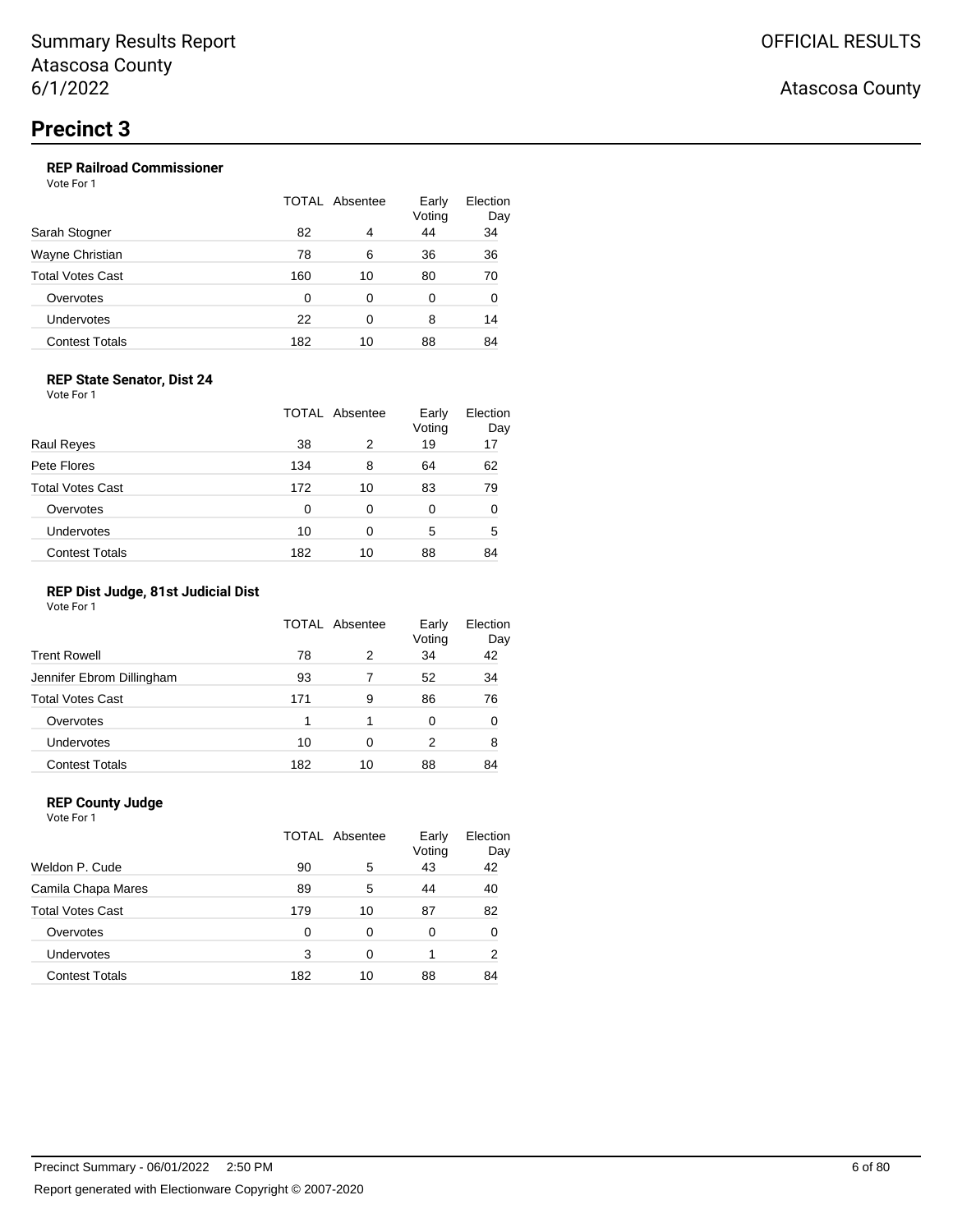### **REP Railroad Commissioner**

Vote For 1

|                       |     | TOTAL Absentee | Early<br>Voting | Election<br>Day |
|-----------------------|-----|----------------|-----------------|-----------------|
| Sarah Stogner         | 82  | 4              | 44              | 34              |
| Wayne Christian       | 78  | 6              | 36              | 36              |
| Total Votes Cast      | 160 | 10             | 80              | 70              |
| Overvotes             | 0   | 0              | 0               | 0               |
| Undervotes            | 22  | 0              | 8               | 14              |
| <b>Contest Totals</b> | 182 | 10             | 88              | 84              |
|                       |     |                |                 |                 |

#### **REP State Senator, Dist 24**

Vote For 1

|                         |     | TOTAL Absentee | Early<br>Voting | Election<br>Day |
|-------------------------|-----|----------------|-----------------|-----------------|
| <b>Raul Reyes</b>       | 38  | 2              | 19              | 17              |
| Pete Flores             | 134 | 8              | 64              | 62              |
| <b>Total Votes Cast</b> | 172 | 10             | 83              | 79              |
| Overvotes               | 0   | 0              | 0               | O               |
| <b>Undervotes</b>       | 10  | 0              | 5               | 5               |
| <b>Contest Totals</b>   | 182 | 10             | 88              | 84              |

#### **REP Dist Judge, 81st Judicial Dist**

Vote For 1

|                           | TOTAL Absentee |    | Early<br>Voting | Election<br>Day |
|---------------------------|----------------|----|-----------------|-----------------|
| <b>Trent Rowell</b>       | 78             | 2  | 34              | 42              |
| Jennifer Ebrom Dillingham | 93             |    | 52              | 34              |
| <b>Total Votes Cast</b>   | 171            | 9  | 86              | 76              |
| Overvotes                 |                | 1  | 0               | 0               |
| Undervotes                | 10             | 0  | 2               | 8               |
| <b>Contest Totals</b>     | 182            | 10 | 88              | 84              |

### **REP County Judge**

Vote For 1 TOTAL Absentee Early Voting Election Day Weldon P. Cude 6 10 10 10 10 10 10 10 10 10 10 10 11 12 12 12 12 12 12 12 Camila Chapa Mares 89 5 44 40 Total Votes Cast 179 10 87 82 Overvotes 0 0 0 0 0 Undervotes 3 0 1 2 Contest Totals 182 10 88 84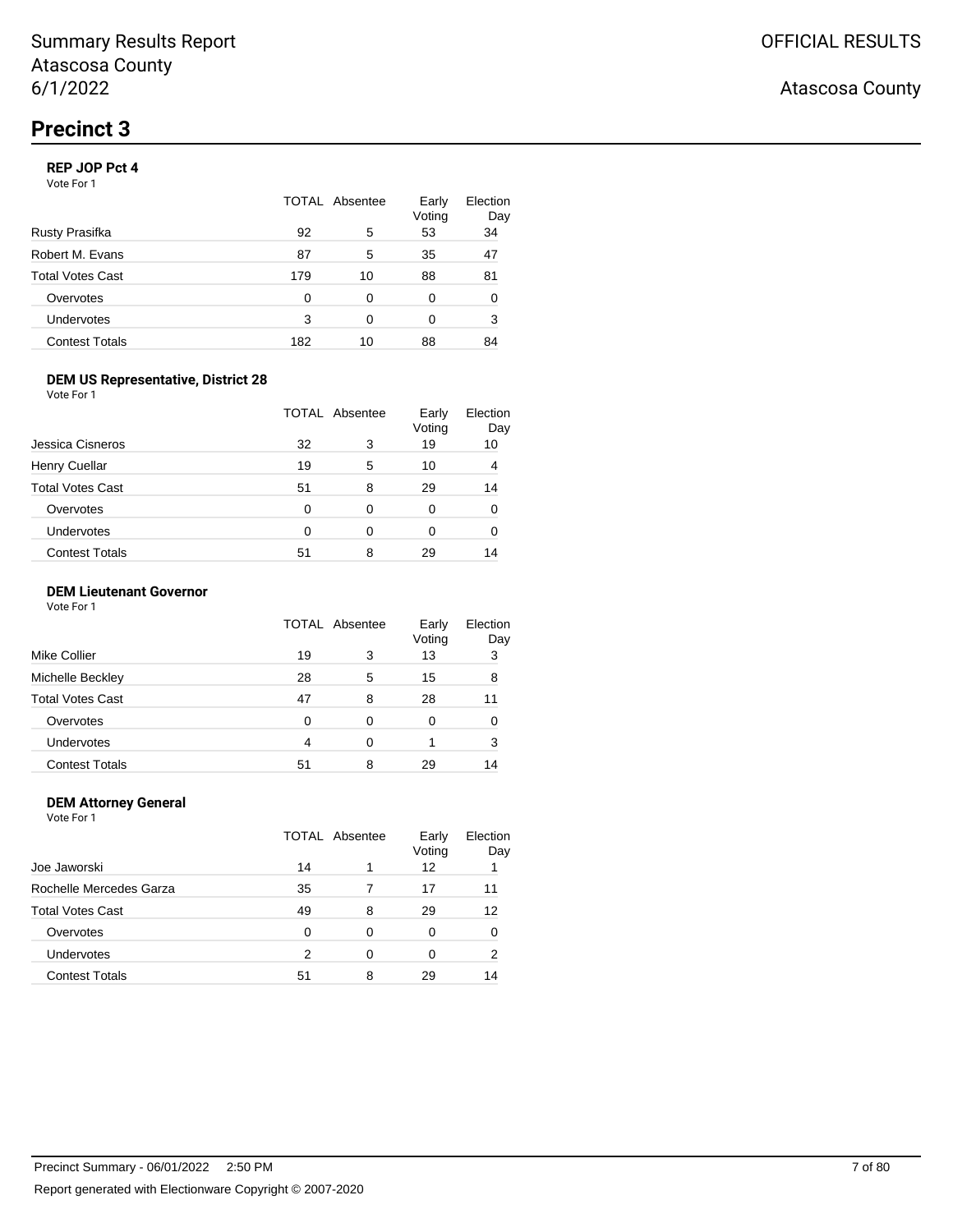#### **REP JOP Pct 4**

Vote For 1

|                       | <b>TOTAL Absentee</b> |    | Early<br>Voting | Election<br>Day |
|-----------------------|-----------------------|----|-----------------|-----------------|
| Rusty Prasifka        | 92                    | 5  | 53              | 34              |
| Robert M. Evans       | 87                    | 5  | 35              | 47              |
| Total Votes Cast      | 179                   | 10 | 88              | 81              |
| Overvotes             | O                     | 0  | 0               | 0               |
| Undervotes            | 3                     | ∩  | 0               | 3               |
| <b>Contest Totals</b> | 182                   | 10 | 88              | 84              |

#### **DEM US Representative, District 28**

Vote For 1

|                         |    | TOTAL Absentee |    | Election<br>Day |
|-------------------------|----|----------------|----|-----------------|
| Jessica Cisneros        | 32 | 3              | 19 | 10              |
| <b>Henry Cuellar</b>    | 19 | 5              | 10 |                 |
| <b>Total Votes Cast</b> | 51 | 8              | 29 | 14              |
| Overvotes               | 0  | 0              | 0  |                 |
| <b>Undervotes</b>       | 0  | O              | 0  |                 |
| <b>Contest Totals</b>   | 51 | 8              | 29 | 14              |

#### **DEM Lieutenant Governor**

Vote For 1

|                         | TOTAL Absentee |   | Early<br>Voting | Election<br>Day |
|-------------------------|----------------|---|-----------------|-----------------|
| Mike Collier            | 19             | 3 | 13              | 3               |
| Michelle Beckley        | 28             | 5 | 15              | 8               |
| <b>Total Votes Cast</b> | 47             | 8 | 28              | 11              |
| Overvotes               | ∩              | 0 | 0               |                 |
| <b>Undervotes</b>       | 4              | 0 |                 | 3               |
| <b>Contest Totals</b>   | 51             | 8 | 29              | 14              |

#### **DEM Attorney General**

Vote For 1 TOTAL Absentee Early Voting Election Day Joe Jaworski 14 1 12 1 Rochelle Mercedes Garza 15 135 12 17 11 Total Votes Cast 12 Overvotes 0 0 0 0 0 Undervotes 2 0 0 2 Contest Totals **51** 8 29 14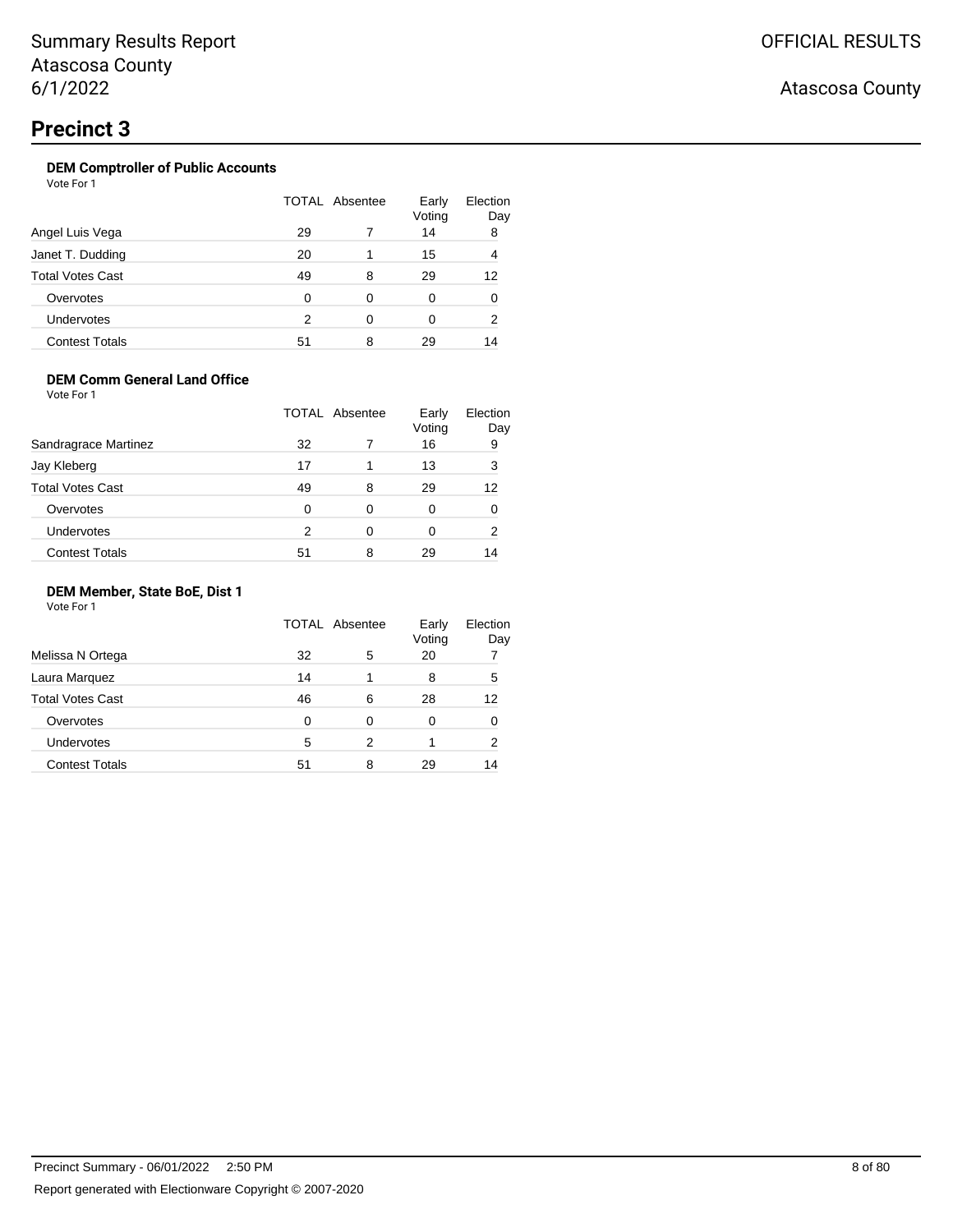## OFFICIAL RESULTS

## Atascosa County

## **Precinct 3**

## **DEM Comptroller of Public Accounts**

Vote For 1

|                         | TOTAL Absentee |   | Early<br>Voting | Election<br>Day |
|-------------------------|----------------|---|-----------------|-----------------|
| Angel Luis Vega         | 29             |   | 14              | 8               |
| Janet T. Dudding        | 20             |   | 15              | 4               |
| <b>Total Votes Cast</b> | 49             | 8 | 29              | 12              |
| Overvotes               | 0              | 0 | 0               | 0               |
| <b>Undervotes</b>       | 2              | 0 | 0               | 2               |
| <b>Contest Totals</b>   | 51             | 8 | 29              | 14              |

#### **DEM Comm General Land Office**

Vote For 1

|                         | <b>TOTAL Absentee</b> |   | Early<br>Voting | Election<br>Day |
|-------------------------|-----------------------|---|-----------------|-----------------|
| Sandragrace Martinez    | 32                    |   | 16              | 9               |
| Jay Kleberg             | 17                    | 1 | 13              | 3               |
| <b>Total Votes Cast</b> | 49                    | 8 | 29              | 12              |
| Overvotes               | 0                     | 0 | 0               |                 |
| Undervotes              | 2                     | 0 | 0               | 2               |
| <b>Contest Totals</b>   | 51                    | 8 | 29              | 14              |

#### **DEM Member, State BoE, Dist 1**

|                         | TOTAL Absentee |   | Early<br>Voting | Election<br>Day |
|-------------------------|----------------|---|-----------------|-----------------|
| Melissa N Ortega        | 32             | 5 | 20              |                 |
| Laura Marquez           | 14             |   | 8               | 5               |
| <b>Total Votes Cast</b> | 46             | 6 | 28              | 12              |
| Overvotes               | 0              | 0 | 0               | 0               |
| Undervotes              | 5              | 2 |                 | 2               |
| <b>Contest Totals</b>   | 51             | 8 | 29              | 14              |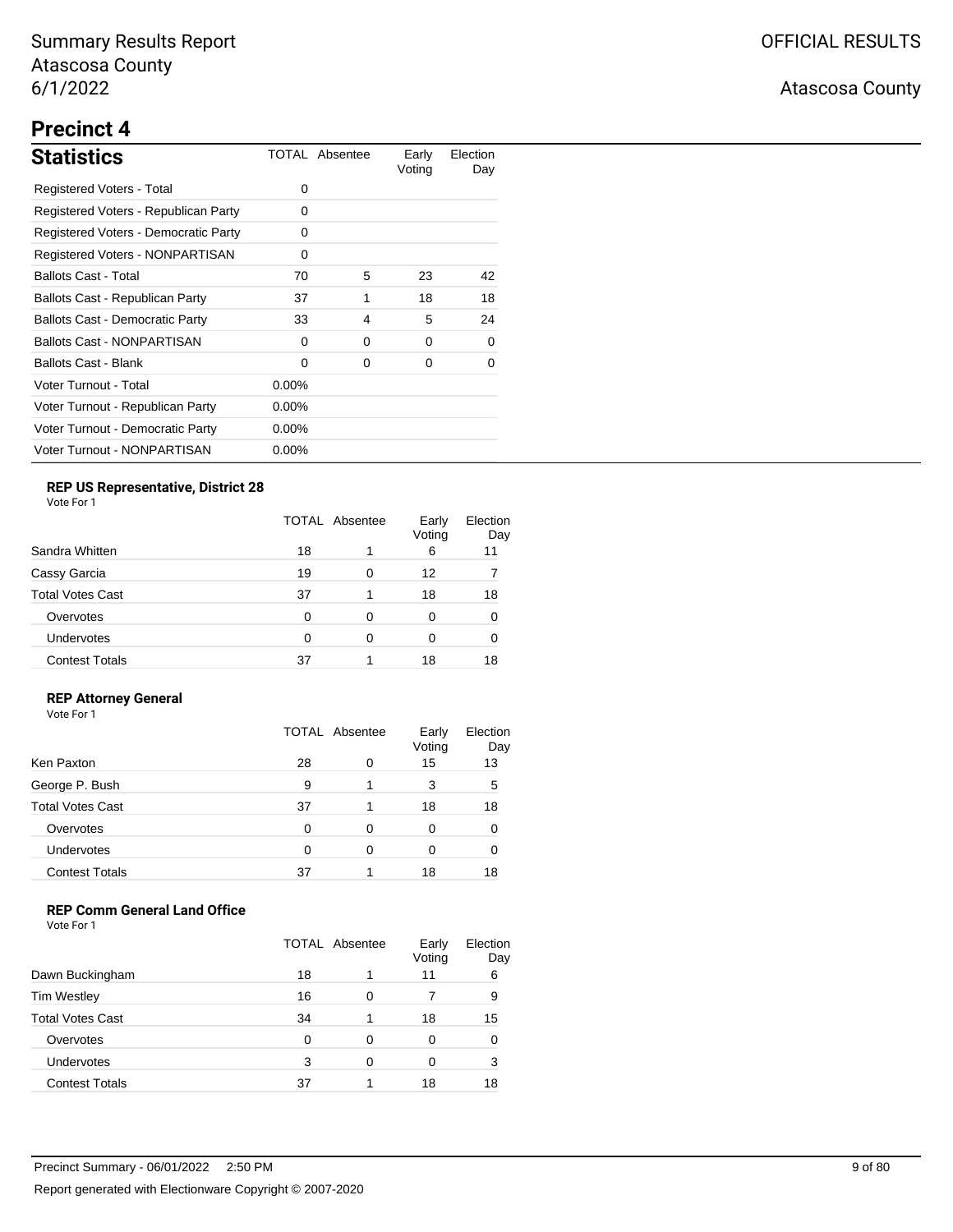# **Precinct 4**

| <b>Statistics</b>                      |          | TOTAL Absentee | Early<br>Voting | Election<br>Day |
|----------------------------------------|----------|----------------|-----------------|-----------------|
| Registered Voters - Total              | 0        |                |                 |                 |
| Registered Voters - Republican Party   | 0        |                |                 |                 |
| Registered Voters - Democratic Party   | $\Omega$ |                |                 |                 |
| Registered Voters - NONPARTISAN        | 0        |                |                 |                 |
| <b>Ballots Cast - Total</b>            | 70       | 5              | 23              | 42              |
| Ballots Cast - Republican Party        | 37       | 1              | 18              | 18              |
| <b>Ballots Cast - Democratic Party</b> | 33       | 4              | 5               | 24              |
| Ballots Cast - NONPARTISAN             | 0        | 0              | 0               | 0               |
| <b>Ballots Cast - Blank</b>            | 0        | 0              | 0               | $\Omega$        |
| Voter Turnout - Total                  | $0.00\%$ |                |                 |                 |
| Voter Turnout - Republican Party       | $0.00\%$ |                |                 |                 |
| Voter Turnout - Democratic Party       | $0.00\%$ |                |                 |                 |
| Voter Turnout - NONPARTISAN            | $0.00\%$ |                |                 |                 |

## **REP US Representative, District 28**

Vote For 1

|                         | TOTAL Absentee |   | Early<br>Voting | Election<br>Day |
|-------------------------|----------------|---|-----------------|-----------------|
| Sandra Whitten          | 18             | 1 | 6               | 11              |
| Cassy Garcia            | 19             | 0 | 12              |                 |
| <b>Total Votes Cast</b> | 37             | 1 | 18              | 18              |
| Overvotes               | 0              | 0 | 0               | 0               |
| Undervotes              | 0              | 0 | 0               | O               |
| <b>Contest Totals</b>   | 37             |   | 18              | 18              |

### **REP Attorney General**

Vote For 1

|                         | <b>TOTAL Absentee</b> |   | Early<br>Voting | Election<br>Day |
|-------------------------|-----------------------|---|-----------------|-----------------|
| Ken Paxton              | 28                    | 0 | 15              | 13              |
| George P. Bush          | 9                     |   | 3               | 5               |
| <b>Total Votes Cast</b> | 37                    |   | 18              | 18              |
| Overvotes               | 0                     | 0 | 0               |                 |
| Undervotes              | 0                     | 0 | 0               |                 |
| <b>Contest Totals</b>   | 37                    |   | 18              | 18              |

### **REP Comm General Land Office**

|                         | TOTAL Absentee |   | Early<br>Voting | Election<br>Day |
|-------------------------|----------------|---|-----------------|-----------------|
| Dawn Buckingham         | 18             |   | 11              | 6               |
| <b>Tim Westley</b>      | 16             | ∩ |                 | 9               |
| <b>Total Votes Cast</b> | 34             |   | 18              | 15              |
| Overvotes               | ∩              | 0 | 0               | 0               |
| Undervotes              | 3              | ∩ | 0               | 3               |
| <b>Contest Totals</b>   | 37             |   | 18              | 18              |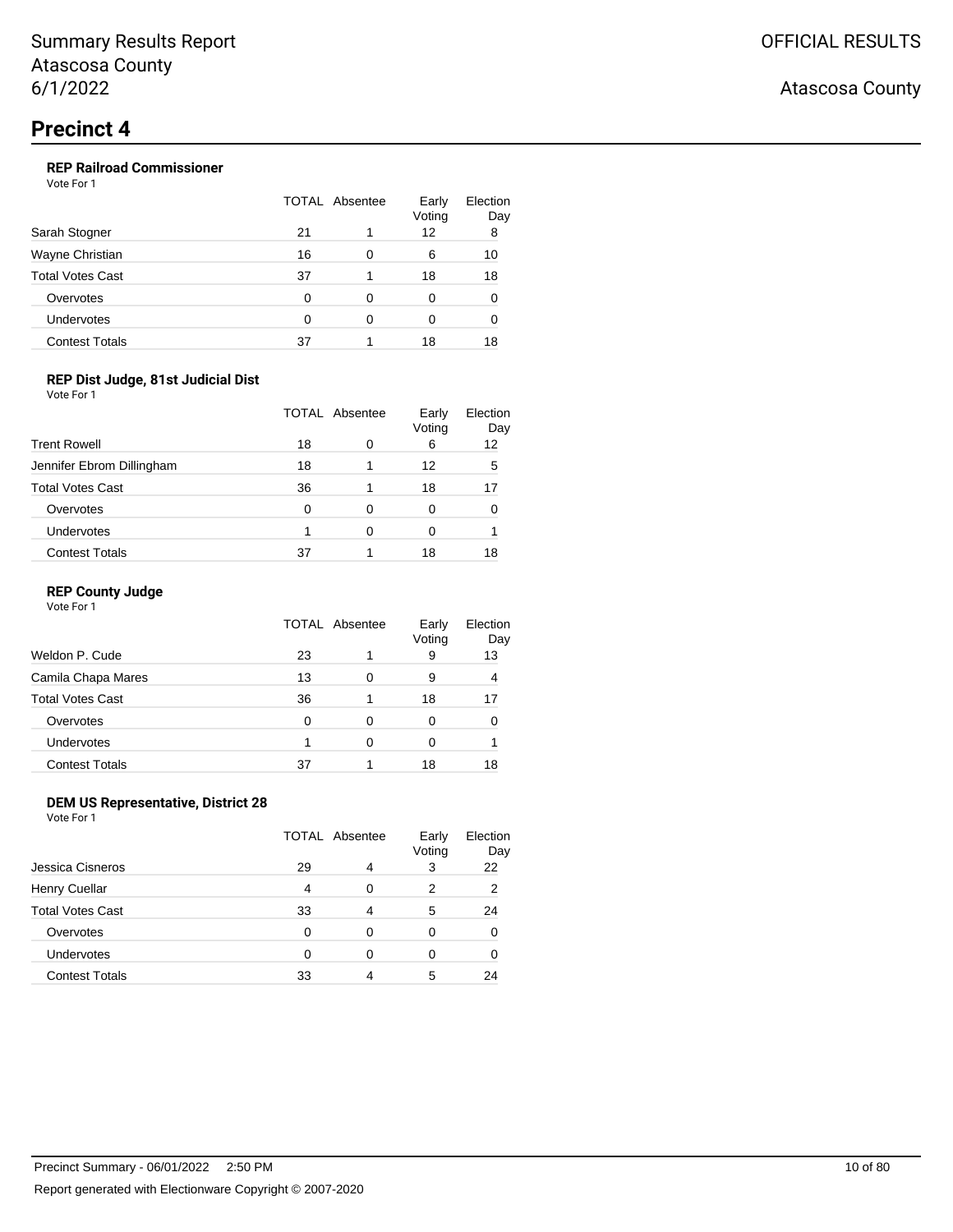## **REP Railroad Commissioner**

Vote For 1

|                         | TOTAL Absentee |   | Early<br>Voting | Election<br>Day |
|-------------------------|----------------|---|-----------------|-----------------|
| Sarah Stogner           | 21             |   | 12              | 8               |
| Wayne Christian         | 16             | 0 | 6               | 10              |
| <b>Total Votes Cast</b> | 37             |   | 18              | 18              |
| Overvotes               | 0              | ∩ | 0               | 0               |
| Undervotes              | 0              | ∩ | 0               | O               |
| <b>Contest Totals</b>   | 37             |   | 18              | 18              |

### **REP Dist Judge, 81st Judicial Dist**

Vote For 1

|                           | TOTAL Absentee |   | Early<br>Voting | Election<br>Day |
|---------------------------|----------------|---|-----------------|-----------------|
| <b>Trent Rowell</b>       | 18             | O | 6               | 12              |
| Jennifer Ebrom Dillingham | 18             |   | 12              | 5               |
| <b>Total Votes Cast</b>   | 36             |   | 18              | 17              |
| Overvotes                 | 0              | 0 | 0               |                 |
| Undervotes                |                | Ω | 0               |                 |
| <b>Contest Totals</b>     | 37             |   | 18              | 18              |

#### **REP County Judge**

Vote For 1

|                         | TOTAL Absentee |   | Early<br>Voting | Election<br>Day |
|-------------------------|----------------|---|-----------------|-----------------|
| Weldon P. Cude          | 23             |   | 9               | 13              |
| Camila Chapa Mares      | 13             | 0 | 9               | 4               |
| <b>Total Votes Cast</b> | 36             |   | 18              | 17              |
| Overvotes               | 0              | 0 | 0               |                 |
| Undervotes              |                | ∩ | Ω               |                 |
| <b>Contest Totals</b>   | 37             |   | 18              | 18              |

### **DEM US Representative, District 28**

Vote For 1

|                         | TOTAL Absentee |   | Early<br>Voting | Election<br>Day |
|-------------------------|----------------|---|-----------------|-----------------|
| Jessica Cisneros        | 29             | 4 | 3               | 22              |
| Henry Cuellar           | 4              | 0 | 2               | 2               |
| <b>Total Votes Cast</b> | 33             | 4 | 5               | 24              |
| Overvotes               | 0              | 0 | 0               |                 |
| Undervotes              | ∩              | 0 | 0               |                 |
| <b>Contest Totals</b>   | 33             |   | 5               | 24              |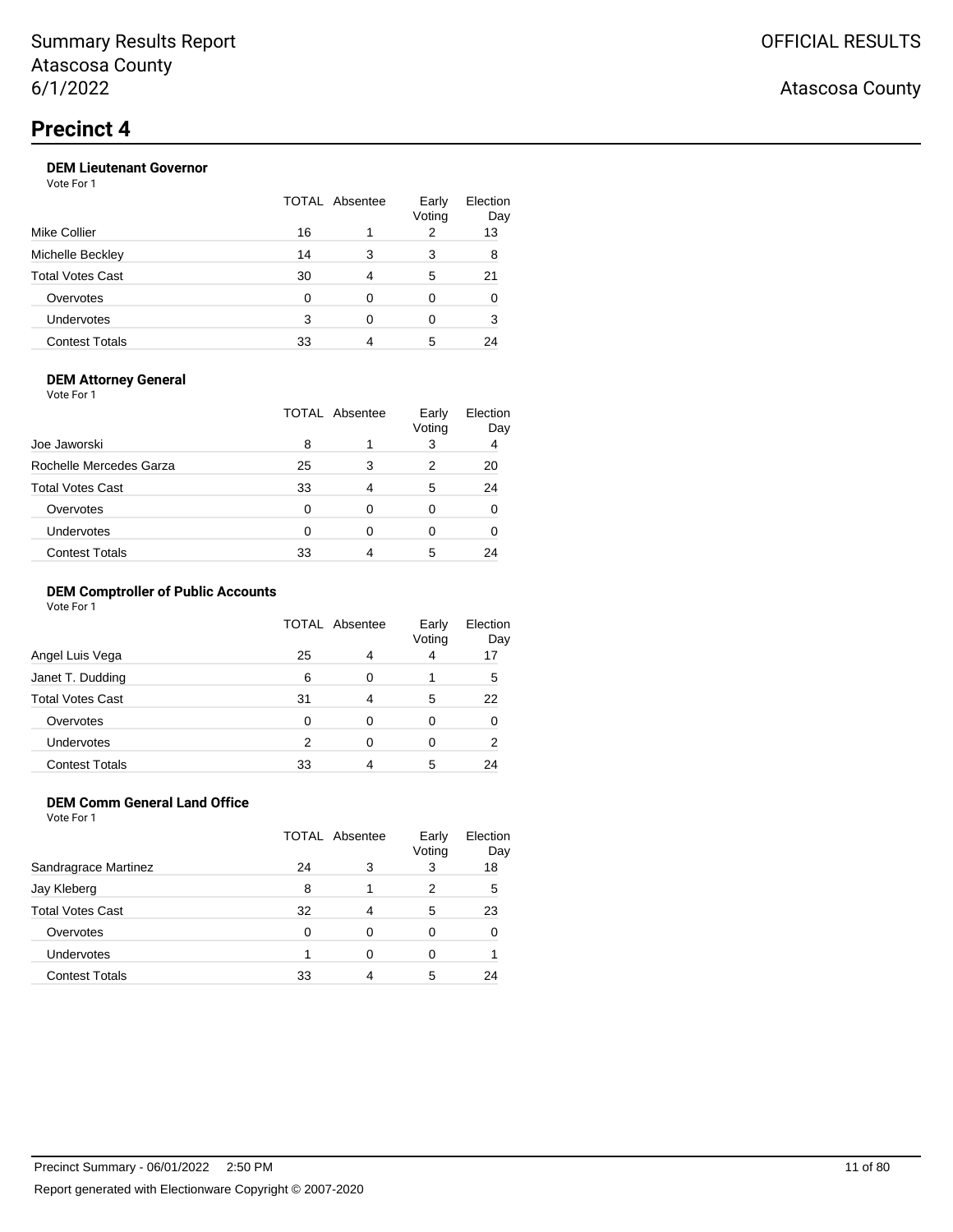## **DEM Lieutenant Governor**

Vote For 1

|                         |    | TOTAL Absentee | Early<br>Voting | Election<br>Day |
|-------------------------|----|----------------|-----------------|-----------------|
| Mike Collier            | 16 |                | 2               | 13              |
| Michelle Beckley        | 14 | 3              | 3               | 8               |
| <b>Total Votes Cast</b> | 30 | 4              | 5               | 21              |
| Overvotes               | 0  | 0              | 0               | 0               |
| Undervotes              | 3  | ∩              | 0               | 3               |
| <b>Contest Totals</b>   | 33 |                | 5               | 24              |
|                         |    |                |                 |                 |

#### **DEM Attorney General**

Vote For 1

| Joe Jaworski            | TOTAL Absentee |   | Early<br>Voting | Election<br>Day |
|-------------------------|----------------|---|-----------------|-----------------|
|                         | 8              |   | 3               | 4               |
| Rochelle Mercedes Garza | 25             | 3 | 2               | 20              |
| <b>Total Votes Cast</b> | 33             | 4 | 5               | 24              |
| Overvotes               | O              | 0 | 0               |                 |
| Undervotes              | $\Omega$       | 0 | 0               |                 |
| <b>Contest Totals</b>   | 33             |   | 5               | 24              |

#### **DEM Comptroller of Public Accounts**

Vote For 1

|                         | <b>TOTAL Absentee</b> |   | Early<br>Voting | Election<br>Day |
|-------------------------|-----------------------|---|-----------------|-----------------|
| Angel Luis Vega         | 25                    | 4 | 4               | 17              |
| Janet T. Dudding        | 6                     | 0 |                 | 5               |
| <b>Total Votes Cast</b> | 31                    | 4 | 5               | 22              |
| Overvotes               | 0                     | 0 | 0               |                 |
| Undervotes              | 2                     | 0 | 0               | 2               |
| <b>Contest Totals</b>   | 33                    | 4 | 5               | 24              |

## **DEM Comm General Land Office**

Vote For 1

|                       | TOTAL Absentee |   | Early<br>Voting | Election<br>Day |
|-----------------------|----------------|---|-----------------|-----------------|
| Sandragrace Martinez  | 24             | 3 | 3               | 18              |
| Jay Kleberg           | 8              |   | 2               | 5               |
| Total Votes Cast      | 32             | 4 | 5               | 23              |
| Overvotes             | 0              | 0 | 0               |                 |
| <b>Undervotes</b>     |                | 0 | Ω               |                 |
| <b>Contest Totals</b> | 33             | 4 | 5               | 24              |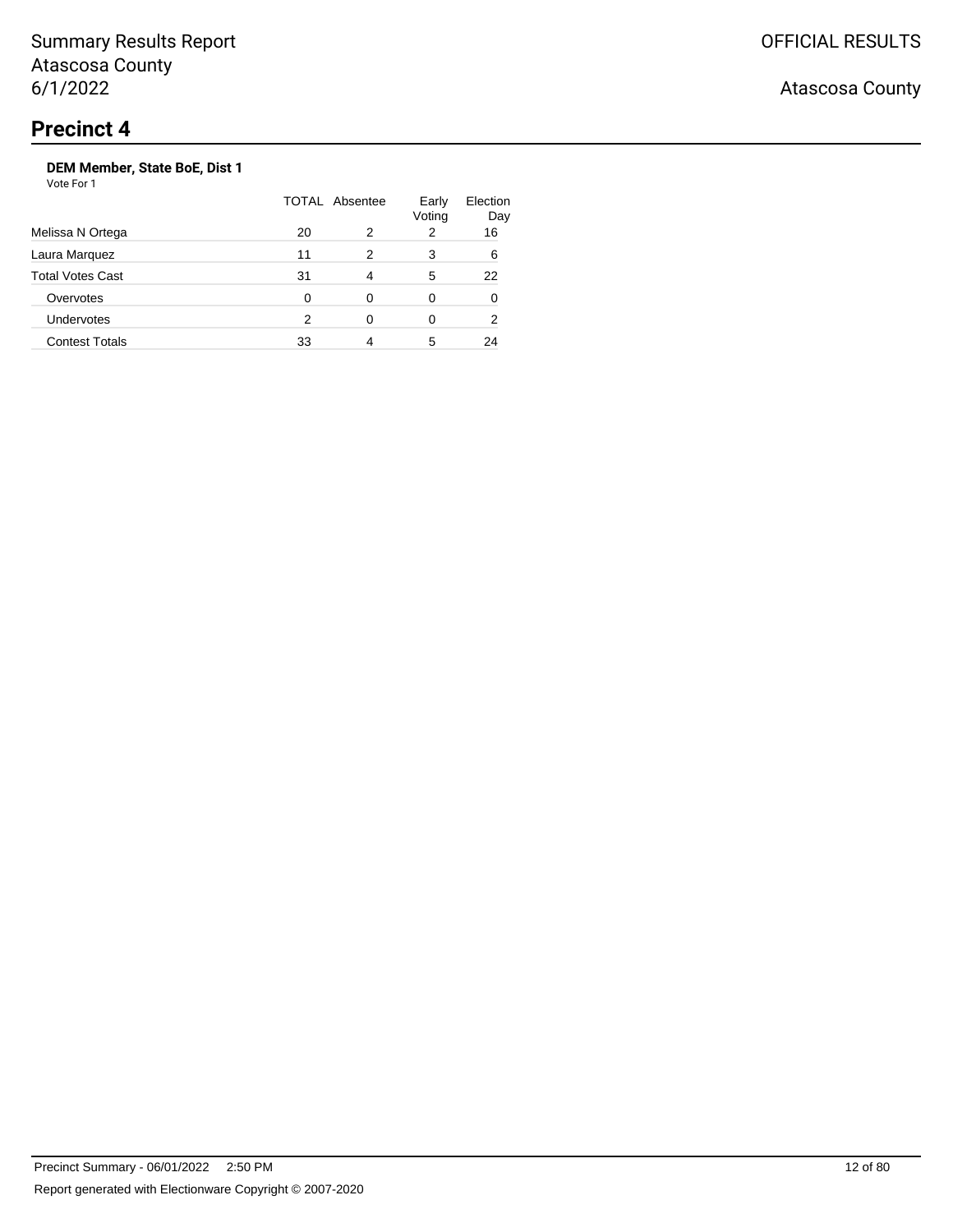Vote For 1

|                         | TOTAL Absentee |   | Early<br>Voting | Election<br>Day |
|-------------------------|----------------|---|-----------------|-----------------|
| Melissa N Ortega        | 20             | 2 | 2               | 16              |
| Laura Marquez           | 11             | 2 | 3               | 6               |
| <b>Total Votes Cast</b> | 31             | 4 | 5               | 22              |
| Overvotes               | 0              | 0 | 0               | O               |
| <b>Undervotes</b>       | 2              |   | 0               | 2               |
| <b>Contest Totals</b>   | 33             | 4 | 5               | 24              |
|                         |                |   |                 |                 |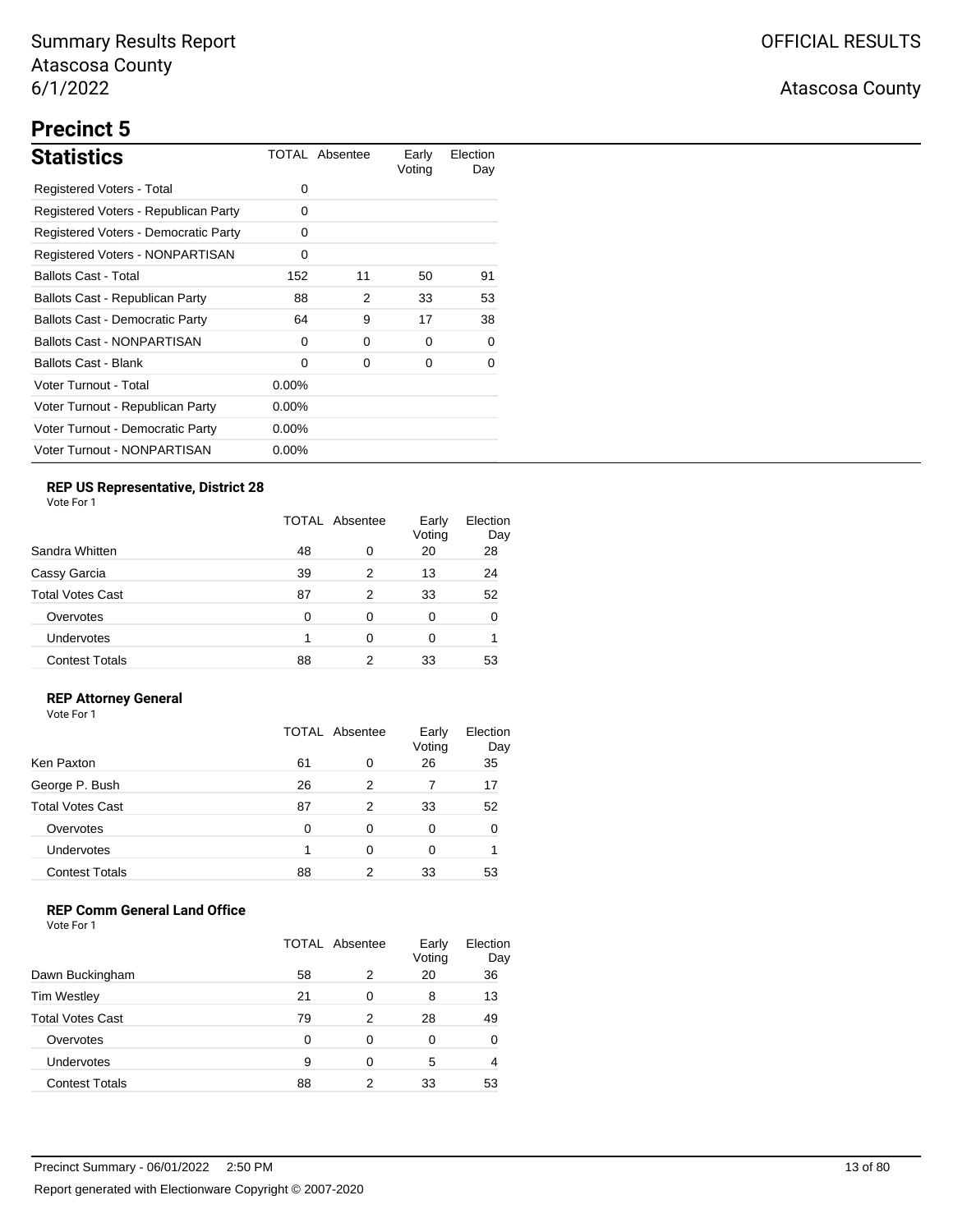# **Precinct 5**

| <b>Statistics</b>                      |          | TOTAL Absentee | Early<br>Voting | Election<br>Day |
|----------------------------------------|----------|----------------|-----------------|-----------------|
| Registered Voters - Total              | 0        |                |                 |                 |
| Registered Voters - Republican Party   | 0        |                |                 |                 |
| Registered Voters - Democratic Party   | 0        |                |                 |                 |
| Registered Voters - NONPARTISAN        | 0        |                |                 |                 |
| <b>Ballots Cast - Total</b>            | 152      | 11             | 50              | 91              |
| Ballots Cast - Republican Party        | 88       | 2              | 33              | 53              |
| <b>Ballots Cast - Democratic Party</b> | 64       | 9              | 17              | 38              |
| <b>Ballots Cast - NONPARTISAN</b>      | 0        | 0              | 0               | O               |
| Ballots Cast - Blank                   | 0        | 0              | 0               | O               |
| Voter Turnout - Total                  | $0.00\%$ |                |                 |                 |
| Voter Turnout - Republican Party       | $0.00\%$ |                |                 |                 |
| Voter Turnout - Democratic Party       | $0.00\%$ |                |                 |                 |
| Voter Turnout - NONPARTISAN            | $0.00\%$ |                |                 |                 |

## **REP US Representative, District 28**

Vote For 1

| Sandra Whitten          |    | TOTAL Absentee |    | Election<br>Day |
|-------------------------|----|----------------|----|-----------------|
|                         | 48 | 0              | 20 | 28              |
| Cassy Garcia            | 39 | 2              | 13 | 24              |
| <b>Total Votes Cast</b> | 87 | 2              | 33 | 52              |
| Overvotes               | 0  | 0              | 0  | 0               |
| <b>Undervotes</b>       |    | 0              | 0  |                 |
| <b>Contest Totals</b>   | 88 | 2              | 33 | 53              |

### **REP Attorney General**

Vote For 1

|                         | TOTAL Absentee |   | Early<br>Voting | Election<br>Day |
|-------------------------|----------------|---|-----------------|-----------------|
| Ken Paxton              | 61             | 0 | 26              | 35              |
| George P. Bush          | 26             | 2 |                 | 17              |
| <b>Total Votes Cast</b> | 87             | 2 | 33              | 52              |
| Overvotes               | 0              | 0 | 0               |                 |
| Undervotes              |                | 0 | 0               |                 |
| <b>Contest Totals</b>   | 88             | 2 | 33              | 53              |

## **REP Comm General Land Office**

|                         | TOTAL Absentee |   | Early<br>Voting | Election<br>Day |
|-------------------------|----------------|---|-----------------|-----------------|
| Dawn Buckingham         | 58             | 2 | 20              | 36              |
| <b>Tim Westley</b>      | 21             | 0 | 8               | 13              |
| <b>Total Votes Cast</b> | 79             | 2 | 28              | 49              |
| Overvotes               | O              | 0 | 0               | 0               |
| Undervotes              | 9              | ∩ | 5               | 4               |
| <b>Contest Totals</b>   | 88             |   | 33              | 53              |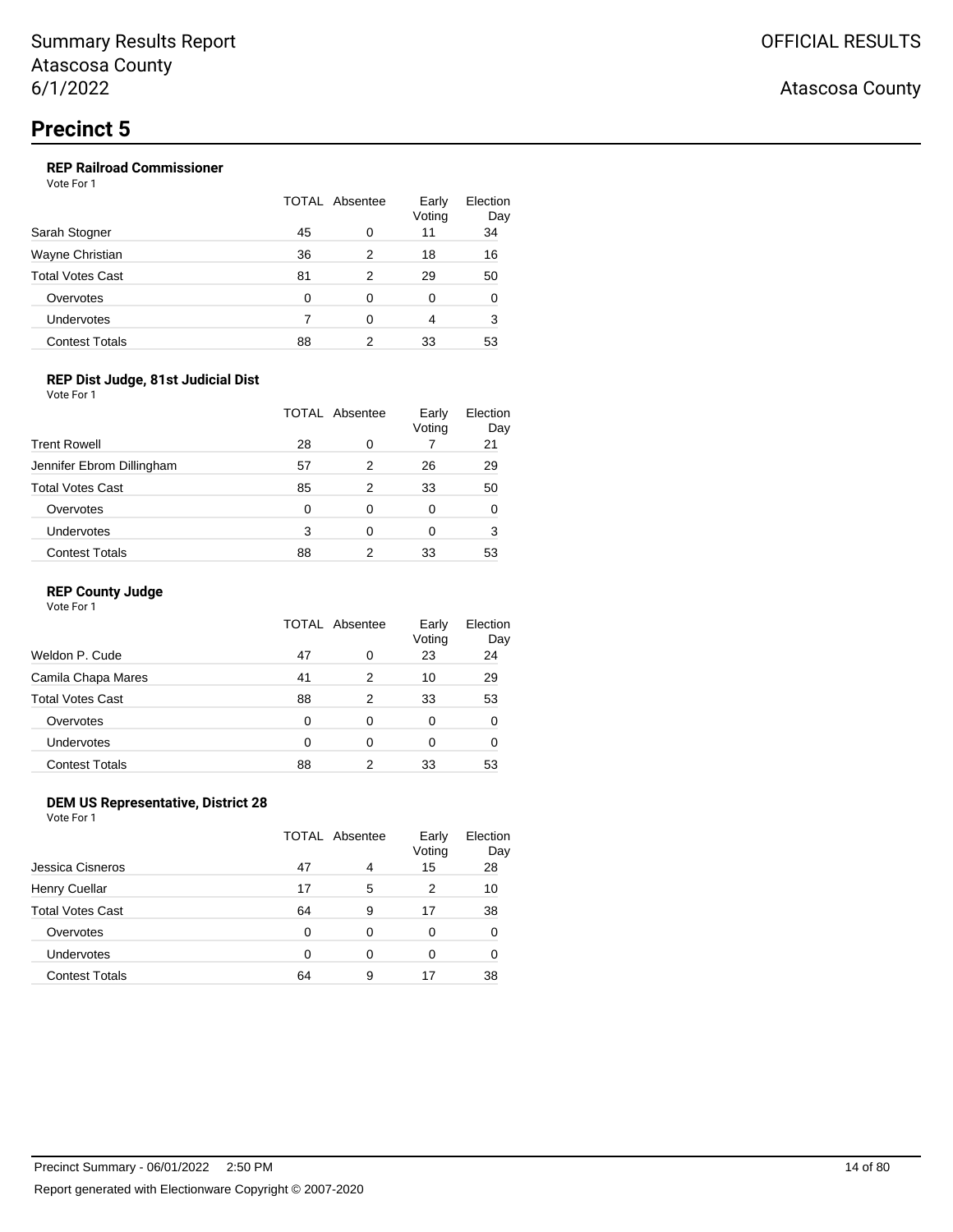## **REP Railroad Commissioner**

Vote For 1

| Sarah Stogner           | TOTAL Absentee |   | Early<br>Voting | Election<br>Day |
|-------------------------|----------------|---|-----------------|-----------------|
|                         | 45             | 0 | 11              | 34              |
| Wayne Christian         | 36             | 2 | 18              | 16              |
| <b>Total Votes Cast</b> | 81             | 2 | 29              | 50              |
| Overvotes               | 0              | 0 | 0               | 0               |
| Undervotes              |                | ∩ | 4               | 3               |
| <b>Contest Totals</b>   | 88             | 2 | 33              | 53              |

### **REP Dist Judge, 81st Judicial Dist**

Vote For 1

|                           | TOTAL Absentee |   | Early<br>Voting | Election<br>Day |
|---------------------------|----------------|---|-----------------|-----------------|
| <b>Trent Rowell</b>       | 28             | 0 |                 | 21              |
| Jennifer Ebrom Dillingham | 57             | 2 | 26              | 29              |
| <b>Total Votes Cast</b>   | 85             | 2 | 33              | 50              |
| Overvotes                 | 0              | 0 | 0               | 0               |
| Undervotes                | 3              | 0 | 0               | 3               |
| <b>Contest Totals</b>     | 88             | 2 | 33              | 53              |

#### **REP County Judge**

Vote For 1

|                         | TOTAL Absentee |   | Early<br>Voting | Election<br>Day |
|-------------------------|----------------|---|-----------------|-----------------|
| Weldon P. Cude          | 47             | 0 | 23              | 24              |
| Camila Chapa Mares      | 41             | 2 | 10              | 29              |
| <b>Total Votes Cast</b> | 88             | 2 | 33              | 53              |
| Overvotes               | 0              | 0 | 0               | 0               |
| <b>Undervotes</b>       | 0              | 0 | 0               | O               |
| <b>Contest Totals</b>   | 88             | 2 | 33              | 53              |

### **DEM US Representative, District 28**

Vote For 1

|                         | TOTAL Absentee |   | Early<br>Voting | Election<br>Day |
|-------------------------|----------------|---|-----------------|-----------------|
| Jessica Cisneros        | 47             | 4 | 15              | 28              |
| <b>Henry Cuellar</b>    | 17             | 5 | 2               | 10              |
| <b>Total Votes Cast</b> | 64             | 9 | 17              | 38              |
| Overvotes               | 0              | 0 | 0               | 0               |
| Undervotes              | O              | 0 | 0               | 0               |
| <b>Contest Totals</b>   | 64             | 9 | 17              | 38              |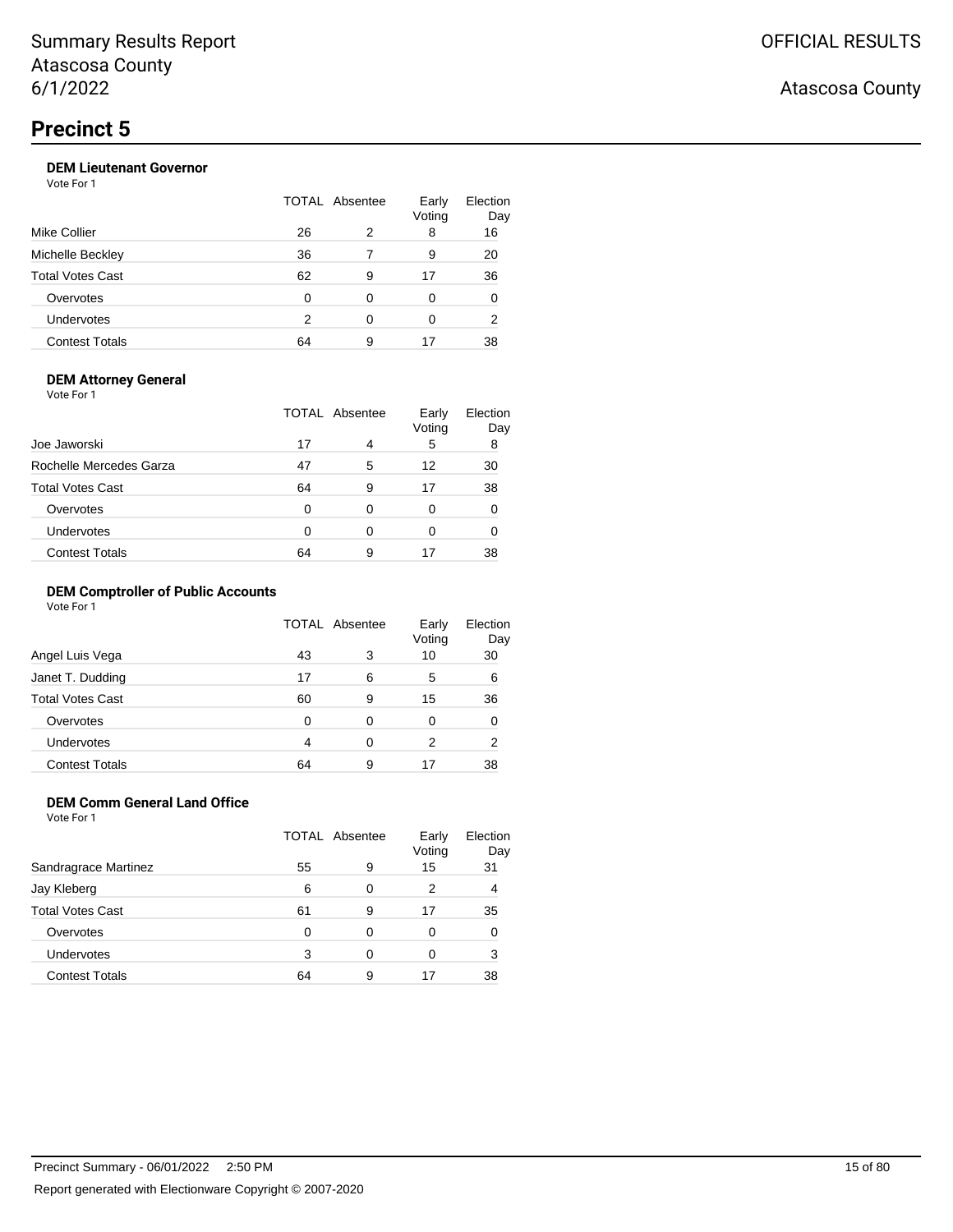## **DEM Lieutenant Governor**

Vote For 1

| Mike Collier            |    | TOTAL Absentee |    |    |
|-------------------------|----|----------------|----|----|
|                         | 26 | 2              | 8  | 16 |
| Michelle Beckley        | 36 |                | 9  | 20 |
| <b>Total Votes Cast</b> | 62 | 9              | 17 | 36 |
| Overvotes               | O  | 0              | 0  | 0  |
| Undervotes              | 2  | ∩              | 0  | 2  |
| <b>Contest Totals</b>   | 64 | 9              | 17 | 38 |
|                         |    |                |    |    |

#### **DEM Attorney General**

Vote For 1

|                         | TOTAL Absentee |   | Early<br>Voting | Election<br>Day |  |
|-------------------------|----------------|---|-----------------|-----------------|--|
| Joe Jaworski            | 17             | 4 | 5               | 8               |  |
| Rochelle Mercedes Garza | 47             | 5 | 12              | 30              |  |
| <b>Total Votes Cast</b> | 64             | 9 | 17              | 38              |  |
| Overvotes               | 0              | 0 | 0               |                 |  |
| Undervotes              | O              | 0 | 0               |                 |  |
| <b>Contest Totals</b>   | 64             | 9 | 17              | 38              |  |

#### **DEM Comptroller of Public Accounts**

Vote For 1

|                         | <b>TOTAL Absentee</b> |   | Early<br>Voting | Election<br>Day |
|-------------------------|-----------------------|---|-----------------|-----------------|
| Angel Luis Vega         | 43                    | 3 | 10              | 30              |
| Janet T. Dudding        | 17                    | 6 | 5               | 6               |
| <b>Total Votes Cast</b> | 60                    | 9 | 15              | 36              |
| Overvotes               | 0                     | 0 | 0               |                 |
| Undervotes              | 4                     | 0 | 2               | 2               |
| <b>Contest Totals</b>   | 64                    | 9 | 17              | 38              |

## **DEM Comm General Land Office**

Vote For 1

|                       | TOTAL Absentee |   | Early<br>Voting | Election<br>Day |
|-----------------------|----------------|---|-----------------|-----------------|
| Sandragrace Martinez  | 55             | 9 | 15              | 31              |
| Jay Kleberg           | 6              | 0 | 2               | 4               |
| Total Votes Cast      | 61             | 9 | 17              | 35              |
| Overvotes             | 0              | 0 | 0               |                 |
| <b>Undervotes</b>     | 3              | 0 | 0               | 3               |
| <b>Contest Totals</b> | 64             | 9 | 17              | 38              |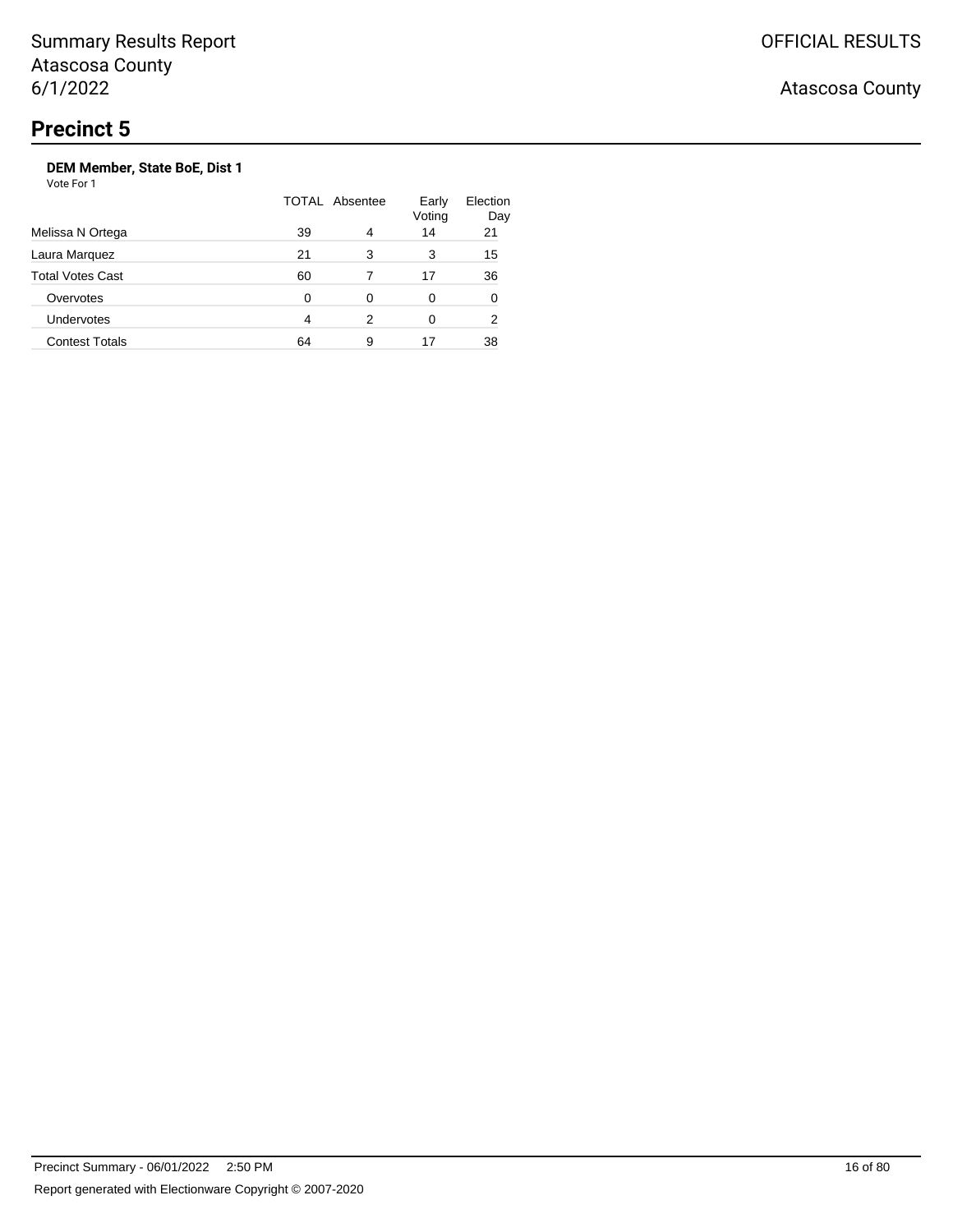Atascosa County

## **DEM Member, State BoE, Dist 1**

| Melissa N Ortega        | <b>TOTAL Absentee</b> |   | Early<br>Voting | Election<br>Day |
|-------------------------|-----------------------|---|-----------------|-----------------|
|                         | 39                    | 4 | 14              | 21              |
| Laura Marquez           | 21                    | 3 | 3               | 15              |
| <b>Total Votes Cast</b> | 60                    |   | 17              | 36              |
| Overvotes               | 0                     | 0 | 0               | 0               |
| <b>Undervotes</b>       | 4                     | 2 | 0               | 2               |
| <b>Contest Totals</b>   | 64                    | 9 | 17              | 38              |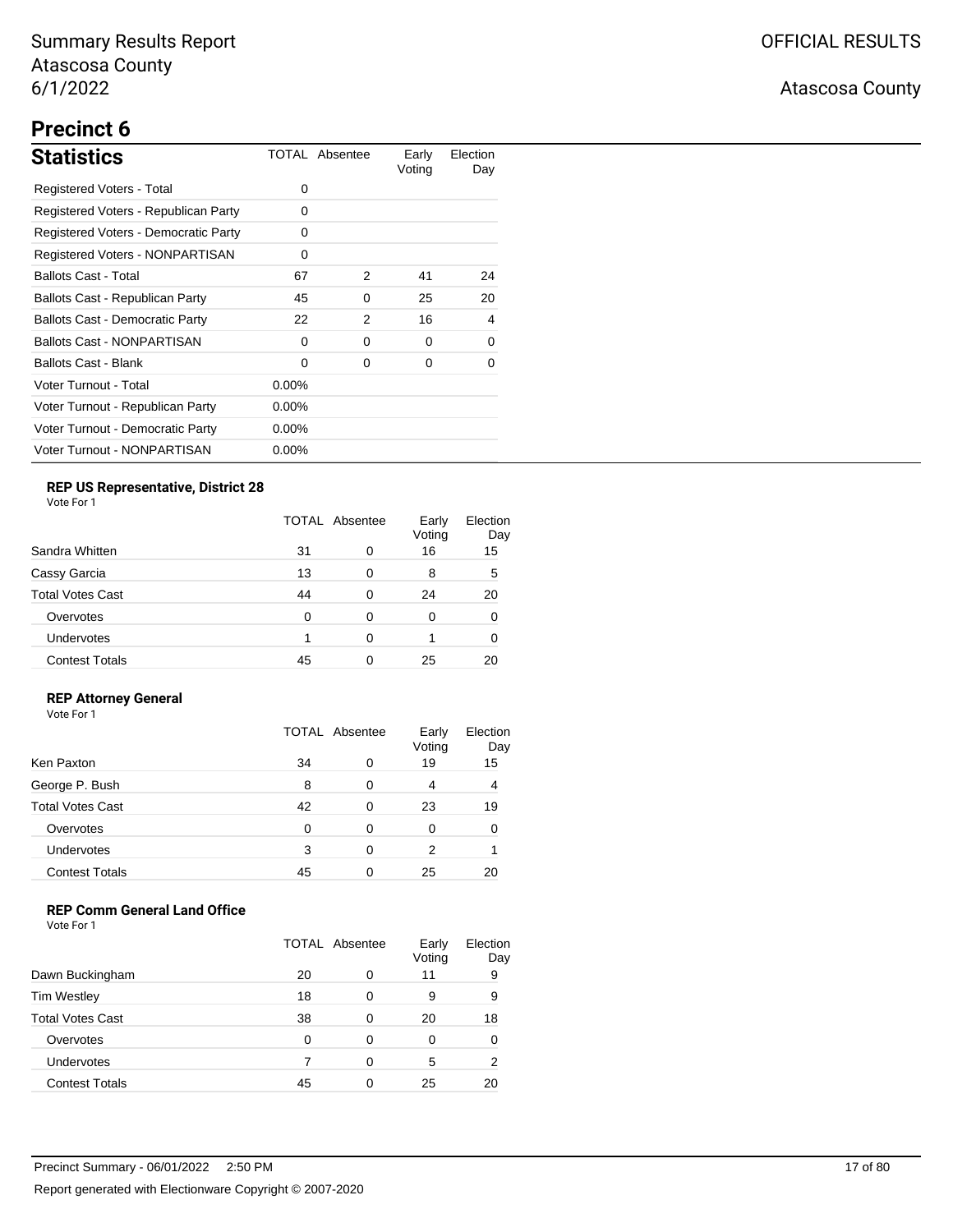# **Precinct 6**

| <b>Statistics</b>                      |          | TOTAL Absentee | Early<br>Voting | Election<br>Day |
|----------------------------------------|----------|----------------|-----------------|-----------------|
| Registered Voters - Total              | $\Omega$ |                |                 |                 |
| Registered Voters - Republican Party   | 0        |                |                 |                 |
| Registered Voters - Democratic Party   | $\Omega$ |                |                 |                 |
| Registered Voters - NONPARTISAN        | 0        |                |                 |                 |
| <b>Ballots Cast - Total</b>            | 67       | 2              | 41              | 24              |
| Ballots Cast - Republican Party        | 45       | 0              | 25              | 20              |
| <b>Ballots Cast - Democratic Party</b> | 22       | 2              | 16              | 4               |
| <b>Ballots Cast - NONPARTISAN</b>      | 0        | 0              | 0               | 0               |
| Ballots Cast - Blank                   | $\Omega$ | 0              | 0               | 0               |
| Voter Turnout - Total                  | $0.00\%$ |                |                 |                 |
| Voter Turnout - Republican Party       | $0.00\%$ |                |                 |                 |
| Voter Turnout - Democratic Party       | $0.00\%$ |                |                 |                 |
| Voter Turnout - NONPARTISAN            | $0.00\%$ |                |                 |                 |

## **REP US Representative, District 28**

Vote For 1

|                         | TOTAL Absentee |   | Early<br>Voting | Election<br>Day |
|-------------------------|----------------|---|-----------------|-----------------|
| Sandra Whitten          | 31             | 0 | 16              | 15              |
| Cassy Garcia            | 13             | 0 | 8               | 5               |
| <b>Total Votes Cast</b> | 44             | 0 | 24              | 20              |
| Overvotes               | 0              | 0 | 0               | 0               |
| Undervotes              |                | 0 |                 | 0               |
| <b>Contest Totals</b>   | 45             | ∩ | 25              | 20              |

### **REP Attorney General**

Vote For 1

|                         | TOTAL Absentee |   | Early<br>Voting | Election<br>Day |
|-------------------------|----------------|---|-----------------|-----------------|
| Ken Paxton              | 34             | 0 | 19              | 15              |
| George P. Bush          | 8              | 0 | 4               | 4               |
| <b>Total Votes Cast</b> | 42             | 0 | 23              | 19              |
| Overvotes               | 0              | 0 | 0               |                 |
| Undervotes              | 3              | 0 | 2               |                 |
| <b>Contest Totals</b>   | 45             | ∩ | 25              |                 |

### **REP Comm General Land Office**

|                         | TOTAL Absentee |   | Early<br>Voting | Election<br>Day |
|-------------------------|----------------|---|-----------------|-----------------|
| Dawn Buckingham         | 20             | 0 | 11              | 9               |
| <b>Tim Westley</b>      | 18             | 0 | 9               | 9               |
| <b>Total Votes Cast</b> | 38             | 0 | 20              | 18              |
| Overvotes               | 0              | 0 | 0               | 0               |
| Undervotes              |                | ∩ | 5               | 2               |
| <b>Contest Totals</b>   | 45             |   | 25              | 20              |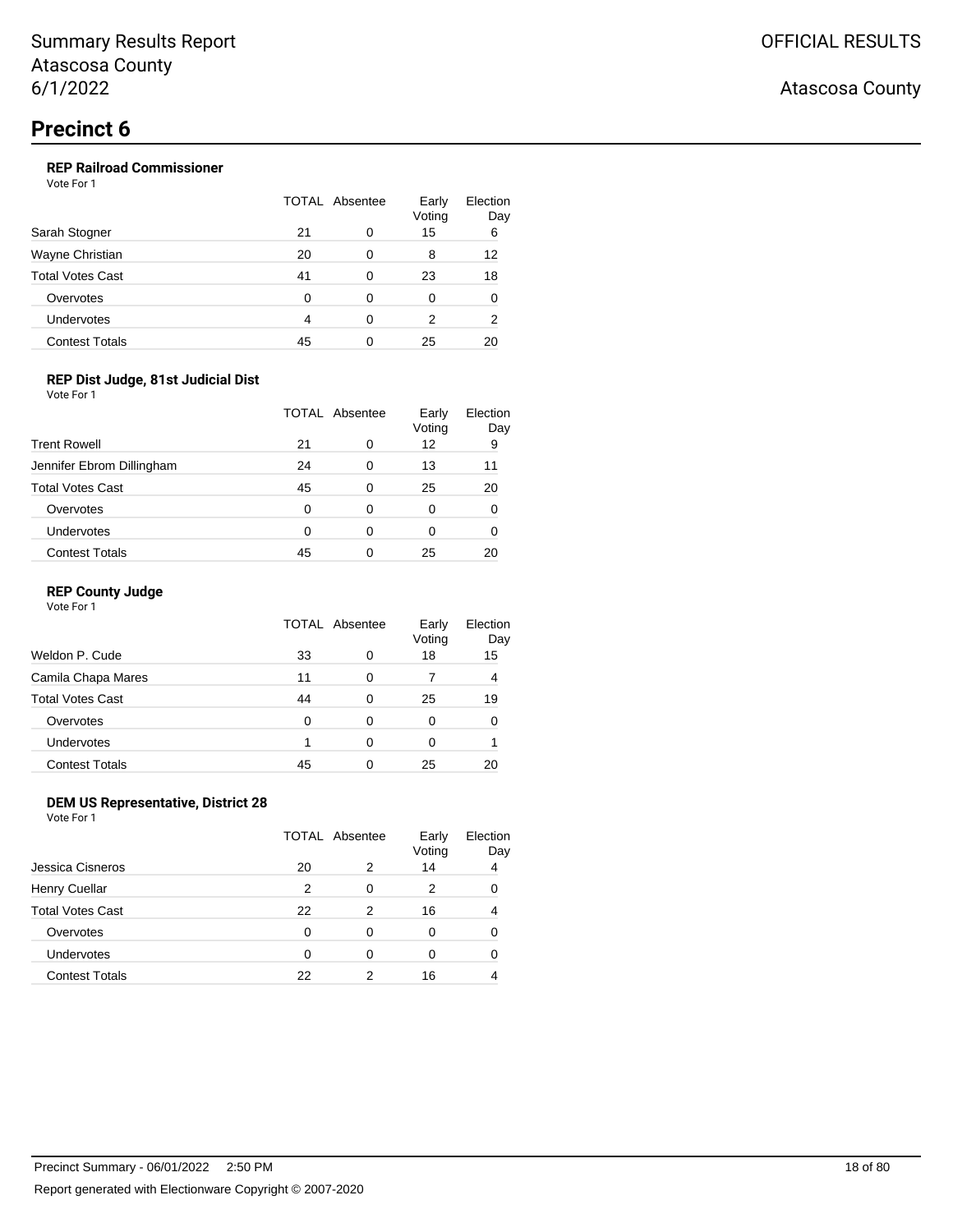## **REP Railroad Commissioner**

Vote For 1

|                         | TOTAL Absentee |   | Early<br>Voting | Election<br>Day |
|-------------------------|----------------|---|-----------------|-----------------|
| Sarah Stogner           | 21             | 0 | 15              | 6               |
| Wayne Christian         | 20             | 0 | 8               | 12              |
| <b>Total Votes Cast</b> | 41             | 0 | 23              | 18              |
| Overvotes               | 0              | 0 | 0               | 0               |
| Undervotes              | 4              | ∩ | 2               | 2               |
| <b>Contest Totals</b>   | 45             |   | 25              | 20              |

### **REP Dist Judge, 81st Judicial Dist**

Vote For 1

|                           | TOTAL Absentee |   | Early<br>Voting | Election<br>Day |
|---------------------------|----------------|---|-----------------|-----------------|
| <b>Trent Rowell</b>       | 21             | 0 | 12              | 9               |
| Jennifer Ebrom Dillingham | 24             | 0 | 13              | 11              |
| <b>Total Votes Cast</b>   | 45             | 0 | 25              | 20              |
| Overvotes                 | 0              | 0 | 0               | 0               |
| Undervotes                | 0              | 0 | 0               | 0               |
| <b>Contest Totals</b>     | 45             | 0 | 25              |                 |

#### **REP County Judge**

Vote For 1

|                         | TOTAL Absentee |   | Early<br>Voting | Election<br>Day |
|-------------------------|----------------|---|-----------------|-----------------|
| Weldon P. Cude          | 33             | 0 | 18              | 15              |
| Camila Chapa Mares      | 11             | 0 |                 | 4               |
| <b>Total Votes Cast</b> | 44             | 0 | 25              | 19              |
| Overvotes               | ∩              | 0 | 0               | 0               |
| Undervotes              |                | 0 | 0               |                 |
| <b>Contest Totals</b>   | 45             | 0 | 25              | 20              |

### **DEM US Representative, District 28**

Vote For 1

|                         | <b>TOTAL Absentee</b> |   | Early<br>Voting | Election<br>Day |
|-------------------------|-----------------------|---|-----------------|-----------------|
| Jessica Cisneros        | 20                    | 2 | 14              | 4               |
| <b>Henry Cuellar</b>    | 2                     | 0 | 2               |                 |
| <b>Total Votes Cast</b> | 22                    | 2 | 16              |                 |
| Overvotes               | 0                     | 0 | 0               |                 |
| <b>Undervotes</b>       | 0                     | 0 | Ω               |                 |
| <b>Contest Totals</b>   | 22                    | 2 | 16              |                 |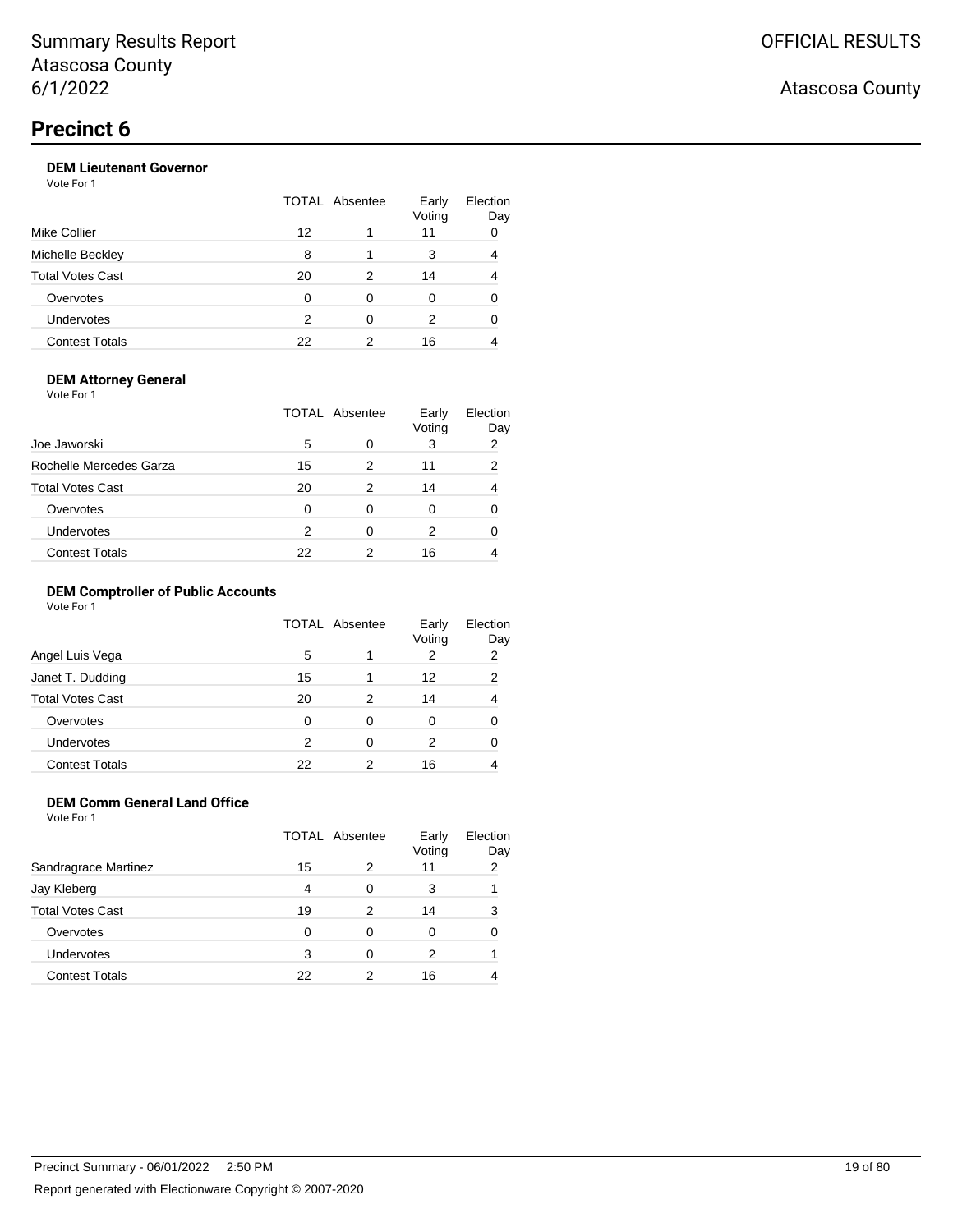## **DEM Lieutenant Governor**

Vote For 1

|                         | TOTAL Absentee |   | Early<br>Voting | Election<br>Day |
|-------------------------|----------------|---|-----------------|-----------------|
| Mike Collier            | 12             |   | 11              |                 |
| Michelle Beckley        | 8              |   | 3               |                 |
| <b>Total Votes Cast</b> | 20             | 2 | 14              |                 |
| Overvotes               | 0              | ∩ | 0               |                 |
| Undervotes              | 2              | ∩ | 2               |                 |
| <b>Contest Totals</b>   | 22             |   | 16              |                 |

#### **DEM Attorney General**

Vote For 1

| Joe Jaworski            |    | TOTAL Absentee | Early<br>Voting | Election<br>Day |
|-------------------------|----|----------------|-----------------|-----------------|
|                         | 5  | 0              | 3               | 2               |
| Rochelle Mercedes Garza | 15 | 2              | 11              | 2               |
| <b>Total Votes Cast</b> | 20 | 2              | 14              |                 |
| Overvotes               | 0  | 0              | 0               |                 |
| Undervotes              | 2  | 0              | 2               |                 |
| <b>Contest Totals</b>   | 22 |                | 16              |                 |

#### **DEM Comptroller of Public Accounts**

Vote For 1

|                         | <b>TOTAL Absentee</b> |   | Early<br>Voting | Election<br>Day |
|-------------------------|-----------------------|---|-----------------|-----------------|
| Angel Luis Vega         | 5                     |   | 2               | 2               |
| Janet T. Dudding        | 15                    |   | 12              | 2               |
| <b>Total Votes Cast</b> | 20                    | 2 | 14              | 4               |
| Overvotes               | 0                     | 0 | 0               |                 |
| Undervotes              | 2                     | 0 | 2               | 0               |
| <b>Contest Totals</b>   | 22                    | 2 | 16              |                 |

## **DEM Comm General Land Office**

Vote For 1

|                       | <b>TOTAL Absentee</b> |   | Early<br>Voting | Election<br>Day |
|-----------------------|-----------------------|---|-----------------|-----------------|
| Sandragrace Martinez  | 15                    | 2 | 11              | 2               |
| Jay Kleberg           | 4                     | 0 | 3               |                 |
| Total Votes Cast      | 19                    | 2 | 14              | 3               |
| Overvotes             | 0                     | 0 | Ω               | 0               |
| <b>Undervotes</b>     | 3                     | 0 | 2               |                 |
| <b>Contest Totals</b> | 22                    | っ | 16              |                 |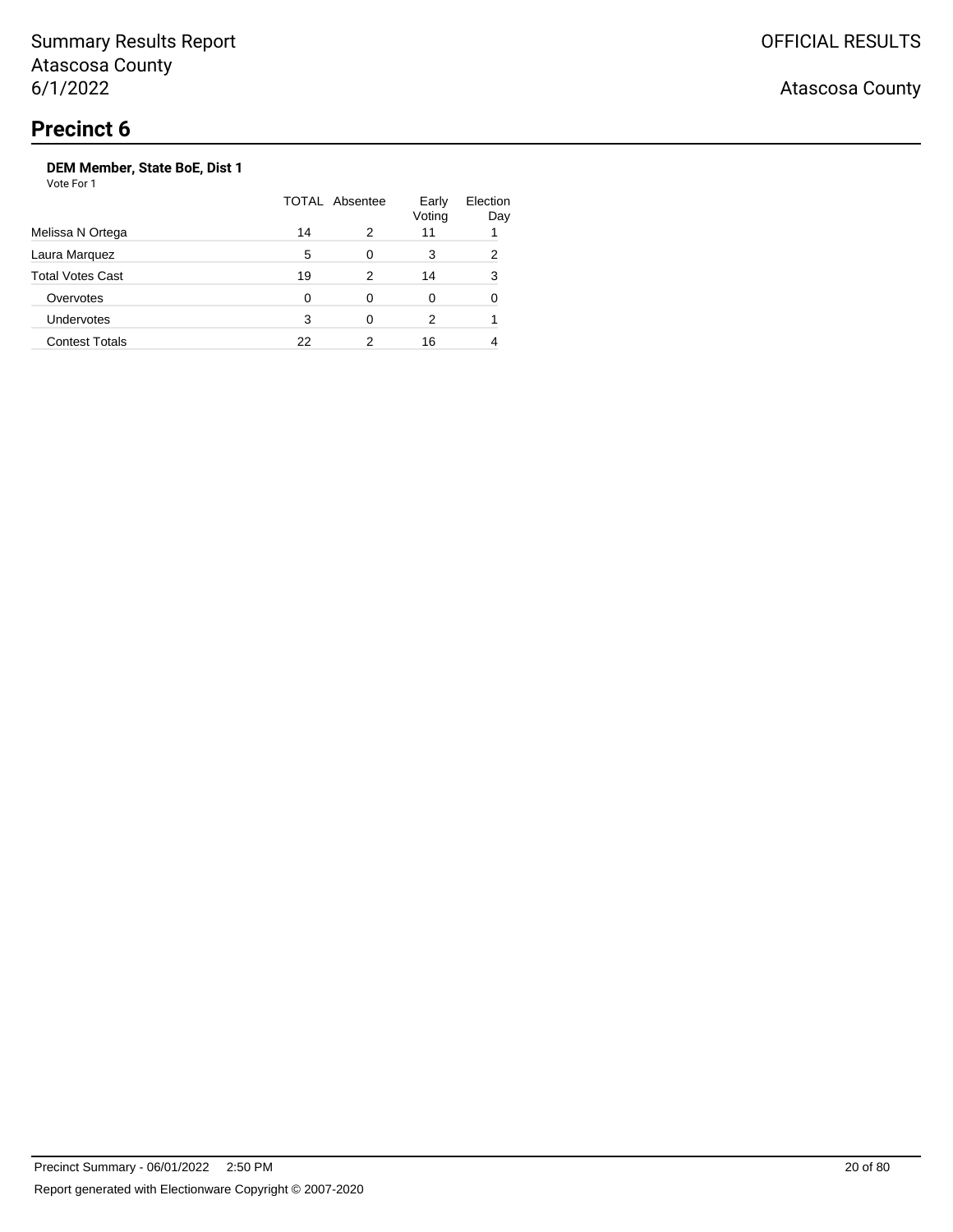Vote For 1

|                         | <b>TOTAL Absentee</b> |   | Early<br>Voting | Election<br>Day |
|-------------------------|-----------------------|---|-----------------|-----------------|
| Melissa N Ortega        | 14                    | 2 | 11              |                 |
| Laura Marquez           | 5                     | ∩ | 3               | 2               |
| <b>Total Votes Cast</b> | 19                    | 2 | 14              | 3               |
| Overvotes               | 0                     | 0 | 0               | 0               |
| <b>Undervotes</b>       | 3                     | ∩ | 2               |                 |
| <b>Contest Totals</b>   | 22                    |   | 16              |                 |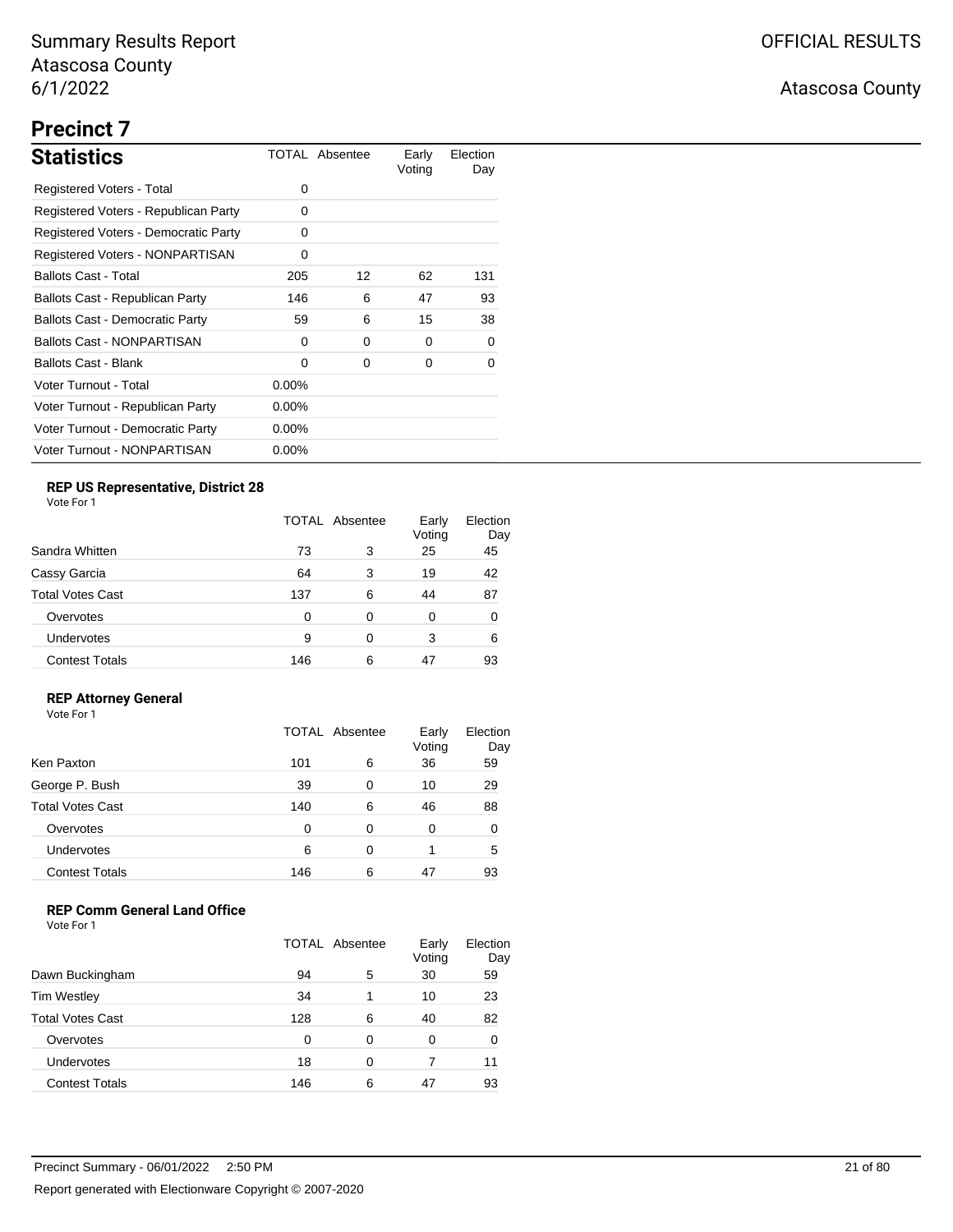## **Precinct 7**

| <b>Statistics</b>                      |          | TOTAL Absentee | Early<br>Voting | Election<br>Day |
|----------------------------------------|----------|----------------|-----------------|-----------------|
| Registered Voters - Total              | 0        |                |                 |                 |
| Registered Voters - Republican Party   | 0        |                |                 |                 |
| Registered Voters - Democratic Party   | 0        |                |                 |                 |
| <b>Registered Voters - NONPARTISAN</b> | 0        |                |                 |                 |
| <b>Ballots Cast - Total</b>            | 205      | 12             | 62              | 131             |
| Ballots Cast - Republican Party        | 146      | 6              | 47              | 93              |
| <b>Ballots Cast - Democratic Party</b> | 59       | 6              | 15              | 38              |
| <b>Ballots Cast - NONPARTISAN</b>      | 0        | 0              | $\Omega$        | 0               |
| <b>Ballots Cast - Blank</b>            | 0        | 0              | 0               | 0               |
| Voter Turnout - Total                  | $0.00\%$ |                |                 |                 |
| Voter Turnout - Republican Party       | $0.00\%$ |                |                 |                 |
| Voter Turnout - Democratic Party       | $0.00\%$ |                |                 |                 |
| Voter Turnout - NONPARTISAN            | $0.00\%$ |                |                 |                 |

## **REP US Representative, District 28**

Vote For 1

|                       | <b>TOTAL Absentee</b> |   | Early<br>Voting | Election<br>Day |
|-----------------------|-----------------------|---|-----------------|-----------------|
| Sandra Whitten        | 73                    | 3 | 25              | 45              |
| Cassy Garcia          | 64                    | 3 | 19              | 42              |
| Total Votes Cast      | 137                   | 6 | 44              | 87              |
| Overvotes             | 0                     | 0 | 0               | 0               |
| Undervotes            | 9                     | 0 | 3               | 6               |
| <b>Contest Totals</b> | 146                   | 6 | 47              | 93              |

### **REP Attorney General**

Vote For 1

|                         | TOTAL Absentee |   | Early<br>Voting | Election<br>Day |
|-------------------------|----------------|---|-----------------|-----------------|
| Ken Paxton              | 101            | 6 | 36              | 59              |
| George P. Bush          | 39             | 0 | 10              | 29              |
| <b>Total Votes Cast</b> | 140            | 6 | 46              | 88              |
| Overvotes               | 0              | 0 | 0               | 0               |
| Undervotes              | 6              | 0 |                 | 5               |
| <b>Contest Totals</b>   | 146            | 6 | 47              | 93              |

## **REP Comm General Land Office**

|                         | <b>TOTAL Absentee</b> |   | Early<br>Voting | Election<br>Day |
|-------------------------|-----------------------|---|-----------------|-----------------|
| Dawn Buckingham         | 94                    | 5 | 30              | 59              |
| <b>Tim Westley</b>      | 34                    |   | 10              | 23              |
| <b>Total Votes Cast</b> | 128                   | 6 | 40              | 82              |
| Overvotes               | ∩                     | 0 | 0               | 0               |
| <b>Undervotes</b>       | 18                    | 0 | 7               | 11              |
| <b>Contest Totals</b>   | 146                   | 6 | 47              | 93              |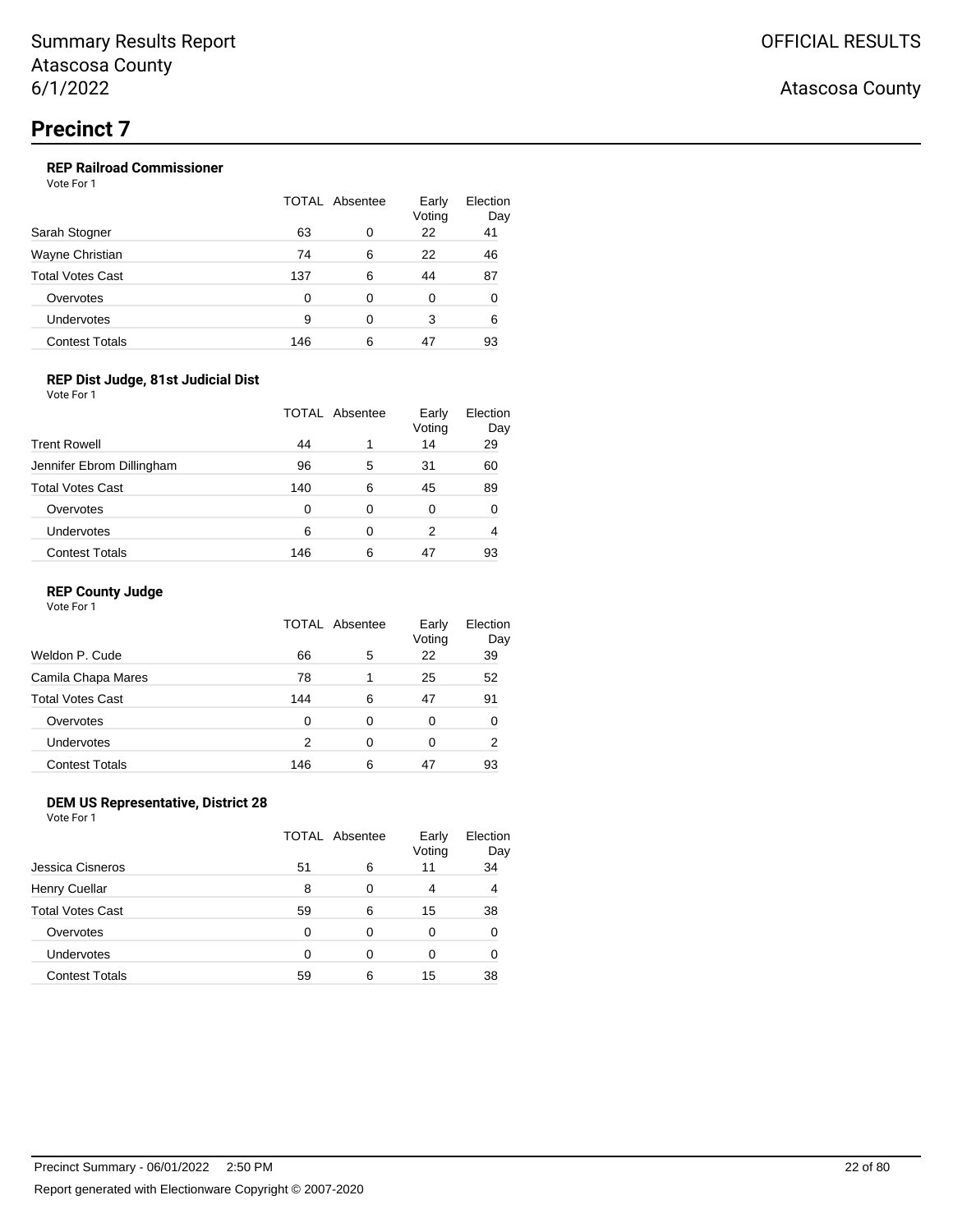## **REP Railroad Commissioner**

Vote For 1

| Sarah Stogner           | TOTAL Absentee |   | Early<br>Voting | Election<br>Day |
|-------------------------|----------------|---|-----------------|-----------------|
|                         | 63             | 0 | 22              | 41              |
| Wayne Christian         | 74             | 6 | 22              | 46              |
| <b>Total Votes Cast</b> | 137            | 6 | 44              | 87              |
| Overvotes               | 0              | 0 | 0               | 0               |
| Undervotes              | 9              | 0 | 3               | 6               |
| <b>Contest Totals</b>   | 146            | 6 | 47              | 93              |

### **REP Dist Judge, 81st Judicial Dist**

Vote For 1

|                           | TOTAL Absentee |   | Early<br>Voting | Election<br>Day |
|---------------------------|----------------|---|-----------------|-----------------|
| <b>Trent Rowell</b>       | 44             |   | 14              | 29              |
| Jennifer Ebrom Dillingham | 96             | 5 | 31              | 60              |
| <b>Total Votes Cast</b>   | 140            | 6 | 45              | 89              |
| Overvotes                 | 0              | 0 | 0               | 0               |
| Undervotes                | 6              | 0 | 2               | 4               |
| <b>Contest Totals</b>     | 146            | 6 | 47              | 93              |

#### **REP County Judge**

Vote For 1

|                         | TOTAL Absentee |   | Early<br>Voting | Election<br>Day |
|-------------------------|----------------|---|-----------------|-----------------|
| Weldon P. Cude          | 66             | 5 | 22              | 39              |
| Camila Chapa Mares      | 78             |   | 25              | 52              |
| <b>Total Votes Cast</b> | 144            | 6 | 47              | 91              |
| Overvotes               | 0              | 0 | 0               | 0               |
| <b>Undervotes</b>       | 2              | 0 | 0               | 2               |
| <b>Contest Totals</b>   | 146            | 6 | 47              | 93              |

### **DEM US Representative, District 28**

Vote For 1

|                       | TOTAL Absentee |   | Early<br>Voting | Election<br>Day |
|-----------------------|----------------|---|-----------------|-----------------|
| Jessica Cisneros      | 51             | 6 | 11              | 34              |
| Henry Cuellar         | 8              | 0 | 4               | 4               |
| Total Votes Cast      | 59             | 6 | 15              | 38              |
| Overvotes             | 0              | 0 | 0               | 0               |
| <b>Undervotes</b>     | 0              | 0 | 0               | 0               |
| <b>Contest Totals</b> | 59             | 6 | 15              | 38              |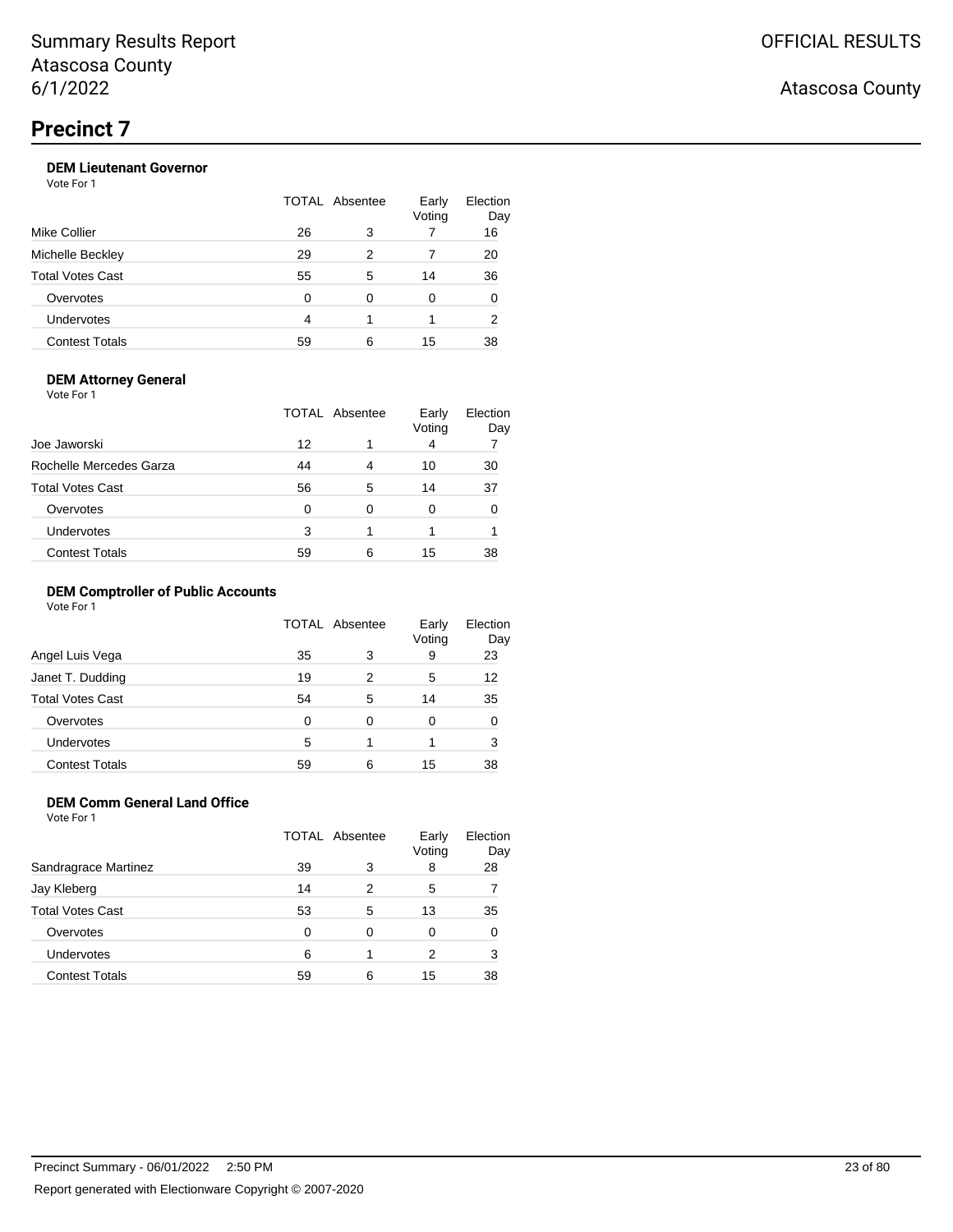## **DEM Lieutenant Governor**

Vote For 1

| Mike Collier            | TOTAL Absentee |   | Early<br>Voting | Election<br>Day |
|-------------------------|----------------|---|-----------------|-----------------|
|                         | 26             | 3 |                 | 16              |
| Michelle Beckley        | 29             | 2 |                 | 20              |
| <b>Total Votes Cast</b> | 55             | 5 | 14              | 36              |
| Overvotes               | 0              | 0 | 0               | 0               |
| Undervotes              | 4              |   |                 | 2               |
| <b>Contest Totals</b>   | 59             | 6 | 15              | 38              |

#### **DEM Attorney General**

Vote For 1

| Joe Jaworski            | TOTAL Absentee |   | Early<br>Voting | Election<br>Day |
|-------------------------|----------------|---|-----------------|-----------------|
|                         | 12             |   | 4               |                 |
| Rochelle Mercedes Garza | 44             | 4 | 10              | 30              |
| <b>Total Votes Cast</b> | 56             | 5 | 14              | 37              |
| Overvotes               | 0              | 0 | 0               |                 |
| <b>Undervotes</b>       | 3              |   |                 |                 |
| <b>Contest Totals</b>   | 59             | 6 | 15              | 38              |

#### **DEM Comptroller of Public Accounts**

Vote For 1

|                         | TOTAL Absentee |   | Early<br>Voting | Election<br>Day |
|-------------------------|----------------|---|-----------------|-----------------|
| Angel Luis Vega         | 35             | 3 | 9               | 23              |
| Janet T. Dudding        | 19             | 2 | 5               | 12              |
| <b>Total Votes Cast</b> | 54             | 5 | 14              | 35              |
| Overvotes               | 0              | 0 | 0               | 0               |
| Undervotes              | 5              |   |                 | 3               |
| <b>Contest Totals</b>   | 59             | 6 | 15              | 38              |

## **DEM Comm General Land Office**

Vote For 1

|                       | TOTAL Absentee |   | Early<br>Voting | Election<br>Day |
|-----------------------|----------------|---|-----------------|-----------------|
| Sandragrace Martinez  | 39             | 3 | 8               | 28              |
| Jay Kleberg           | 14             | 2 | 5               |                 |
| Total Votes Cast      | 53             | 5 | 13              | 35              |
| Overvotes             | 0              | 0 | 0               |                 |
| <b>Undervotes</b>     | 6              | 1 | 2               | 3               |
| <b>Contest Totals</b> | 59             | 6 | 15              | 38              |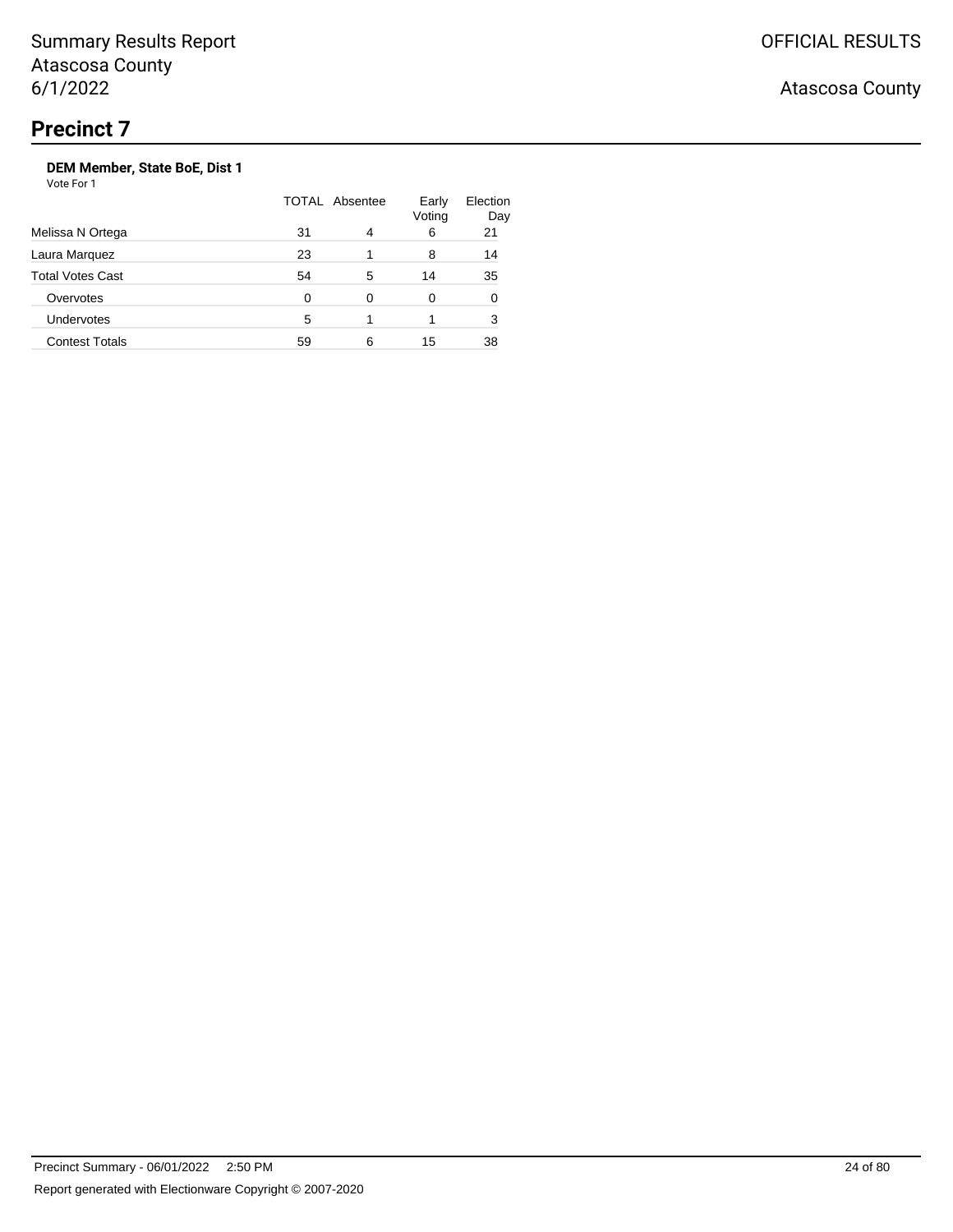## Atascosa County

## **DEM Member, State BoE, Dist 1**

| Melissa N Ortega        |    | TOTAL Absentee |    | Election<br>Day |  |
|-------------------------|----|----------------|----|-----------------|--|
|                         | 31 | 4              | 6  | 21              |  |
| Laura Marquez           | 23 |                | 8  | 14              |  |
| <b>Total Votes Cast</b> | 54 | 5              | 14 | 35              |  |
| Overvotes               | 0  | 0              | 0  | 0               |  |
| <b>Undervotes</b>       | 5  |                |    | 3               |  |
| <b>Contest Totals</b>   | 59 | 6              | 15 | 38              |  |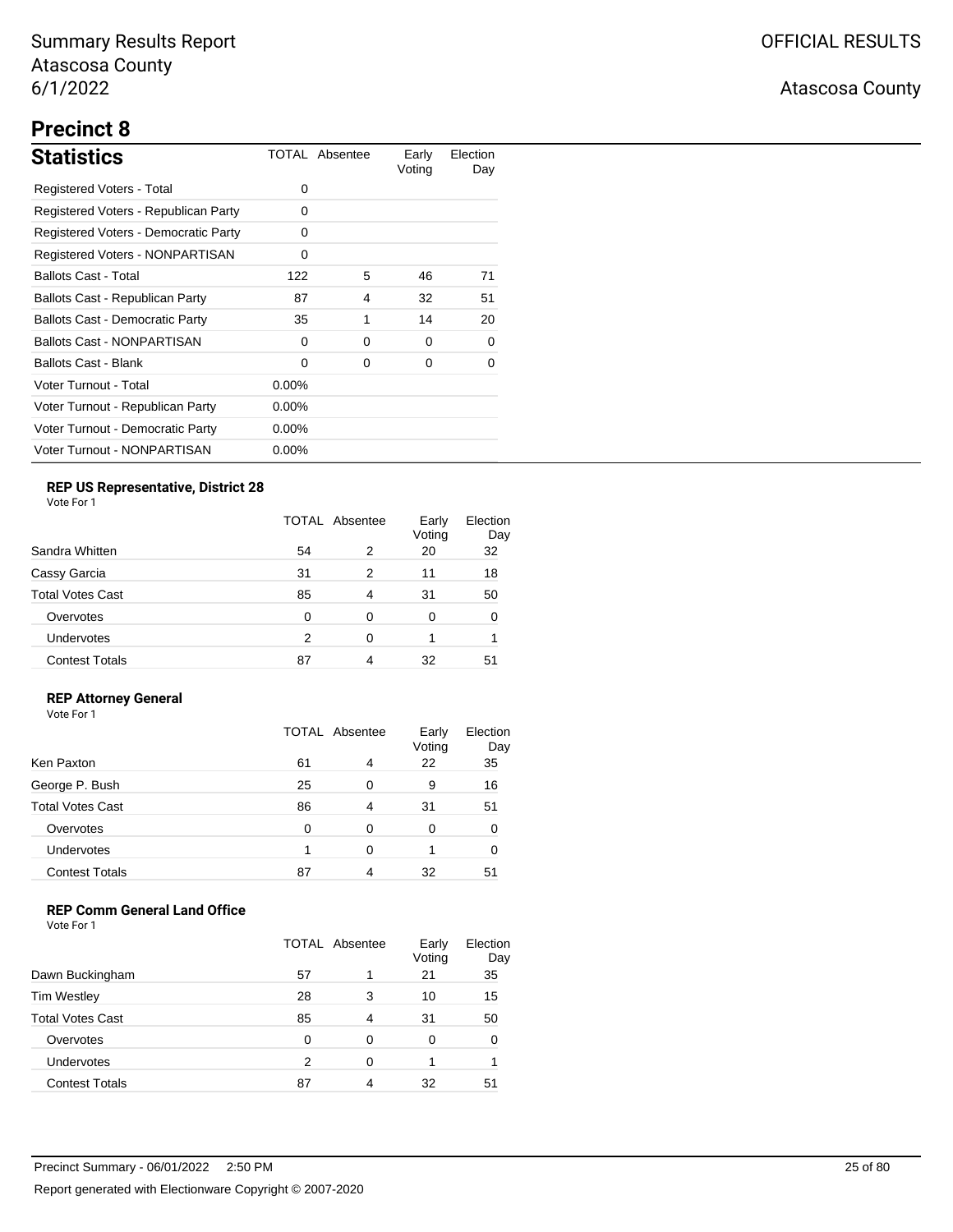# **Precinct 8**

| <b>Statistics</b>                      |          | TOTAL Absentee | Early<br>Voting | Election<br>Day |
|----------------------------------------|----------|----------------|-----------------|-----------------|
| Registered Voters - Total              | 0        |                |                 |                 |
| Registered Voters - Republican Party   | 0        |                |                 |                 |
| Registered Voters - Democratic Party   | 0        |                |                 |                 |
| Registered Voters - NONPARTISAN        | 0        |                |                 |                 |
| <b>Ballots Cast - Total</b>            | 122      | 5              | 46              | 71              |
| Ballots Cast - Republican Party        | 87       | 4              | 32              | 51              |
| <b>Ballots Cast - Democratic Party</b> | 35       | 1              | 14              | 20              |
| <b>Ballots Cast - NONPARTISAN</b>      | $\Omega$ | 0              | 0               | 0               |
| Ballots Cast - Blank                   | 0        | 0              | 0               | 0               |
| Voter Turnout - Total                  | $0.00\%$ |                |                 |                 |
| Voter Turnout - Republican Party       | $0.00\%$ |                |                 |                 |
| Voter Turnout - Democratic Party       | $0.00\%$ |                |                 |                 |
| Voter Turnout - NONPARTISAN            | $0.00\%$ |                |                 |                 |

## **REP US Representative, District 28**

Vote For 1

|                         | <b>TOTAL Absentee</b> |   | Early<br>Voting | Election<br>Day |
|-------------------------|-----------------------|---|-----------------|-----------------|
| Sandra Whitten          | 54                    | 2 | 20              | 32              |
| Cassy Garcia            | 31                    | 2 | 11              | 18              |
| <b>Total Votes Cast</b> | 85                    | 4 | 31              | 50              |
| Overvotes               | 0                     | 0 | 0               |                 |
| <b>Undervotes</b>       | 2                     | 0 |                 |                 |
| <b>Contest Totals</b>   | 87                    | 4 | 32              | 51              |

### **REP Attorney General**

Vote For 1

|                         | <b>TOTAL Absentee</b> |   | Early<br>Voting | Election<br>Day |
|-------------------------|-----------------------|---|-----------------|-----------------|
| Ken Paxton              | 61                    | 4 | 22              | 35              |
| George P. Bush          | 25                    | 0 | 9               | 16              |
| <b>Total Votes Cast</b> | 86                    | 4 | 31              | 51              |
| Overvotes               | 0                     | 0 | 0               |                 |
| Undervotes              |                       | 0 |                 |                 |
| <b>Contest Totals</b>   | 87                    |   | 32              | 51              |

### **REP Comm General Land Office**

|                         | TOTAL Absentee |   | Early<br>Voting | Election<br>Day |
|-------------------------|----------------|---|-----------------|-----------------|
| Dawn Buckingham         | 57             |   | 21              | 35              |
| <b>Tim Westley</b>      | 28             | 3 | 10              | 15              |
| <b>Total Votes Cast</b> | 85             | 4 | 31              | 50              |
| Overvotes               | ∩              | 0 | 0               | 0               |
| Undervotes              | 2              | 0 |                 |                 |
| <b>Contest Totals</b>   | 87             | Δ | 32              | 51              |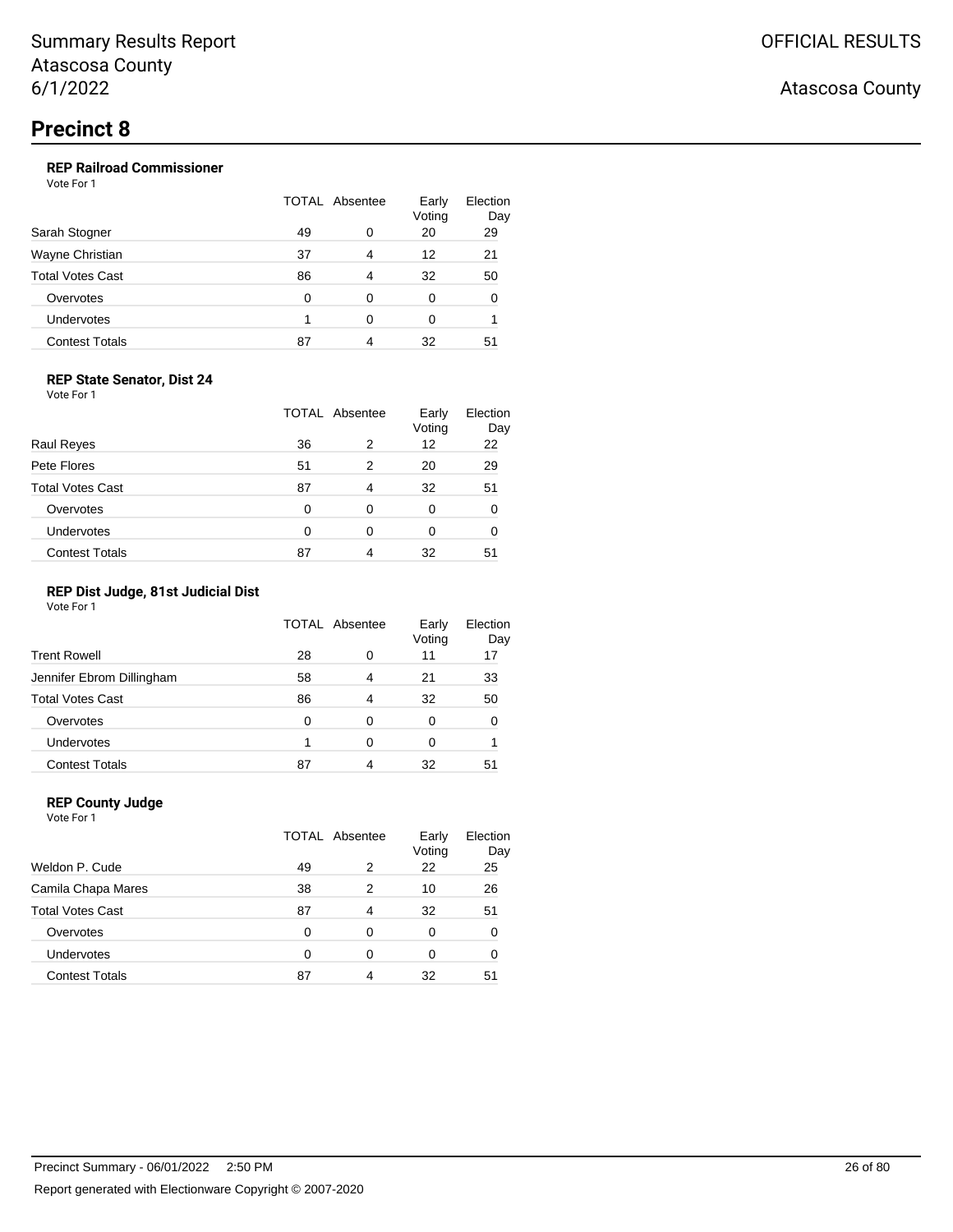#### **REP Railroad Commissioner**

Vote For 1

| Sarah Stogner           | TOTAL Absentee |   | Early<br>Voting | Election<br>Day |
|-------------------------|----------------|---|-----------------|-----------------|
|                         | 49             | 0 | 20              | 29              |
| Wayne Christian         | 37             | 4 | 12              | 21              |
| <b>Total Votes Cast</b> | 86             | 4 | 32              | 50              |
| Overvotes               | 0              | 0 | 0               | 0               |
| Undervotes              |                | ∩ | 0               |                 |
| <b>Contest Totals</b>   | 87             | 4 | 32              | 51              |

#### **REP State Senator, Dist 24**

Vote For 1

| <b>Raul Reyes</b>       | TOTAL Absentee |   | Early<br>Voting | Election<br>Day |  |
|-------------------------|----------------|---|-----------------|-----------------|--|
|                         | 36             | 2 | 12              | 22              |  |
| Pete Flores             | 51             | 2 | 20              | 29              |  |
| <b>Total Votes Cast</b> | 87             | 4 | 32              | 51              |  |
| Overvotes               | 0              | 0 | 0               |                 |  |
| <b>Undervotes</b>       | 0              | 0 | 0               |                 |  |
| <b>Contest Totals</b>   | 87             | 4 | 32              | 51              |  |

#### **REP Dist Judge, 81st Judicial Dist**

Vote For 1

|                           | TOTAL Absentee |   | Early<br>Voting | Election<br>Day |
|---------------------------|----------------|---|-----------------|-----------------|
| <b>Trent Rowell</b>       | 28             | 0 | 11              | 17              |
| Jennifer Ebrom Dillingham | 58             | 4 | 21              | 33              |
| <b>Total Votes Cast</b>   | 86             | 4 | 32              | 50              |
| Overvotes                 | 0              | 0 | 0               | 0               |
| Undervotes                |                | 0 | Ω               |                 |
| <b>Contest Totals</b>     | 87             | 4 | 32              | 51              |

### **REP County Judge**

Vote For 1 TOTAL Absentee Early Voting Election Day Weldon P. Cude 2 23 25 Camila Chapa Mares 2 38 2 10 26 Total Votes Cast 67 1 20 32 51 Overvotes 0 0 0 0 0 Undervotes 0 0 0 0 0 Contest Totals 87 4 32 51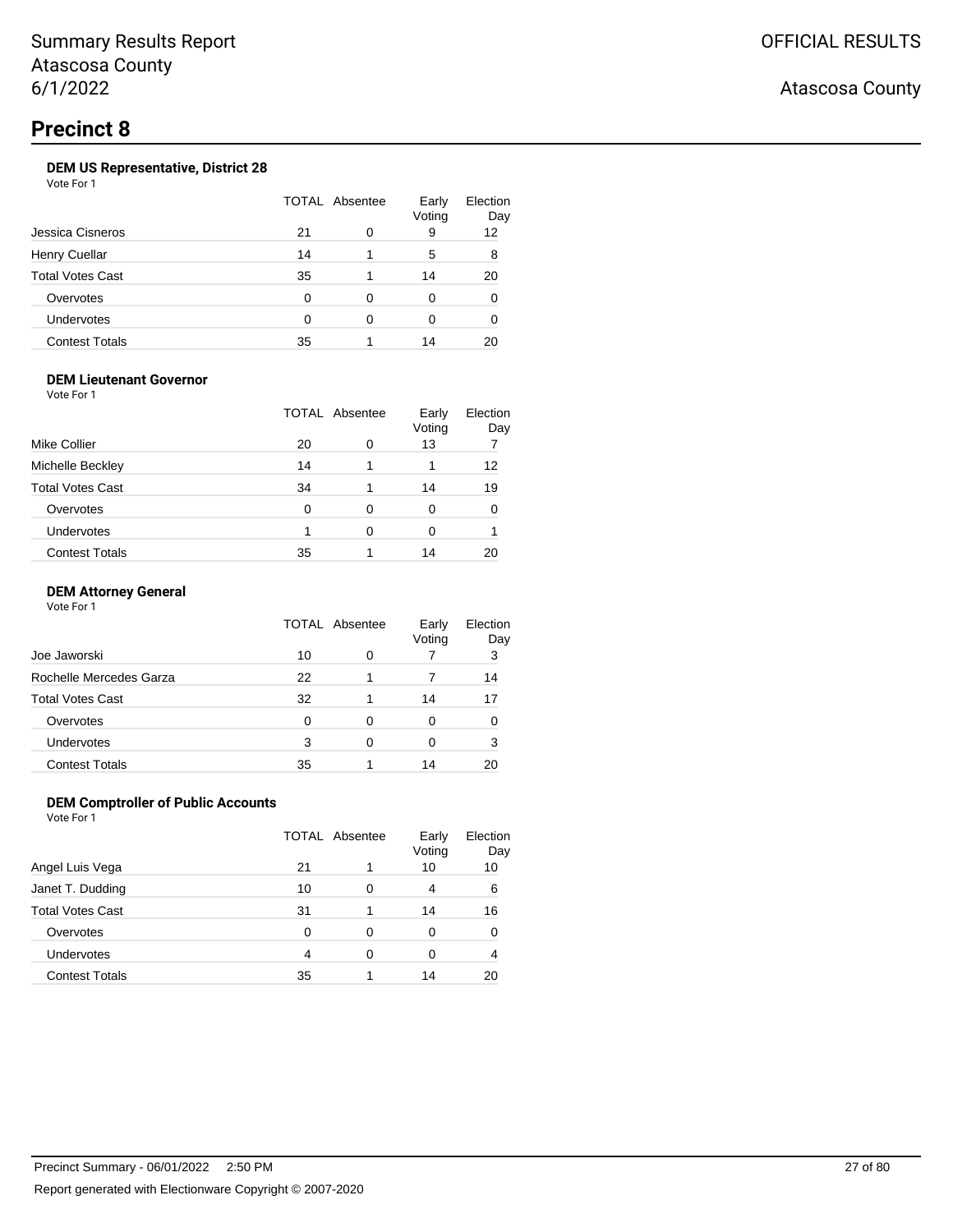## **Precinct 8**

## **DEM US Representative, District 28**

Vote For 1

| Jessica Cisneros        | TOTAL Absentee | Early<br>Voting | Election<br>Day |    |
|-------------------------|----------------|-----------------|-----------------|----|
|                         | 21             | 0               | 9               | 12 |
| <b>Henry Cuellar</b>    | 14             |                 | 5               | 8  |
| <b>Total Votes Cast</b> | -35            |                 | 14              | 20 |
| Overvotes               | 0              | 0               | 0               | 0  |
| Undervotes              | ∩              | ∩               | O               |    |
| <b>Contest Totals</b>   | 35             |                 | 14              | 20 |

### **DEM Lieutenant Governor**

Vote For 1

|                         | <b>TOTAL Absentee</b> |   | Early<br>Voting | Election<br>Day |
|-------------------------|-----------------------|---|-----------------|-----------------|
| Mike Collier            | 20                    | 0 | 13              |                 |
| Michelle Beckley        | 14                    |   |                 | 12              |
| <b>Total Votes Cast</b> | 34                    |   | 14              | 19              |
| Overvotes               | 0                     | 0 | 0               |                 |
| Undervotes              |                       | 0 | 0               |                 |
| <b>Contest Totals</b>   | 35                    |   | 14              |                 |

#### **DEM Attorney General**

Vote For 1

|                         | TOTAL Absentee |   | Early<br>Voting | Election<br>Day |
|-------------------------|----------------|---|-----------------|-----------------|
| Joe Jaworski            | 10             | 0 |                 | 3               |
| Rochelle Mercedes Garza | 22             |   |                 | 14              |
| Total Votes Cast        | 32             |   | 14              | 17              |
| Overvotes               | 0              | 0 | Ω               |                 |
| Undervotes              | 3              | 0 | 0               | 3               |
| <b>Contest Totals</b>   | 35             |   | 14              | 20              |

### **DEM Comptroller of Public Accounts**

|                       | TOTAL Absentee |   | Early<br>Voting | Election<br>Day |
|-----------------------|----------------|---|-----------------|-----------------|
| Angel Luis Vega       | 21             |   | 10              | 10              |
| Janet T. Dudding      | 10             | 0 | 4               | 6               |
| Total Votes Cast      | 31             |   | 14              | 16              |
| Overvotes             | 0              | 0 | 0               |                 |
| <b>Undervotes</b>     | 4              | 0 | 0               |                 |
| <b>Contest Totals</b> | 35             |   | 14              | 20              |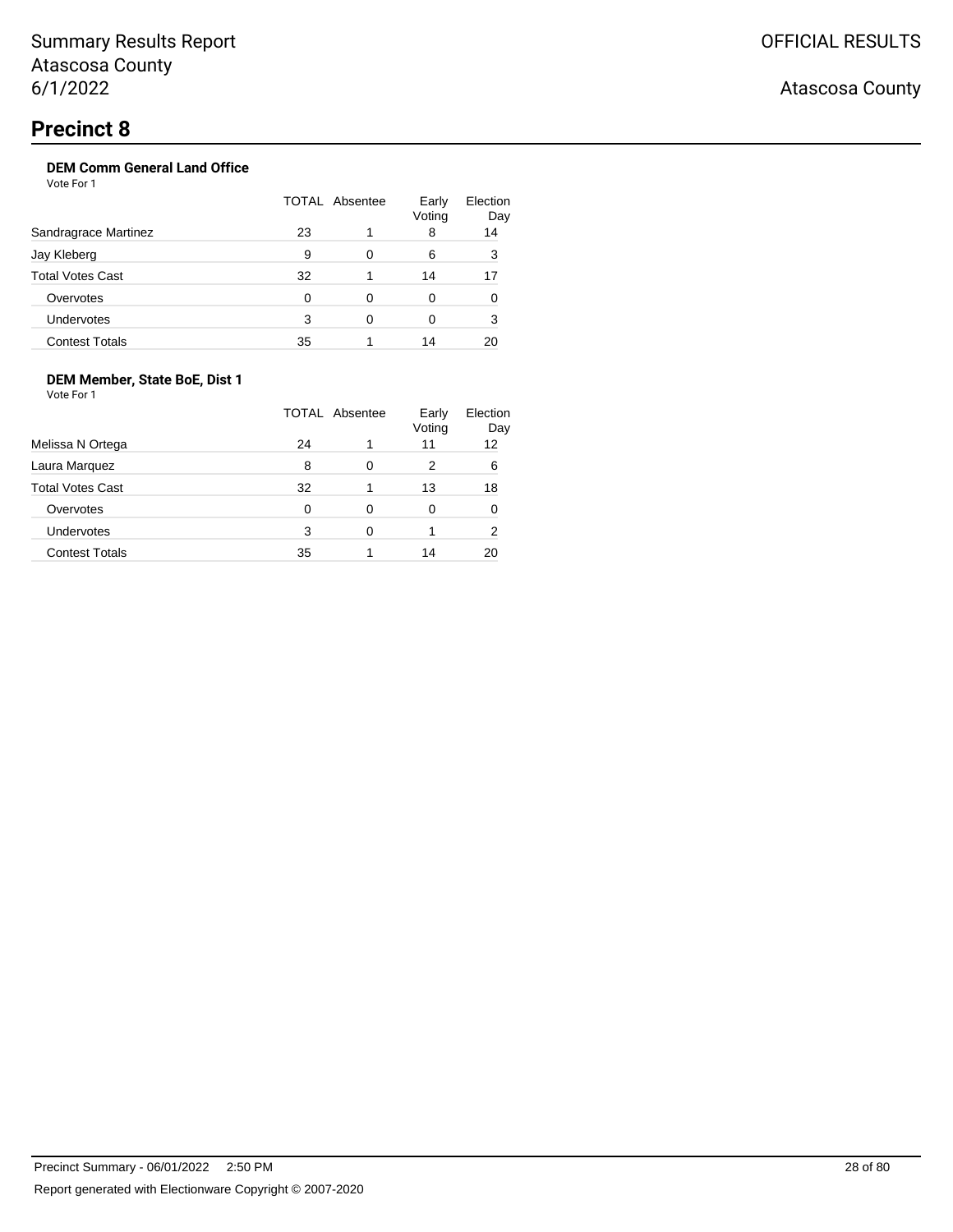## **DEM Comm General Land Office**

Vote For 1

|                         | TOTAL Absentee |   | Early<br>Voting | Election<br>Day |
|-------------------------|----------------|---|-----------------|-----------------|
| Sandragrace Martinez    | 23             |   | 8               | 14              |
| Jay Kleberg             | 9              | 0 | 6               | 3               |
| <b>Total Votes Cast</b> | 32             |   | 14              | 17              |
| Overvotes               | 0              | 0 | 0               | 0               |
| <b>Undervotes</b>       | 3              | 0 | 0               | 3               |
| <b>Contest Totals</b>   | 35             |   | 14              | 20              |

## **DEM Member, State BoE, Dist 1**

Vote For 1

|                         | <b>TOTAL Absentee</b> |   | Early<br>Voting | Election<br>Day |
|-------------------------|-----------------------|---|-----------------|-----------------|
| Melissa N Ortega        | 24                    |   | 11              | 12              |
| Laura Marquez           | 8                     | 0 | 2               | 6               |
| <b>Total Votes Cast</b> | 32                    | 1 | 13              | 18              |
| Overvotes               | 0                     | 0 | 0               |                 |
| Undervotes              | 3                     | 0 |                 | 2               |
| <b>Contest Totals</b>   | 35                    |   | 14              |                 |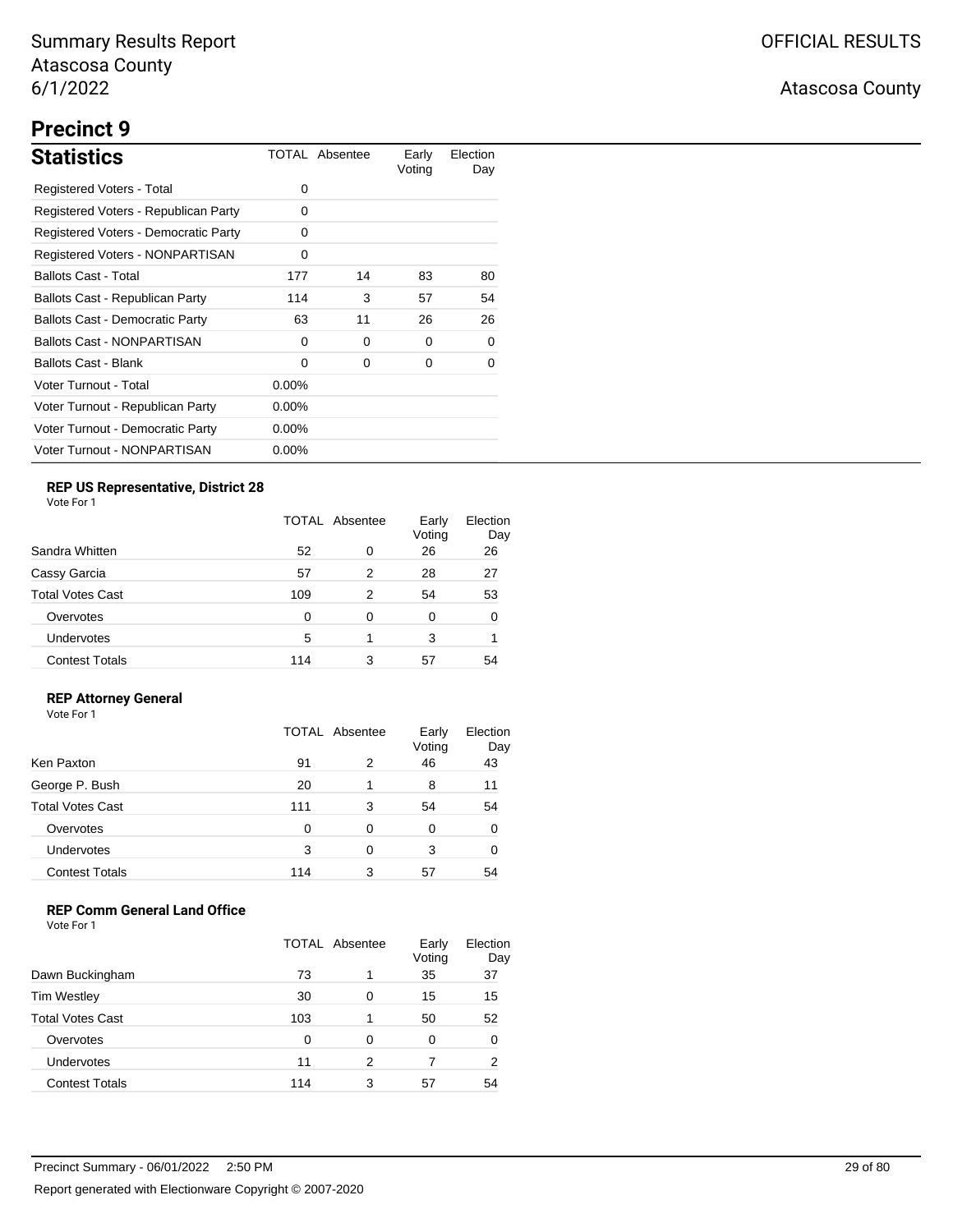# **Precinct 9**

| <b>Statistics</b>                      |          | TOTAL Absentee | Early<br>Voting | Election<br>Day |
|----------------------------------------|----------|----------------|-----------------|-----------------|
| Registered Voters - Total              | 0        |                |                 |                 |
| Registered Voters - Republican Party   | 0        |                |                 |                 |
| Registered Voters - Democratic Party   | 0        |                |                 |                 |
| <b>Registered Voters - NONPARTISAN</b> | 0        |                |                 |                 |
| <b>Ballots Cast - Total</b>            | 177      | 14             | 83              | 80              |
| Ballots Cast - Republican Party        | 114      | 3              | 57              | 54              |
| <b>Ballots Cast - Democratic Party</b> | 63       | 11             | 26              | 26              |
| <b>Ballots Cast - NONPARTISAN</b>      | 0        | $\Omega$       | 0               | 0               |
| Ballots Cast - Blank                   | 0        | 0              | 0               | 0               |
| Voter Turnout - Total                  | $0.00\%$ |                |                 |                 |
| Voter Turnout - Republican Party       | $0.00\%$ |                |                 |                 |
| Voter Turnout - Democratic Party       | $0.00\%$ |                |                 |                 |
| Voter Turnout - NONPARTISAN            | $0.00\%$ |                |                 |                 |

## **REP US Representative, District 28**

Vote For 1

|                       |     | <b>TOTAL Absentee</b> |    | Election<br>Day |
|-----------------------|-----|-----------------------|----|-----------------|
| Sandra Whitten        | 52  | 0                     | 26 | 26              |
| Cassy Garcia          | 57  | 2                     | 28 | 27              |
| Total Votes Cast      | 109 | 2                     | 54 | 53              |
| Overvotes             | 0   | 0                     | 0  | O               |
| Undervotes            | 5   | 1                     | 3  |                 |
| <b>Contest Totals</b> | 114 | 3                     | 57 | 54              |

### **REP Attorney General**

Vote For 1

|                         | TOTAL Absentee |   | Early<br>Voting | Election<br>Day |
|-------------------------|----------------|---|-----------------|-----------------|
| Ken Paxton              | 91             | 2 | 46              | 43              |
| George P. Bush          | 20             | 1 | 8               | 11              |
| <b>Total Votes Cast</b> | 111            | 3 | 54              | 54              |
| Overvotes               | 0              | 0 | 0               |                 |
| Undervotes              | 3              | 0 | 3               |                 |
| <b>Contest Totals</b>   | 114            | 3 | 57              | 54              |

### **REP Comm General Land Office**

|                         | TOTAL Absentee |   | Early<br>Voting | Election<br>Day |
|-------------------------|----------------|---|-----------------|-----------------|
| Dawn Buckingham         | 73             |   | 35              | 37              |
| <b>Tim Westley</b>      | 30             | 0 | 15              | 15              |
| <b>Total Votes Cast</b> | 103            |   | 50              | 52              |
| Overvotes               | 0              | 0 | 0               | 0               |
| Undervotes              | 11             | 2 | 7               | 2               |
| <b>Contest Totals</b>   | 114            | 3 | 57              | 54              |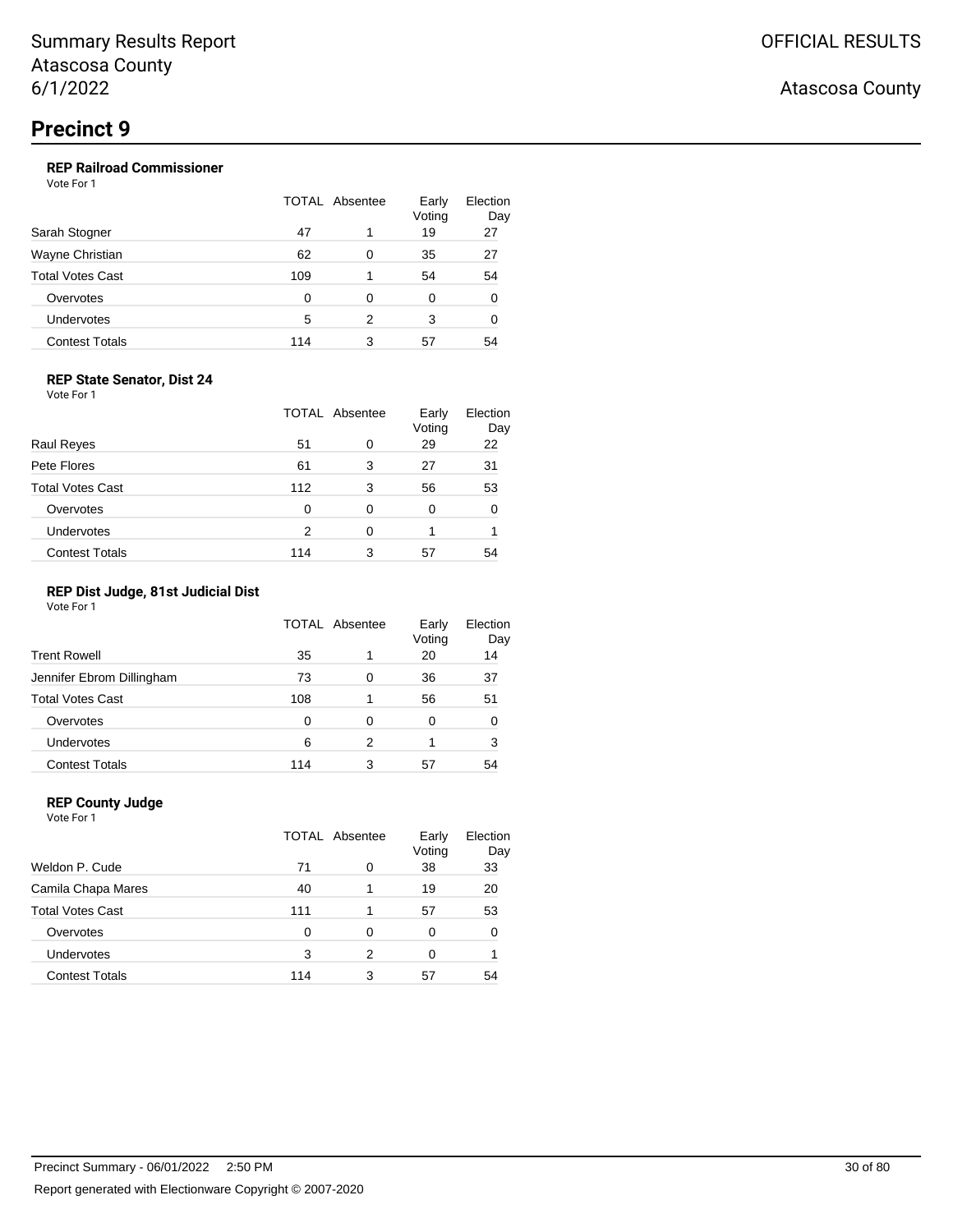## **REP Railroad Commissioner**

Vote For 1

| Sarah Stogner           | TOTAL Absentee |   | Early<br>Voting | Election<br>Day |
|-------------------------|----------------|---|-----------------|-----------------|
|                         | 47             |   | 19              | 27              |
| Wayne Christian         | 62             | 0 | 35              | 27              |
| <b>Total Votes Cast</b> | 109            |   | 54              | 54              |
| Overvotes               | 0              | 0 | 0               | 0               |
| Undervotes              | 5              | 2 | 3               | 0               |
| <b>Contest Totals</b>   | 114            | 3 | 57              | 54              |

#### **REP State Senator, Dist 24**

Vote For 1

|                         | <b>TOTAL Absentee</b> |   | Early<br>Voting | Election<br>Day |
|-------------------------|-----------------------|---|-----------------|-----------------|
| <b>Raul Reyes</b>       | 51                    | 0 | 29              | 22              |
| Pete Flores             | 61                    | 3 | 27              | 31              |
| <b>Total Votes Cast</b> | 112                   | 3 | 56              | 53              |
| Overvotes               | 0                     | 0 | 0               |                 |
| Undervotes              | 2                     | 0 |                 |                 |
| <b>Contest Totals</b>   | 114                   | 3 | 57              | 54              |

## **REP Dist Judge, 81st Judicial Dist**

Vote For 1

|                           | TOTAL Absentee |   | Early<br>Voting | Election<br>Day |
|---------------------------|----------------|---|-----------------|-----------------|
| <b>Trent Rowell</b>       | 35             | 1 | 20              | 14              |
| Jennifer Ebrom Dillingham | 73             | 0 | 36              | 37              |
| <b>Total Votes Cast</b>   | 108            | 1 | 56              | 51              |
| Overvotes                 | 0              | 0 | 0               | 0               |
| Undervotes                | 6              | 2 |                 | 3               |
| <b>Contest Totals</b>     | 114            | 3 | 57              | 54              |

### **REP County Judge**

| Vote For 1              |     |                |                 |                 |
|-------------------------|-----|----------------|-----------------|-----------------|
|                         |     | TOTAL Absentee | Early<br>Voting | Election<br>Day |
| Weldon P. Cude          | 71  | 0              | 38              | 33              |
| Camila Chapa Mares      | 40  |                | 19              | 20              |
| <b>Total Votes Cast</b> | 111 |                | 57              | 53              |
| Overvotes               | 0   | 0              | 0               | 0               |
| Undervotes              | 3   | 2              | 0               |                 |
| <b>Contest Totals</b>   | 114 | 3              | 57              | 54              |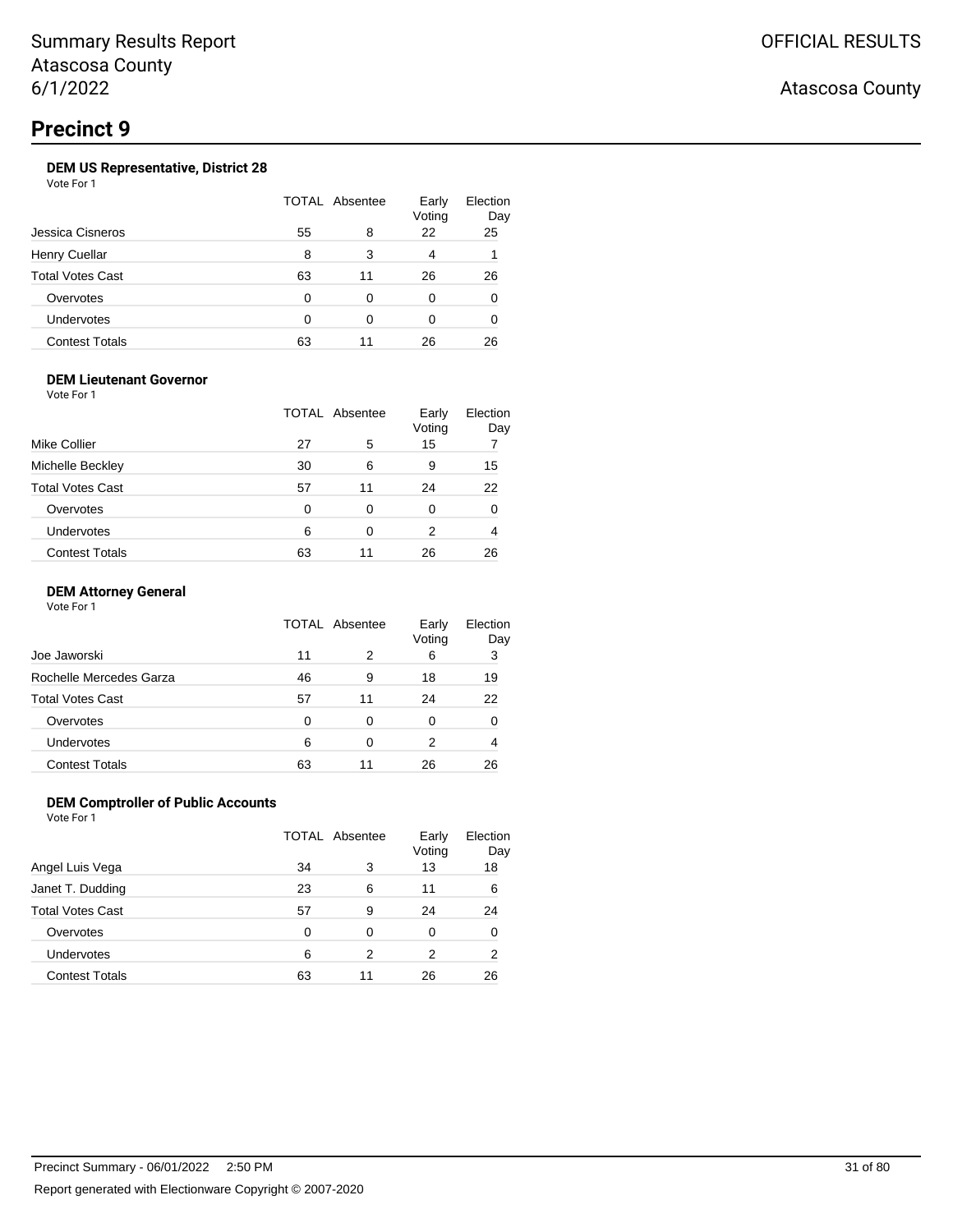## **DEM US Representative, District 28**

Vote For 1

|                         | TOTAL Absentee |    | Early<br>Voting | Election<br>Day |
|-------------------------|----------------|----|-----------------|-----------------|
| Jessica Cisneros        | 55             | 8  | 22              | 25              |
| <b>Henry Cuellar</b>    | 8              | 3  | 4               |                 |
| <b>Total Votes Cast</b> | 63             | 11 | 26              | 26              |
| Overvotes               | 0              | 0  | 0               | 0               |
| Undervotes              | ∩              | ∩  | 0               | O               |
| <b>Contest Totals</b>   | 63             | 11 | 26              | 26              |

### **DEM Lieutenant Governor**

Vote For 1

|                         |    | TOTAL Absentee | Early<br>Voting | Election<br>Day |
|-------------------------|----|----------------|-----------------|-----------------|
| Mike Collier            | 27 | 5              | 15              |                 |
| Michelle Beckley        | 30 | 6              | 9               | 15              |
| <b>Total Votes Cast</b> | 57 | 11             | 24              | 22              |
| Overvotes               | 0  | 0              | 0               | 0               |
| Undervotes              | 6  | 0              | 2               |                 |
| <b>Contest Totals</b>   | 63 | 11             | 26              | 26              |

#### **DEM Attorney General**

Vote For 1

|                         | TOTAL Absentee |    | Early<br>Voting | Election<br>Day |
|-------------------------|----------------|----|-----------------|-----------------|
| Joe Jaworski            | 11             | 2  | 6               | 3               |
| Rochelle Mercedes Garza | 46             | 9  | 18              | 19              |
| <b>Total Votes Cast</b> | 57             | 11 | 24              | 22              |
| Overvotes               | 0              | 0  | 0               |                 |
| Undervotes              | 6              | 0  | 2               | 4               |
| <b>Contest Totals</b>   | 63             | 11 | 26              | 26              |

#### **DEM Comptroller of Public Accounts**

|                       | TOTAL Absentee |    | Early<br>Voting | Election<br>Day |
|-----------------------|----------------|----|-----------------|-----------------|
| Angel Luis Vega       | 34             | 3  | 13              | 18              |
| Janet T. Dudding      | 23             | 6  | 11              | 6               |
| Total Votes Cast      | 57             | 9  | 24              | 24              |
| Overvotes             | 0              | 0  | 0               | 0               |
| <b>Undervotes</b>     | 6              | 2  | 2               | 2               |
| <b>Contest Totals</b> | 63             | 11 | 26              | 26              |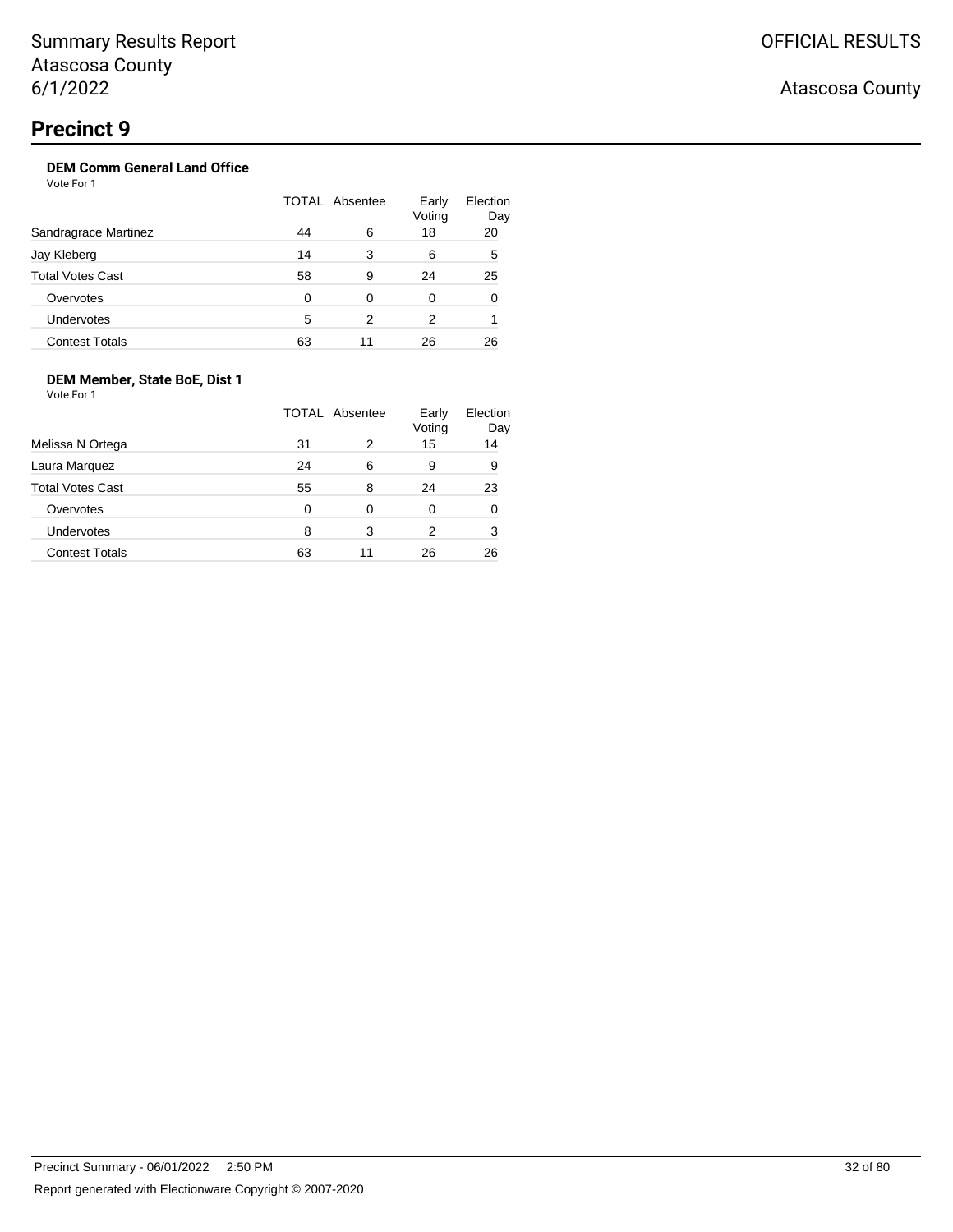## **DEM Comm General Land Office**

Vote For 1

|                         | TOTAL Absentee |    | Early<br>Voting | Election<br>Day |
|-------------------------|----------------|----|-----------------|-----------------|
| Sandragrace Martinez    | 44             | 6  | 18              | 20              |
| Jay Kleberg             | 14             | 3  | 6               | 5               |
| <b>Total Votes Cast</b> | 58             | 9  | 24              | 25              |
| Overvotes               | $\Omega$       | 0  | 0               | 0               |
| <b>Undervotes</b>       | 5              | 2  | 2               |                 |
| <b>Contest Totals</b>   | 63             | 11 | 26              | 26              |

## **DEM Member, State BoE, Dist 1**

Vote For 1

|                         |    | TOTAL Absentee | Early<br>Voting | Election<br>Day |
|-------------------------|----|----------------|-----------------|-----------------|
| Melissa N Ortega        | 31 | 2              | 15              | 14              |
| Laura Marquez           | 24 | 6              | 9               | 9               |
| <b>Total Votes Cast</b> | 55 | 8              | 24              | 23              |
| Overvotes               | 0  | 0              | 0               | 0               |
| Undervotes              | 8  | 3              | 2               | 3               |
| <b>Contest Totals</b>   | 63 | 11             | 26              | 26              |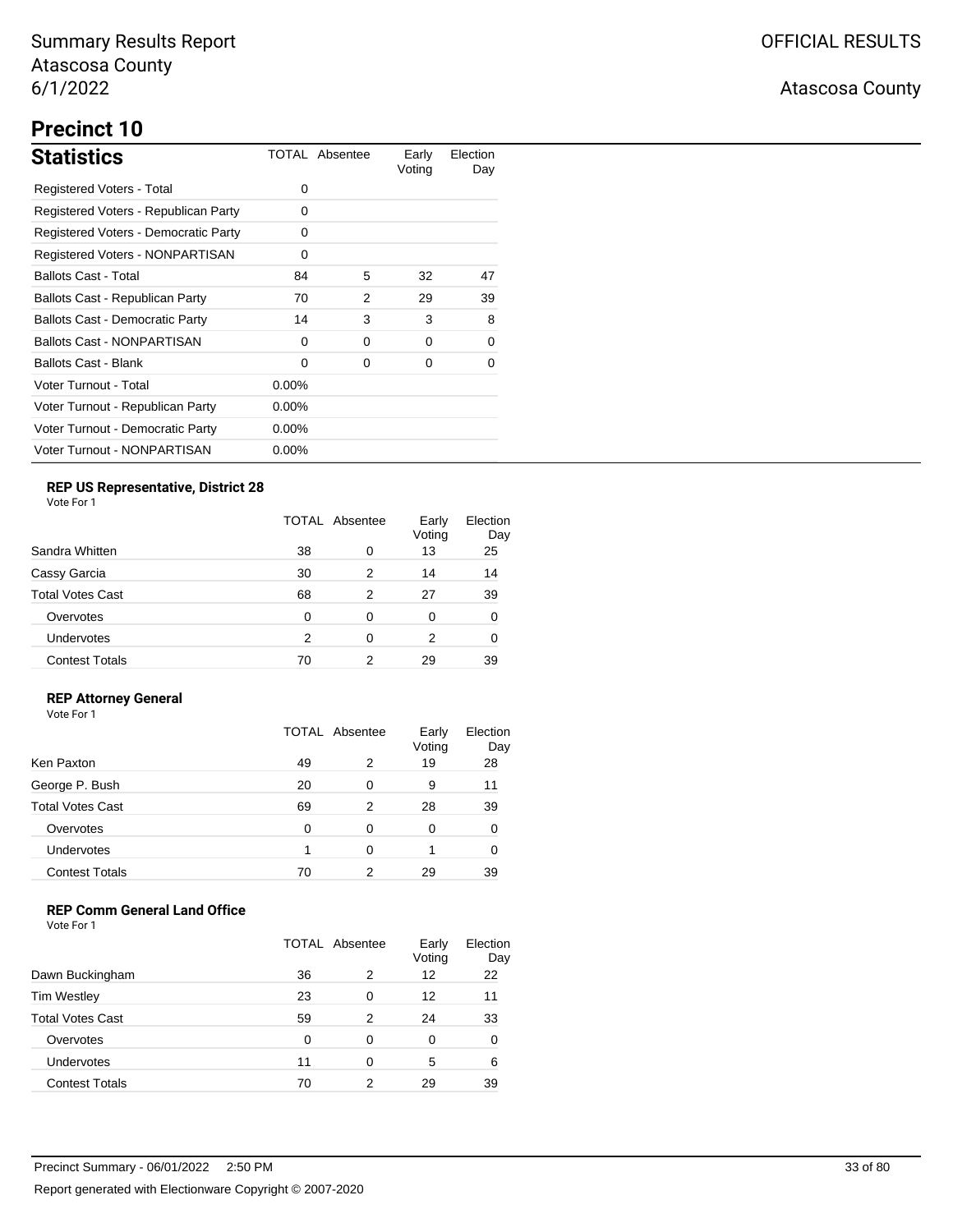# **Precinct 10**

| <b>Statistics</b>                      |          | TOTAL Absentee | Early<br>Voting | Election<br>Day |
|----------------------------------------|----------|----------------|-----------------|-----------------|
| Registered Voters - Total              | $\Omega$ |                |                 |                 |
| Registered Voters - Republican Party   | 0        |                |                 |                 |
| Registered Voters - Democratic Party   | 0        |                |                 |                 |
| Registered Voters - NONPARTISAN        | 0        |                |                 |                 |
| <b>Ballots Cast - Total</b>            | 84       | 5              | 32              | 47              |
| Ballots Cast - Republican Party        | 70       | 2              | 29              | 39              |
| <b>Ballots Cast - Democratic Party</b> | 14       | 3              | 3               | 8               |
| <b>Ballots Cast - NONPARTISAN</b>      | $\Omega$ | 0              | $\Omega$        | $\Omega$        |
| <b>Ballots Cast - Blank</b>            | $\Omega$ | 0              | 0               | 0               |
| Voter Turnout - Total                  | $0.00\%$ |                |                 |                 |
| Voter Turnout - Republican Party       | $0.00\%$ |                |                 |                 |
| Voter Turnout - Democratic Party       | $0.00\%$ |                |                 |                 |
| Voter Turnout - NONPARTISAN            | $0.00\%$ |                |                 |                 |

## **REP US Representative, District 28**

Vote For 1

|                       | TOTAL Absentee |   | Early<br>Voting | Election<br>Day |
|-----------------------|----------------|---|-----------------|-----------------|
| Sandra Whitten        | 38             | 0 | 13              | 25              |
| Cassy Garcia          | 30             | 2 | 14              | 14              |
| Total Votes Cast      | 68             | 2 | 27              | 39              |
| Overvotes             | 0              | 0 | 0               | 0               |
| Undervotes            | 2              | 0 | 2               |                 |
| <b>Contest Totals</b> | 70             | 2 | 29              | 39              |

### **REP Attorney General**

Vote For 1

|                         | <b>TOTAL Absentee</b> |   | Early<br>Voting | Election<br>Day |
|-------------------------|-----------------------|---|-----------------|-----------------|
| Ken Paxton              | 49                    | 2 | 19              | 28              |
| George P. Bush          | 20                    | 0 | 9               | 11              |
| <b>Total Votes Cast</b> | 69                    | 2 | 28              | 39              |
| Overvotes               | 0                     | 0 | 0               |                 |
| Undervotes              |                       | 0 |                 |                 |
| <b>Contest Totals</b>   | 70                    | 2 | 29              | 39              |

## **REP Comm General Land Office**

|                         | <b>TOTAL Absentee</b> |   | Early<br>Voting | Election<br>Day |
|-------------------------|-----------------------|---|-----------------|-----------------|
| Dawn Buckingham         | 36                    | 2 | 12              | 22              |
| <b>Tim Westley</b>      | 23                    | 0 | 12              | 11              |
| <b>Total Votes Cast</b> | 59                    | 2 | 24              | 33              |
| Overvotes               | O                     | 0 | 0               | 0               |
| Undervotes              | 11                    | 0 | 5               | 6               |
| <b>Contest Totals</b>   | 70                    | 2 | 29              | 39              |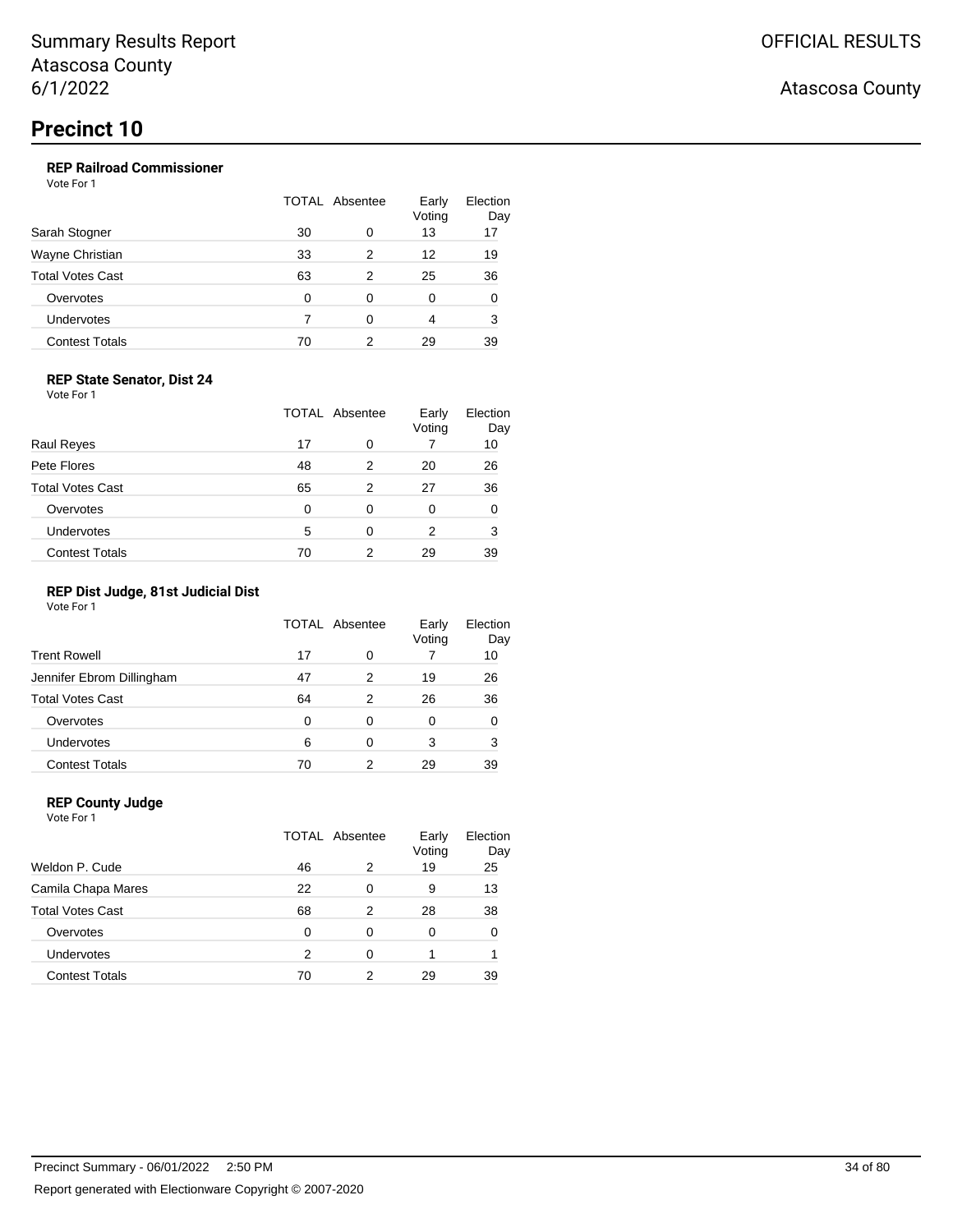### **REP Railroad Commissioner**

Vote For 1

|                         | TOTAL Absentee |   | Early<br>Voting | Election<br>Day |
|-------------------------|----------------|---|-----------------|-----------------|
| Sarah Stogner           | 30             | 0 | 13              | 17              |
| Wayne Christian         | 33             | 2 | 12              | 19              |
| <b>Total Votes Cast</b> | 63             | 2 | 25              | 36              |
| Overvotes               | 0              | 0 | 0               | 0               |
| Undervotes              |                | ∩ | 4               | 3               |
| <b>Contest Totals</b>   | 70             | 2 | 29              | 39              |

#### **REP State Senator, Dist 24**

Vote For 1

|                         | <b>TOTAL Absentee</b> |   | Early<br>Voting | Election<br>Day |
|-------------------------|-----------------------|---|-----------------|-----------------|
| <b>Raul Reyes</b>       | 17                    | 0 |                 | 10              |
| Pete Flores             | 48                    | 2 | 20              | 26              |
| <b>Total Votes Cast</b> | 65                    | 2 | 27              | 36              |
| Overvotes               | 0                     | 0 | 0               | 0               |
| Undervotes              | 5                     | 0 | 2               | 3               |
| <b>Contest Totals</b>   | 70                    | 2 | 29              | 39              |

#### **REP Dist Judge, 81st Judicial Dist**

Vote For 1

|                           | TOTAL Absentee |   | Early<br>Voting | Election<br>Day |
|---------------------------|----------------|---|-----------------|-----------------|
| <b>Trent Rowell</b>       | 17             | 0 |                 | 10              |
| Jennifer Ebrom Dillingham | 47             | 2 | 19              | 26              |
| <b>Total Votes Cast</b>   | 64             | 2 | 26              | 36              |
| Overvotes                 | 0              | 0 | 0               | 0               |
| Undervotes                | 6              | 0 | 3               | 3               |
| <b>Contest Totals</b>     | 70             | 2 | 29              | 39              |

### **REP County Judge**

Vote For 1 TOTAL Absentee Early Voting Election Day Weldon P. Cude 2 46 2 19 25 Camila Chapa Mares 22 0 9 13 Total Votes Cast **68** 2 28 38 Overvotes 0 0 0 0 0 Undervotes 2 0 1 1 Contest Totals 70 2 29 39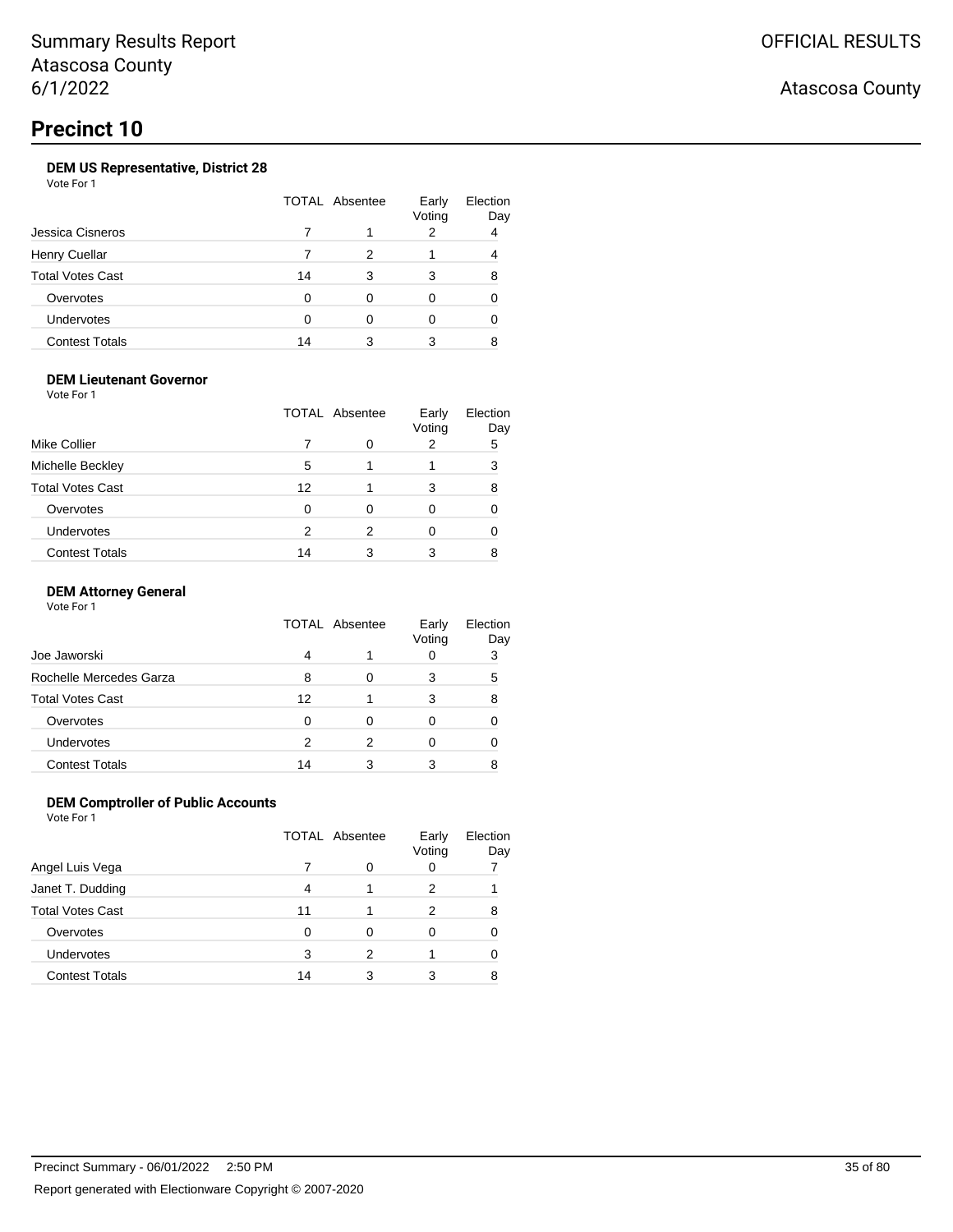## OFFICIAL RESULTS

## Atascosa County

## **Precinct 10**

### **DEM US Representative, District 28**

Vote For 1

|                         | TOTAL Absentee |   | Early<br>Voting | Election<br>Day |
|-------------------------|----------------|---|-----------------|-----------------|
| Jessica Cisneros        |                |   | 2               | 4               |
| <b>Henry Cuellar</b>    |                |   |                 |                 |
| <b>Total Votes Cast</b> | 14             |   | 3               | 8               |
| Overvotes               | O              | ∩ |                 |                 |
| Undervotes              |                |   |                 |                 |
| <b>Contest Totals</b>   | 14             |   | 3               |                 |

#### **DEM Lieutenant Governor**

Vote For 1

|                         | <b>TOTAL Absentee</b> |   | Early<br>Voting | Election<br>Day |
|-------------------------|-----------------------|---|-----------------|-----------------|
| Mike Collier            |                       | 0 |                 | 5               |
| Michelle Beckley        | 5                     |   |                 | 3               |
| <b>Total Votes Cast</b> | 12                    |   | 3               | 8               |
| Overvotes               | 0                     | 0 | 0               |                 |
| Undervotes              | 2                     | 2 |                 |                 |
| <b>Contest Totals</b>   | 14                    |   |                 |                 |

#### **DEM Attorney General**

Vote For 1

|                         | <b>TOTAL Absentee</b> |   | Early<br>Voting | Election<br>Day |
|-------------------------|-----------------------|---|-----------------|-----------------|
| Joe Jaworski            | 4                     |   |                 | 3               |
| Rochelle Mercedes Garza | 8                     |   | 3               | 5               |
| Total Votes Cast        | 12                    |   | 3               | 8               |
| Overvotes               | 0                     | 0 |                 |                 |
| Undervotes              | 2                     | 2 |                 |                 |
| <b>Contest Totals</b>   | 14                    |   | 3               |                 |

### **DEM Comptroller of Public Accounts**

|                       | <b>TOTAL Absentee</b> |   | Early<br>Voting | Election<br>Day |
|-----------------------|-----------------------|---|-----------------|-----------------|
| Angel Luis Vega       |                       | O |                 |                 |
| Janet T. Dudding      | 4                     |   | 2               |                 |
| Total Votes Cast      | 11                    |   | 2               | 8               |
| Overvotes             | O                     | Ω |                 |                 |
| Undervotes            | 3                     | 2 |                 |                 |
| <b>Contest Totals</b> | 14                    | 3 | 3               |                 |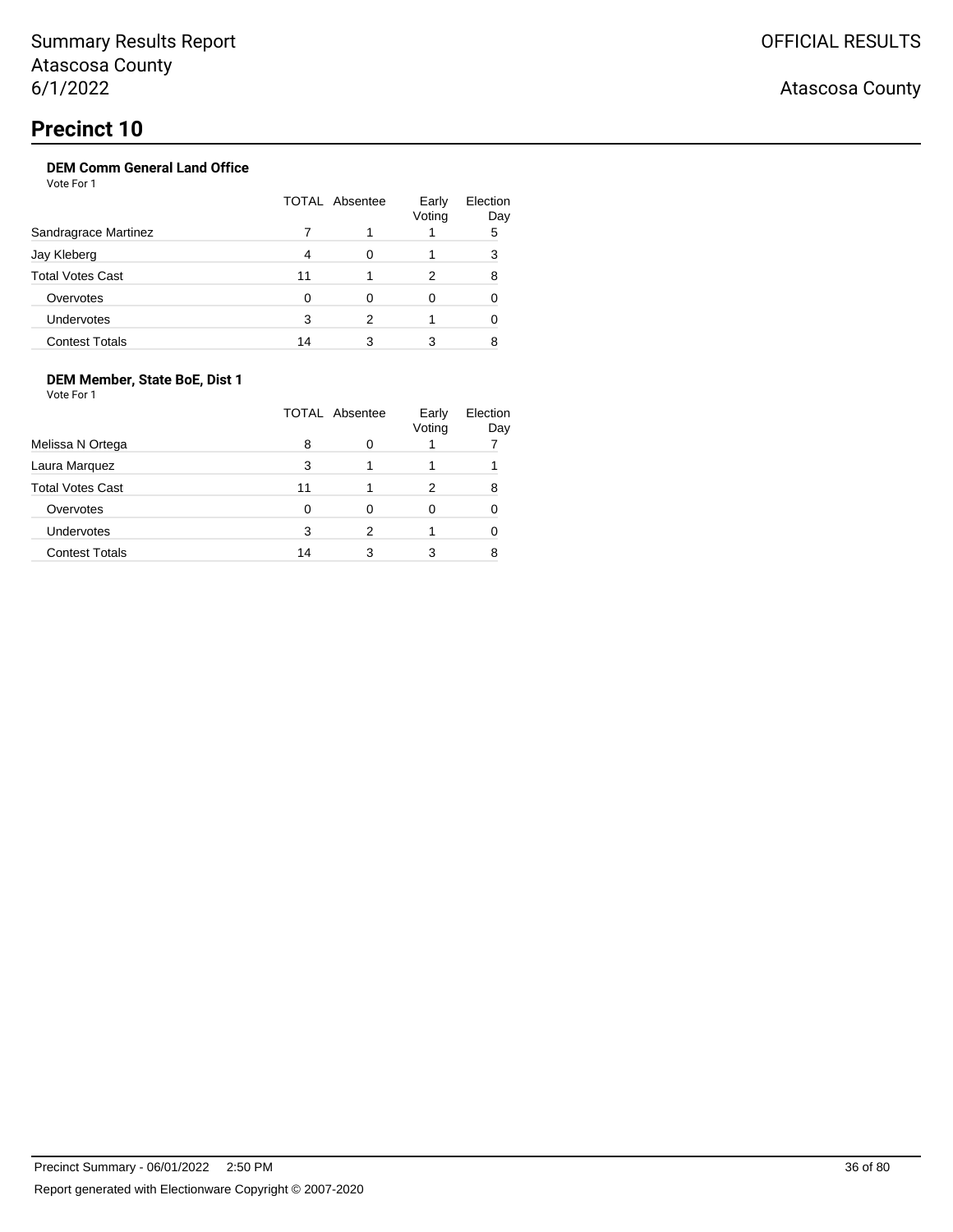## **Precinct 10**

## **DEM Comm General Land Office**

Vote For 1

|                         | TOTAL Absentee |   | Early<br>Voting | Election<br>Day |
|-------------------------|----------------|---|-----------------|-----------------|
| Sandragrace Martinez    |                |   |                 | 5               |
| Jay Kleberg             |                |   |                 | 3               |
| <b>Total Votes Cast</b> | 11             |   | 2               | 8               |
| Overvotes               |                |   | 0               |                 |
| <b>Undervotes</b>       | 3              | 2 |                 |                 |
| <b>Contest Totals</b>   | 14             |   |                 |                 |

## **DEM Member, State BoE, Dist 1**

|                         | TOTAL Absentee |   | Early<br>Voting | Election<br>Day |
|-------------------------|----------------|---|-----------------|-----------------|
| Melissa N Ortega        | 8              | O |                 |                 |
| Laura Marquez           | 3              |   |                 |                 |
| <b>Total Votes Cast</b> | 11             |   | 2               |                 |
| Overvotes               | 0              | Ω | 0               |                 |
| Undervotes              | 3              | 2 |                 |                 |
| <b>Contest Totals</b>   | 14             | 3 |                 |                 |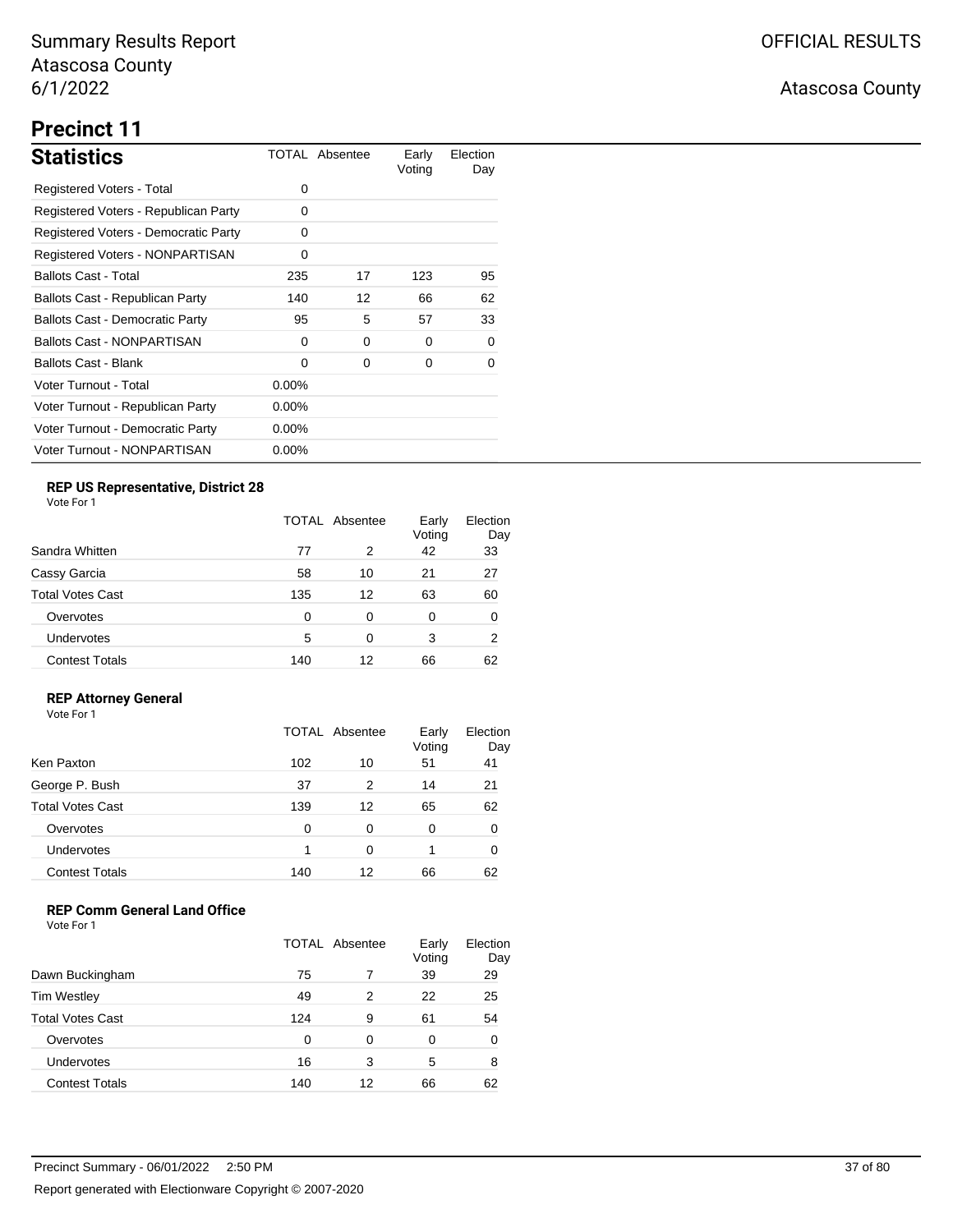# **Precinct 11**

| <b>Statistics</b>                      |          | TOTAL Absentee | Early<br>Voting | Election<br>Day |
|----------------------------------------|----------|----------------|-----------------|-----------------|
| Registered Voters - Total              | 0        |                |                 |                 |
| Registered Voters - Republican Party   | 0        |                |                 |                 |
| Registered Voters - Democratic Party   | 0        |                |                 |                 |
| Registered Voters - NONPARTISAN        | 0        |                |                 |                 |
| <b>Ballots Cast - Total</b>            | 235      | 17             | 123             | 95              |
| Ballots Cast - Republican Party        | 140      | 12             | 66              | 62              |
| <b>Ballots Cast - Democratic Party</b> | 95       | 5              | 57              | 33              |
| <b>Ballots Cast - NONPARTISAN</b>      | 0        | 0              | 0               | 0               |
| Ballots Cast - Blank                   | $\Omega$ | 0              | 0               | 0               |
| Voter Turnout - Total                  | $0.00\%$ |                |                 |                 |
| Voter Turnout - Republican Party       | $0.00\%$ |                |                 |                 |
| Voter Turnout - Democratic Party       | $0.00\%$ |                |                 |                 |
| Voter Turnout - NONPARTISAN            | $0.00\%$ |                |                 |                 |

## **REP US Representative, District 28**

Vote For 1

|                       |     | <b>TOTAL Absentee</b> |    | Election<br>Day |
|-----------------------|-----|-----------------------|----|-----------------|
| Sandra Whitten        | 77  | 2                     | 42 | 33              |
| Cassy Garcia          | 58  | 10                    | 21 | 27              |
| Total Votes Cast      | 135 | 12                    | 63 | 60              |
| Overvotes             | 0   | 0                     | 0  | 0               |
| Undervotes            | 5   | 0                     | 3  | 2               |
| <b>Contest Totals</b> | 140 | 12                    | 66 | 62              |

### **REP Attorney General**

Vote For 1

|                         |          | TOTAL Absentee | Early<br>Voting | Election<br>Day |
|-------------------------|----------|----------------|-----------------|-----------------|
| Ken Paxton              | 102      | 10             | 51              | 41              |
| George P. Bush          | 37       | 2              | 14              | 21              |
| <b>Total Votes Cast</b> | 139      | 12             | 65              | 62              |
| Overvotes               | $\Omega$ | 0              | 0               | 0               |
| Undervotes              |          | 0              |                 | 0               |
| <b>Contest Totals</b>   | 140      | 12             | 66              | 62              |

### **REP Comm General Land Office**

|                         | <b>TOTAL Absentee</b> |    | Early<br>Voting | Election<br>Day |
|-------------------------|-----------------------|----|-----------------|-----------------|
| Dawn Buckingham         | 75                    |    | 39              | 29              |
| <b>Tim Westley</b>      | 49                    | 2  | 22              | 25              |
| <b>Total Votes Cast</b> | 124                   | 9  | 61              | 54              |
| Overvotes               | O                     | 0  | 0               | 0               |
| <b>Undervotes</b>       | 16                    | 3  | 5               | 8               |
| <b>Contest Totals</b>   | 140                   | 12 | 66              | 62              |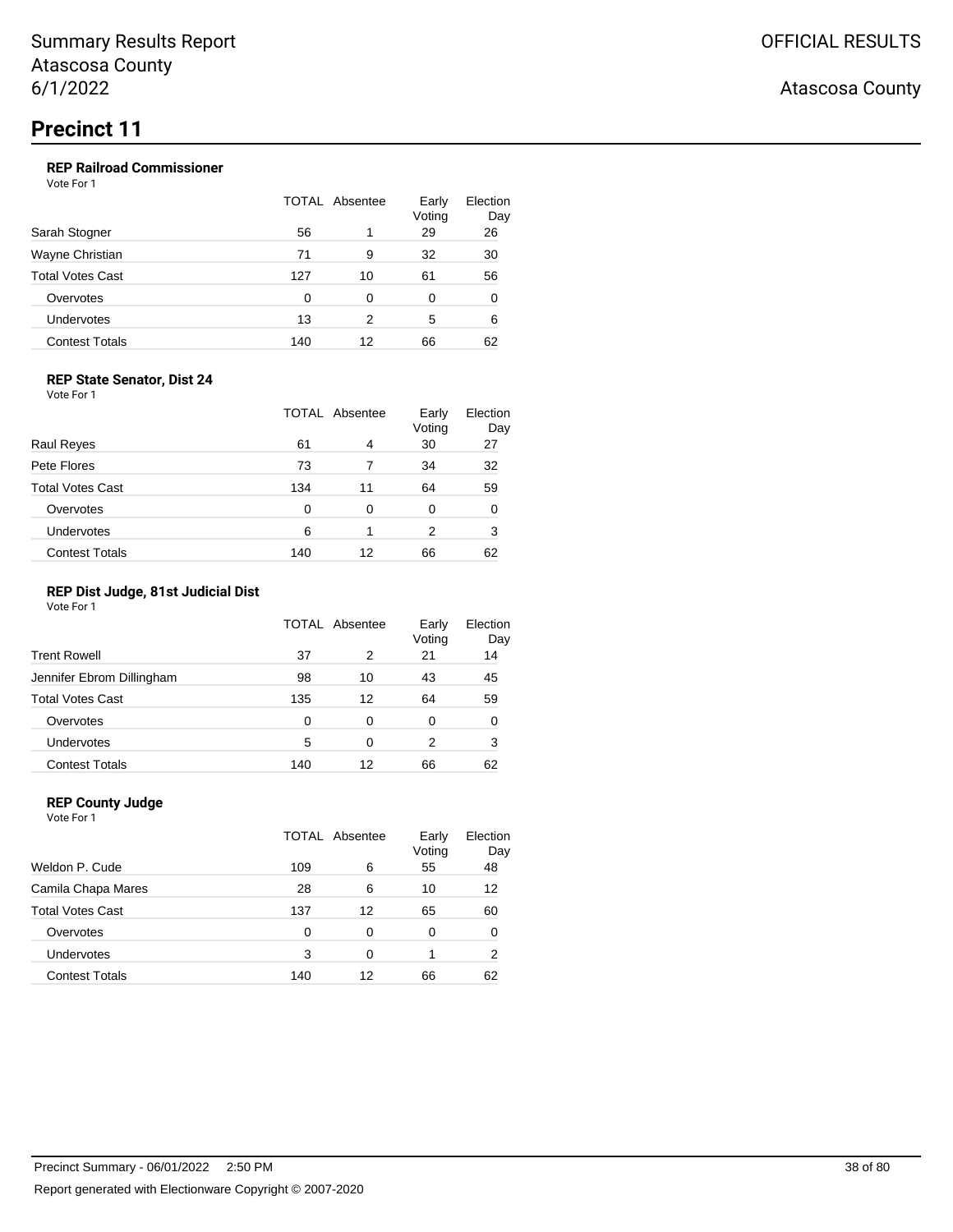### **REP Railroad Commissioner**

Vote For 1

|                       |     | TOTAL Absentee | Early<br>Voting | Election<br>Day |
|-----------------------|-----|----------------|-----------------|-----------------|
| Sarah Stogner         | 56  |                | 29              | 26              |
| Wayne Christian       | 71  | 9              | 32              | 30              |
| Total Votes Cast      | 127 | 10             | 61              | 56              |
| Overvotes             | 0   | 0              | 0               | 0               |
| Undervotes            | 13  | 2              | 5               | 6               |
| <b>Contest Totals</b> | 140 | 12             | 66              | 62              |
|                       |     |                |                 |                 |

### **REP State Senator, Dist 24**

Vote For 1

|                         |     | TOTAL Absentee | Early<br>Voting | Election<br>Day |
|-------------------------|-----|----------------|-----------------|-----------------|
| <b>Raul Reves</b>       | 61  | 4              | 30              | 27              |
| Pete Flores             | 73  |                | 34              | 32              |
| <b>Total Votes Cast</b> | 134 | 11             | 64              | 59              |
| Overvotes               | 0   | 0              | 0               | O               |
| Undervotes              | 6   |                | 2               | 3               |
| <b>Contest Totals</b>   | 140 | 12             | 66              | 62              |

#### **REP Dist Judge, 81st Judicial Dist**

Vote For 1

|                           |     | TOTAL Absentee | Early<br>Voting | Election<br>Day |
|---------------------------|-----|----------------|-----------------|-----------------|
| <b>Trent Rowell</b>       | 37  | 2              | 21              | 14              |
| Jennifer Ebrom Dillingham | 98  | 10             | 43              | 45              |
| <b>Total Votes Cast</b>   | 135 | 12             | 64              | 59              |
| Overvotes                 | 0   | 0              | 0               | 0               |
| Undervotes                | 5   | 0              | 2               | 3               |
| <b>Contest Totals</b>     | 140 | 12             | 66              | 62              |

### **REP County Judge**

Vote For 1 TOTAL Absentee Early Voting Election Day Weldon P. Cude 109 6 55 48 Camila Chapa Mares 28 6 10 12 Total Votes Cast 137 12 65 60 Overvotes 0 0 0 0 0 Undervotes 3 0 1 2 Contest Totals 140 12 66 62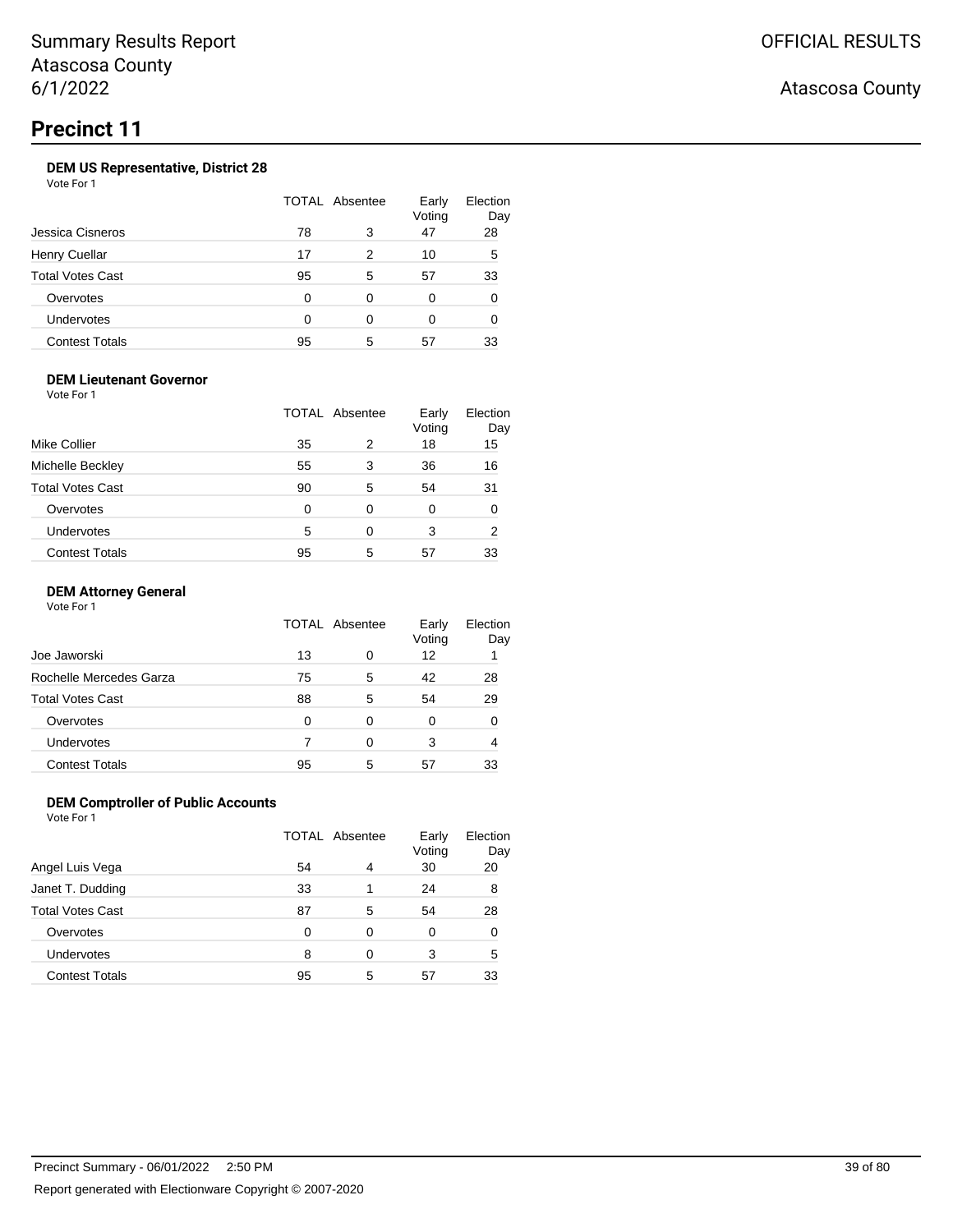### **DEM US Representative, District 28**

Vote For 1

| Jessica Cisneros        | TOTAL Absentee |   | Early<br>Voting | Election<br>Day |
|-------------------------|----------------|---|-----------------|-----------------|
|                         | 78             | 3 | 47              | 28              |
| <b>Henry Cuellar</b>    | 17             | 2 | 10              | 5               |
| <b>Total Votes Cast</b> | 95             | 5 | 57              | 33              |
| Overvotes               | 0              | 0 | 0               | 0               |
| <b>Undervotes</b>       | ∩              | ∩ | 0               | O               |
| <b>Contest Totals</b>   | 95             | 5 | 57              | 33              |

### **DEM Lieutenant Governor**

Vote For 1

| Mike Collier            |    | TOTAL Absentee |    | Election<br>Day |
|-------------------------|----|----------------|----|-----------------|
|                         | 35 | 2              | 18 | 15              |
| Michelle Beckley        | 55 | 3              | 36 | 16              |
| <b>Total Votes Cast</b> | 90 | 5              | 54 | 31              |
| Overvotes               | 0  | 0              | 0  | O               |
| Undervotes              | 5  | 0              | 3  | 2               |
| <b>Contest Totals</b>   | 95 | 5              | 57 | 33              |

### **DEM Attorney General**

Vote For 1

|                         | TOTAL Absentee |   | Early<br>Voting | Election<br>Day |
|-------------------------|----------------|---|-----------------|-----------------|
| Joe Jaworski            | 13             | 0 | 12              |                 |
| Rochelle Mercedes Garza | 75             | 5 | 42              | 28              |
| <b>Total Votes Cast</b> | 88             | 5 | 54              | 29              |
| Overvotes               | 0              | 0 | 0               |                 |
| <b>Undervotes</b>       |                | 0 | 3               | 4               |
| <b>Contest Totals</b>   | 95             | 5 | 57              | 33              |

### **DEM Comptroller of Public Accounts**

Vote For 1

|                         | TOTAL Absentee |   | Early<br>Voting | Election<br>Day |
|-------------------------|----------------|---|-----------------|-----------------|
| Angel Luis Vega         | 54             | 4 | 30              | 20              |
| Janet T. Dudding        | 33             | 1 | 24              | 8               |
| <b>Total Votes Cast</b> | 87             | 5 | 54              | 28              |
| Overvotes               | 0              | 0 | 0               | 0               |
| Undervotes              | 8              | 0 | 3               | 5               |
| <b>Contest Totals</b>   | 95             | 5 | 57              | 33              |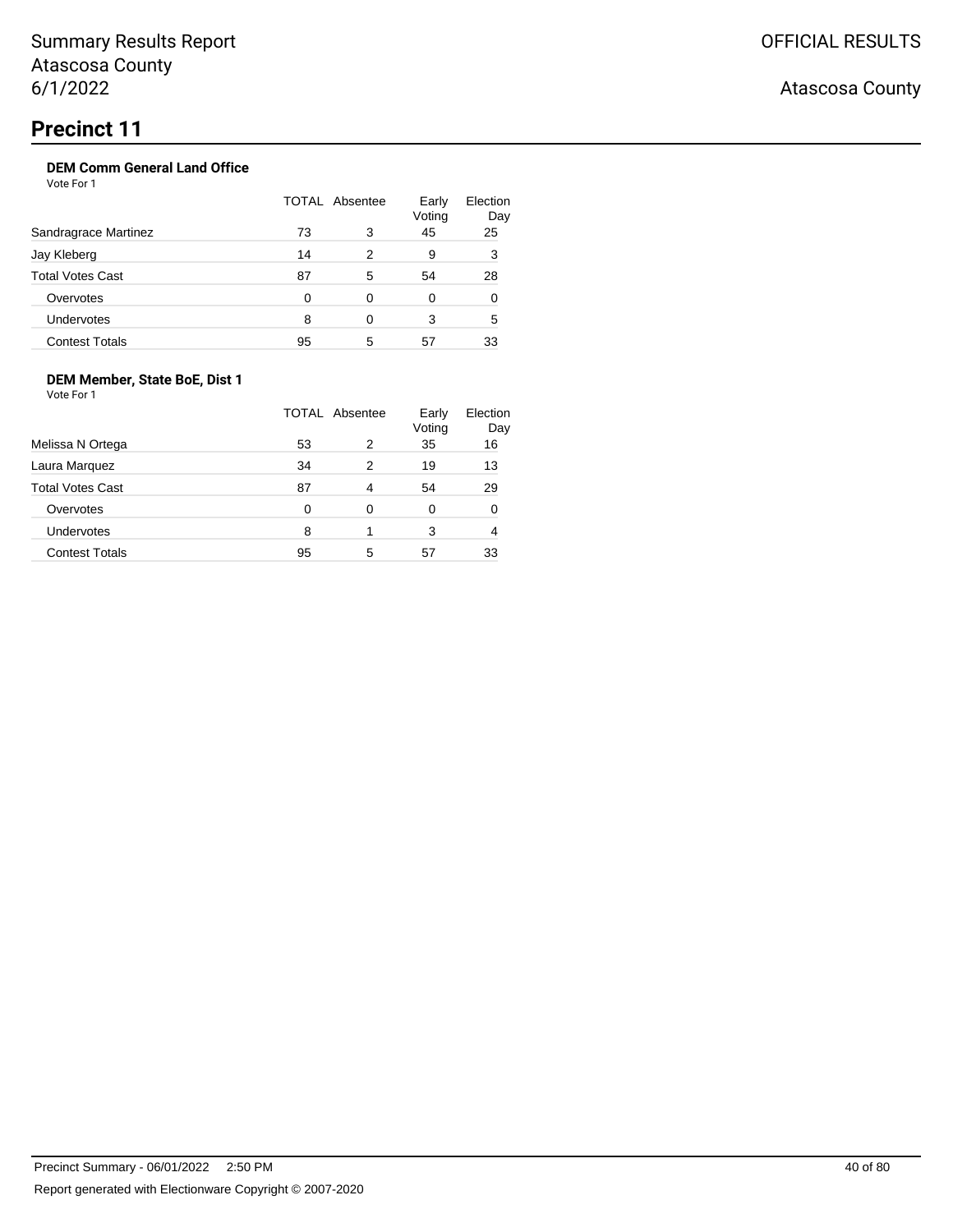### **DEM Comm General Land Office**

Vote For 1

|                         | TOTAL Absentee |   | Early<br>Voting | Election<br>Day |
|-------------------------|----------------|---|-----------------|-----------------|
| Sandragrace Martinez    | 73             | 3 | 45              | 25              |
| Jay Kleberg             | 14             | 2 | 9               | 3               |
| <b>Total Votes Cast</b> | 87             | 5 | 54              | 28              |
| Overvotes               | 0              | 0 | 0               | O               |
| <b>Undervotes</b>       | 8              | 0 | 3               | 5               |
| <b>Contest Totals</b>   | 95             | 5 | 57              | 33              |

### **DEM Member, State BoE, Dist 1**

Vote For 1

|                         | TOTAL Absentee |   | Early<br>Voting | Election<br>Day |
|-------------------------|----------------|---|-----------------|-----------------|
| Melissa N Ortega        | 53             | 2 | 35              | 16              |
| Laura Marquez           | 34             | 2 | 19              | 13              |
| <b>Total Votes Cast</b> | 87             | 4 | 54              | 29              |
| Overvotes               | 0              | 0 | 0               | 0               |
| Undervotes              | 8              | 1 | 3               | 4               |
| <b>Contest Totals</b>   | 95             | 5 | 57              | 33              |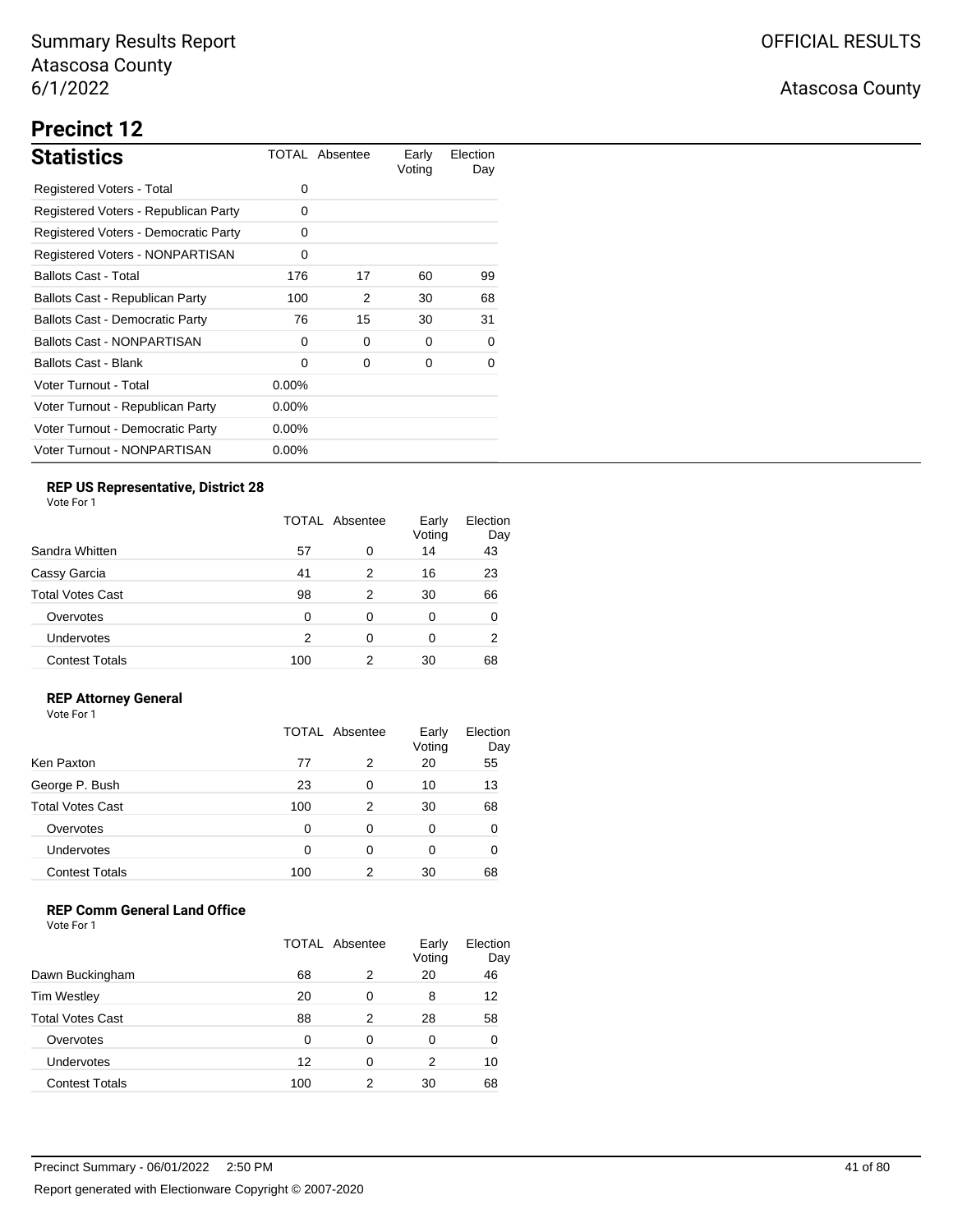# **Precinct 12**

| <b>Statistics</b>                      |          | TOTAL Absentee | Early<br>Voting | Election<br>Day |
|----------------------------------------|----------|----------------|-----------------|-----------------|
| Registered Voters - Total              | 0        |                |                 |                 |
| Registered Voters - Republican Party   | 0        |                |                 |                 |
| Registered Voters - Democratic Party   | 0        |                |                 |                 |
| <b>Registered Voters - NONPARTISAN</b> | 0        |                |                 |                 |
| <b>Ballots Cast - Total</b>            | 176      | 17             | 60              | 99              |
| Ballots Cast - Republican Party        | 100      | 2              | 30              | 68              |
| <b>Ballots Cast - Democratic Party</b> | 76       | 15             | 30              | 31              |
| <b>Ballots Cast - NONPARTISAN</b>      | 0        | 0              | 0               | 0               |
| <b>Ballots Cast - Blank</b>            | 0        | 0              | 0               | 0               |
| Voter Turnout - Total                  | $0.00\%$ |                |                 |                 |
| Voter Turnout - Republican Party       | $0.00\%$ |                |                 |                 |
| Voter Turnout - Democratic Party       | $0.00\%$ |                |                 |                 |
| Voter Turnout - NONPARTISAN            | $0.00\%$ |                |                 |                 |

## **REP US Representative, District 28**

Vote For 1

|                       | <b>TOTAL Absentee</b> |   | Early<br>Voting | Election<br>Day |
|-----------------------|-----------------------|---|-----------------|-----------------|
| Sandra Whitten        | 57                    | 0 | 14              | 43              |
| Cassy Garcia          | 41                    | 2 | 16              | 23              |
| Total Votes Cast      | 98                    | 2 | 30              | 66              |
| Overvotes             | 0                     | 0 | 0               | 0               |
| Undervotes            | 2                     | 0 | 0               | 2               |
| <b>Contest Totals</b> | 100                   | 2 | 30              | 68              |

### **REP Attorney General**

Vote For 1

|                         | TOTAL Absentee |   | Early<br>Voting | Election<br>Day |
|-------------------------|----------------|---|-----------------|-----------------|
| Ken Paxton              | 77             | 2 | 20              | 55              |
| George P. Bush          | 23             | 0 | 10              | 13              |
| <b>Total Votes Cast</b> | 100            | 2 | 30              | 68              |
| Overvotes               | 0              | 0 | 0               | 0               |
| Undervotes              | 0              | 0 | 0               | 0               |
| <b>Contest Totals</b>   | 100            | 2 | 30              | 68              |

### **REP Comm General Land Office**

|                         | TOTAL Absentee |   | Early<br>Voting | Election<br>Day |
|-------------------------|----------------|---|-----------------|-----------------|
| Dawn Buckingham         | 68             | 2 | 20              | 46              |
| Tim Westley             | 20             | 0 | 8               | 12              |
| <b>Total Votes Cast</b> | 88             | 2 | 28              | 58              |
| Overvotes               | 0              | 0 | 0               | 0               |
| <b>Undervotes</b>       | 12             | 0 | 2               | 10              |
| <b>Contest Totals</b>   | 100            | 2 | 30              | 68              |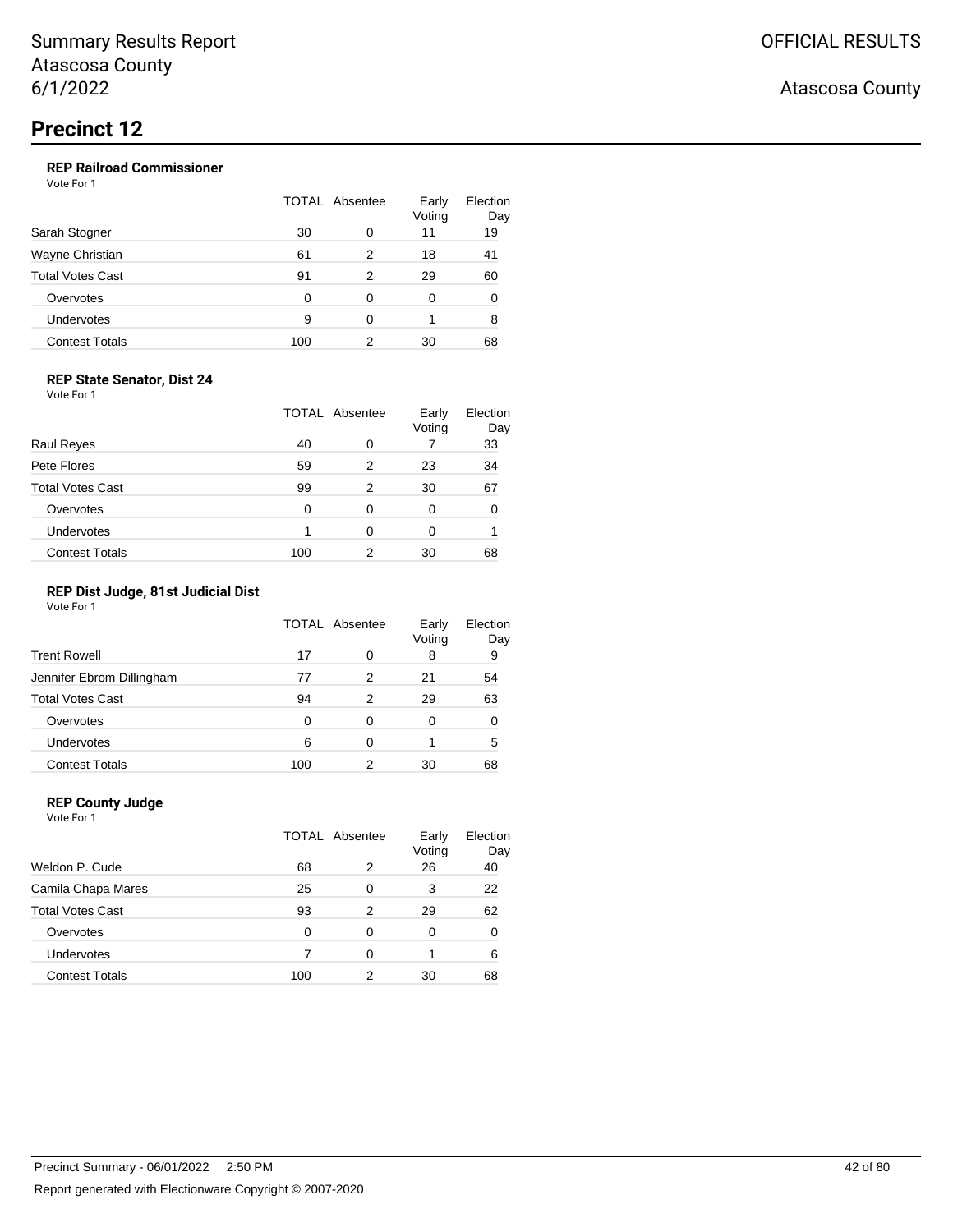### **REP Railroad Commissioner**

Vote For 1

|                         | TOTAL Absentee |   | Early<br>Voting | Election<br>Day |
|-------------------------|----------------|---|-----------------|-----------------|
| Sarah Stogner           | 30             | 0 | 11              | 19              |
| Wayne Christian         | 61             | 2 | 18              | 41              |
| <b>Total Votes Cast</b> | 91             | 2 | 29              | 60              |
| Overvotes               | 0              | 0 | 0               | 0               |
| Undervotes              | 9              | 0 |                 | 8               |
| <b>Contest Totals</b>   | 100            |   | 30              | 68              |

#### **REP State Senator, Dist 24**

Vote For 1

|                         |     | <b>TOTAL Absentee</b> | Early<br>Voting | Election<br>Day |
|-------------------------|-----|-----------------------|-----------------|-----------------|
| <b>Raul Reyes</b>       | 40  | 0                     |                 | 33              |
| Pete Flores             | 59  | 2                     | 23              | 34              |
| <b>Total Votes Cast</b> | 99  | 2                     | 30              | 67              |
| Overvotes               | 0   | 0                     | 0               | 0               |
| Undervotes              |     | 0                     | 0               |                 |
| <b>Contest Totals</b>   | 100 | 2                     | 30              | 68              |

### **REP Dist Judge, 81st Judicial Dist**

Vote For 1

|                           | TOTAL Absentee |   | Early<br>Voting | Election<br>Day |
|---------------------------|----------------|---|-----------------|-----------------|
| <b>Trent Rowell</b>       | 17             | 0 | 8               | 9               |
| Jennifer Ebrom Dillingham | 77             | 2 | 21              | 54              |
| <b>Total Votes Cast</b>   | 94             | 2 | 29              | 63              |
| Overvotes                 | 0              | 0 | 0               | 0               |
| <b>Undervotes</b>         | 6              | 0 |                 | 5               |
| <b>Contest Totals</b>     | 100            | 2 | 30              | 68              |

### **REP County Judge**

Vote For 1 TOTAL Absentee Early Voting Election Day Weldon P. Cude 68 2 26 40 Camila Chapa Mares 25 0 3 22 Total Votes Cast **193** 2 29 62 Overvotes 0 0 0 0 0 Undervotes 7 0 1 6 Contest Totals 100 2 30 68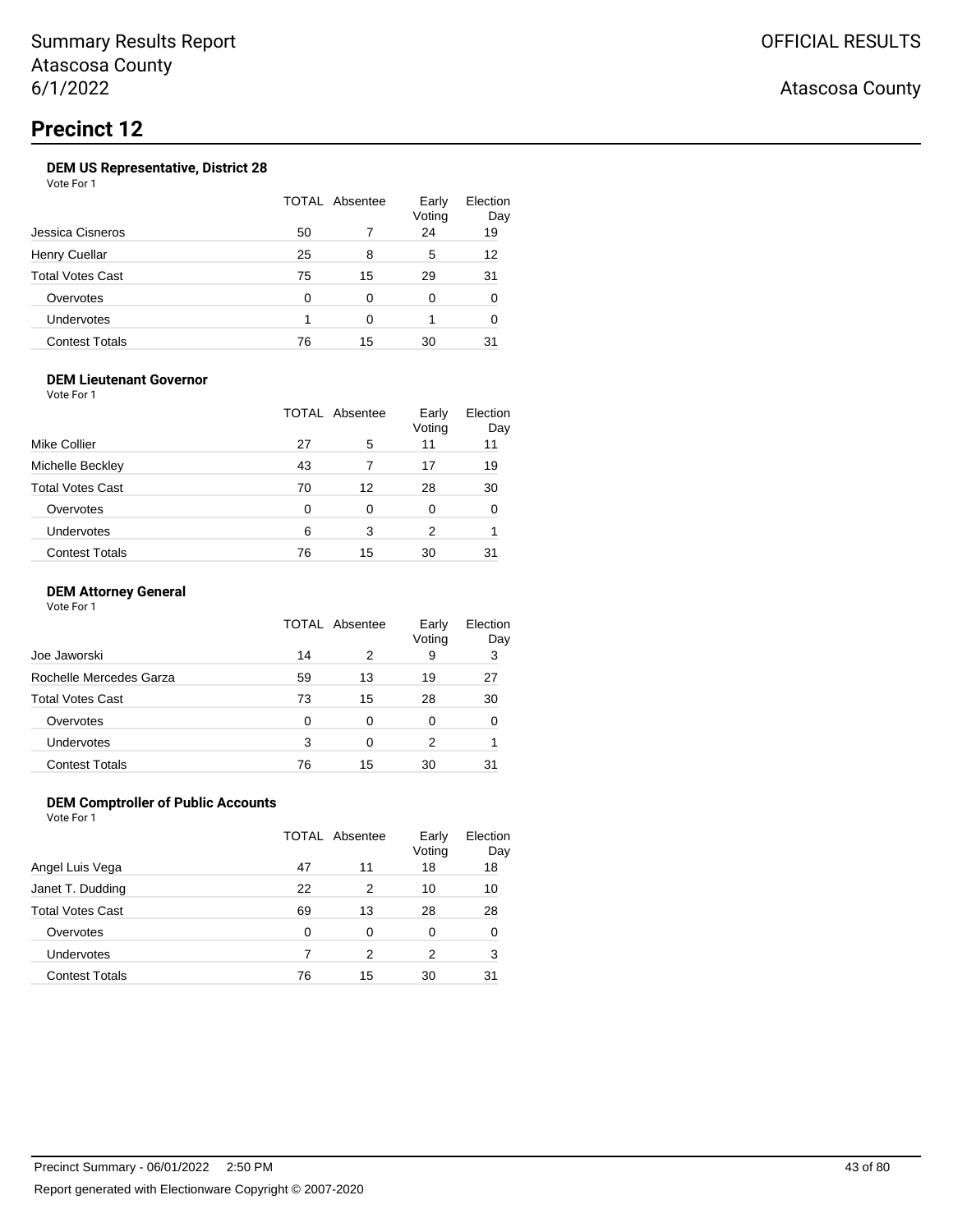### **DEM US Representative, District 28**

Vote For 1

|                       | TOTAL Absentee |    | Early<br>Voting | Election<br>Day |
|-----------------------|----------------|----|-----------------|-----------------|
| Jessica Cisneros      | 50             |    | 24              | 19              |
| Henry Cuellar         | 25             | 8  | 5               | 12              |
| Total Votes Cast      | 75             | 15 | 29              | 31              |
| Overvotes             | O              | 0  | 0               | 0               |
| Undervotes            |                | ∩  |                 | 0               |
| <b>Contest Totals</b> | 76             | 15 | 30              | 31              |

### **DEM Lieutenant Governor**

Vote For 1

|                         |    | TOTAL Absentee | Early<br>Voting | Election<br>Day |
|-------------------------|----|----------------|-----------------|-----------------|
| Mike Collier            | 27 | 5              | 11              | 11              |
| Michelle Beckley        | 43 |                | 17              | 19              |
| <b>Total Votes Cast</b> | 70 | 12             | 28              | 30              |
| Overvotes               | 0  | 0              | 0               |                 |
| Undervotes              | 6  | 3              | 2               |                 |
| <b>Contest Totals</b>   | 76 | 15             | 30              | 31              |

### **DEM Attorney General**

Vote For 1

|                         |    | TOTAL Absentee | Early<br>Voting | Election<br>Day |
|-------------------------|----|----------------|-----------------|-----------------|
| Joe Jaworski            | 14 | 2              | 9               | 3               |
| Rochelle Mercedes Garza | 59 | 13             | 19              | 27              |
| <b>Total Votes Cast</b> | 73 | 15             | 28              | 30              |
| Overvotes               | 0  | 0              | 0               |                 |
| <b>Undervotes</b>       | 3  | 0              | 2               |                 |
| <b>Contest Totals</b>   | 76 | 15             | 30              | 31              |

### **DEM Comptroller of Public Accounts**

Vote For 1

|                       |    | TOTAL Absentee | Early<br>Voting | Election<br>Day |
|-----------------------|----|----------------|-----------------|-----------------|
| Angel Luis Vega       | 47 | 11             | 18              | 18              |
| Janet T. Dudding      | 22 | 2              | 10              | 10              |
| Total Votes Cast      | 69 | 13             | 28              | 28              |
| Overvotes             | 0  | 0              | 0               | 0               |
| <b>Undervotes</b>     |    | 2              | 2               | 3               |
| <b>Contest Totals</b> | 76 | 15             | 30              | 31              |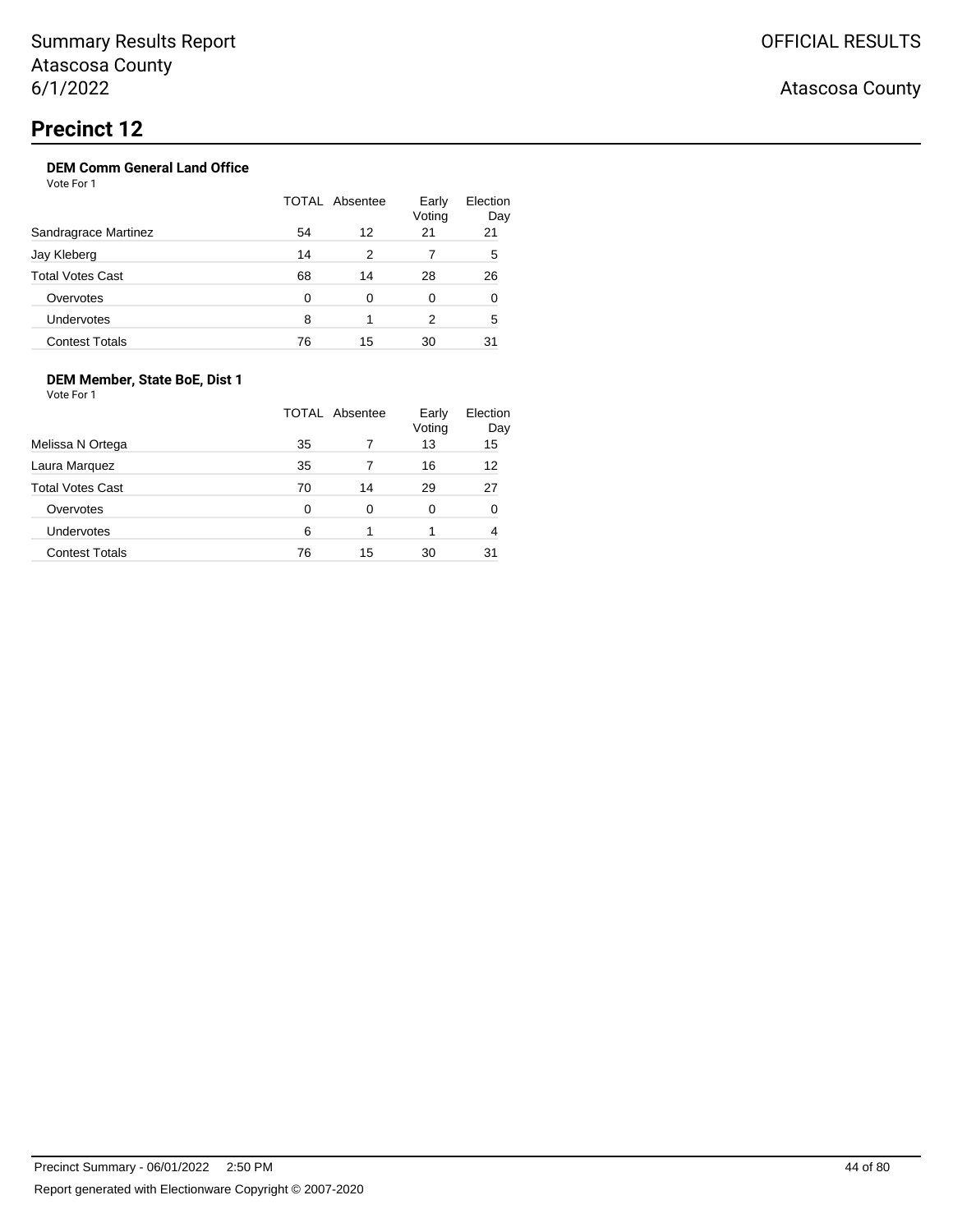## **DEM Comm General Land Office**

Vote For 1

|                         |    | TOTAL Absentee | Early<br>Voting | Election<br>Day |
|-------------------------|----|----------------|-----------------|-----------------|
| Sandragrace Martinez    | 54 | 12             | 21              | 21              |
| Jay Kleberg             | 14 | 2              |                 | 5               |
| <b>Total Votes Cast</b> | 68 | 14             | 28              | 26              |
| Overvotes               | 0  | 0              | 0               | 0               |
| Undervotes              | 8  |                | 2               | 5               |
| <b>Contest Totals</b>   | 76 | 15             | 30              | 31              |

### **DEM Member, State BoE, Dist 1**

Vote For 1

|                         |    | TOTAL Absentee | Early<br>Voting | Election<br>Day |
|-------------------------|----|----------------|-----------------|-----------------|
| Melissa N Ortega        | 35 |                | 13              | 15              |
| Laura Marquez           | 35 |                | 16              | 12              |
| <b>Total Votes Cast</b> | 70 | 14             | 29              | 27              |
| Overvotes               | 0  | 0              | 0               | 0               |
| Undervotes              | 6  |                |                 | 4               |
| <b>Contest Totals</b>   | 76 | 15             | 30              | 31              |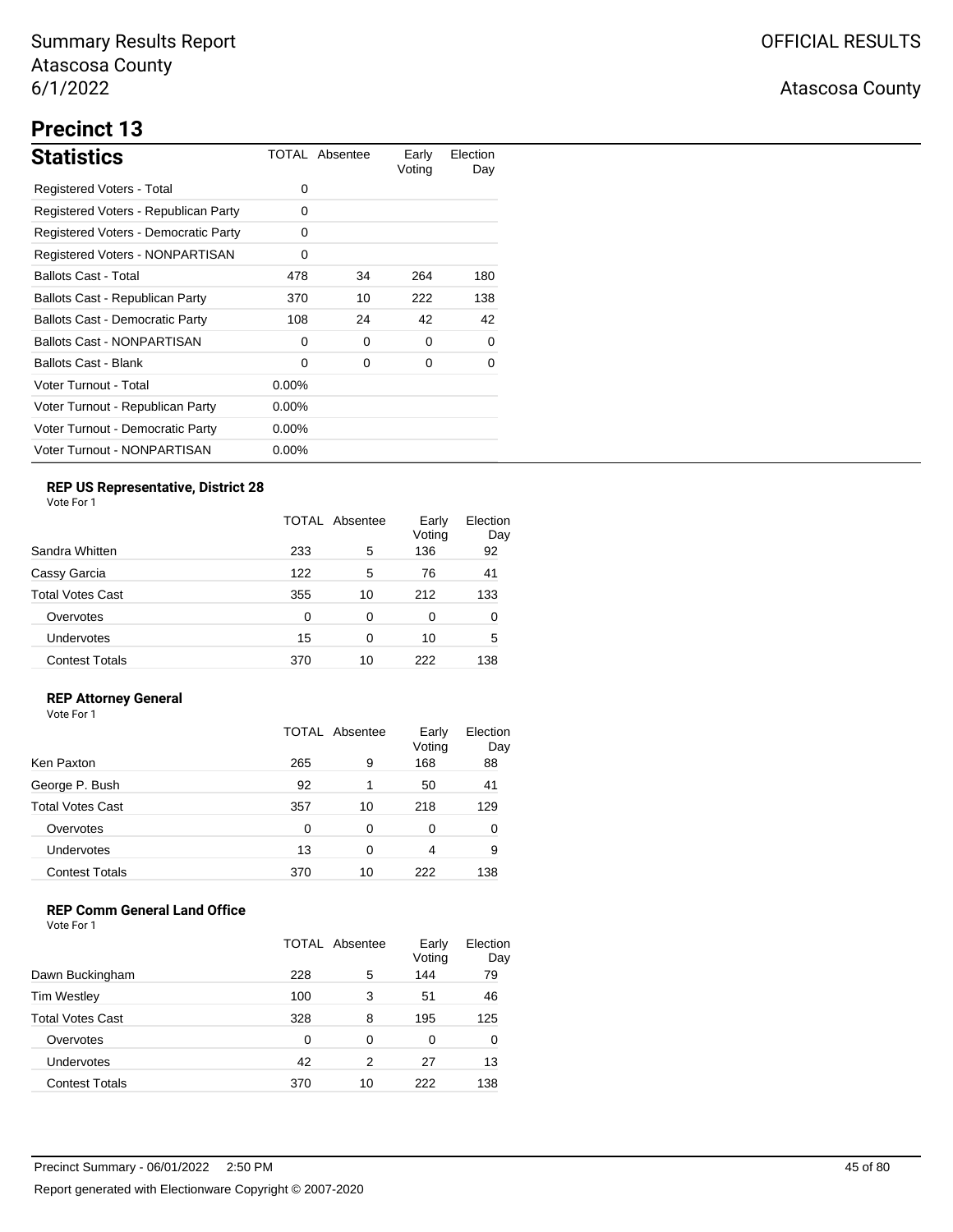# **Precinct 13**

| <b>Statistics</b>                      |          | TOTAL Absentee | Early<br>Voting | Election<br>Day |
|----------------------------------------|----------|----------------|-----------------|-----------------|
| Registered Voters - Total              | 0        |                |                 |                 |
| Registered Voters - Republican Party   | 0        |                |                 |                 |
| Registered Voters - Democratic Party   | 0        |                |                 |                 |
| Registered Voters - NONPARTISAN        | 0        |                |                 |                 |
| <b>Ballots Cast - Total</b>            | 478      | 34             | 264             | 180             |
| Ballots Cast - Republican Party        | 370      | 10             | 222             | 138             |
| <b>Ballots Cast - Democratic Party</b> | 108      | 24             | 42              | 42              |
| <b>Ballots Cast - NONPARTISAN</b>      | 0        | 0              | 0               | 0               |
| <b>Ballots Cast - Blank</b>            | 0        | 0              | 0               | 0               |
| Voter Turnout - Total                  | $0.00\%$ |                |                 |                 |
| Voter Turnout - Republican Party       | $0.00\%$ |                |                 |                 |
| Voter Turnout - Democratic Party       | $0.00\%$ |                |                 |                 |
| Voter Turnout - NONPARTISAN            | $0.00\%$ |                |                 |                 |

## **REP US Representative, District 28**

Vote For 1

|                       | TOTAL Absentee |    | Early<br>Voting | Election<br>Day |
|-----------------------|----------------|----|-----------------|-----------------|
| Sandra Whitten        | 233            | 5  | 136             | 92              |
| Cassy Garcia          | 122            | 5  | 76              | 41              |
| Total Votes Cast      | 355            | 10 | 212             | 133             |
| Overvotes             | $\Omega$       | 0  | 0               | 0               |
| Undervotes            | 15             | 0  | 10              | 5               |
| <b>Contest Totals</b> | 370            | 10 | 222             | 138             |

### **REP Attorney General**

Vote For 1

|                         | TOTAL Absentee |    | Early<br>Voting | Election<br>Day |
|-------------------------|----------------|----|-----------------|-----------------|
| Ken Paxton              | 265            | 9  | 168             | 88              |
| George P. Bush          | 92             | 1  | 50              | 41              |
| <b>Total Votes Cast</b> | 357            | 10 | 218             | 129             |
| Overvotes               | 0              | 0  | 0               | 0               |
| Undervotes              | 13             | 0  | 4               | 9               |
| <b>Contest Totals</b>   | 370            | 10 | 222             | 138             |

### **REP Comm General Land Office**

|                         | TOTAL Absentee |    | Early<br>Voting | Election<br>Day |
|-------------------------|----------------|----|-----------------|-----------------|
| Dawn Buckingham         | 228            | 5  | 144             | 79              |
| <b>Tim Westley</b>      | 100            | 3  | 51              | 46              |
| <b>Total Votes Cast</b> | 328            | 8  | 195             | 125             |
| Overvotes               | 0              | 0  | 0               | 0               |
| Undervotes              | 42             | 2  | 27              | 13              |
| <b>Contest Totals</b>   | 370            | 10 | 222             | 138             |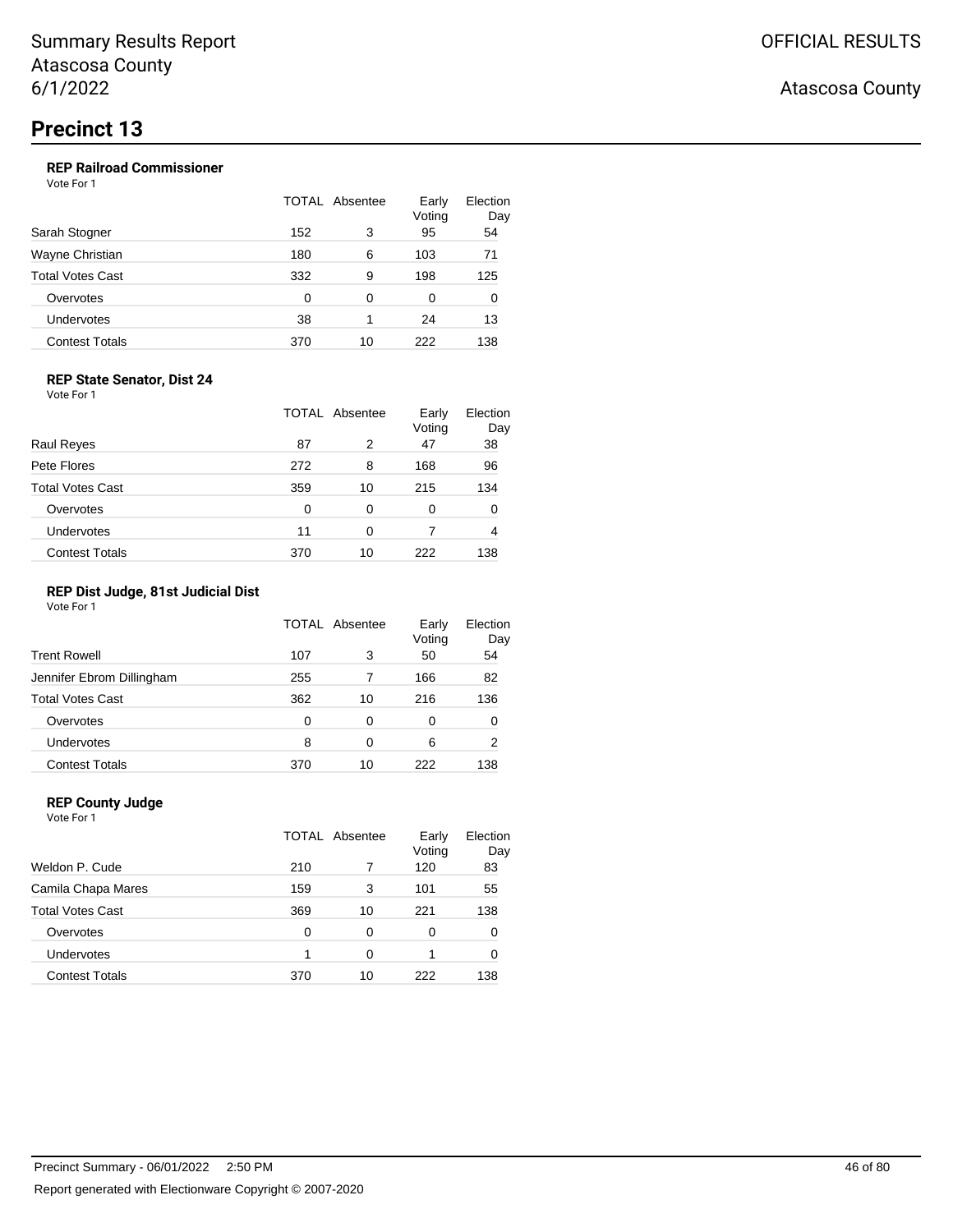### **REP Railroad Commissioner**

Vote For 1

|                       | TOTAL Absentee |          | Early<br>Voting | Election<br>Day |
|-----------------------|----------------|----------|-----------------|-----------------|
| Sarah Stogner         | 152            | 3        | 95              | 54              |
| Wayne Christian       | 180            | 6        | 103             | 71              |
| Total Votes Cast      | 332            | 9        | 198             | 125             |
| Overvotes             | 0              | $\Omega$ | 0               | 0               |
| Undervotes            | 38             |          | 24              | 13              |
| <b>Contest Totals</b> | 370            | 10       | 222             | 138             |

### **REP State Senator, Dist 24**

Vote For 1

|                         |     | TOTAL Absentee | Early<br>Voting | Election<br>Day |
|-------------------------|-----|----------------|-----------------|-----------------|
| <b>Raul Reyes</b>       | 87  | 2              | 47              | 38              |
| Pete Flores             | 272 | 8              | 168             | 96              |
| <b>Total Votes Cast</b> | 359 | 10             | 215             | 134             |
| Overvotes               | 0   | 0              | 0               | 0               |
| Undervotes              | 11  | 0              |                 | 4               |
| <b>Contest Totals</b>   | 370 | 10             | 222             | 138             |

### **REP Dist Judge, 81st Judicial Dist**

Vote For 1

|                           |     | TOTAL Absentee | Early<br>Voting | Election<br>Day |
|---------------------------|-----|----------------|-----------------|-----------------|
| <b>Trent Rowell</b>       | 107 | 3              | 50              | 54              |
| Jennifer Ebrom Dillingham | 255 | 7              | 166             | 82              |
| <b>Total Votes Cast</b>   | 362 | 10             | 216             | 136             |
| Overvotes                 | 0   | 0              | 0               | 0               |
| <b>Undervotes</b>         | 8   | 0              | 6               | 2               |
| <b>Contest Totals</b>     | 370 | 10             | 222             | 138             |

### **REP County Judge**

| Vote For 1              |       |          |                 |                 |
|-------------------------|-------|----------|-----------------|-----------------|
|                         | TOTAL | Absentee | Early<br>Voting | Election<br>Day |
| Weldon P. Cude          | 210   |          | 120             | 83              |
| Camila Chapa Mares      | 159   | 3        | 101             | 55              |
| <b>Total Votes Cast</b> | 369   | 10       | 221             | 138             |
| Overvotes               | 0     | 0        | 0               | 0               |
| <b>Undervotes</b>       | 1     | 0        |                 | 0               |
| <b>Contest Totals</b>   | 370   | 10       | 222             | 138             |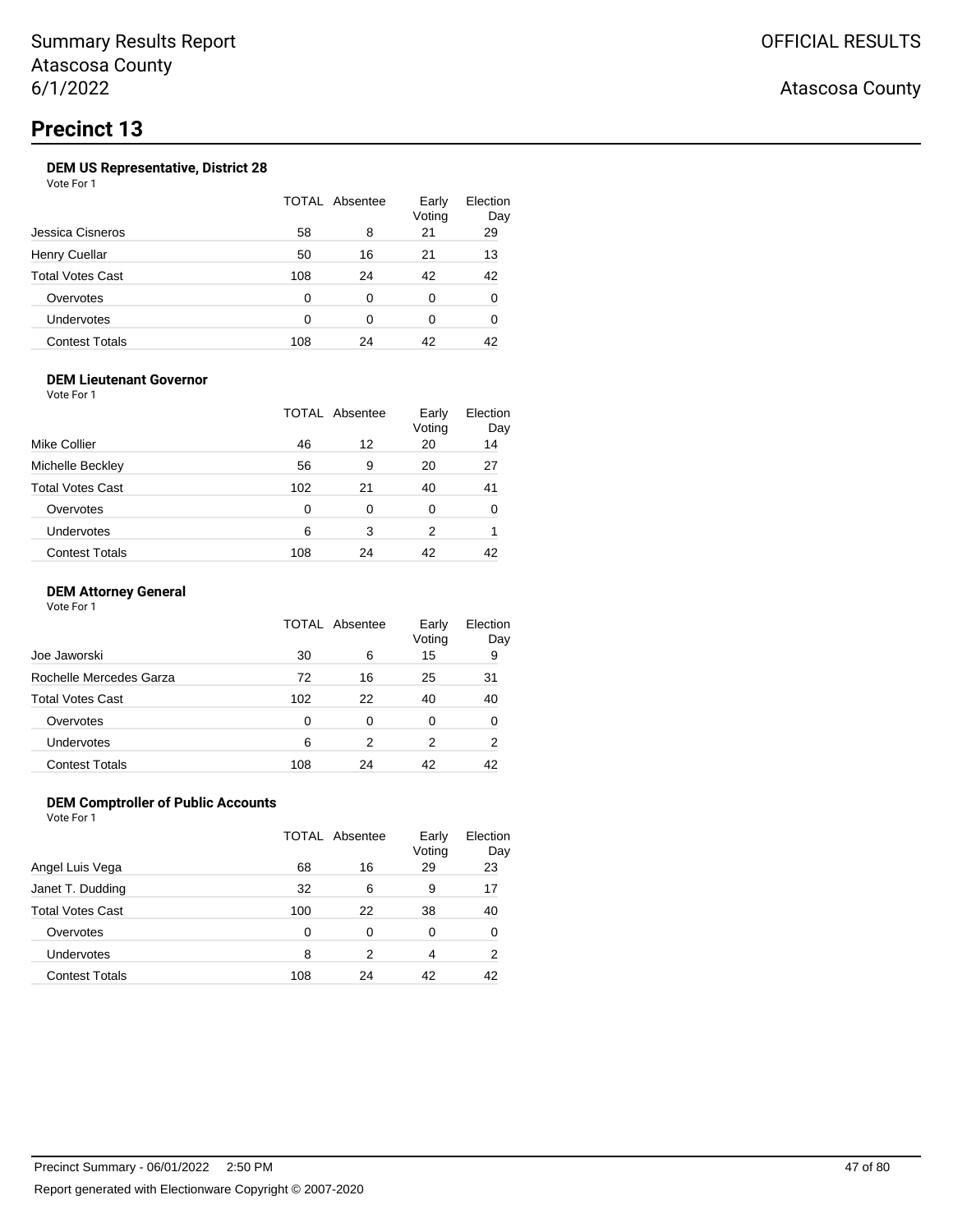### **DEM US Representative, District 28**

Vote For 1

|                         |     | TOTAL Absentee | Early<br>Voting | Election<br>Day |
|-------------------------|-----|----------------|-----------------|-----------------|
| Jessica Cisneros        | 58  | 8              | 21              | 29              |
| <b>Henry Cuellar</b>    | 50  | 16             | 21              | 13              |
| <b>Total Votes Cast</b> | 108 | 24             | 42              | 42              |
| Overvotes               | 0   | 0              | 0               | 0               |
| Undervotes              | ∩   | 0              | 0               | 0               |
| <b>Contest Totals</b>   | 108 | 24             | 42              | 42              |

### **DEM Lieutenant Governor**

Vote For 1

|                         |     | <b>TOTAL Absentee</b> | Early<br>Voting | Election<br>Day |
|-------------------------|-----|-----------------------|-----------------|-----------------|
| Mike Collier            | 46  | 12                    | 20              | 14              |
| Michelle Beckley        | 56  | 9                     | 20              | 27              |
| <b>Total Votes Cast</b> | 102 | 21                    | 40              | 41              |
| Overvotes               | 0   | 0                     | 0               | $\Omega$        |
| Undervotes              | 6   | 3                     | 2               |                 |
| <b>Contest Totals</b>   | 108 | 24                    | 42              | 42              |

### **DEM Attorney General**

Vote For 1

|                         |     | TOTAL Absentee | Early<br>Voting | Election<br>Day |
|-------------------------|-----|----------------|-----------------|-----------------|
| Joe Jaworski            | 30  | 6              | 15              | 9               |
| Rochelle Mercedes Garza | 72  | 16             | 25              | 31              |
| <b>Total Votes Cast</b> | 102 | 22             | 40              | 40              |
| Overvotes               | 0   | 0              | 0               | 0               |
| <b>Undervotes</b>       | 6   | 2              | 2               | 2               |
| <b>Contest Totals</b>   | 108 | 24             | 42              | 42              |

### **DEM Comptroller of Public Accounts**

Vote For 1

|                         |          | TOTAL Absentee | Early<br>Voting | Election<br>Day |
|-------------------------|----------|----------------|-----------------|-----------------|
| Angel Luis Vega         | 68       | 16             | 29              | 23              |
| Janet T. Dudding        | 32       | 6              | 9               | 17              |
| <b>Total Votes Cast</b> | 100      | 22             | 38              | 40              |
| Overvotes               | $\Omega$ | 0              | 0               | 0               |
| Undervotes              | 8        | 2              | 4               | 2               |
| <b>Contest Totals</b>   | 108      | 24             | 42              | 42              |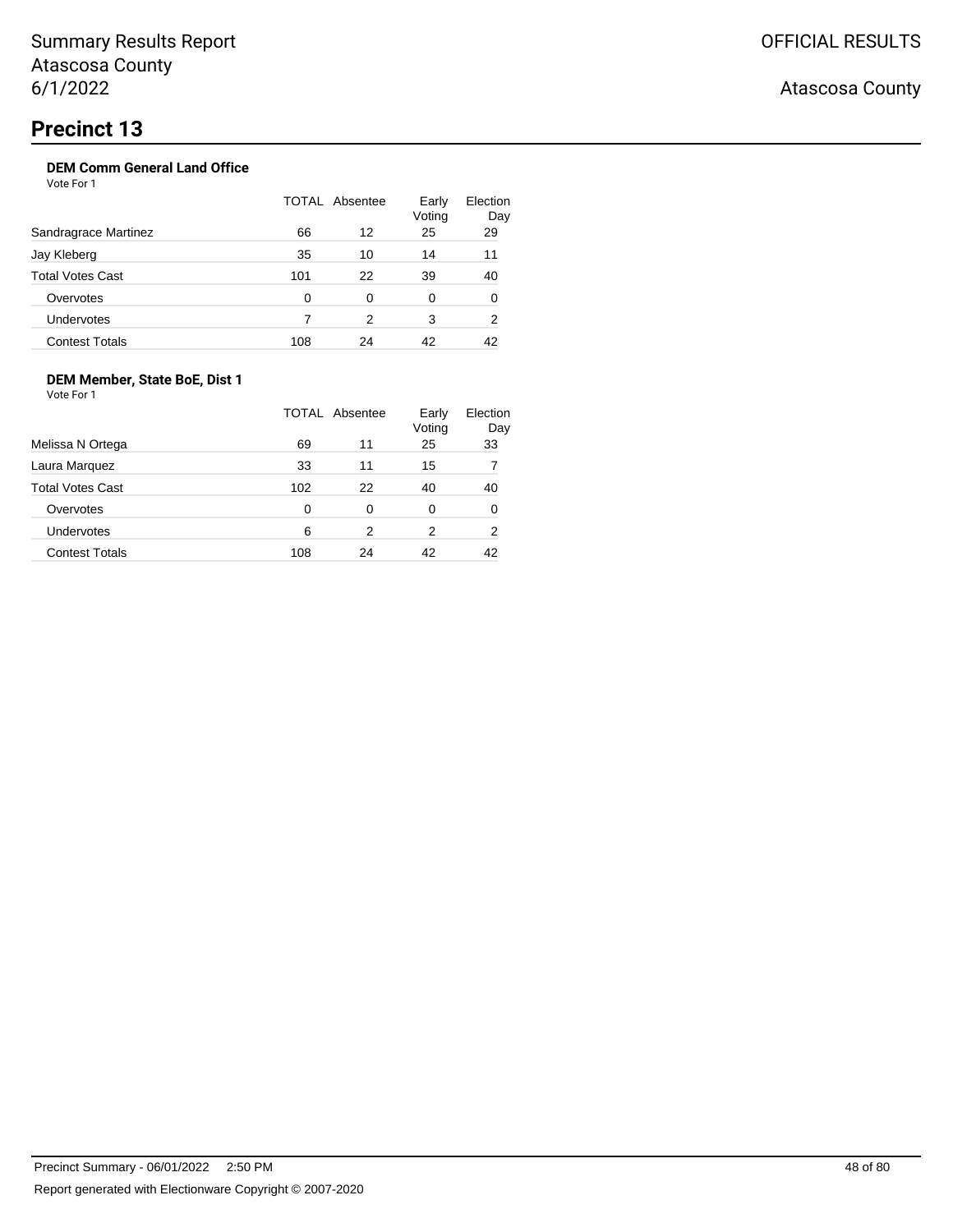## **DEM Comm General Land Office**

Vote For 1

|                         |     | TOTAL Absentee | Early<br>Voting | Election<br>Day |
|-------------------------|-----|----------------|-----------------|-----------------|
| Sandragrace Martinez    | 66  | 12             | 25              | 29              |
| Jay Kleberg             | 35  | 10             | 14              | 11              |
| <b>Total Votes Cast</b> | 101 | 22             | 39              | 40              |
| Overvotes               | 0   | 0              | 0               | 0               |
| Undervotes              |     | 2              | 3               | 2               |
| <b>Contest Totals</b>   | 108 | 24             | 42              | 42              |

### **DEM Member, State BoE, Dist 1**

Vote For 1

|                         |     | TOTAL Absentee | Early<br>Voting | Election<br>Day |
|-------------------------|-----|----------------|-----------------|-----------------|
| Melissa N Ortega        | 69  | 11             | 25              | 33              |
| Laura Marquez           | 33  | 11             | 15              |                 |
| <b>Total Votes Cast</b> | 102 | 22             | 40              | 40              |
| Overvotes               | 0   | 0              | 0               | 0               |
| <b>Undervotes</b>       | 6   | 2              | 2               | 2               |
| <b>Contest Totals</b>   | 108 | 24             | 42              | 42              |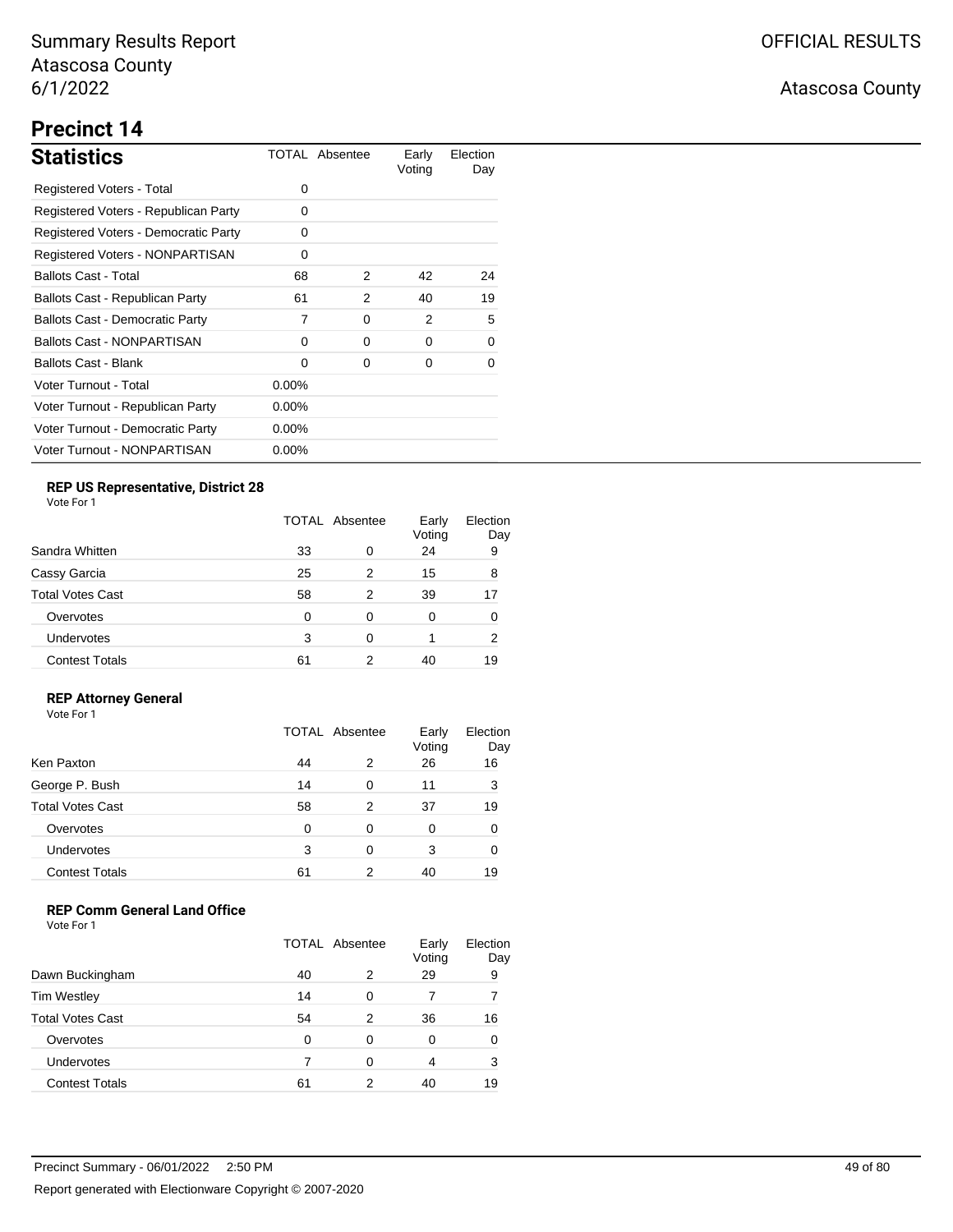# **Precinct 14**

| <b>Statistics</b>                      |          | TOTAL Absentee | Early<br>Voting | Election<br>Day |
|----------------------------------------|----------|----------------|-----------------|-----------------|
| Registered Voters - Total              | 0        |                |                 |                 |
| Registered Voters - Republican Party   | 0        |                |                 |                 |
| Registered Voters - Democratic Party   | 0        |                |                 |                 |
| <b>Registered Voters - NONPARTISAN</b> | 0        |                |                 |                 |
| <b>Ballots Cast - Total</b>            | 68       | 2              | 42              | 24              |
| Ballots Cast - Republican Party        | 61       | 2              | 40              | 19              |
| <b>Ballots Cast - Democratic Party</b> | 7        | 0              | 2               | 5               |
| <b>Ballots Cast - NONPARTISAN</b>      | 0        | 0              | 0               | 0               |
| <b>Ballots Cast - Blank</b>            | 0        | 0              | 0               | 0               |
| Voter Turnout - Total                  | $0.00\%$ |                |                 |                 |
| Voter Turnout - Republican Party       | $0.00\%$ |                |                 |                 |
| Voter Turnout - Democratic Party       | $0.00\%$ |                |                 |                 |
| Voter Turnout - NONPARTISAN            | $0.00\%$ |                |                 |                 |

### **REP US Representative, District 28**

Vote For 1

| Sandra Whitten          |    | TOTAL Absentee |    | Election<br>Day |
|-------------------------|----|----------------|----|-----------------|
|                         | 33 | 0              | 24 | 9               |
| Cassy Garcia            | 25 | 2              | 15 | 8               |
| <b>Total Votes Cast</b> | 58 | 2              | 39 | 17              |
| Overvotes               | 0  | 0              | 0  | 0               |
| Undervotes              | 3  | 0              |    | 2               |
| <b>Contest Totals</b>   | 61 | 2              | 40 | 19              |

### **REP Attorney General**

Vote For 1

|                         | TOTAL Absentee |   | Early<br>Voting | Election<br>Day |
|-------------------------|----------------|---|-----------------|-----------------|
| Ken Paxton              | 44             | 2 | 26              | 16              |
| George P. Bush          | 14             | 0 | 11              | 3               |
| <b>Total Votes Cast</b> | 58             | 2 | 37              | 19              |
| Overvotes               | 0              | 0 | 0               |                 |
| Undervotes              | 3              | 0 | 3               |                 |
| <b>Contest Totals</b>   | 61             | 2 | 40              | 19              |

### **REP Comm General Land Office**

|                         | TOTAL Absentee |   | Early<br>Voting | Election<br>Day |
|-------------------------|----------------|---|-----------------|-----------------|
| Dawn Buckingham         | 40             | 2 | 29              | 9               |
| <b>Tim Westley</b>      | 14             | O |                 |                 |
| <b>Total Votes Cast</b> | 54             | 2 | 36              | 16              |
| Overvotes               | ∩              | 0 | 0               | 0               |
| Undervotes              |                | ∩ | 4               | 3               |
| <b>Contest Totals</b>   | 61             | 2 | 40              | 19              |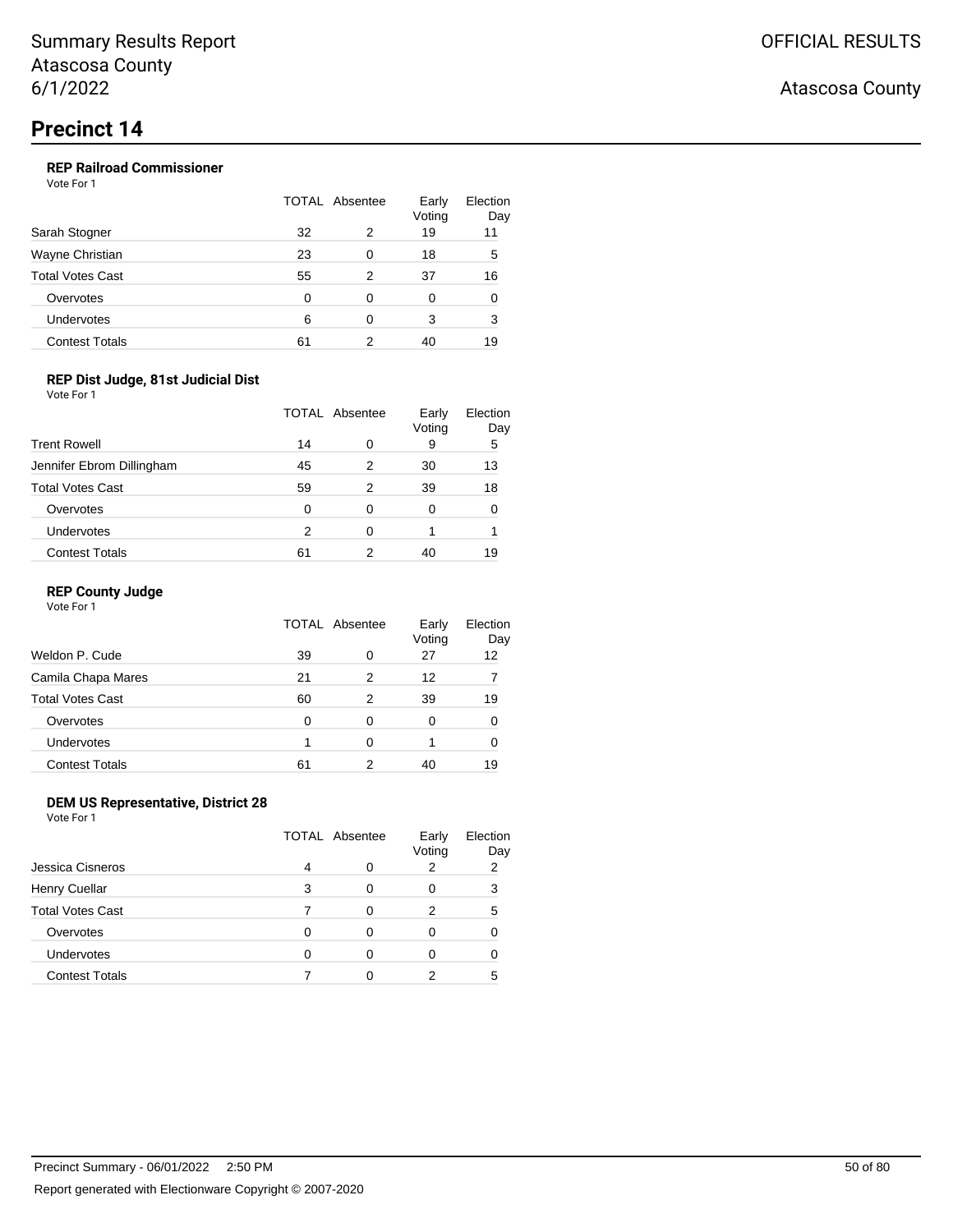### **REP Railroad Commissioner**

Vote For 1

|                         | TOTAL Absentee |   | Early<br>Voting | Election<br>Day |
|-------------------------|----------------|---|-----------------|-----------------|
| Sarah Stogner           | 32             | 2 | 19              | 11              |
| Wayne Christian         | 23             | 0 | 18              | 5               |
| <b>Total Votes Cast</b> | 55             | 2 | 37              | 16              |
| Overvotes               | 0              | 0 | 0               | 0               |
| Undervotes              | 6              | 0 | 3               | 3               |
| <b>Contest Totals</b>   | 61             | 2 | 40              | 19              |

### **REP Dist Judge, 81st Judicial Dist**

Vote For 1

|                           | TOTAL Absentee |   | Early<br>Voting | Election<br>Day |
|---------------------------|----------------|---|-----------------|-----------------|
| <b>Trent Rowell</b>       | 14             | O | 9               | 5               |
| Jennifer Ebrom Dillingham | 45             | 2 | 30              | 13              |
| <b>Total Votes Cast</b>   | 59             | 2 | 39              | 18              |
| Overvotes                 | 0              | 0 | 0               | 0               |
| Undervotes                | 2              | 0 |                 |                 |
| <b>Contest Totals</b>     | 61             | 2 | 40              | 19              |

### **REP County Judge**

Vote For 1

|    |   | Early<br>Voting | Election<br>Day |
|----|---|-----------------|-----------------|
| 39 | 0 | 27              | 12              |
| 21 | 2 | 12              |                 |
| 60 | 2 | 39              | 19              |
| 0  | 0 | 0               | 0               |
|    | 0 |                 | 0               |
| 61 | 2 | 40              | 19              |
|    |   | TOTAL Absentee  |                 |

### **DEM US Representative, District 28**

Vote For 1

|                         | <b>TOTAL Absentee</b> |          | Early<br>Voting | Election<br>Day |
|-------------------------|-----------------------|----------|-----------------|-----------------|
| Jessica Cisneros        | 4                     | 0        |                 | 2               |
| <b>Henry Cuellar</b>    | 3                     | $\Omega$ |                 | 3               |
| <b>Total Votes Cast</b> |                       | 0        | 2               | 5               |
| Overvotes               | O                     | 0        |                 |                 |
| <b>Undervotes</b>       | ∩                     | 0        |                 |                 |
| <b>Contest Totals</b>   |                       | Ω        | 2               | 5               |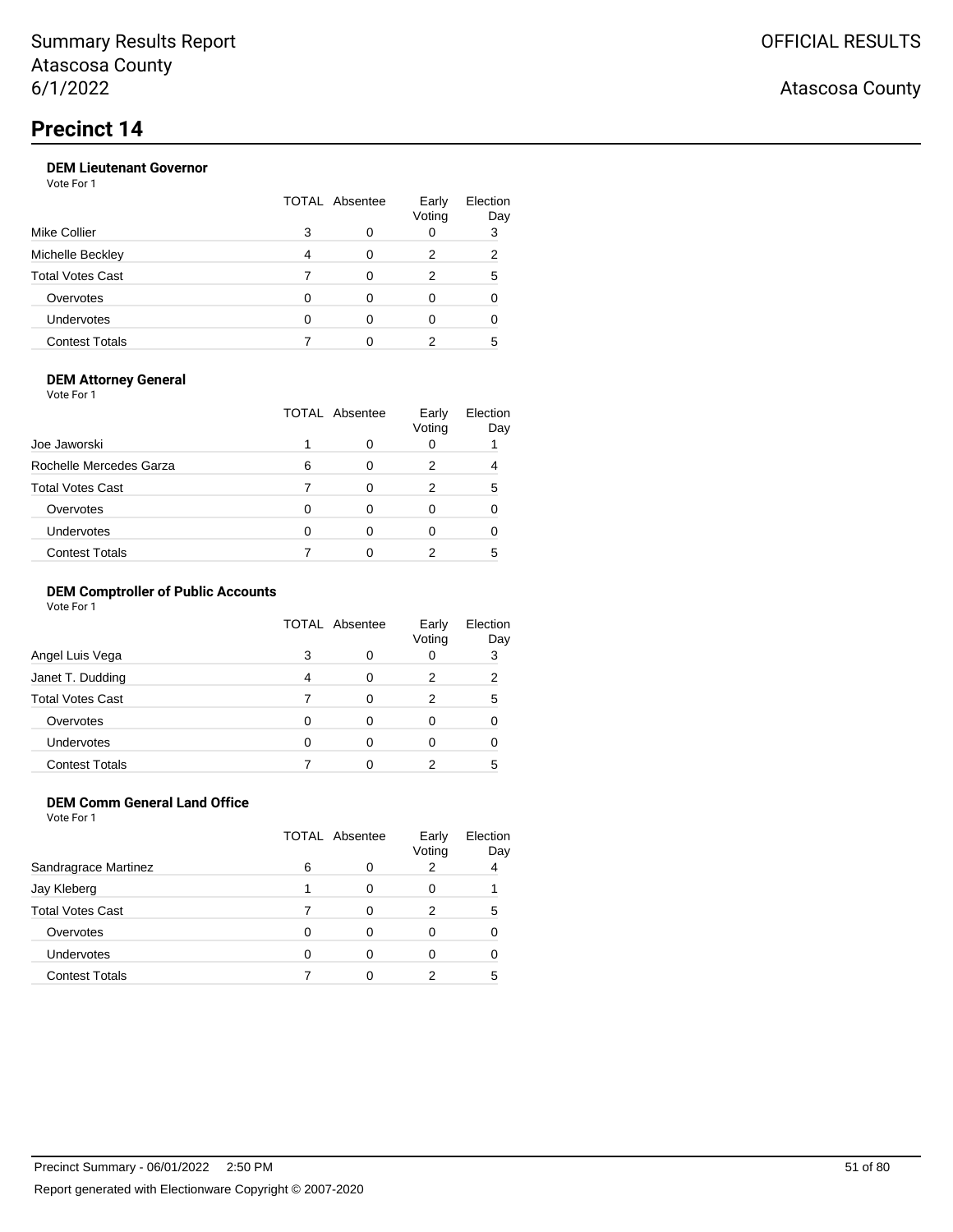### **DEM Lieutenant Governor**

Vote For 1

| <b>Mike Collier</b>     | TOTAL Absentee |   | Early<br>Voting | Election<br>Day |
|-------------------------|----------------|---|-----------------|-----------------|
|                         | 3              | 0 |                 | 3               |
| Michelle Beckley        | 4              | ∩ | 2               | 2               |
| <b>Total Votes Cast</b> |                | ∩ | 2               | 5               |
| Overvotes               |                | 0 | Ω               |                 |
| <b>Undervotes</b>       |                |   |                 |                 |
| <b>Contest Totals</b>   |                |   |                 | 5               |

### **DEM Attorney General**

Vote For 1

|                         | TOTAL Absentee |              | Early<br>Voting | Election<br>Day |
|-------------------------|----------------|--------------|-----------------|-----------------|
| Joe Jaworski            |                | Ω            |                 |                 |
| Rochelle Mercedes Garza | 6              | 0            | 2               |                 |
| <b>Total Votes Cast</b> |                | <sup>0</sup> | 2               | 5               |
| Overvotes               | O              | 0            |                 |                 |
| Undervotes              | 0              | 0            |                 |                 |
| <b>Contest Totals</b>   |                |              |                 | 5               |

### **DEM Comptroller of Public Accounts**

Vote For 1

|                         | <b>TOTAL Absentee</b> |   | Early<br>Voting | Election<br>Day |
|-------------------------|-----------------------|---|-----------------|-----------------|
| Angel Luis Vega         | 3                     | 0 |                 | 3               |
| Janet T. Dudding        | Δ                     | 0 | 2               | 2               |
| <b>Total Votes Cast</b> |                       | 0 | 2               | 5               |
| Overvotes               |                       | 0 |                 |                 |
| <b>Undervotes</b>       |                       | 0 |                 |                 |
| <b>Contest Totals</b>   |                       |   | 2               | 5               |

### **DEM Comm General Land Office**

Vote For 1

|                         |   | <b>TOTAL Absentee</b> | Early<br>Voting | Election<br>Day |
|-------------------------|---|-----------------------|-----------------|-----------------|
| Sandragrace Martinez    | 6 | O                     |                 | 4               |
| Jay Kleberg             |   | O                     |                 |                 |
| <b>Total Votes Cast</b> |   | 0                     | 2               | 5               |
| Overvotes               |   | 0                     |                 |                 |
| <b>Undervotes</b>       | ∩ | 0                     |                 |                 |
| <b>Contest Totals</b>   |   |                       |                 | 5               |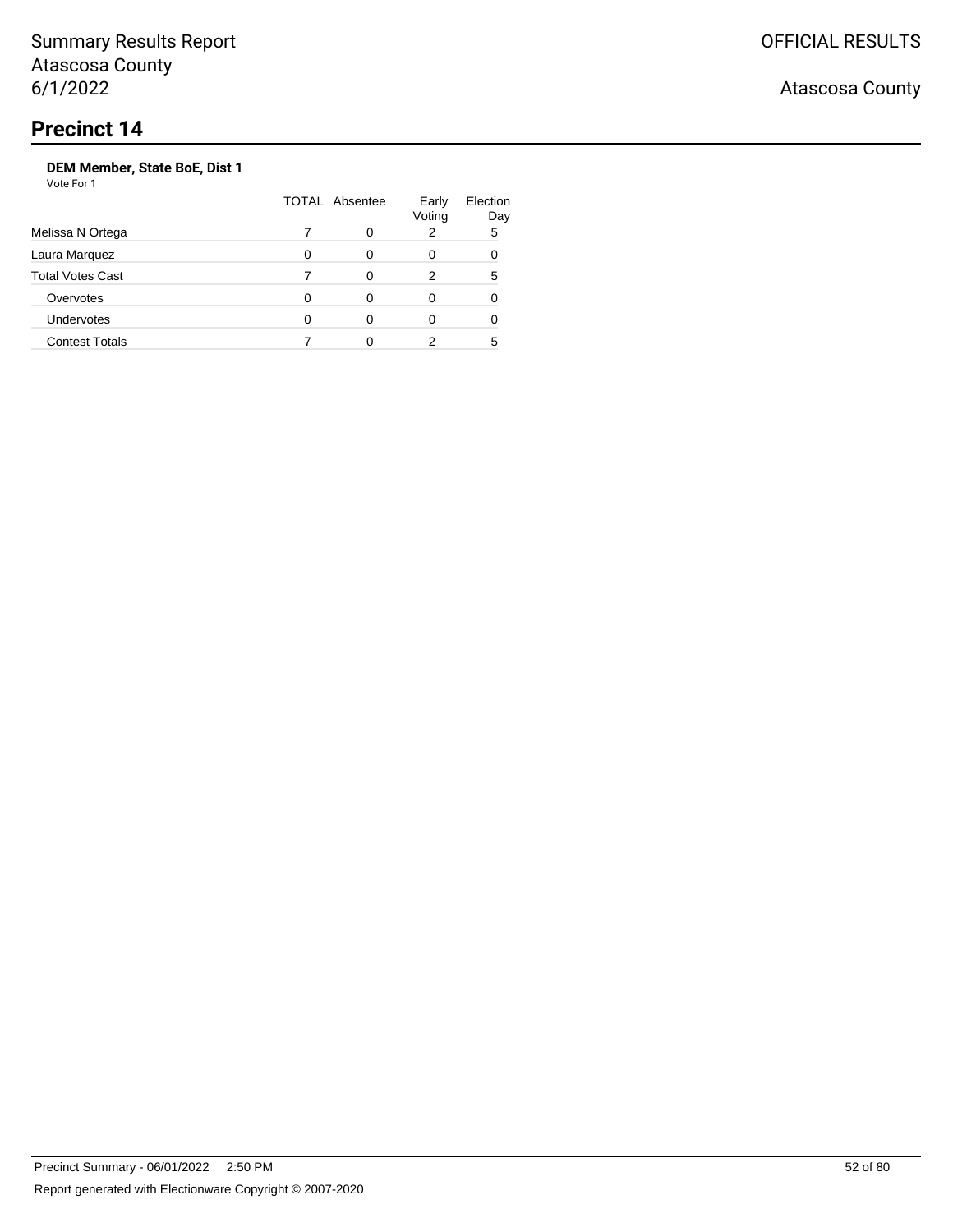Atascosa County

## **DEM Member, State BoE, Dist 1**

|                         | <b>TOTAL Absentee</b> | Early<br>Voting | Election<br>Day |
|-------------------------|-----------------------|-----------------|-----------------|
| Melissa N Ortega        |                       | 2               | 5               |
| Laura Marquez           |                       | 0               |                 |
| <b>Total Votes Cast</b> |                       | 2               | 5               |
| Overvotes               |                       | 0               |                 |
| Undervotes              |                       | 0               |                 |
| <b>Contest Totals</b>   |                       |                 | 5               |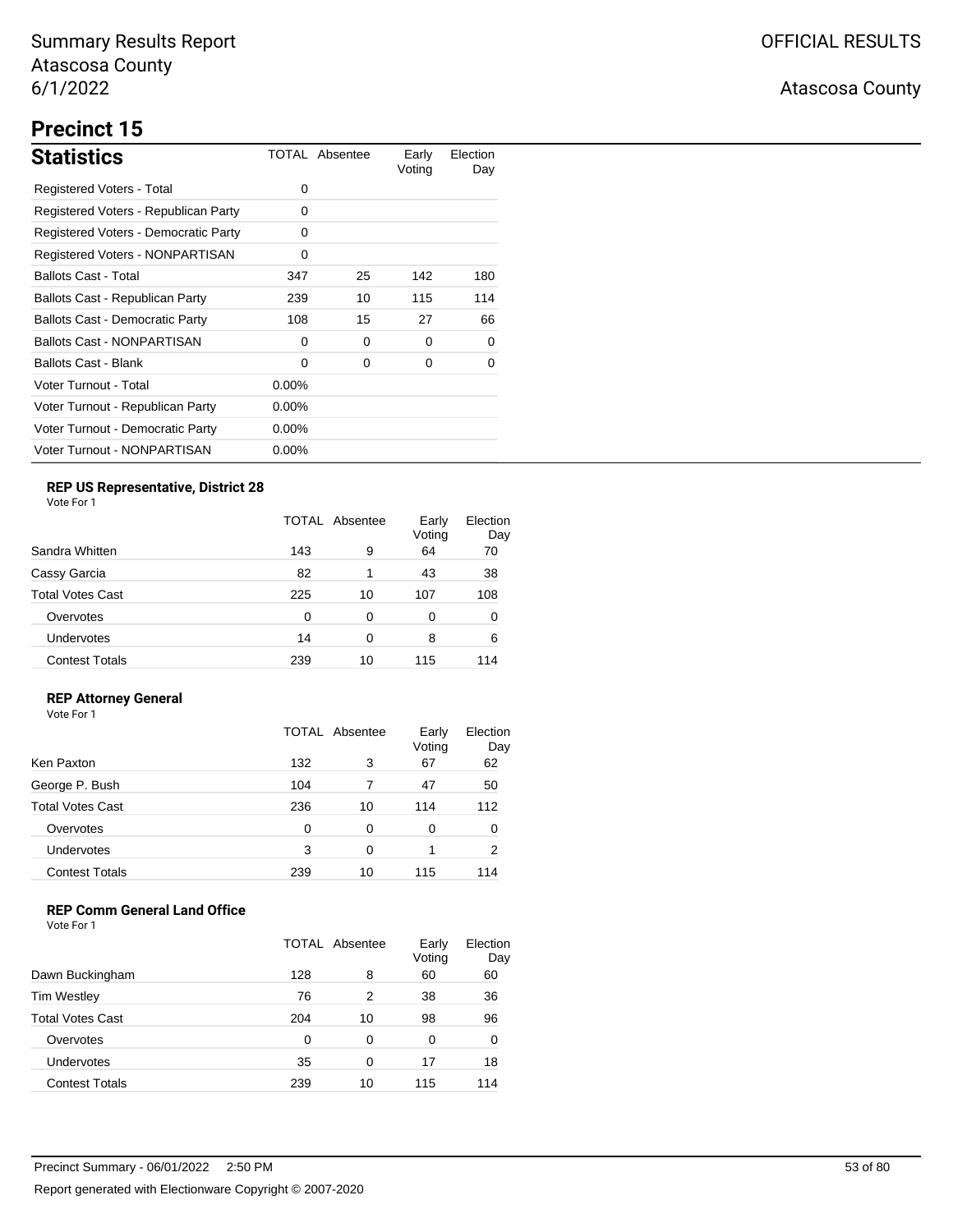# **Precinct 15**

| <b>Statistics</b>                      |          | TOTAL Absentee | Early<br>Voting | Election<br>Day |
|----------------------------------------|----------|----------------|-----------------|-----------------|
| Registered Voters - Total              | 0        |                |                 |                 |
| Registered Voters - Republican Party   | 0        |                |                 |                 |
| Registered Voters - Democratic Party   | 0        |                |                 |                 |
| Registered Voters - NONPARTISAN        | 0        |                |                 |                 |
| <b>Ballots Cast - Total</b>            | 347      | 25             | 142             | 180             |
| Ballots Cast - Republican Party        | 239      | 10             | 115             | 114             |
| <b>Ballots Cast - Democratic Party</b> | 108      | 15             | 27              | 66              |
| <b>Ballots Cast - NONPARTISAN</b>      | 0        | 0              | 0               | 0               |
| Ballots Cast - Blank                   | 0        | 0              | 0               | 0               |
| Voter Turnout - Total                  | $0.00\%$ |                |                 |                 |
| Voter Turnout - Republican Party       | $0.00\%$ |                |                 |                 |
| Voter Turnout - Democratic Party       | $0.00\%$ |                |                 |                 |
| Voter Turnout - NONPARTISAN            | $0.00\%$ |                |                 |                 |

## **REP US Representative, District 28**

Vote For 1

|                       | TOTAL Absentee |    | Early<br>Voting | Election<br>Day |
|-----------------------|----------------|----|-----------------|-----------------|
| Sandra Whitten        | 143            | 9  | 64              | 70              |
| Cassy Garcia          | 82             | 1  | 43              | 38              |
| Total Votes Cast      | 225            | 10 | 107             | 108             |
| Overvotes             | 0              | 0  | 0               | 0               |
| Undervotes            | 14             | 0  | 8               | 6               |
| <b>Contest Totals</b> | 239            | 10 | 115             | 114             |

### **REP Attorney General**

Vote For 1

|                         | TOTAL Absentee |          | Early<br>Voting | Election<br>Day |
|-------------------------|----------------|----------|-----------------|-----------------|
| Ken Paxton              | 132            | 3        | 67              | 62              |
| George P. Bush          | 104            |          | 47              | 50              |
| <b>Total Votes Cast</b> | 236            | 10       | 114             | 112             |
| Overvotes               | 0              | $\Omega$ | 0               | 0               |
| Undervotes              | 3              | 0        |                 | 2               |
| <b>Contest Totals</b>   | 239            | 10       | 115             | 114             |

## **REP Comm General Land Office**

|                         | TOTAL Absentee |    | Early<br>Voting | Election<br>Day |
|-------------------------|----------------|----|-----------------|-----------------|
| Dawn Buckingham         | 128            | 8  | 60              | 60              |
| <b>Tim Westley</b>      | 76             | 2  | 38              | 36              |
| <b>Total Votes Cast</b> | 204            | 10 | 98              | 96              |
| Overvotes               | 0              | 0  | 0               | 0               |
| <b>Undervotes</b>       | 35             | 0  | 17              | 18              |
| <b>Contest Totals</b>   | 239            | 10 | 115             | 114             |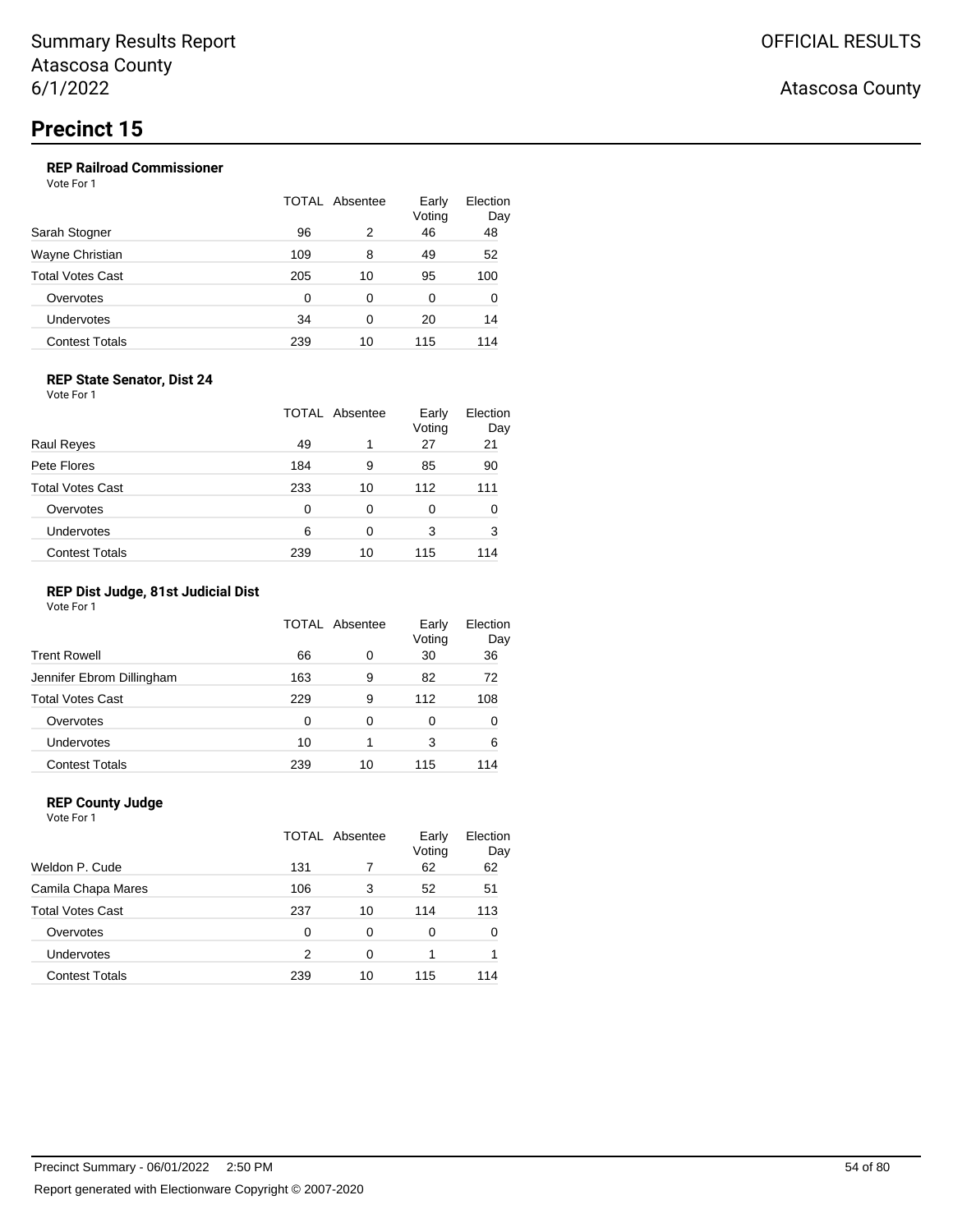### **REP Railroad Commissioner**

Vote For 1

| Sarah Stogner         | TOTAL Absentee |          | Early<br>Voting | Election<br>Day |  |
|-----------------------|----------------|----------|-----------------|-----------------|--|
|                       | 96             | 2        | 46              | 48              |  |
| Wayne Christian       | 109            | 8        | 49              | 52              |  |
| Total Votes Cast      | 205            | 10       | 95              | 100             |  |
| Overvotes             | 0              | $\Omega$ | 0               | 0               |  |
| Undervotes            | 34             | 0        | 20              | 14              |  |
| <b>Contest Totals</b> | 239            | 10       | 115             | 114             |  |

### **REP State Senator, Dist 24**

Vote For 1

|                         | <b>TOTAL Absentee</b> |    | Early<br>Voting | Election<br>Day |
|-------------------------|-----------------------|----|-----------------|-----------------|
| Raul Reyes              | 49                    |    | 27              | 21              |
| Pete Flores             | 184                   | 9  | 85              | 90              |
| <b>Total Votes Cast</b> | 233                   | 10 | 112             | 111             |
| Overvotes               | 0                     | 0  | 0               | 0               |
| <b>Undervotes</b>       | 6                     | 0  | 3               | 3               |
| <b>Contest Totals</b>   | 239                   | 10 | 115             | 114             |

### **REP Dist Judge, 81st Judicial Dist**

Vote For 1

|                           | TOTAL Absentee |    | Early<br>Voting | Election<br>Day |
|---------------------------|----------------|----|-----------------|-----------------|
| <b>Trent Rowell</b>       | 66             | 0  | 30              | 36              |
| Jennifer Ebrom Dillingham | 163            | 9  | 82              | 72              |
| <b>Total Votes Cast</b>   | 229            | 9  | 112             | 108             |
| Overvotes                 | 0              | 0  | 0               | 0               |
| <b>Undervotes</b>         | 10             | 1  | 3               | 6               |
| <b>Contest Totals</b>     | 239            | 10 | 115             | 114             |

### **REP County Judge**

| Vote For 1              |     |                |                 |                 |
|-------------------------|-----|----------------|-----------------|-----------------|
|                         |     | TOTAL Absentee | Early<br>Voting | Election<br>Day |
| Weldon P. Cude          | 131 |                | 62              | 62              |
| Camila Chapa Mares      | 106 | 3              | 52              | 51              |
| <b>Total Votes Cast</b> | 237 | 10             | 114             | 113             |
| Overvotes               | 0   | 0              | 0               | 0               |
| Undervotes              | 2   | 0              |                 |                 |
| <b>Contest Totals</b>   | 239 | 10             | 115             | 114             |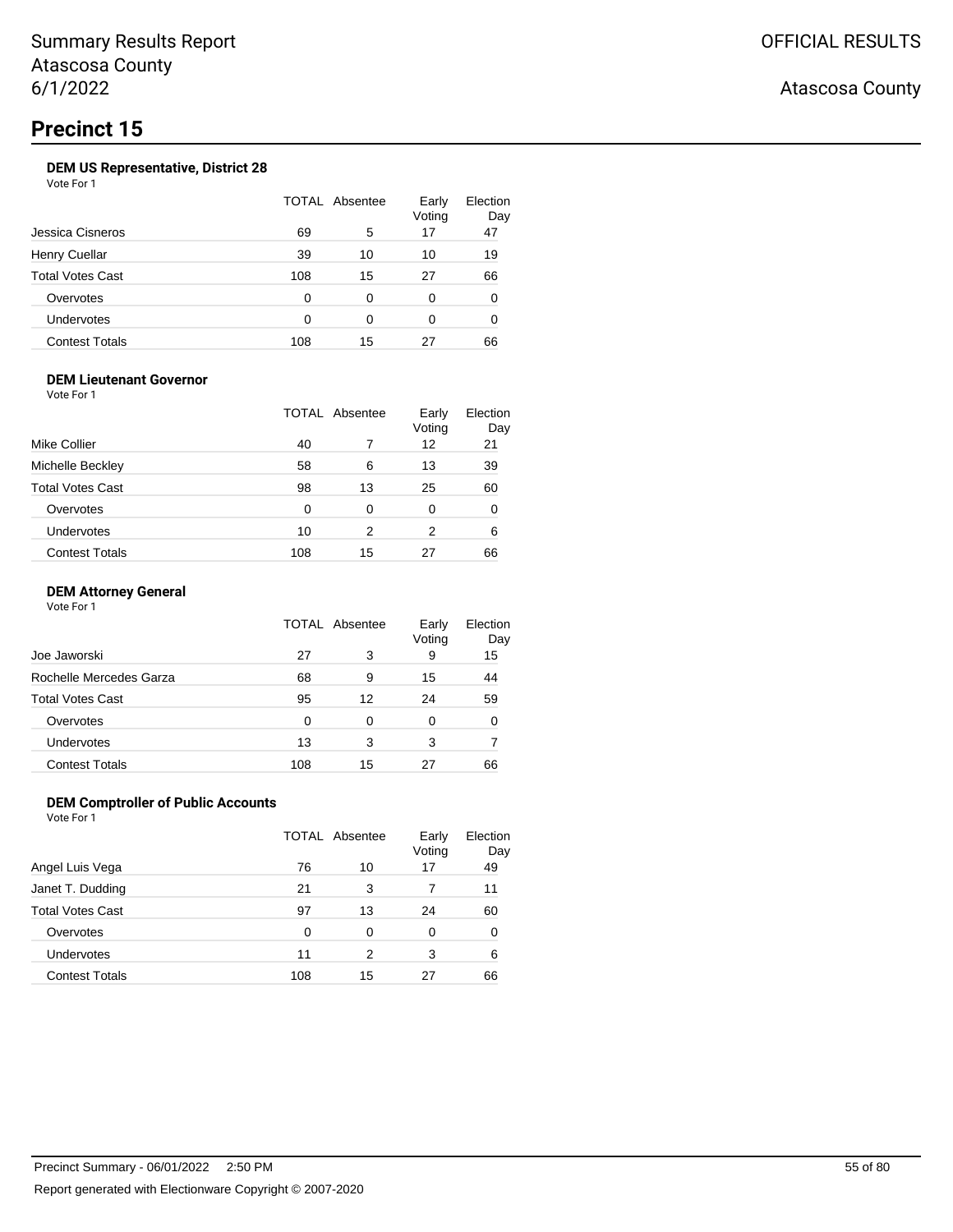### **DEM US Representative, District 28**

Vote For 1

| Jessica Cisneros        |     | TOTAL Absentee | Early<br>Voting | Election<br>Day |
|-------------------------|-----|----------------|-----------------|-----------------|
|                         | 69  | 5              | 17              | 47              |
| <b>Henry Cuellar</b>    | 39  | 10             | 10              | 19              |
| <b>Total Votes Cast</b> | 108 | 15             | 27              | 66              |
| Overvotes               | 0   | 0              | 0               | 0               |
| Undervotes              | ∩   | ∩              | 0               | 0               |
| <b>Contest Totals</b>   | 108 | 15             | 27              | 66              |

### **DEM Lieutenant Governor**

Vote For 1

|                         |     | TOTAL Absentee | Early<br>Voting | Election<br>Day |
|-------------------------|-----|----------------|-----------------|-----------------|
| Mike Collier            | 40  |                | 12              | 21              |
| Michelle Beckley        | 58  | 6              | 13              | 39              |
| <b>Total Votes Cast</b> | 98  | 13             | 25              | 60              |
| Overvotes               | 0   | 0              | 0               | 0               |
| Undervotes              | 10  | 2              | 2               | 6               |
| <b>Contest Totals</b>   | 108 | 15             | 27              | 66              |

### **DEM Attorney General**

Vote For 1

|                         |     | TOTAL Absentee | Early<br>Voting | Election<br>Day |
|-------------------------|-----|----------------|-----------------|-----------------|
| Joe Jaworski            | 27  | 3              | 9               | 15              |
| Rochelle Mercedes Garza | 68  | 9              | 15              | 44              |
| <b>Total Votes Cast</b> | 95  | 12             | 24              | 59              |
| Overvotes               | 0   | 0              | 0               | 0               |
| Undervotes              | 13  | 3              | 3               |                 |
| <b>Contest Totals</b>   | 108 | 15             | 27              | 66              |

### **DEM Comptroller of Public Accounts**

Vote For 1

|                       |     | TOTAL Absentee | Early<br>Voting | Election<br>Day |
|-----------------------|-----|----------------|-----------------|-----------------|
| Angel Luis Vega       | 76  | 10             | 17              | 49              |
| Janet T. Dudding      | 21  | 3              |                 | 11              |
| Total Votes Cast      | 97  | 13             | 24              | 60              |
| Overvotes             | 0   | 0              | 0               | 0               |
| <b>Undervotes</b>     | 11  | 2              | 3               | 6               |
| <b>Contest Totals</b> | 108 | 15             | 27              | 66              |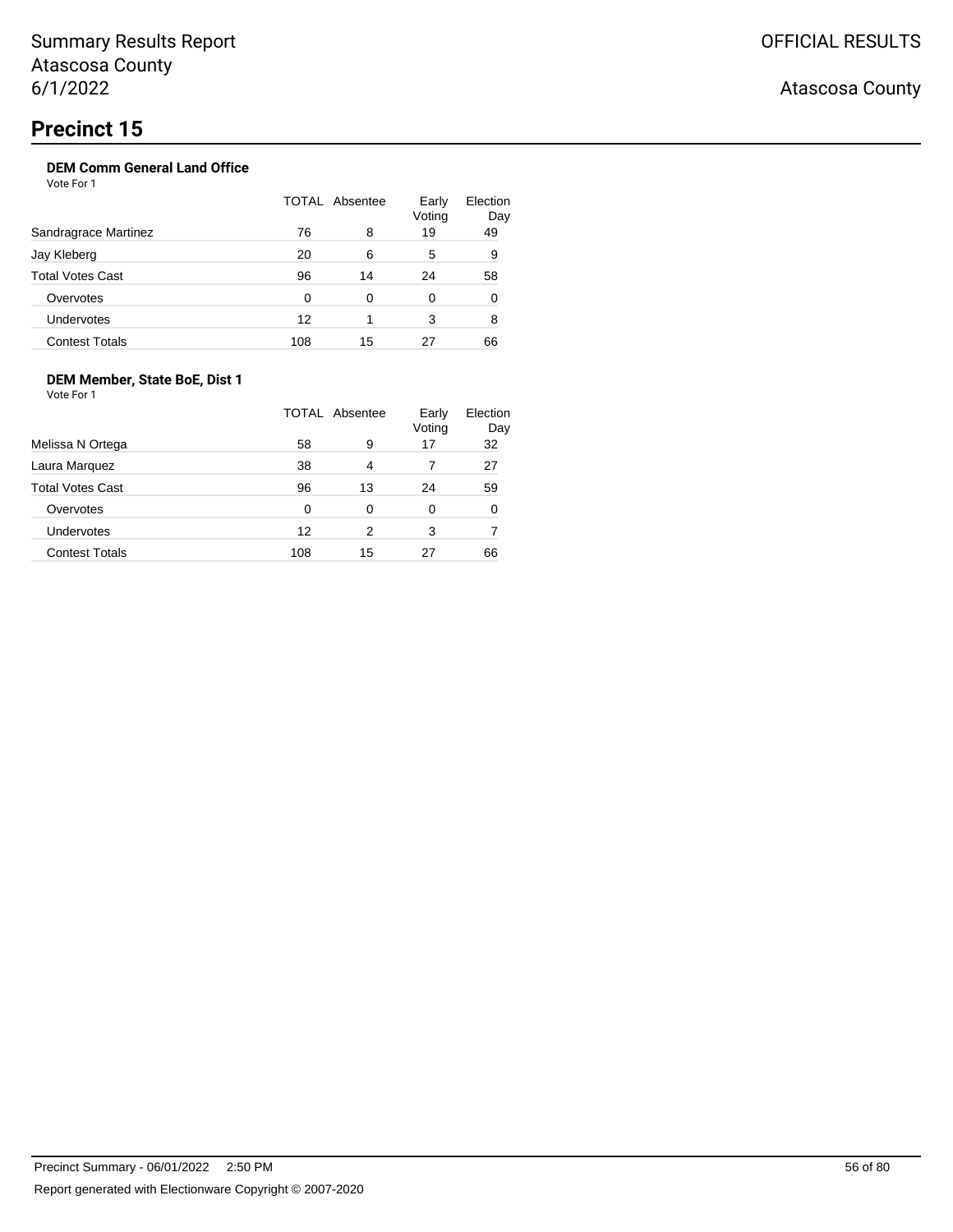## **DEM Comm General Land Office**

Vote For 1

|                         |     | TOTAL Absentee | Early<br>Voting | Election<br>Day |
|-------------------------|-----|----------------|-----------------|-----------------|
| Sandragrace Martinez    | 76  | 8              | 19              | 49              |
| Jay Kleberg             | 20  | 6              | 5               | 9               |
| <b>Total Votes Cast</b> | 96  | 14             | 24              | 58              |
| Overvotes               | O   | 0              | 0               | 0               |
| <b>Undervotes</b>       | 12  | 1              | 3               | 8               |
| <b>Contest Totals</b>   | 108 | 15             | 27              | 66              |

### **DEM Member, State BoE, Dist 1**

Vote For 1

|                         |     | TOTAL Absentee | Early<br>Voting | Election<br>Day |
|-------------------------|-----|----------------|-----------------|-----------------|
| Melissa N Ortega        | 58  | 9              | 17              | 32              |
| Laura Marquez           | 38  | 4              |                 | 27              |
| <b>Total Votes Cast</b> | 96  | 13             | 24              | 59              |
| Overvotes               | 0   | 0              | 0               | 0               |
| <b>Undervotes</b>       | 12  | 2              | 3               |                 |
| <b>Contest Totals</b>   | 108 | 15             | 27              | 66              |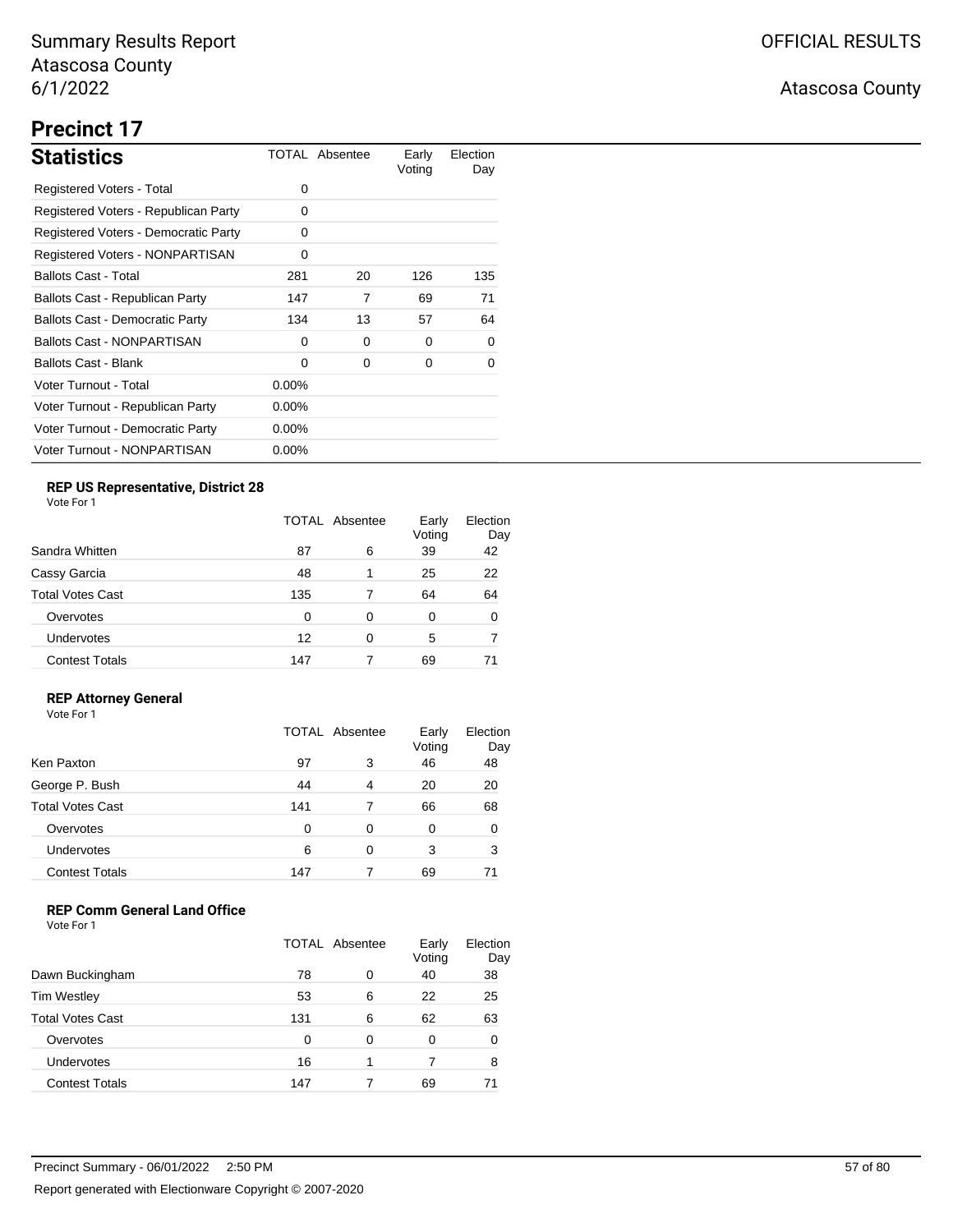# **Precinct 17**

| <b>Statistics</b>                      |          | TOTAL Absentee | Early<br>Voting | Election<br>Day |
|----------------------------------------|----------|----------------|-----------------|-----------------|
| Registered Voters - Total              | 0        |                |                 |                 |
| Registered Voters - Republican Party   | 0        |                |                 |                 |
| Registered Voters - Democratic Party   | 0        |                |                 |                 |
| Registered Voters - NONPARTISAN        | 0        |                |                 |                 |
| <b>Ballots Cast - Total</b>            | 281      | 20             | 126             | 135             |
| Ballots Cast - Republican Party        | 147      | 7              | 69              | 71              |
| <b>Ballots Cast - Democratic Party</b> | 134      | 13             | 57              | 64              |
| <b>Ballots Cast - NONPARTISAN</b>      | 0        | 0              | 0               | 0               |
| Ballots Cast - Blank                   | $\Omega$ | 0              | 0               | 0               |
| Voter Turnout - Total                  | $0.00\%$ |                |                 |                 |
| Voter Turnout - Republican Party       | 0.00%    |                |                 |                 |
| Voter Turnout - Democratic Party       | $0.00\%$ |                |                 |                 |
| Voter Turnout - NONPARTISAN            | $0.00\%$ |                |                 |                 |

### **REP US Representative, District 28**

Vote For 1

|                         | <b>TOTAL Absentee</b> |   | Early<br>Voting | Election<br>Day |
|-------------------------|-----------------------|---|-----------------|-----------------|
| Sandra Whitten          | 87                    | 6 | 39              | 42              |
| Cassy Garcia            | 48                    | 1 | 25              | 22              |
| <b>Total Votes Cast</b> | 135                   |   | 64              | 64              |
| Overvotes               | 0                     | 0 | 0               | 0               |
| <b>Undervotes</b>       | 12                    | 0 | 5               |                 |
| <b>Contest Totals</b>   | 147                   |   | 69              |                 |

### **REP Attorney General**

Vote For 1

|                         | TOTAL Absentee |   | Early<br>Voting | Election<br>Day |
|-------------------------|----------------|---|-----------------|-----------------|
| Ken Paxton              | 97             | 3 | 46              | 48              |
| George P. Bush          | 44             | 4 | 20              | 20              |
| <b>Total Votes Cast</b> | 141            |   | 66              | 68              |
| Overvotes               | 0              | 0 | 0               | ∩               |
| Undervotes              | 6              | 0 | 3               | 3               |
| <b>Contest Totals</b>   | 147            |   | 69              |                 |

### **REP Comm General Land Office**

|                         | <b>TOTAL Absentee</b> |   | Early<br>Voting | Election<br>Day |
|-------------------------|-----------------------|---|-----------------|-----------------|
| Dawn Buckingham         | 78                    | 0 | 40              | 38              |
| <b>Tim Westley</b>      | 53                    | 6 | 22              | 25              |
| <b>Total Votes Cast</b> | 131                   | 6 | 62              | 63              |
| Overvotes               | ∩                     | 0 | 0               | 0               |
| <b>Undervotes</b>       | 16                    |   | 7               | 8               |
| <b>Contest Totals</b>   | 147                   |   | 69              | 71              |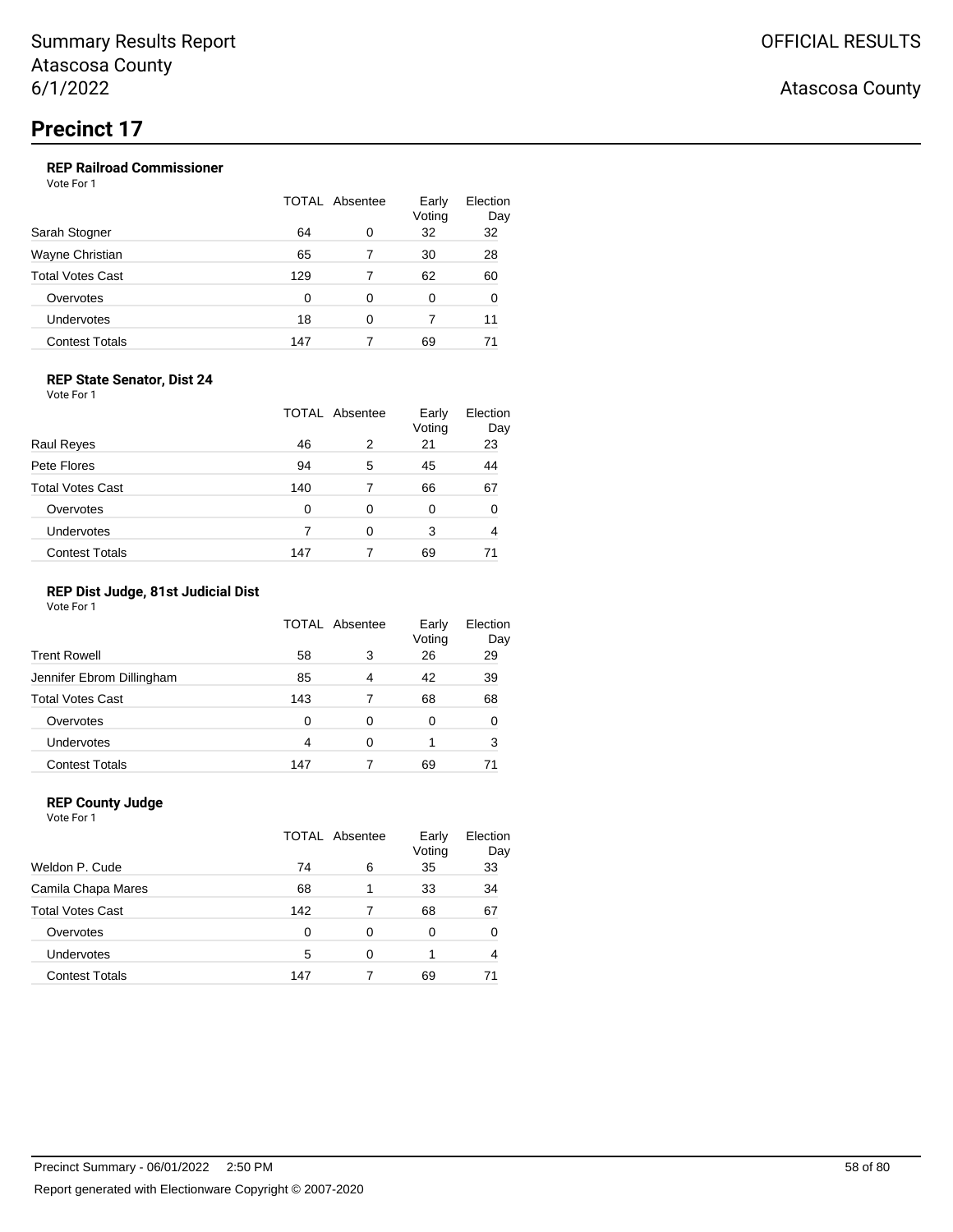### **REP Railroad Commissioner**

Vote For 1

| Sarah Stogner           | <b>TOTAL Absentee</b> |   | Early<br>Voting | Election<br>Day |
|-------------------------|-----------------------|---|-----------------|-----------------|
|                         | 64                    | 0 | 32              | 32              |
| Wayne Christian         | 65                    |   | 30              | 28              |
| <b>Total Votes Cast</b> | 129                   |   | 62              | 60              |
| Overvotes               | 0                     | 0 | 0               | 0               |
| Undervotes              | 18                    | 0 |                 | 11              |
| <b>Contest Totals</b>   | 147                   |   | 69              | 71              |

### **REP State Senator, Dist 24**

Vote For 1

|                         | <b>TOTAL Absentee</b> |   | Early<br>Voting | Election<br>Day |
|-------------------------|-----------------------|---|-----------------|-----------------|
| <b>Raul Reyes</b>       | 46                    | 2 | 21              | 23              |
| Pete Flores             | 94                    | 5 | 45              | 44              |
| <b>Total Votes Cast</b> | 140                   |   | 66              | 67              |
| Overvotes               | 0                     | 0 | 0               | 0               |
| Undervotes              |                       | 0 | 3               | 4               |
| <b>Contest Totals</b>   | 147                   |   | 69              |                 |

### **REP Dist Judge, 81st Judicial Dist**

Vote For 1

|                           | TOTAL Absentee |   | Early<br>Voting | Election<br>Day |
|---------------------------|----------------|---|-----------------|-----------------|
| <b>Trent Rowell</b>       | 58             | 3 | 26              | 29              |
| Jennifer Ebrom Dillingham | 85             | 4 | 42              | 39              |
| <b>Total Votes Cast</b>   | 143            |   | 68              | 68              |
| Overvotes                 | 0              | 0 | 0               | 0               |
| Undervotes                | 4              | 0 |                 | 3               |
| <b>Contest Totals</b>     | 147            |   | 69              |                 |

#### **REP County Judge** Vote For 1

|                         | TOTAL Absentee |   | Early<br>Voting | Election<br>Day |  |
|-------------------------|----------------|---|-----------------|-----------------|--|
| Weldon P. Cude          | 74             | 6 | 35              | 33              |  |
| Camila Chapa Mares      | 68             |   | 33              | 34              |  |
| <b>Total Votes Cast</b> | 142            |   | 68              | 67              |  |
| Overvotes               | $\Omega$       | 0 | 0               | 0               |  |
| Undervotes              | 5              | 0 |                 |                 |  |
| <b>Contest Totals</b>   | 147            |   | 69              |                 |  |
|                         |                |   |                 |                 |  |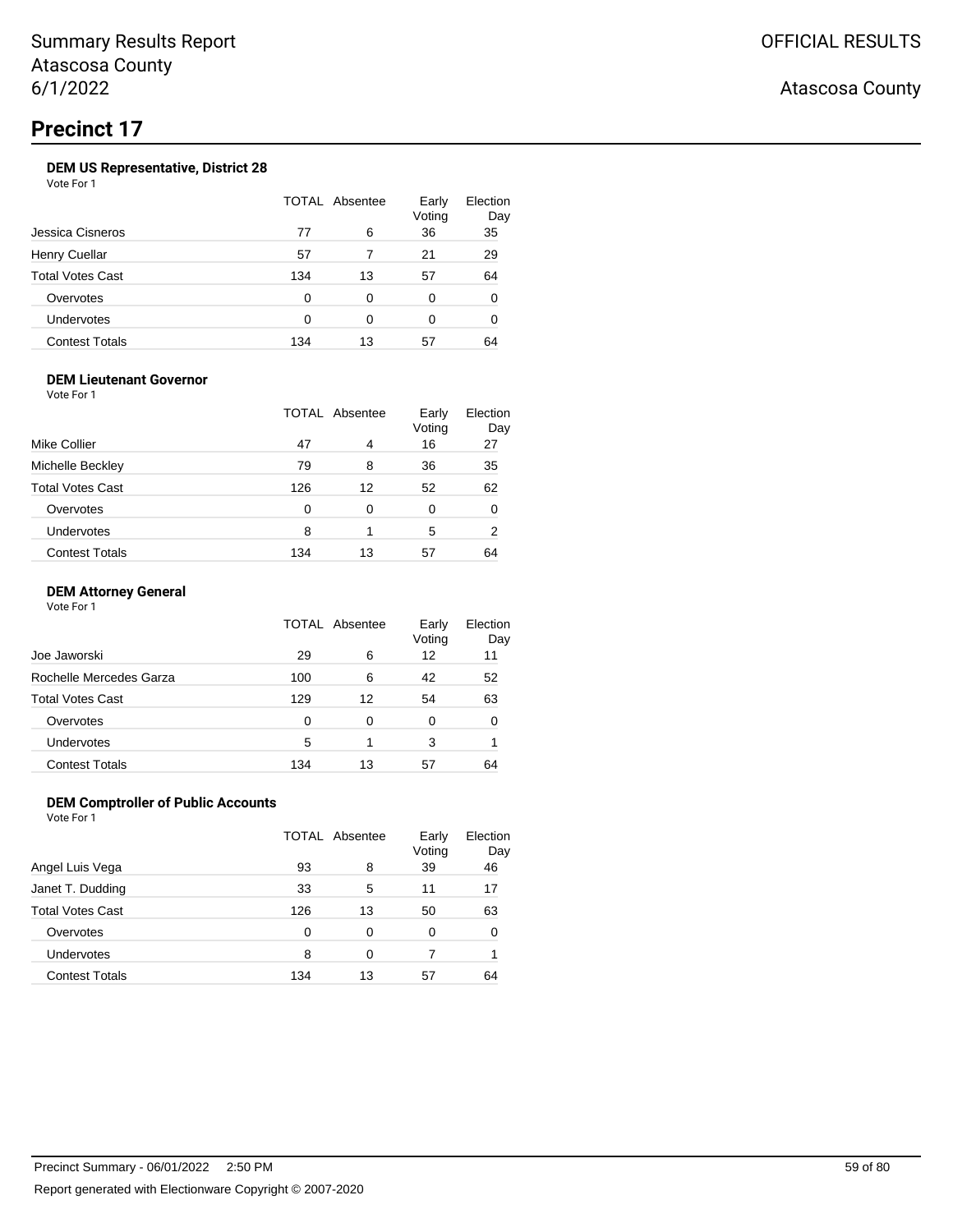### **DEM US Representative, District 28**

Vote For 1

|                       | <b>TOTAL Absentee</b> |    | Early<br>Voting | Election<br>Day |
|-----------------------|-----------------------|----|-----------------|-----------------|
| Jessica Cisneros      | 77                    | 6  | 36              | 35              |
| Henry Cuellar         | 57                    |    | 21              | 29              |
| Total Votes Cast      | 134                   | 13 | 57              | 64              |
| Overvotes             | O                     | 0  | 0               | 0               |
| Undervotes            | ∩                     | ∩  | 0               | 0               |
| <b>Contest Totals</b> | 134                   | 13 | 57              | 64              |

### **DEM Lieutenant Governor**

Vote For 1

| Mike Collier            |     | <b>TOTAL Absentee</b> | Early<br>Voting | Election<br>Day |
|-------------------------|-----|-----------------------|-----------------|-----------------|
|                         | 47  | 4                     | 16              | 27              |
| Michelle Beckley        | 79  | 8                     | 36              | 35              |
| <b>Total Votes Cast</b> | 126 | 12                    | 52              | 62              |
| Overvotes               | 0   | 0                     | 0               | 0               |
| Undervotes              | 8   |                       | 5               | 2               |
| <b>Contest Totals</b>   | 134 | 13                    | 57              | 64              |

### **DEM Attorney General**

Vote For 1

|                         |     | TOTAL Absentee | Early<br>Voting | Election<br>Day |
|-------------------------|-----|----------------|-----------------|-----------------|
| Joe Jaworski            | 29  | 6              | 12              | 11              |
| Rochelle Mercedes Garza | 100 | 6              | 42              | 52              |
| <b>Total Votes Cast</b> | 129 | 12             | 54              | 63              |
| Overvotes               | 0   | 0              | 0               | 0               |
| <b>Undervotes</b>       | 5   | 1              | 3               |                 |
| <b>Contest Totals</b>   | 134 | 13             | 57              | 64              |

### **DEM Comptroller of Public Accounts**

Vote For 1

|                       | TOTAL Absentee |    | Early<br>Voting | Election<br>Day |
|-----------------------|----------------|----|-----------------|-----------------|
| Angel Luis Vega       | 93             | 8  | 39              | 46              |
| Janet T. Dudding      | 33             | 5  | 11              | 17              |
| Total Votes Cast      | 126            | 13 | 50              | 63              |
| Overvotes             | 0              | 0  | 0               |                 |
| Undervotes            | 8              | 0  |                 |                 |
| <b>Contest Totals</b> | 134            | 13 | 57              | 64              |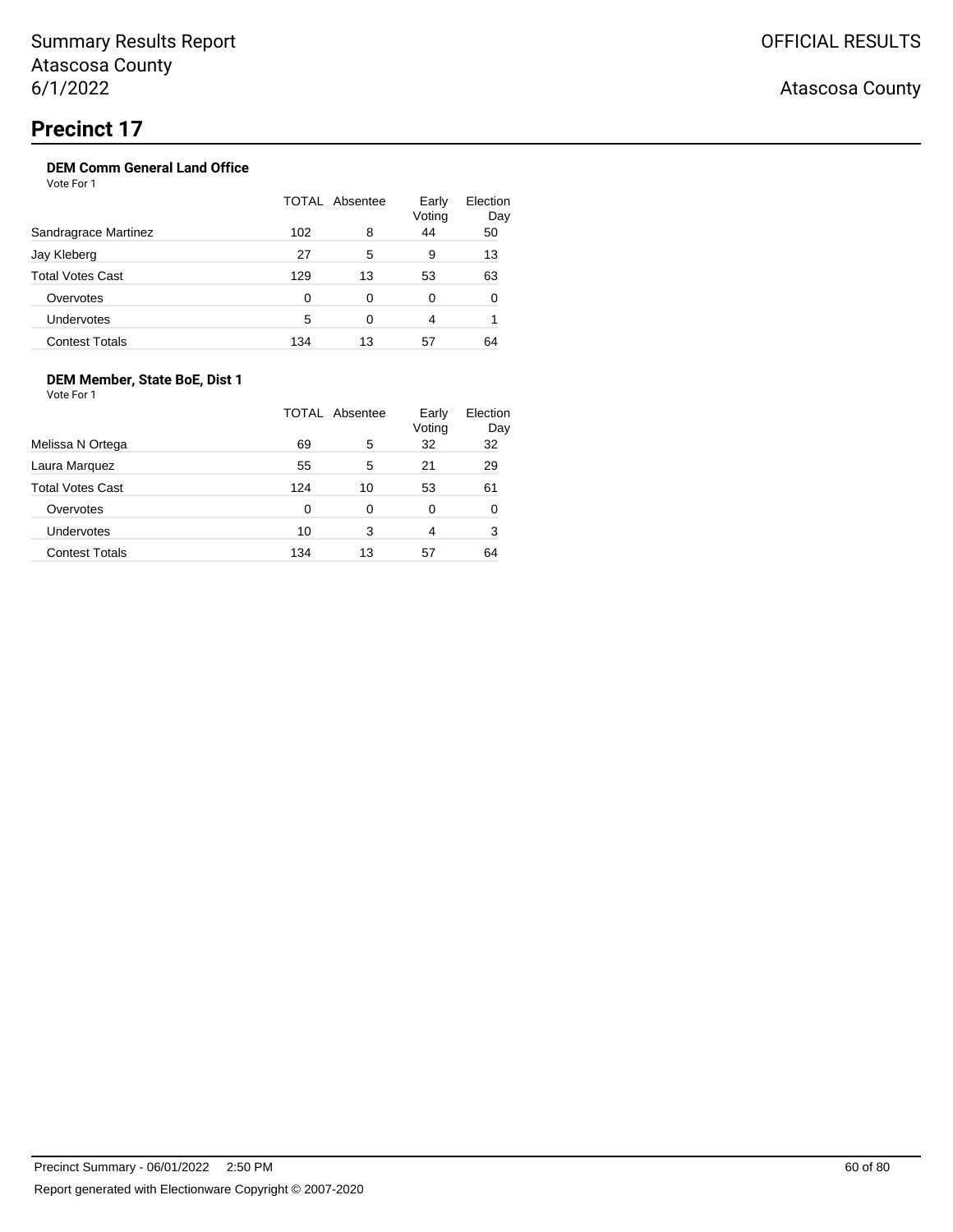## **DEM Comm General Land Office**

Vote For 1

|                         | TOTAL Absentee |    | Early<br>Voting | Election<br>Day |
|-------------------------|----------------|----|-----------------|-----------------|
| Sandragrace Martinez    | 102            | 8  | 44              | 50              |
| Jay Kleberg             | 27             | 5  | 9               | 13              |
| <b>Total Votes Cast</b> | 129            | 13 | 53              | 63              |
| Overvotes               | 0              | 0  | 0               | 0               |
| Undervotes              | 5              | 0  | 4               |                 |
| <b>Contest Totals</b>   | 134            | 13 | 57              | 64              |

### **DEM Member, State BoE, Dist 1**

Vote For 1

|                         |     | TOTAL Absentee | Early<br>Voting | Election<br>Day |
|-------------------------|-----|----------------|-----------------|-----------------|
| Melissa N Ortega        | 69  | 5              | 32              | 32              |
| Laura Marquez           | 55  | 5              | 21              | 29              |
| <b>Total Votes Cast</b> | 124 | 10             | 53              | 61              |
| Overvotes               | 0   | 0              | 0               | 0               |
| Undervotes              | 10  | 3              | 4               | 3               |
| <b>Contest Totals</b>   | 134 | 13             | 57              | 64              |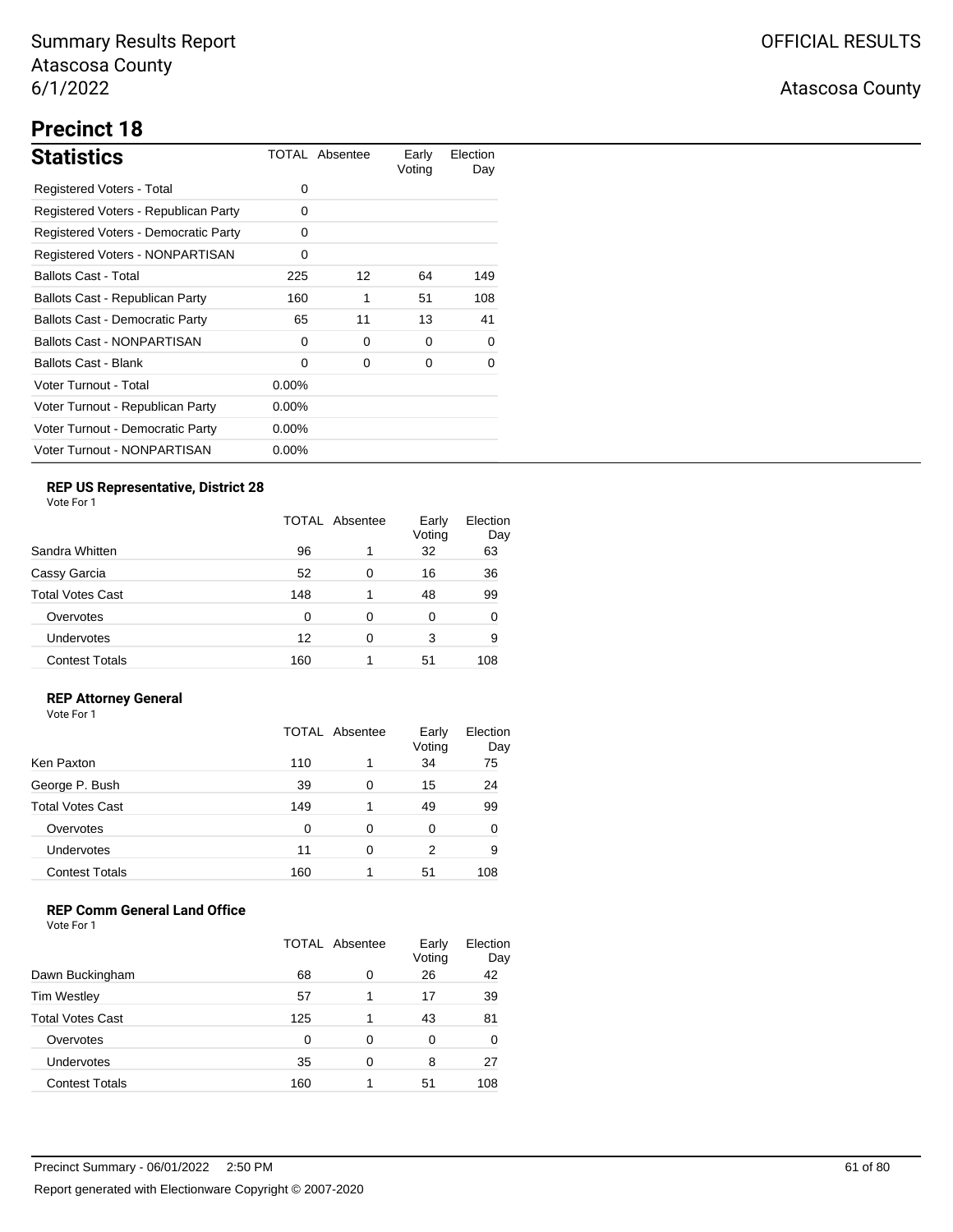# **Precinct 18**

| <b>Statistics</b>                      |          | TOTAL Absentee | Early<br>Voting | Election<br>Day |
|----------------------------------------|----------|----------------|-----------------|-----------------|
| Registered Voters - Total              | 0        |                |                 |                 |
| Registered Voters - Republican Party   | 0        |                |                 |                 |
| Registered Voters - Democratic Party   | 0        |                |                 |                 |
| Registered Voters - NONPARTISAN        | 0        |                |                 |                 |
| <b>Ballots Cast - Total</b>            | 225      | 12             | 64              | 149             |
| Ballots Cast - Republican Party        | 160      | 1              | 51              | 108             |
| <b>Ballots Cast - Democratic Party</b> | 65       | 11             | 13              | 41              |
| <b>Ballots Cast - NONPARTISAN</b>      | 0        | 0              | 0               | $\Omega$        |
| Ballots Cast - Blank                   | 0        | 0              | 0               | 0               |
| Voter Turnout - Total                  | $0.00\%$ |                |                 |                 |
| Voter Turnout - Republican Party       | 0.00%    |                |                 |                 |
| Voter Turnout - Democratic Party       | $0.00\%$ |                |                 |                 |
| Voter Turnout - NONPARTISAN            | $0.00\%$ |                |                 |                 |

### **REP US Representative, District 28**

Vote For 1

| Sandra Whitten          | TOTAL Absentee |   | Early<br>Voting | Election<br>Day |
|-------------------------|----------------|---|-----------------|-----------------|
|                         | 96             | 1 | 32              | 63              |
| Cassy Garcia            | 52             | 0 | 16              | 36              |
| <b>Total Votes Cast</b> | 148            | 1 | 48              | 99              |
| Overvotes               | 0              | 0 | 0               | 0               |
| <b>Undervotes</b>       | 12             | 0 | 3               | 9               |
| <b>Contest Totals</b>   | 160            | 1 | 51              | 108             |

### **REP Attorney General**

Vote For 1

|                         | TOTAL Absentee |   | Early<br>Voting | Election<br>Day |
|-------------------------|----------------|---|-----------------|-----------------|
| Ken Paxton              | 110            | 1 | 34              | 75              |
| George P. Bush          | 39             | 0 | 15              | 24              |
| <b>Total Votes Cast</b> | 149            | 1 | 49              | 99              |
| Overvotes               | 0              | 0 | 0               | ∩               |
| Undervotes              | 11             | 0 | 2               | 9               |
| <b>Contest Totals</b>   | 160            |   | 51              | 108             |

### **REP Comm General Land Office**

|                         | <b>TOTAL Absentee</b> |   | Early<br>Voting | Election<br>Day |
|-------------------------|-----------------------|---|-----------------|-----------------|
| Dawn Buckingham         | 68                    | 0 | 26              | 42              |
| <b>Tim Westley</b>      | 57                    |   | 17              | 39              |
| <b>Total Votes Cast</b> | 125                   |   | 43              | 81              |
| Overvotes               | 0                     | 0 | 0               | 0               |
| Undervotes              | 35                    | 0 | 8               | 27              |
| <b>Contest Totals</b>   | 160                   |   | 51              | 108             |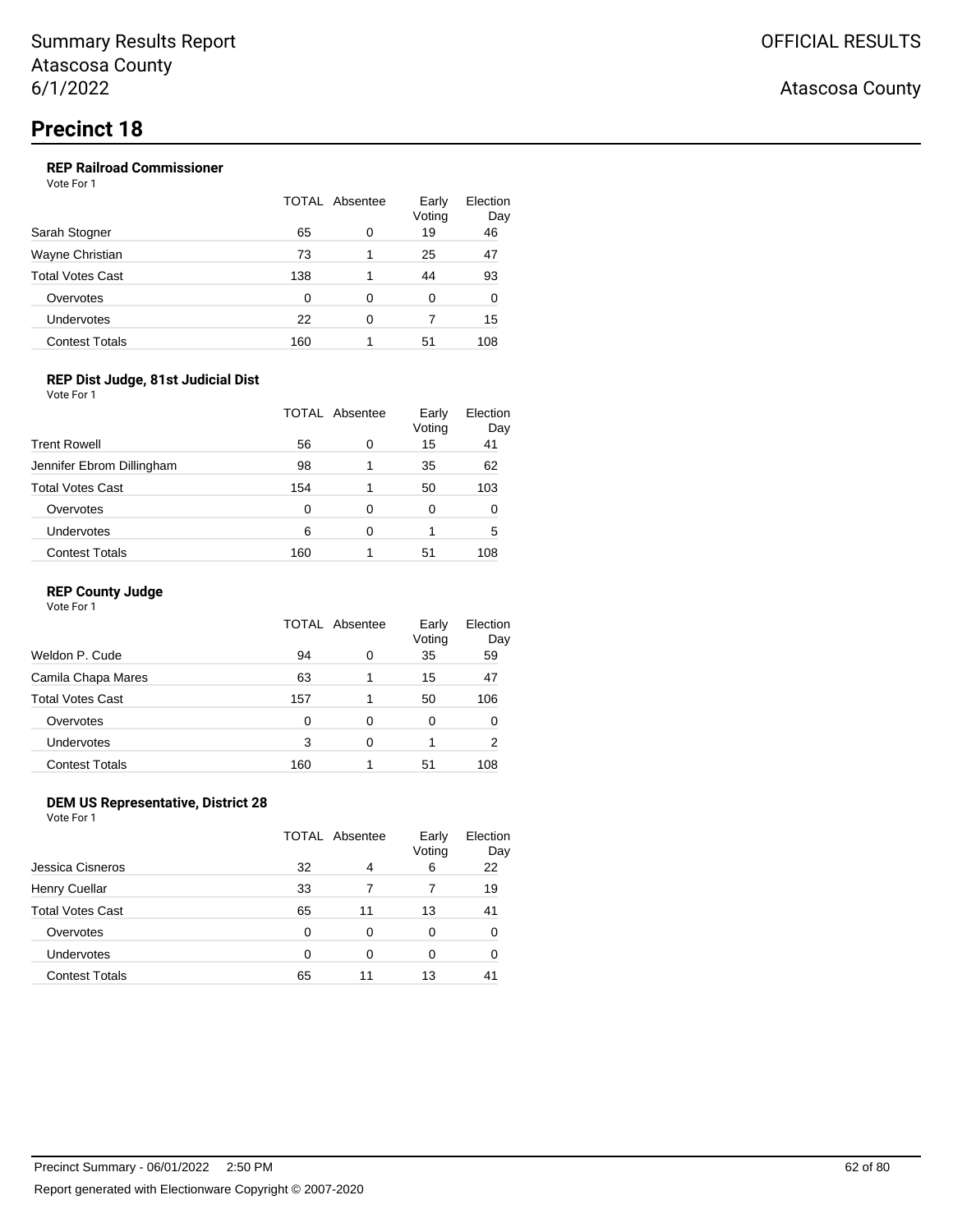### **REP Railroad Commissioner**

Vote For 1

|                         | <b>TOTAL Absentee</b> |          | Early<br>Voting | Election<br>Day |
|-------------------------|-----------------------|----------|-----------------|-----------------|
| Sarah Stogner           | 65                    | 0        | 19              | 46              |
| Wayne Christian         | 73                    |          | 25              | 47              |
| <b>Total Votes Cast</b> | 138                   |          | 44              | 93              |
| Overvotes               | 0                     | 0        | 0               | 0               |
| Undervotes              | 22                    | $\Omega$ |                 | 15              |
| <b>Contest Totals</b>   | 160                   |          | 51              | 108             |

### **REP Dist Judge, 81st Judicial Dist**

Vote For 1

|                           | TOTAL Absentee |   | Early<br>Voting | Election<br>Day |
|---------------------------|----------------|---|-----------------|-----------------|
| <b>Trent Rowell</b>       | 56             | 0 | 15              | 41              |
| Jennifer Ebrom Dillingham | 98             | 1 | 35              | 62              |
| <b>Total Votes Cast</b>   | 154            | 1 | 50              | 103             |
| Overvotes                 | 0              | 0 | 0               | O               |
| Undervotes                | 6              | 0 |                 | 5               |
| <b>Contest Totals</b>     | 160            |   | 51              | 108             |

### **REP County Judge**

| Vote For 1 |  |
|------------|--|
|------------|--|

|                         | TOTAL Absentee |   | Early<br>Voting | Election<br>Day |
|-------------------------|----------------|---|-----------------|-----------------|
| Weldon P. Cude          | 94             | 0 | 35              | 59              |
| Camila Chapa Mares      | 63             | 1 | 15              | 47              |
| <b>Total Votes Cast</b> | 157            | 1 | 50              | 106             |
| Overvotes               | 0              | 0 | 0               |                 |
| Undervotes              | 3              | 0 |                 | 2               |
| <b>Contest Totals</b>   | 160            |   | 51              | 108             |

### **DEM US Representative, District 28**

Vote For 1

|                       | TOTAL Absentee |    | Early<br>Voting | Election<br>Day |
|-----------------------|----------------|----|-----------------|-----------------|
| Jessica Cisneros      | 32             | 4  | 6               | 22              |
| Henry Cuellar         | 33             |    |                 | 19              |
| Total Votes Cast      | 65             | 11 | 13              | 41              |
| Overvotes             | 0              | 0  | 0               |                 |
| <b>Undervotes</b>     | 0              | 0  | 0               |                 |
| <b>Contest Totals</b> | 65             | 11 | 13              | 41              |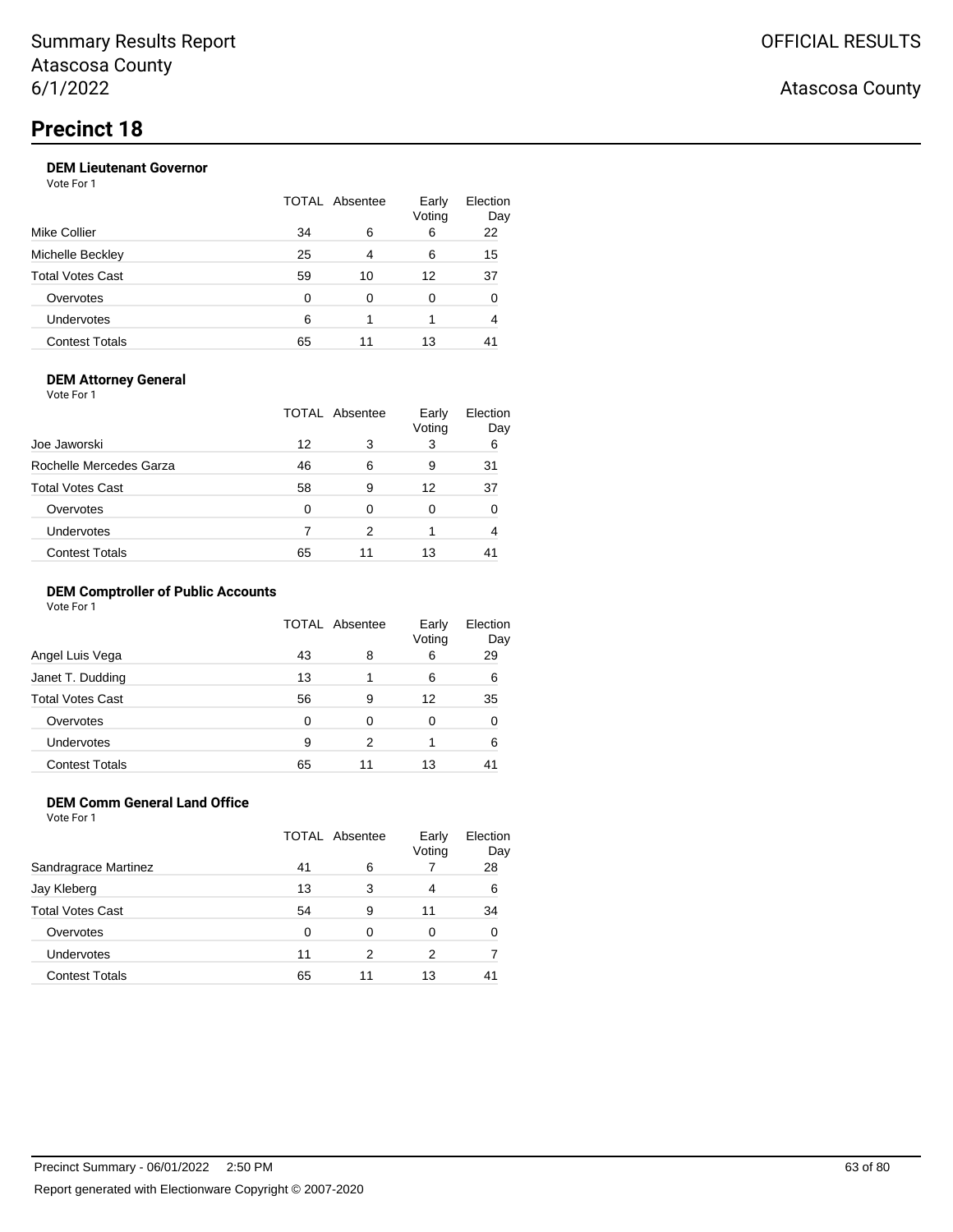Vote For 1

| 22 |
|----|
|    |
| 15 |
| 37 |
| 0  |
| 4  |
| 41 |
|    |

### **DEM Attorney General**

Vote For 1

|                         |    | TOTAL Absentee | Early<br>Voting | Election<br>Day |
|-------------------------|----|----------------|-----------------|-----------------|
| Joe Jaworski            | 12 | 3              | 3               | 6               |
| Rochelle Mercedes Garza | 46 | 6              | 9               | 31              |
| <b>Total Votes Cast</b> | 58 | 9              | 12              | 37              |
| Overvotes               | O  | 0              | 0               |                 |
| <b>Undervotes</b>       |    | 2              |                 | 4               |
| <b>Contest Totals</b>   | 65 | 11             | 13              |                 |

### **DEM Comptroller of Public Accounts**

Vote For 1

|                         | TOTAL Absentee |    | Early<br>Voting | Election<br>Day |
|-------------------------|----------------|----|-----------------|-----------------|
| Angel Luis Vega         | 43             | 8  | 6               | 29              |
| Janet T. Dudding        | 13             |    | 6               | 6               |
| <b>Total Votes Cast</b> | 56             | 9  | 12              | 35              |
| Overvotes               | 0              | 0  | 0               | 0               |
| Undervotes              | 9              | 2  |                 | 6               |
| <b>Contest Totals</b>   | 65             | 11 | 13              | 41              |

### **DEM Comm General Land Office**

Vote For 1

|                       | TOTAL Absentee |    | Early<br>Voting | Election<br>Day |
|-----------------------|----------------|----|-----------------|-----------------|
| Sandragrace Martinez  | 41             | 6  |                 | 28              |
| Jay Kleberg           | 13             | 3  | 4               | 6               |
| Total Votes Cast      | 54             | 9  | 11              | 34              |
| Overvotes             | 0              | 0  | 0               | 0               |
| <b>Undervotes</b>     | 11             | 2  | 2               |                 |
| <b>Contest Totals</b> | 65             | 11 | 13              | 41              |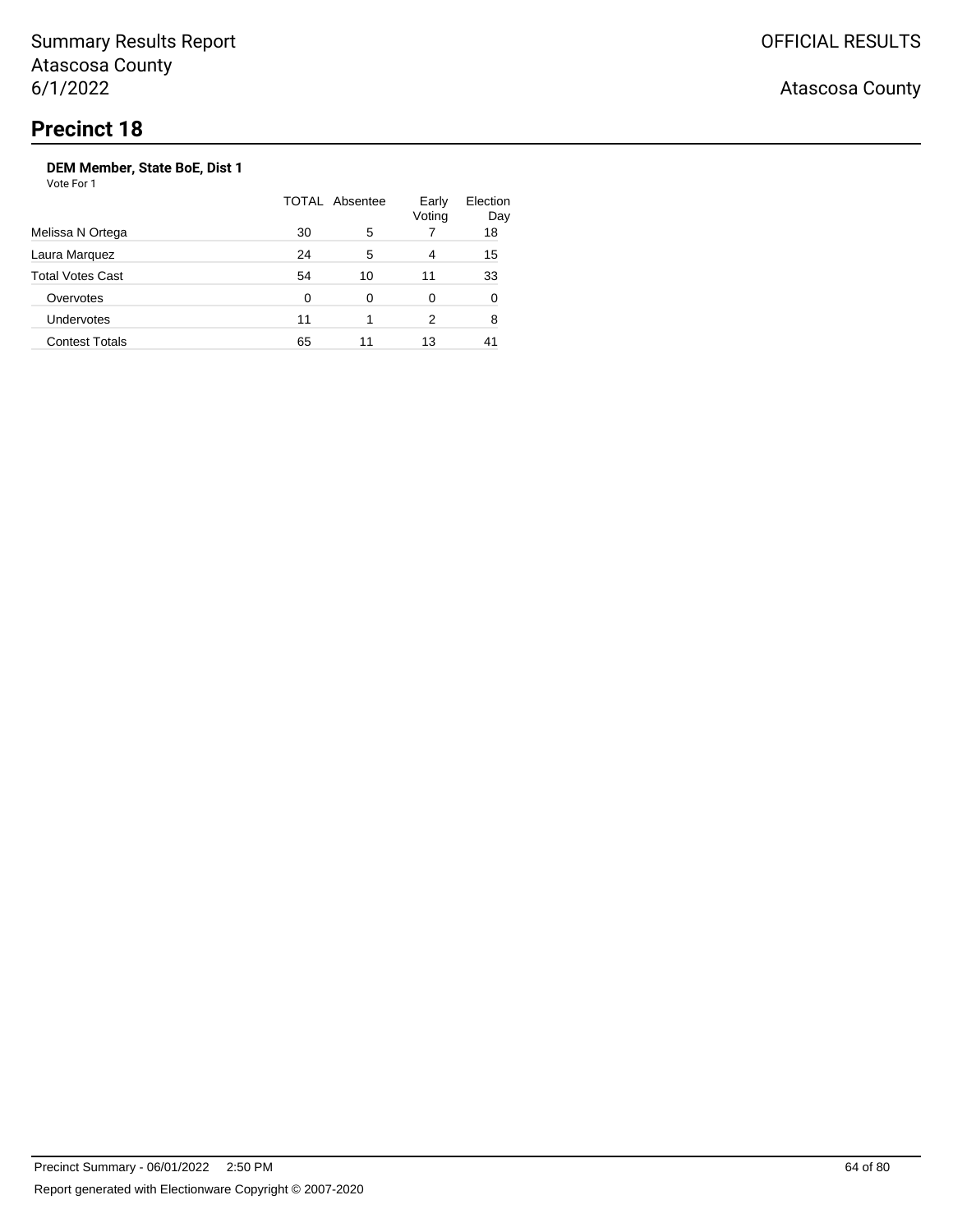Atascosa County

### **DEM Member, State BoE, Dist 1**

|                         |    | <b>TOTAL Absentee</b> | Early<br>Voting | Election<br>Day |
|-------------------------|----|-----------------------|-----------------|-----------------|
| Melissa N Ortega        | 30 | 5                     |                 | 18              |
| Laura Marquez           | 24 | 5                     | 4               | 15              |
| <b>Total Votes Cast</b> | 54 | 10                    | 11              | 33              |
| Overvotes               | 0  | 0                     | 0               | 0               |
| <b>Undervotes</b>       | 11 |                       | 2               | 8               |
| <b>Contest Totals</b>   | 65 | 11                    | 13              |                 |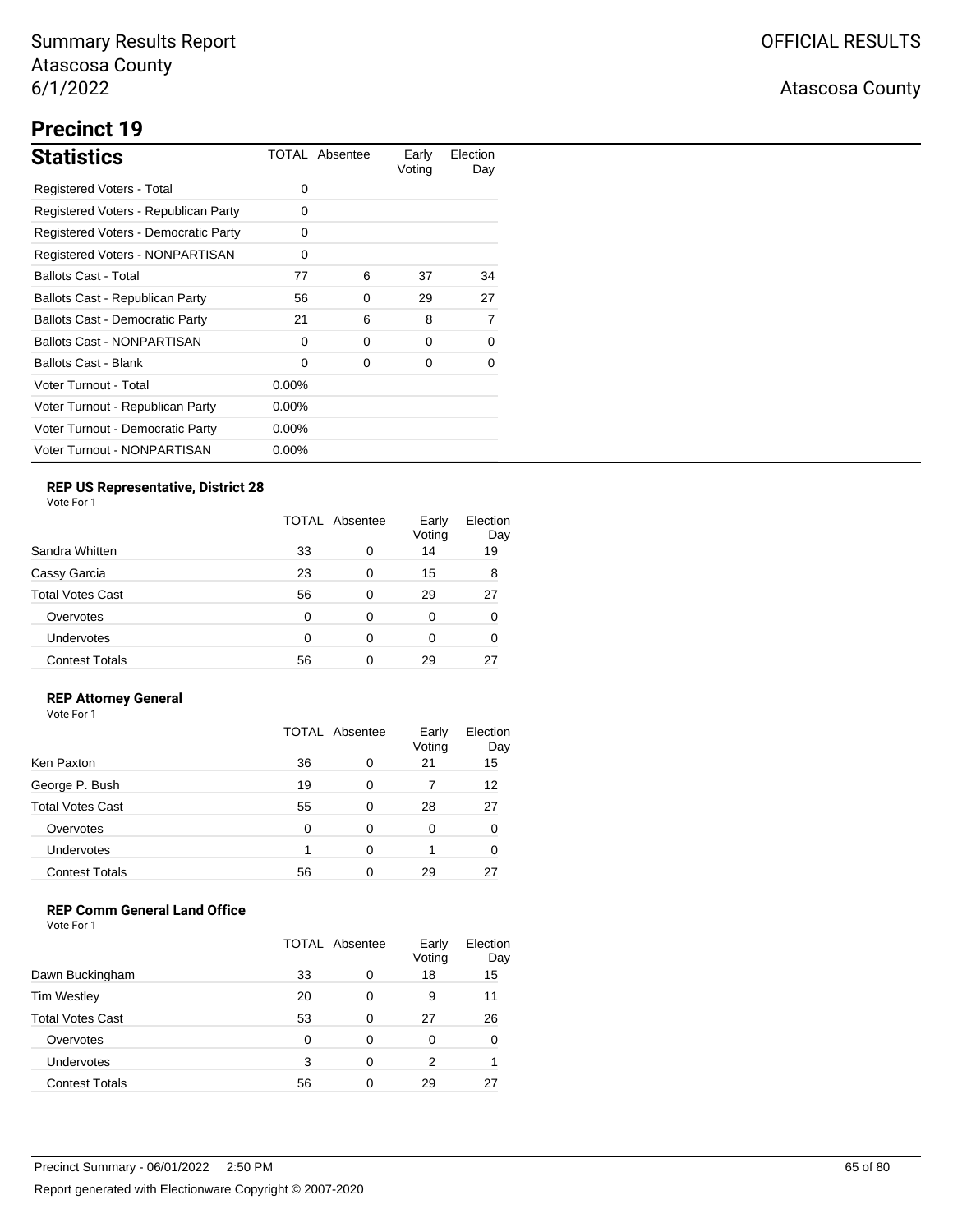# **Precinct 19**

| <b>Statistics</b>                      |          | TOTAL Absentee | Early<br>Voting | Election<br>Day |
|----------------------------------------|----------|----------------|-----------------|-----------------|
| Registered Voters - Total              | 0        |                |                 |                 |
| Registered Voters - Republican Party   | 0        |                |                 |                 |
| Registered Voters - Democratic Party   | 0        |                |                 |                 |
| Registered Voters - NONPARTISAN        | 0        |                |                 |                 |
| <b>Ballots Cast - Total</b>            | 77       | 6              | 37              | 34              |
| Ballots Cast - Republican Party        | 56       | 0              | 29              | 27              |
| <b>Ballots Cast - Democratic Party</b> | 21       | 6              | 8               | 7               |
| <b>Ballots Cast - NONPARTISAN</b>      | 0        | 0              | 0               | 0               |
| Ballots Cast - Blank                   | 0        | 0              | 0               | 0               |
| Voter Turnout - Total                  | $0.00\%$ |                |                 |                 |
| Voter Turnout - Republican Party       | $0.00\%$ |                |                 |                 |
| Voter Turnout - Democratic Party       | $0.00\%$ |                |                 |                 |
| Voter Turnout - NONPARTISAN            | $0.00\%$ |                |                 |                 |

## **REP US Representative, District 28**

Vote For 1

|                       | <b>TOTAL Absentee</b> |   | Early<br>Voting | Election<br>Day |
|-----------------------|-----------------------|---|-----------------|-----------------|
| Sandra Whitten        | 33                    | 0 | 14              | 19              |
| Cassy Garcia          | 23                    | 0 | 15              | 8               |
| Total Votes Cast      | 56                    | 0 | 29              | 27              |
| Overvotes             | $\Omega$              | 0 | 0               | O               |
| <b>Undervotes</b>     | 0                     | 0 | 0               | 0               |
| <b>Contest Totals</b> | 56                    | ი | 29              |                 |

### **REP Attorney General**

Vote For 1

|                         | TOTAL Absentee |   | Early<br>Voting | Election<br>Day |
|-------------------------|----------------|---|-----------------|-----------------|
| Ken Paxton              | 36             | 0 | 21              | 15              |
| George P. Bush          | 19             | 0 |                 | 12              |
| <b>Total Votes Cast</b> | 55             | 0 | 28              | 27              |
| Overvotes               | 0              | 0 | 0               |                 |
| Undervotes              |                | 0 |                 |                 |
| <b>Contest Totals</b>   | 56             | 0 | 29              |                 |

### **REP Comm General Land Office**

|                         | <b>TOTAL Absentee</b> |   | Early<br>Voting | Election<br>Day |
|-------------------------|-----------------------|---|-----------------|-----------------|
| Dawn Buckingham         | 33                    | 0 | 18              | 15              |
| <b>Tim Westley</b>      | 20                    | 0 | 9               | 11              |
| <b>Total Votes Cast</b> | 53                    | 0 | 27              | 26              |
| Overvotes               | ∩                     | 0 | 0               | 0               |
| <b>Undervotes</b>       | 3                     | 0 | 2               |                 |
| <b>Contest Totals</b>   | 56                    | ∩ | 29              | 27              |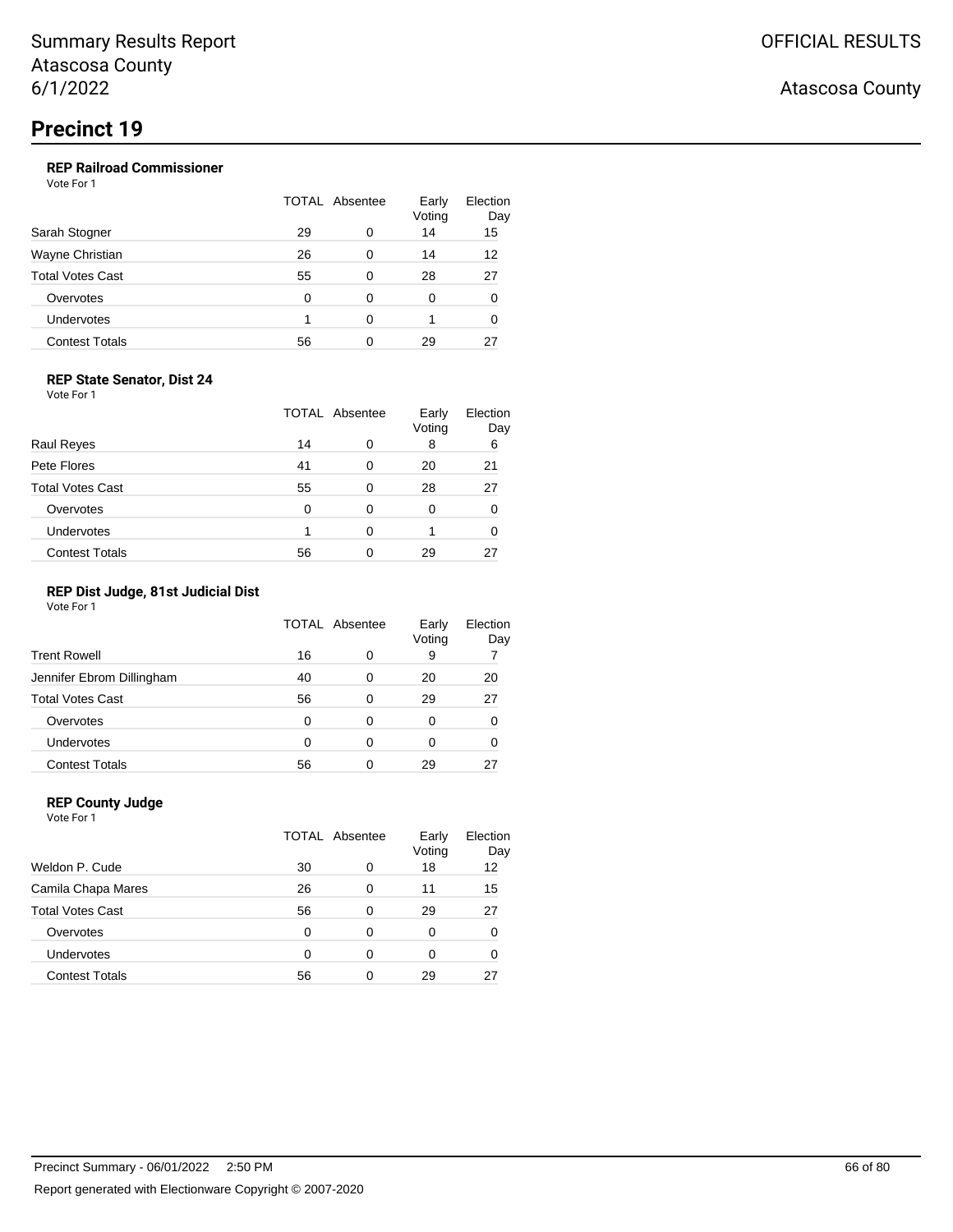### **REP Railroad Commissioner**

Vote For 1

|                         | TOTAL Absentee |   | Early<br>Voting | Election<br>Day |
|-------------------------|----------------|---|-----------------|-----------------|
| Sarah Stogner           | 29             | 0 | 14              | 15              |
| Wayne Christian         | 26             | 0 | 14              | 12              |
| <b>Total Votes Cast</b> | 55             | 0 | 28              | 27              |
| Overvotes               | 0              | 0 | 0               | 0               |
| Undervotes              |                | ∩ |                 | 0               |
| <b>Contest Totals</b>   | 56             | ∩ | 29              | 27              |

#### **REP State Senator, Dist 24**

Vote For 1

|                         | <b>TOTAL Absentee</b> |   | Early<br>Voting | Election<br>Day |
|-------------------------|-----------------------|---|-----------------|-----------------|
| <b>Raul Reyes</b>       | 14                    | 0 | 8               | 6               |
| Pete Flores             | 41                    | 0 | 20              | 21              |
| <b>Total Votes Cast</b> | 55                    | 0 | 28              | 27              |
| Overvotes               | 0                     | 0 | 0               |                 |
| Undervotes              |                       | 0 |                 |                 |
| <b>Contest Totals</b>   | 56                    | 0 | 29              |                 |

### **REP Dist Judge, 81st Judicial Dist**

Vote For 1

|                           | TOTAL Absentee |   | Early<br>Voting | Election<br>Day |
|---------------------------|----------------|---|-----------------|-----------------|
| <b>Trent Rowell</b>       | 16             | 0 | 9               |                 |
| Jennifer Ebrom Dillingham | 40             | 0 | 20              | 20              |
| <b>Total Votes Cast</b>   | 56             | 0 | 29              | 27              |
| Overvotes                 | 0              | 0 | 0               |                 |
| Undervotes                | 0              | 0 | 0               |                 |
| <b>Contest Totals</b>     | 56             | 0 | 29              |                 |

### **REP County Judge**

Vote For 1 TOTAL Absentee Early Voting Election Day Weldon P. Cude 20 0 18 12 Camila Chapa Mares 26 0 11 15 Total Votes Cast **56** 0 29 27 Overvotes 0 0 0 0 0 Undervotes 0 0 0 0 0 Contest Totals 66 0 29 27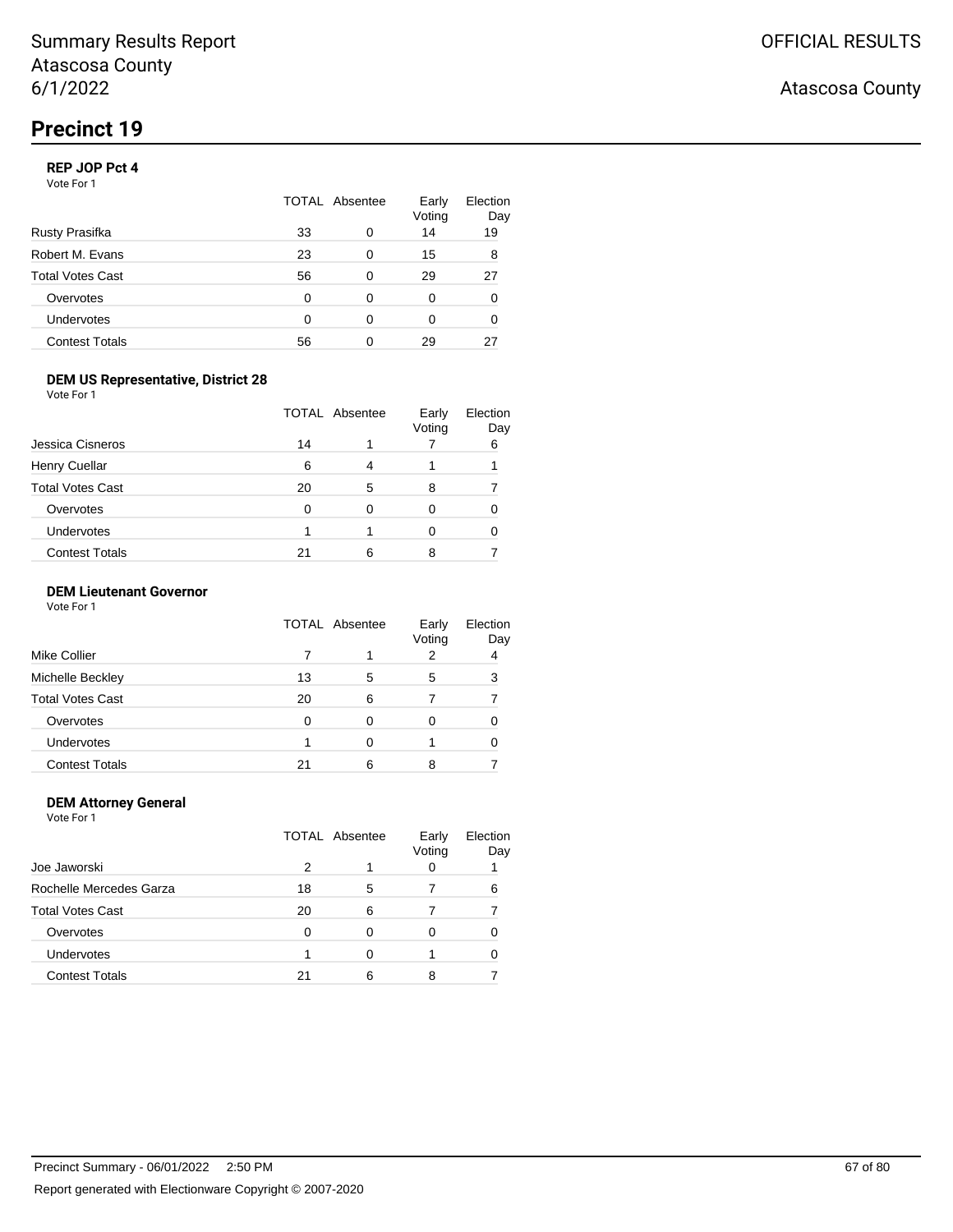### **REP JOP Pct 4**

Vote For 1

|                       | TOTAL Absentee |   | Early<br>Voting | Election<br>Day |
|-----------------------|----------------|---|-----------------|-----------------|
| Rusty Prasifka        | 33             | 0 | 14              | 19              |
| Robert M. Evans       | 23             | 0 | 15              | 8               |
| Total Votes Cast      | 56             | 0 | 29              | 27              |
| Overvotes             | O              | 0 | 0               | 0               |
| Undervotes            | $\Omega$       | ∩ | 0               | 0               |
| <b>Contest Totals</b> | 56             | ∩ | 29              | 27              |

### **DEM US Representative, District 28**

Vote For 1

|                         |    | TOTAL Absentee | Early<br>Voting | Election<br>Day |
|-------------------------|----|----------------|-----------------|-----------------|
| Jessica Cisneros        | 14 |                |                 | 6               |
| <b>Henry Cuellar</b>    | 6  | 4              |                 |                 |
| <b>Total Votes Cast</b> | 20 | 5              | 8               |                 |
| Overvotes               | 0  | 0              | 0               |                 |
| <b>Undervotes</b>       |    |                |                 |                 |
| <b>Contest Totals</b>   | 21 | 6              |                 |                 |

### **DEM Lieutenant Governor**

| Vote For 1 |  |  |
|------------|--|--|
|------------|--|--|

|                         | <b>TOTAL Absentee</b> |   | Early<br>Voting | Election<br>Day |
|-------------------------|-----------------------|---|-----------------|-----------------|
| <b>Mike Collier</b>     |                       |   |                 | 4               |
| Michelle Beckley        | 13                    | 5 | 5               | з               |
| <b>Total Votes Cast</b> | 20                    | 6 |                 |                 |
| Overvotes               | <sup>0</sup>          | 0 |                 |                 |
| Undervotes              |                       | 0 |                 |                 |
| <b>Contest Totals</b>   | 21                    | 6 | 8               |                 |

#### **DEM Attorney General** Vote For 1

TOTAL Absentee Early Voting Election Day Joe Jaworski 2 1 0 1 Rochelle Mercedes Garza 18 5 7 6 Total Votes Cast **20** 6 7 7 7 Overvotes 0 0 0 0 0 Undervotes 1 0 1 0 Contest Totals 21 6 8 7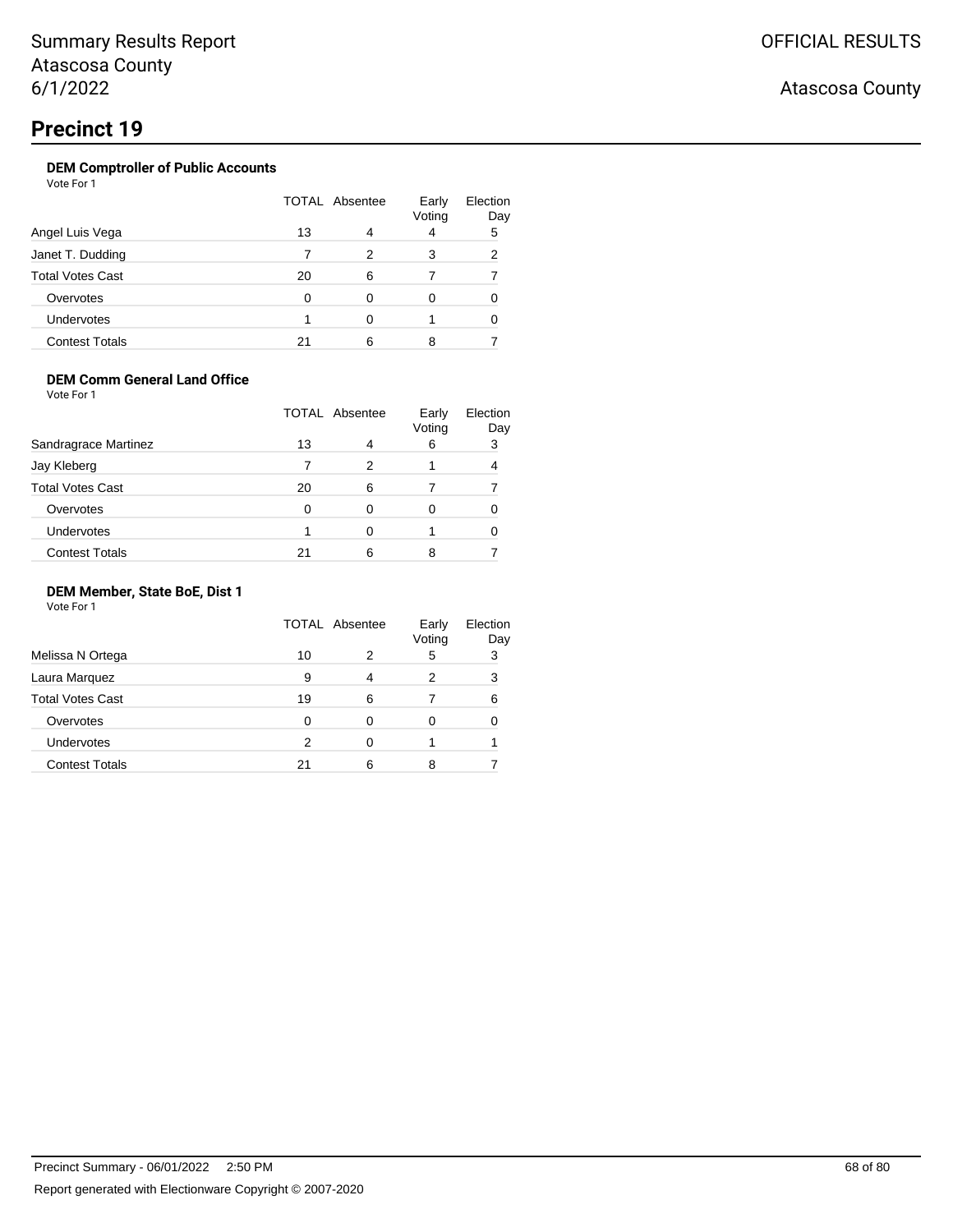# **Precinct 19**

### **DEM Comptroller of Public Accounts**

Vote For 1

|                         | TOTAL Absentee |   | Early<br>Voting | Election<br>Day |
|-------------------------|----------------|---|-----------------|-----------------|
| Angel Luis Vega         | 13             |   | 4               | 5               |
| Janet T. Dudding        |                | 2 | 3               | 2               |
| <b>Total Votes Cast</b> | 20             | 6 |                 |                 |
| Overvotes               | O              |   | 0               |                 |
| Undervotes              |                | O |                 |                 |
| <b>Contest Totals</b>   | 21             | 6 | 8               |                 |

### **DEM Comm General Land Office**

Vote For 1

|                         | TOTAL Absentee |   | Early<br>Voting | Election<br>Day |
|-------------------------|----------------|---|-----------------|-----------------|
| Sandragrace Martinez    | 13             | 4 | 6               | 3               |
| Jay Kleberg             |                | 2 |                 |                 |
| <b>Total Votes Cast</b> | 20             | 6 |                 |                 |
| Overvotes               | O              | 0 |                 |                 |
| Undervotes              |                | ∩ |                 |                 |
| <b>Contest Totals</b>   | 21             | 6 |                 |                 |

### **DEM Member, State BoE, Dist 1**

|                         | <b>TOTAL Absentee</b> |   | Early<br>Voting | Election<br>Day |
|-------------------------|-----------------------|---|-----------------|-----------------|
| Melissa N Ortega        | 10                    | 2 | 5               | 3               |
| Laura Marquez           | 9                     |   | 2               | 3               |
| <b>Total Votes Cast</b> | 19                    | 6 |                 | 6               |
| Overvotes               | 0                     | 0 | Ω               |                 |
| Undervotes              | 2                     | 0 |                 |                 |
| <b>Contest Totals</b>   | 21                    | 6 | 8               |                 |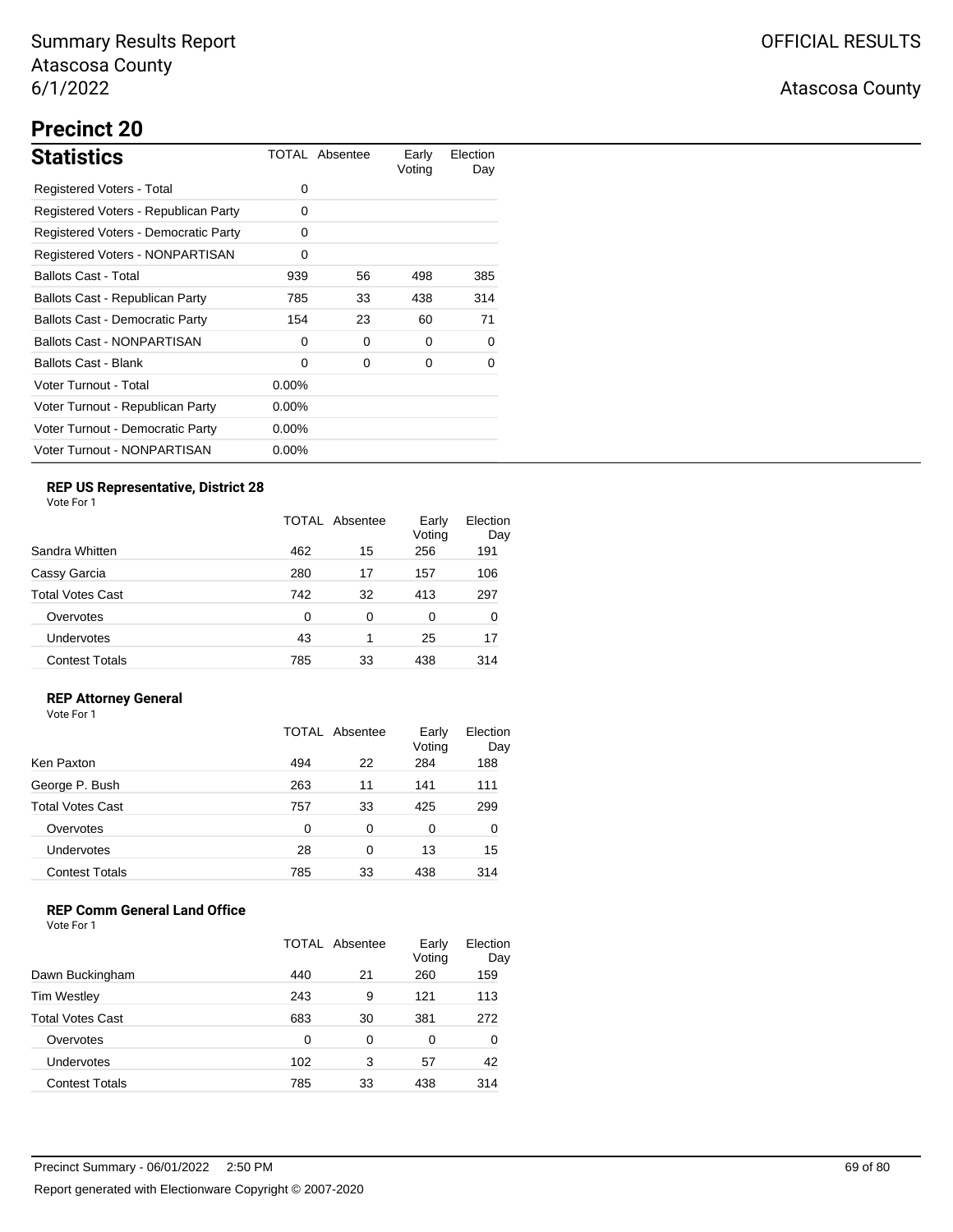# **Precinct 20**

| <b>Statistics</b>                      |          | TOTAL Absentee | Early<br>Voting | Election<br>Day |
|----------------------------------------|----------|----------------|-----------------|-----------------|
| Registered Voters - Total              | 0        |                |                 |                 |
| Registered Voters - Republican Party   | 0        |                |                 |                 |
| Registered Voters - Democratic Party   | 0        |                |                 |                 |
| Registered Voters - NONPARTISAN        | 0        |                |                 |                 |
| <b>Ballots Cast - Total</b>            | 939      | 56             | 498             | 385             |
| Ballots Cast - Republican Party        | 785      | 33             | 438             | 314             |
| <b>Ballots Cast - Democratic Party</b> | 154      | 23             | 60              | 71              |
| <b>Ballots Cast - NONPARTISAN</b>      | 0        | 0              | 0               | 0               |
| <b>Ballots Cast - Blank</b>            | 0        | 0              | 0               | 0               |
| Voter Turnout - Total                  | $0.00\%$ |                |                 |                 |
| Voter Turnout - Republican Party       | $0.00\%$ |                |                 |                 |
| Voter Turnout - Democratic Party       | $0.00\%$ |                |                 |                 |
| Voter Turnout - NONPARTISAN            | $0.00\%$ |                |                 |                 |

## **REP US Representative, District 28**

Vote For 1

|                       | TOTAL Absentee |    | Early<br>Voting | Election<br>Day |
|-----------------------|----------------|----|-----------------|-----------------|
| Sandra Whitten        | 462            | 15 | 256             | 191             |
| Cassy Garcia          | 280            | 17 | 157             | 106             |
| Total Votes Cast      | 742            | 32 | 413             | 297             |
| Overvotes             | $\Omega$       | 0  | 0               | 0               |
| Undervotes            | 43             | 1  | 25              | 17              |
| <b>Contest Totals</b> | 785            | 33 | 438             | 314             |

### **REP Attorney General**

Vote For 1

|                         |     | TOTAL Absentee | Early<br>Voting | Election<br>Day |
|-------------------------|-----|----------------|-----------------|-----------------|
| Ken Paxton              | 494 | 22             | 284             | 188             |
| George P. Bush          | 263 | 11             | 141             | 111             |
| <b>Total Votes Cast</b> | 757 | 33             | 425             | 299             |
| Overvotes               | 0   | 0              | 0               | 0               |
| <b>Undervotes</b>       | 28  | 0              | 13              | 15              |
| <b>Contest Totals</b>   | 785 | 33             | 438             | 314             |

### **REP Comm General Land Office**

|                         | TOTAL Absentee |    | Early<br>Voting | Election<br>Day |
|-------------------------|----------------|----|-----------------|-----------------|
| Dawn Buckingham         | 440            | 21 | 260             | 159             |
| <b>Tim Westley</b>      | 243            | 9  | 121             | 113             |
| <b>Total Votes Cast</b> | 683            | 30 | 381             | 272             |
| Overvotes               | 0              | 0  | 0               | 0               |
| Undervotes              | 102            | 3  | 57              | 42              |
| <b>Contest Totals</b>   | 785            | 33 | 438             | 314             |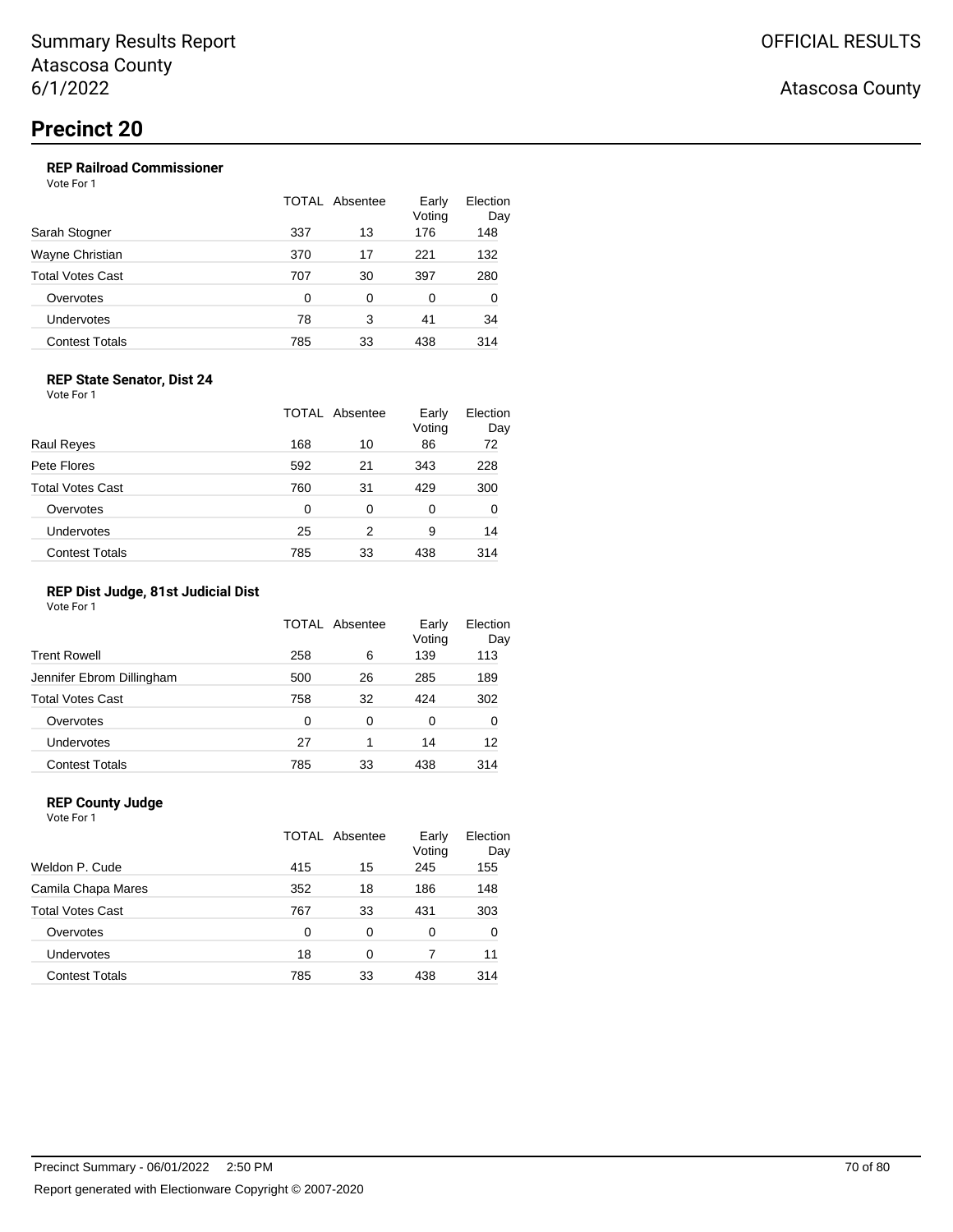### **REP Railroad Commissioner**

Vote For 1

|                       | TOTAL Absentee |    | Early<br>Voting | Election<br>Day |
|-----------------------|----------------|----|-----------------|-----------------|
| Sarah Stogner         | 337            | 13 | 176             | 148             |
| Wayne Christian       | 370            | 17 | 221             | 132             |
| Total Votes Cast      | 707            | 30 | 397             | 280             |
| Overvotes             | 0              | 0  | 0               | 0               |
| Undervotes            | 78             | 3  | 41              | 34              |
| <b>Contest Totals</b> | 785            | 33 | 438             | 314             |

### **REP State Senator, Dist 24**

Vote For 1

|                         | TOTAL | Absentee | Early<br>Voting | Election<br>Day |
|-------------------------|-------|----------|-----------------|-----------------|
| Raul Reyes              | 168   | 10       | 86              | 72              |
| Pete Flores             | 592   | 21       | 343             | 228             |
| <b>Total Votes Cast</b> | 760   | 31       | 429             | 300             |
| Overvotes               | 0     | 0        | 0               | 0               |
| <b>Undervotes</b>       | 25    | 2        | 9               | 14              |
| <b>Contest Totals</b>   | 785   | 33       | 438             | 314             |

### **REP Dist Judge, 81st Judicial Dist**

Vote For 1

|                           |     | TOTAL Absentee | Early<br>Voting | Election<br>Day |
|---------------------------|-----|----------------|-----------------|-----------------|
| <b>Trent Rowell</b>       | 258 | 6              | 139             | 113             |
| Jennifer Ebrom Dillingham | 500 | 26             | 285             | 189             |
| <b>Total Votes Cast</b>   | 758 | 32             | 424             | 302             |
| Overvotes                 | 0   | 0              | 0               | 0               |
| Undervotes                | 27  | 1              | 14              | 12              |
| <b>Contest Totals</b>     | 785 | 33             | 438             | 314             |

### **REP County Judge**

| Vote For 1              |       |          |                 |                 |
|-------------------------|-------|----------|-----------------|-----------------|
|                         | TOTAL | Absentee | Early<br>Voting | Election<br>Day |
| Weldon P. Cude          | 415   | 15       | 245             | 155             |
| Camila Chapa Mares      | 352   | 18       | 186             | 148             |
| <b>Total Votes Cast</b> | 767   | 33       | 431             | 303             |
| Overvotes               | 0     | 0        | 0               | 0               |
| <b>Undervotes</b>       | 18    | 0        | 7               | 11              |
| <b>Contest Totals</b>   | 785   | 33       | 438             | 314             |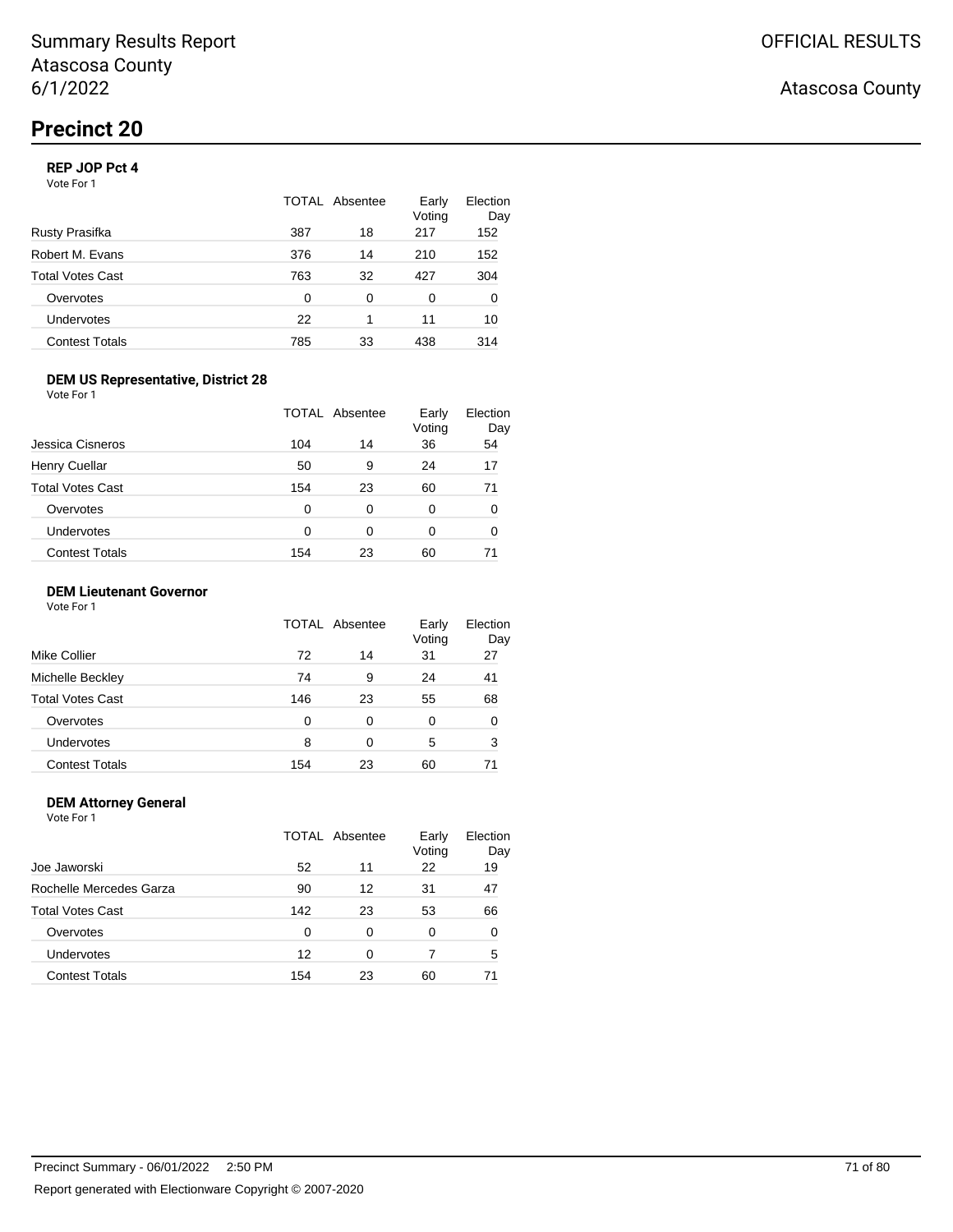### **REP JOP Pct 4**

Vote For 1

|                       | TOTAL Absentee |    | Early<br>Voting | Election<br>Day |
|-----------------------|----------------|----|-----------------|-----------------|
| Rusty Prasifka        | 387            | 18 | 217             | 152             |
| Robert M. Evans       | 376            | 14 | 210             | 152             |
| Total Votes Cast      | 763            | 32 | 427             | 304             |
| Overvotes             | $\Omega$       | 0  | 0               | 0               |
| Undervotes            | 22             | 1  | 11              | 10              |
| <b>Contest Totals</b> | 785            | 33 | 438             | 314             |

### **DEM US Representative, District 28**

Vote For 1

|                         |     | <b>TOTAL Absentee</b> | Early<br>Voting | Election<br>Day |
|-------------------------|-----|-----------------------|-----------------|-----------------|
| Jessica Cisneros        | 104 | 14                    | 36              | 54              |
| <b>Henry Cuellar</b>    | 50  | 9                     | 24              | 17              |
| <b>Total Votes Cast</b> | 154 | 23                    | 60              | 71              |
| Overvotes               | 0   | 0                     | 0               | 0               |
| Undervotes              | 0   | 0                     | 0               | 0               |
| <b>Contest Totals</b>   | 154 | 23                    | 60              |                 |

### **DEM Lieutenant Governor**

Vote For 1

|                         |     | TOTAL Absentee | Early<br>Voting | Election<br>Day |
|-------------------------|-----|----------------|-----------------|-----------------|
| Mike Collier            | 72  | 14             | 31              | 27              |
| Michelle Beckley        | 74  | 9              | 24              | 41              |
| <b>Total Votes Cast</b> | 146 | 23             | 55              | 68              |
| Overvotes               | 0   | 0              | 0               | 0               |
| Undervotes              | 8   | 0              | 5               | 3               |
| <b>Contest Totals</b>   | 154 | 23             | 60              | 71              |

#### **DEM Attorney General** Vote For 1

TOTAL Absentee Early Voting Election Day Joe Jaworski 52 11 22 19 Rochelle Mercedes Garza 190 12 31 47 Total Votes Cast 142 23 53 66 Overvotes 0 0 0 0 0 Undervotes 12 0 7 5 Contest Totals 154 23 60 71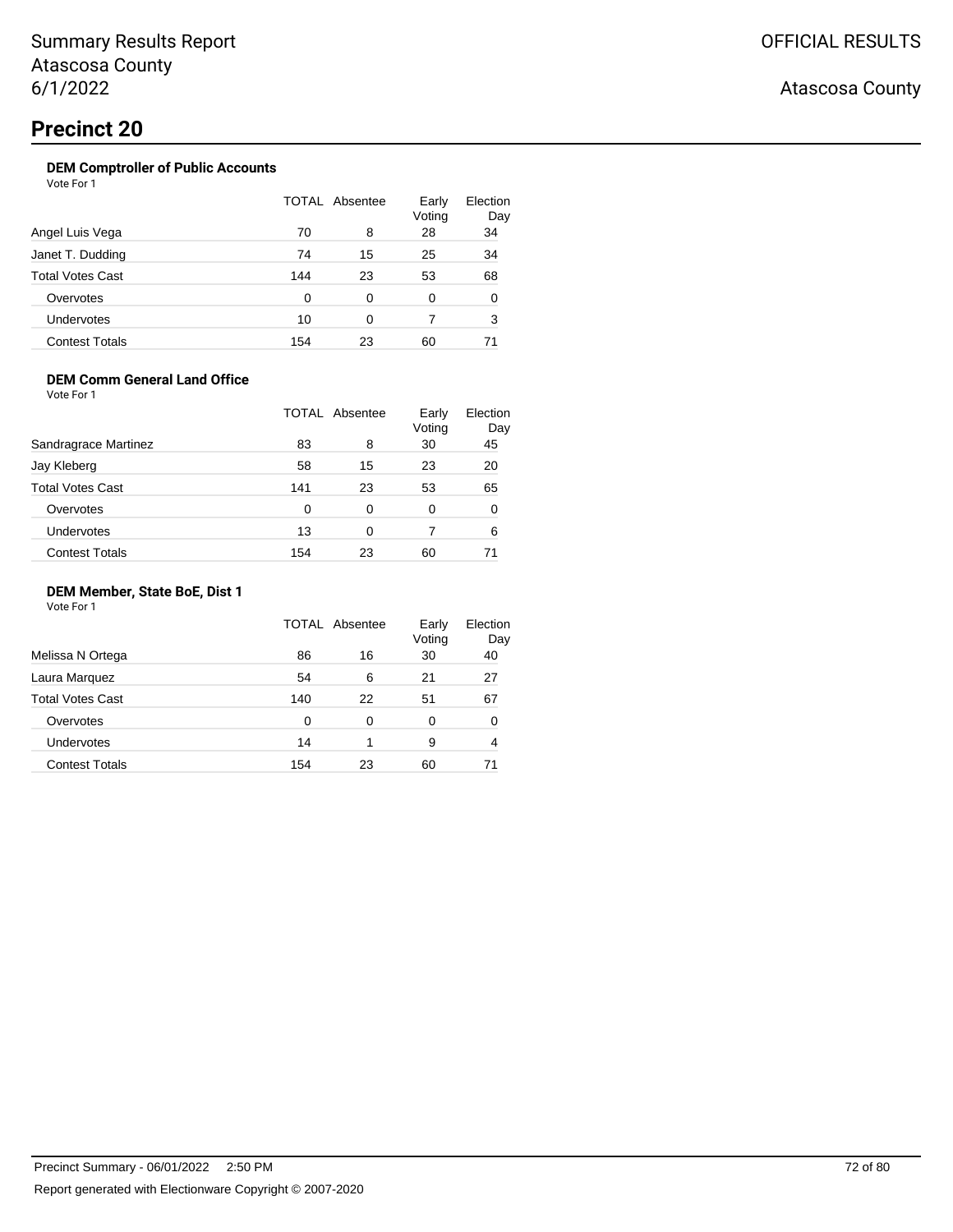### **DEM Comptroller of Public Accounts**

Vote For 1

|                         |     | TOTAL Absentee | Early<br>Voting | Election<br>Day |
|-------------------------|-----|----------------|-----------------|-----------------|
| Angel Luis Vega         | 70  | 8              | 28              | 34              |
| Janet T. Dudding        | 74  | 15             | 25              | 34              |
| <b>Total Votes Cast</b> | 144 | 23             | 53              | 68              |
| Overvotes               | O   | 0              | 0               | 0               |
| Undervotes              | 10  | 0              |                 | 3               |
| <b>Contest Totals</b>   | 154 | 23             | 60              | 71              |

### **DEM Comm General Land Office**

Vote For 1

|                         |     | <b>TOTAL Absentee</b> | Early<br>Voting | Election<br>Day |
|-------------------------|-----|-----------------------|-----------------|-----------------|
| Sandragrace Martinez    | 83  | 8                     | 30              | 45              |
| Jay Kleberg             | 58  | 15                    | 23              | 20              |
| <b>Total Votes Cast</b> | 141 | 23                    | 53              | 65              |
| Overvotes               | 0   | 0                     | 0               | 0               |
| Undervotes              | 13  | 0                     |                 | 6               |
| <b>Contest Totals</b>   | 154 | 23                    | 60              |                 |

### **DEM Member, State BoE, Dist 1**

Vote For 1

|                         |          | TOTAL Absentee | Early<br>Voting | Election<br>Day |
|-------------------------|----------|----------------|-----------------|-----------------|
| Melissa N Ortega        | 86       | 16             | 30              | 40              |
| Laura Marquez           | 54       | 6              | 21              | 27              |
| <b>Total Votes Cast</b> | 140      | 22             | 51              | 67              |
| Overvotes               | $\Omega$ | 0              | 0               | 0               |
| Undervotes              | 14       | 1              | 9               | 4               |
| <b>Contest Totals</b>   | 154      | 23             | 60              | 71              |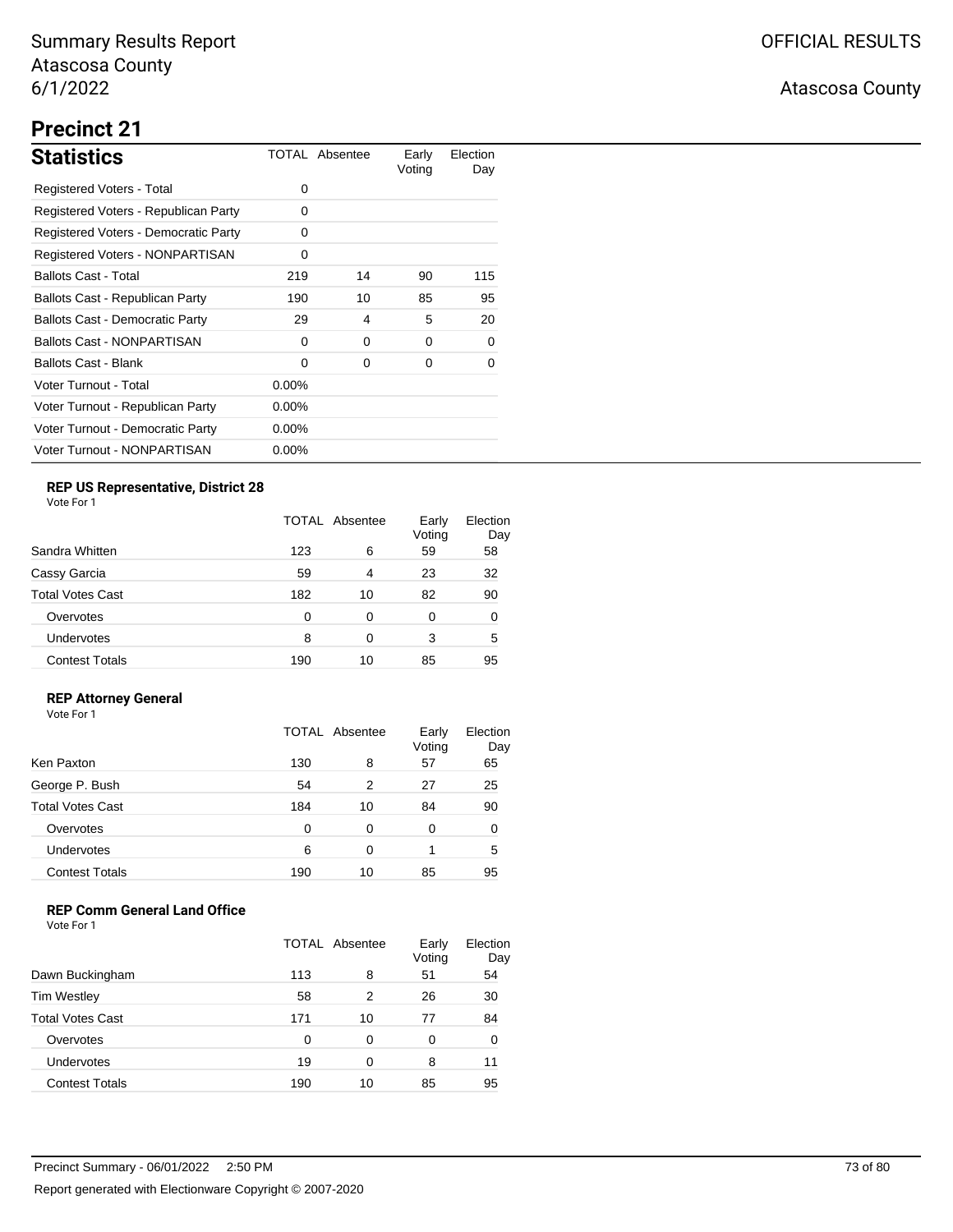## Atascosa County

# **Precinct 21**

| <b>Statistics</b>                      |          | TOTAL Absentee | Early<br>Voting | Election<br>Day |
|----------------------------------------|----------|----------------|-----------------|-----------------|
| Registered Voters - Total              | 0        |                |                 |                 |
| Registered Voters - Republican Party   | 0        |                |                 |                 |
| Registered Voters - Democratic Party   | 0        |                |                 |                 |
| Registered Voters - NONPARTISAN        | 0        |                |                 |                 |
| <b>Ballots Cast - Total</b>            | 219      | 14             | 90              | 115             |
| Ballots Cast - Republican Party        | 190      | 10             | 85              | 95              |
| <b>Ballots Cast - Democratic Party</b> | 29       | 4              | 5               | 20              |
| <b>Ballots Cast - NONPARTISAN</b>      | $\Omega$ | 0              | 0               | 0               |
| Ballots Cast - Blank                   | $\Omega$ | 0              | 0               | 0               |
| Voter Turnout - Total                  | $0.00\%$ |                |                 |                 |
| Voter Turnout - Republican Party       | $0.00\%$ |                |                 |                 |
| Voter Turnout - Democratic Party       | $0.00\%$ |                |                 |                 |
| Voter Turnout - NONPARTISAN            | $0.00\%$ |                |                 |                 |

## **REP US Representative, District 28**

Vote For 1

| Sandra Whitten        |          | TOTAL Absentee |    | Election<br>Day |
|-----------------------|----------|----------------|----|-----------------|
|                       | 123      | 6              | 59 | 58              |
| Cassy Garcia          | 59       | 4              | 23 | 32              |
| Total Votes Cast      | 182      | 10             | 82 | 90              |
| Overvotes             | $\Omega$ | 0              | 0  | 0               |
| Undervotes            | 8        | 0              | 3  | 5               |
| <b>Contest Totals</b> | 190      | 10             | 85 | 95              |

### **REP Attorney General**

Vote For 1

|                         |     | TOTAL Absentee | Early<br>Voting | Election<br>Day |
|-------------------------|-----|----------------|-----------------|-----------------|
| Ken Paxton              | 130 | 8              | 57              | 65              |
| George P. Bush          | 54  | 2              | 27              | 25              |
| <b>Total Votes Cast</b> | 184 | 10             | 84              | 90              |
| Overvotes               | 0   | 0              | 0               | 0               |
| Undervotes              | 6   | 0              |                 | 5               |
| <b>Contest Totals</b>   | 190 | 10             | 85              | 95              |

## **REP Comm General Land Office**

|                         | TOTAL Absentee |    | Early<br>Voting | Election<br>Day |
|-------------------------|----------------|----|-----------------|-----------------|
| Dawn Buckingham         | 113            | 8  | 51              | 54              |
| <b>Tim Westley</b>      | 58             | 2  | 26              | 30              |
| <b>Total Votes Cast</b> | 171            | 10 | 77              | 84              |
| Overvotes               | 0              | 0  | 0               | 0               |
| Undervotes              | 19             | 0  | 8               | 11              |
| <b>Contest Totals</b>   | 190            | 10 | 85              | 95              |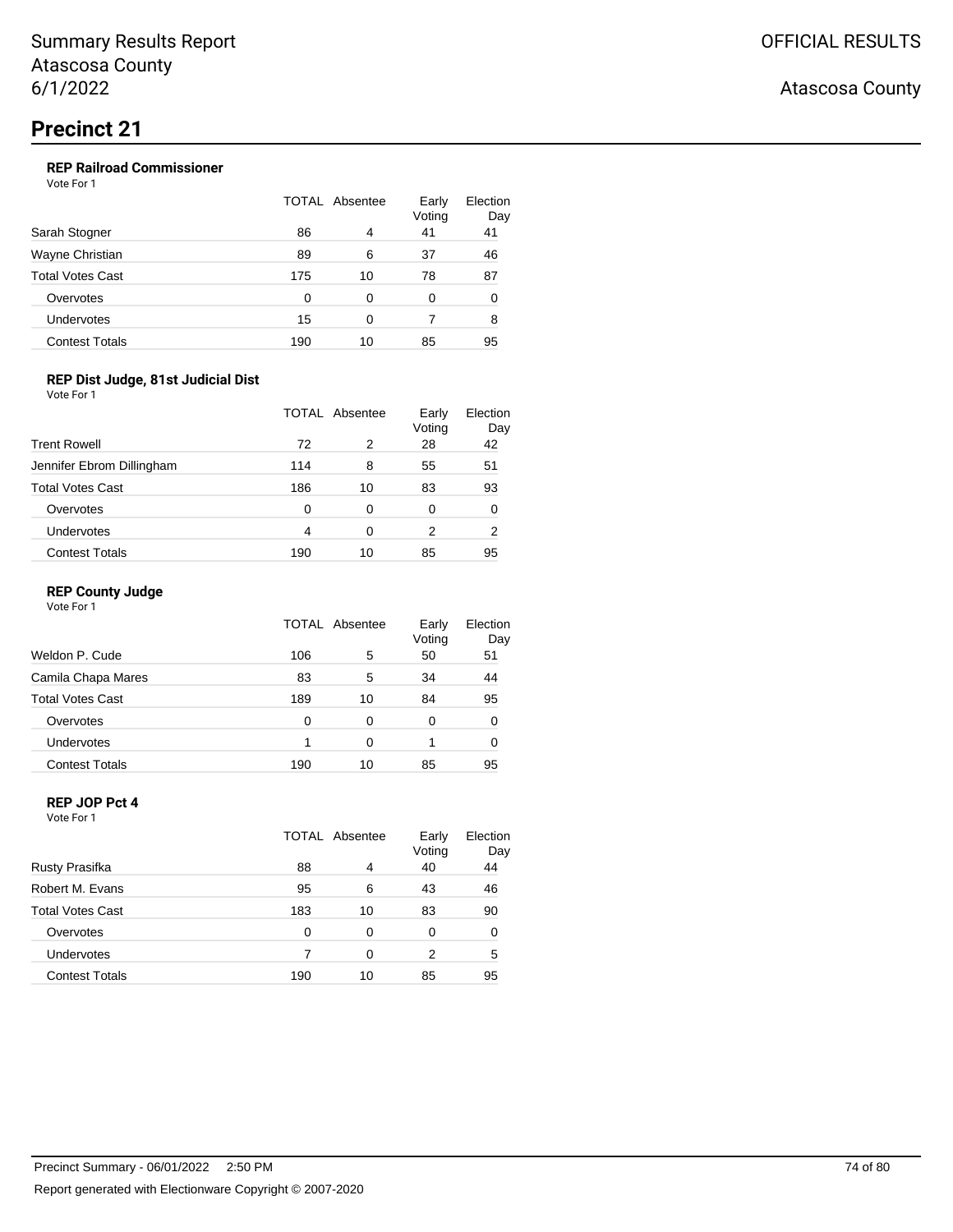Vote For 1

|                       | TOTAL Absentee |    | Early<br>Voting | Election<br>Day |
|-----------------------|----------------|----|-----------------|-----------------|
| Sarah Stogner         | 86             | 4  | 41              | 41              |
| Wayne Christian       | 89             | 6  | 37              | 46              |
| Total Votes Cast      | 175            | 10 | 78              | 87              |
| Overvotes             | 0              | 0  | 0               | 0               |
| Undervotes            | 15             | ∩  |                 | 8               |
| <b>Contest Totals</b> | 190            | 10 | 85              | 95              |

## **REP Dist Judge, 81st Judicial Dist**

Vote For 1

|                           |     | TOTAL Absentee | Early<br>Voting | Election<br>Day |
|---------------------------|-----|----------------|-----------------|-----------------|
| <b>Trent Rowell</b>       | 72  | 2              | 28              | 42              |
| Jennifer Ebrom Dillingham | 114 | 8              | 55              | 51              |
| <b>Total Votes Cast</b>   | 186 | 10             | 83              | 93              |
| Overvotes                 | 0   | 0              | 0               | 0               |
| Undervotes                | 4   | 0              | 2               | 2               |
| <b>Contest Totals</b>     | 190 | 10             | 85              | 95              |

### **REP County Judge**

Vote For 1

|                         |     | TOTAL Absentee | Early<br>Voting | Election<br>Day |
|-------------------------|-----|----------------|-----------------|-----------------|
| Weldon P. Cude          | 106 | 5              | 50              | 51              |
| Camila Chapa Mares      | 83  | 5              | 34              | 44              |
| <b>Total Votes Cast</b> | 189 | 10             | 84              | 95              |
| Overvotes               | O   | 0              | 0               | 0               |
| Undervotes              |     | 0              |                 | 0               |
| <b>Contest Totals</b>   | 190 | 10             | 85              | 95              |

#### **REP JOP Pct 4** Vote For 1

|                         | TOTAL Absentee |    | Early<br>Voting | Election<br>Day |
|-------------------------|----------------|----|-----------------|-----------------|
| <b>Rusty Prasifka</b>   | 88             | 4  | 40              | 44              |
| Robert M. Evans         | 95             | 6  | 43              | 46              |
| <b>Total Votes Cast</b> | 183            | 10 | 83              | 90              |
| Overvotes               | 0              | 0  | 0               | 0               |
| Undervotes              |                | 0  | 2               | 5               |
| <b>Contest Totals</b>   | 190            | 10 | 85              | 95              |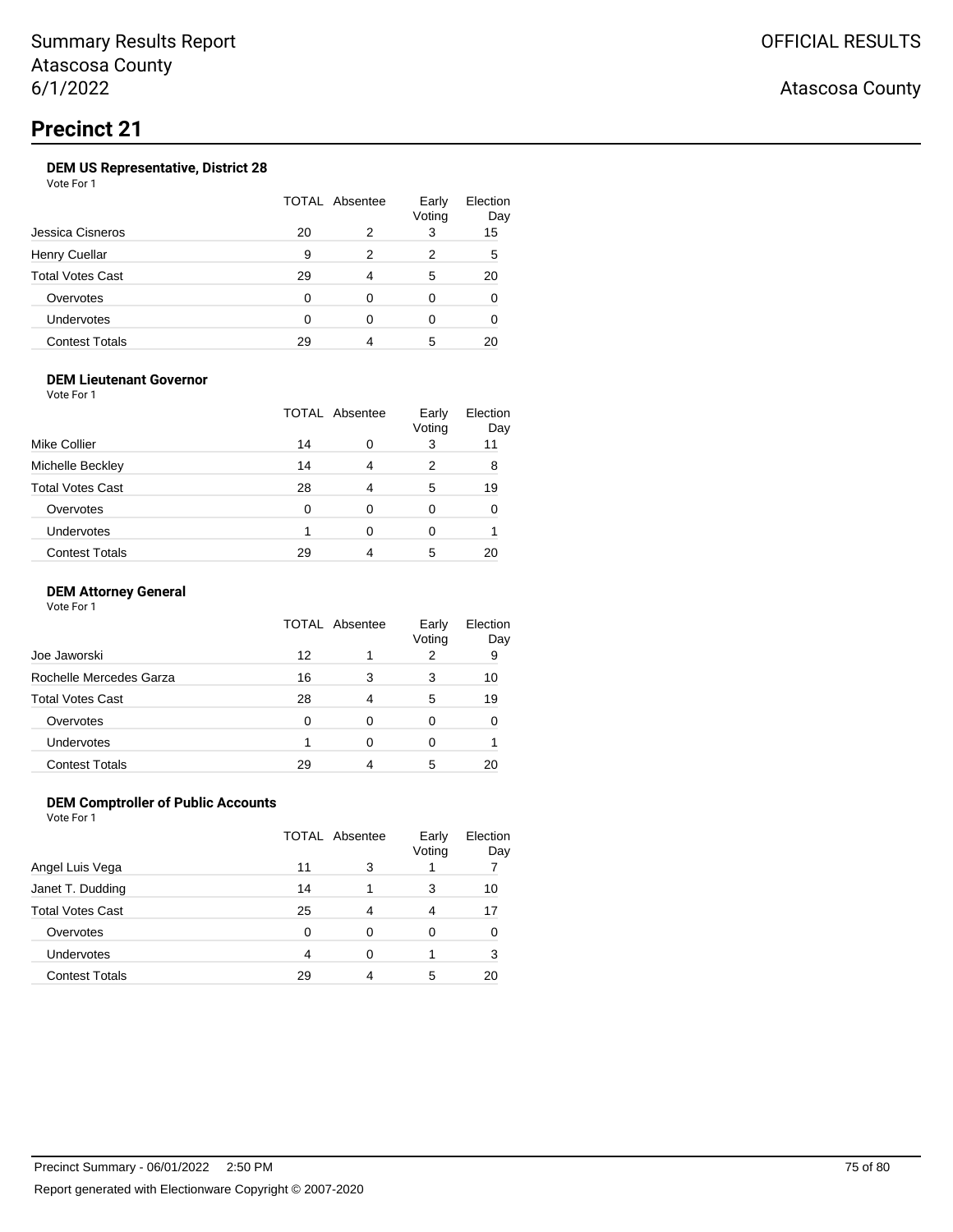## **DEM US Representative, District 28**

Vote For 1

|    |   | Early<br>Voting | Election<br>Day |
|----|---|-----------------|-----------------|
| 20 | 2 | 3               | 15              |
| 9  | 2 | 2               | 5               |
| 29 |   | 5               | 20              |
| 0  | 0 | 0               |                 |
| ∩  | ∩ |                 |                 |
| 29 |   | 5               | 20              |
|    |   | TOTAL Absentee  |                 |

### **DEM Lieutenant Governor**

Vote For 1

| <b>Mike Collier</b>     |    | TOTAL Absentee |   | Election<br>Day |
|-------------------------|----|----------------|---|-----------------|
|                         | 14 | 0              | 3 | 11              |
| Michelle Beckley        | 14 | 4              | 2 | 8               |
| <b>Total Votes Cast</b> | 28 | 4              | 5 | 19              |
| Overvotes               | 0  | 0              | 0 |                 |
| Undervotes              |    | 0              | 0 |                 |
| <b>Contest Totals</b>   | 29 |                | 5 |                 |

### **DEM Attorney General**

Vote For 1

|                         | TOTAL Absentee |   | Early<br>Voting | Election<br>Day |
|-------------------------|----------------|---|-----------------|-----------------|
| Joe Jaworski            | 12             |   |                 | 9               |
| Rochelle Mercedes Garza | 16             | 3 | 3               | 10              |
| <b>Total Votes Cast</b> | 28             | 4 | 5               | 19              |
| Overvotes               | O              | 0 | 0               |                 |
| Undervotes              |                | 0 | 0               |                 |
| <b>Contest Totals</b>   | 29             |   | 5               |                 |

## **DEM Comptroller of Public Accounts**

|                       | <b>TOTAL Absentee</b> |   | Early<br>Voting | Election<br>Day |
|-----------------------|-----------------------|---|-----------------|-----------------|
| Angel Luis Vega       | 11                    | 3 |                 |                 |
| Janet T. Dudding      | 14                    |   | 3               | 10              |
| Total Votes Cast      | 25                    |   | 4               | 17              |
| Overvotes             | 0                     | 0 |                 |                 |
| Undervotes            | 4                     | 0 |                 | 3               |
| <b>Contest Totals</b> | 29                    |   | 5               |                 |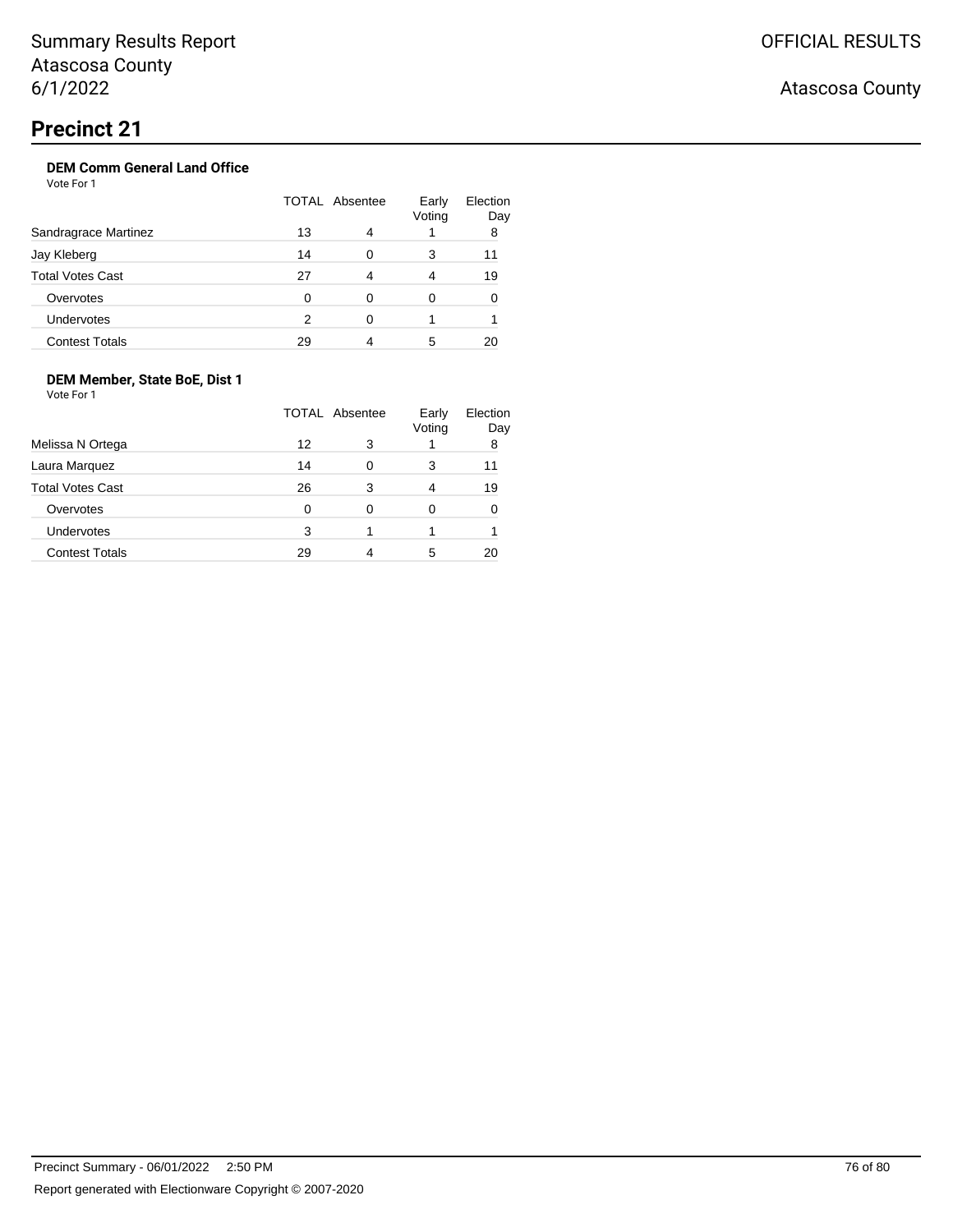## **DEM Comm General Land Office**

Vote For 1

|                         | TOTAL Absentee |   | Early<br>Voting | Election<br>Day |
|-------------------------|----------------|---|-----------------|-----------------|
| Sandragrace Martinez    | 13             | 4 |                 | 8               |
| Jay Kleberg             | 14             | 0 | 3               | 11              |
| <b>Total Votes Cast</b> | 27             | 4 | 4               | 19              |
| Overvotes               | 0              | 0 | 0               |                 |
| <b>Undervotes</b>       | 2              | ∩ |                 |                 |
| <b>Contest Totals</b>   | 29             |   | 5               | 20              |

## **DEM Member, State BoE, Dist 1**

Vote For 1

|                         | TOTAL Absentee |   | Early<br>Voting | Election<br>Day |
|-------------------------|----------------|---|-----------------|-----------------|
| Melissa N Ortega        | 12             | 3 |                 | 8               |
| Laura Marquez           | 14             | 0 | 3               | 11              |
| <b>Total Votes Cast</b> | 26             | 3 | 4               | 19              |
| Overvotes               | 0              | 0 | 0               |                 |
| Undervotes              | 3              |   |                 |                 |
| <b>Contest Totals</b>   | 29             |   | 5               |                 |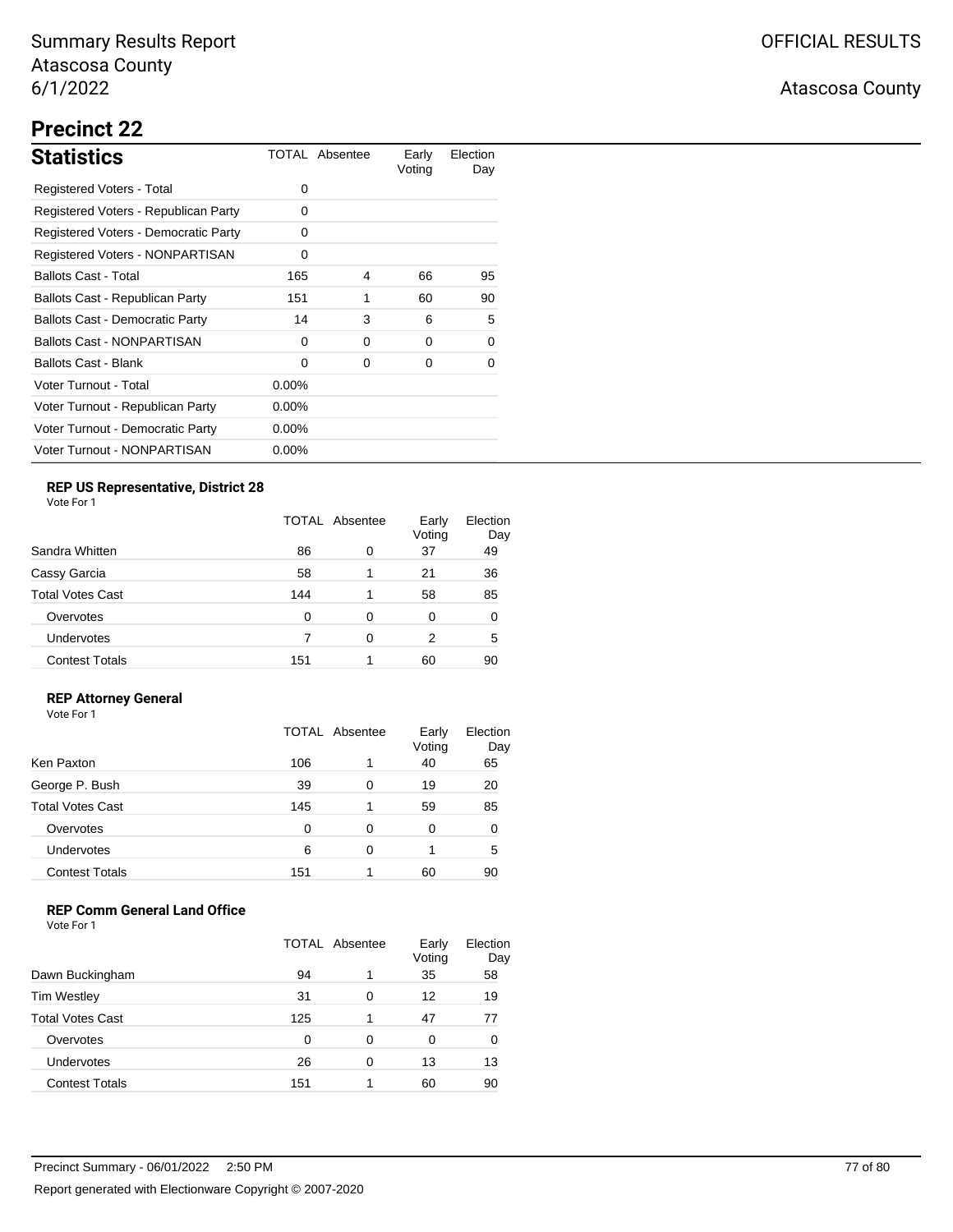## Atascosa County

# **Precinct 22**

| <b>Statistics</b>                      |          | TOTAL Absentee | Early<br>Voting | Election<br>Day |
|----------------------------------------|----------|----------------|-----------------|-----------------|
| Registered Voters - Total              | 0        |                |                 |                 |
| Registered Voters - Republican Party   | 0        |                |                 |                 |
| Registered Voters - Democratic Party   | 0        |                |                 |                 |
| Registered Voters - NONPARTISAN        | 0        |                |                 |                 |
| <b>Ballots Cast - Total</b>            | 165      | 4              | 66              | 95              |
| Ballots Cast - Republican Party        | 151      | 1              | 60              | 90              |
| <b>Ballots Cast - Democratic Party</b> | 14       | 3              | 6               | 5               |
| <b>Ballots Cast - NONPARTISAN</b>      | $\Omega$ | $\Omega$       | $\Omega$        | 0               |
| Ballots Cast - Blank                   | $\Omega$ | 0              | 0               | 0               |
| Voter Turnout - Total                  | $0.00\%$ |                |                 |                 |
| Voter Turnout - Republican Party       | $0.00\%$ |                |                 |                 |
| Voter Turnout - Democratic Party       | $0.00\%$ |                |                 |                 |
| Voter Turnout - NONPARTISAN            | $0.00\%$ |                |                 |                 |

## **REP US Representative, District 28**

Vote For 1

|                         | TOTAL Absentee |   | Early<br>Voting | Election<br>Day |
|-------------------------|----------------|---|-----------------|-----------------|
| Sandra Whitten          | 86             | 0 | 37              | 49              |
| Cassy Garcia            | 58             |   | 21              | 36              |
| <b>Total Votes Cast</b> | 144            |   | 58              | 85              |
| Overvotes               | 0              | 0 | 0               | 0               |
| <b>Undervotes</b>       |                | 0 | 2               | 5               |
| <b>Contest Totals</b>   | 151            |   | 60              | 90              |

### **REP Attorney General**

Vote For 1

|                         | TOTAL Absentee |   | Early<br>Voting | Election<br>Day |
|-------------------------|----------------|---|-----------------|-----------------|
| Ken Paxton              | 106            | 1 | 40              | 65              |
| George P. Bush          | 39             | 0 | 19              | 20              |
| <b>Total Votes Cast</b> | 145            | 1 | 59              | 85              |
| Overvotes               | 0              | 0 | 0               | 0               |
| Undervotes              | 6              | 0 |                 | 5               |
| <b>Contest Totals</b>   | 151            |   | 60              | 90              |

## **REP Comm General Land Office**

|                         | <b>TOTAL Absentee</b> |   | Early<br>Voting | Election<br>Day |
|-------------------------|-----------------------|---|-----------------|-----------------|
| Dawn Buckingham         | 94                    | 1 | 35              | 58              |
| <b>Tim Westley</b>      | 31                    | 0 | 12              | 19              |
| <b>Total Votes Cast</b> | 125                   |   | 47              | 77              |
| Overvotes               | 0                     | 0 | 0               | 0               |
| Undervotes              | 26                    | 0 | 13              | 13              |
| <b>Contest Totals</b>   | 151                   |   | 60              | 90              |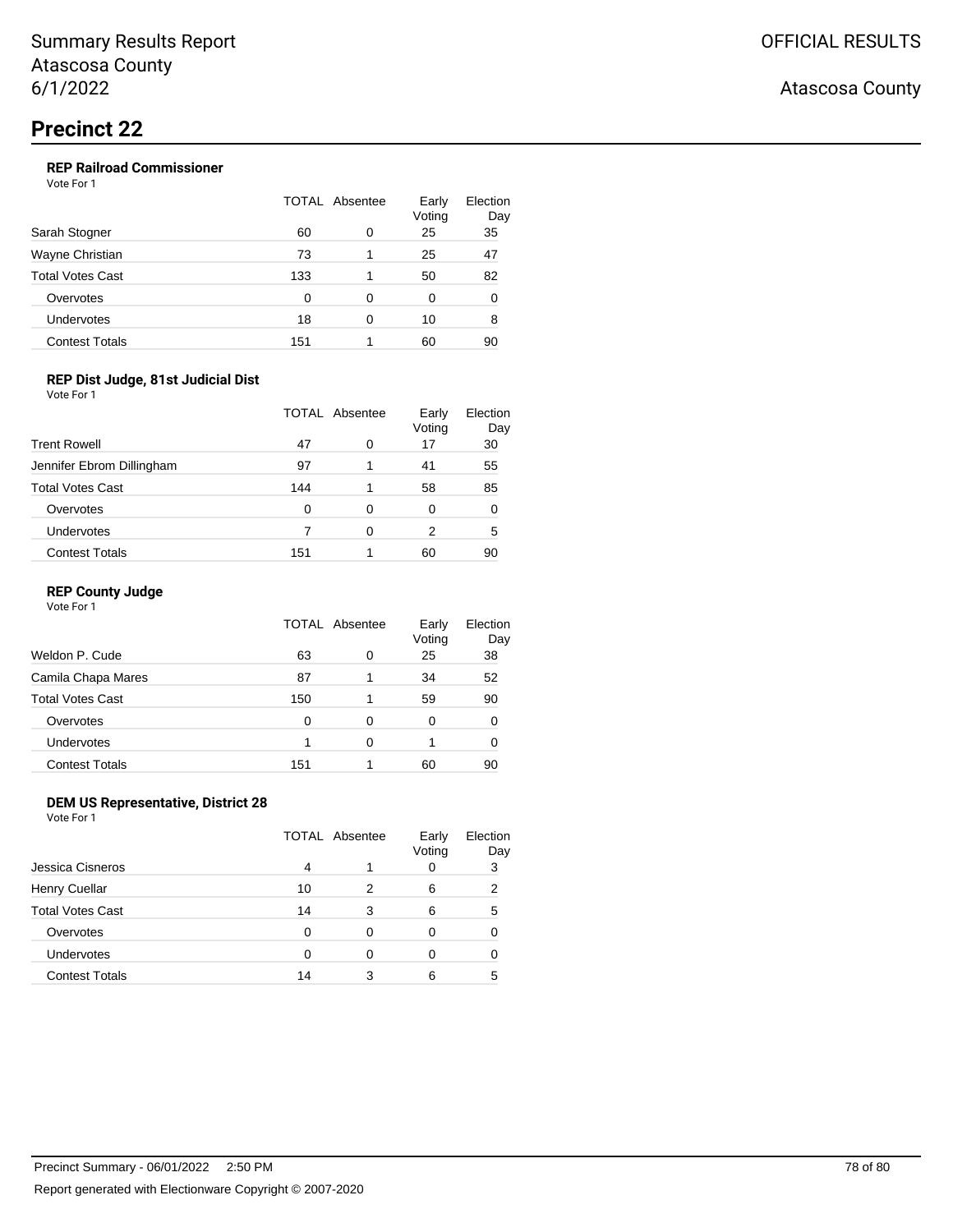## **REP Railroad Commissioner**

Vote For 1

|                         | <b>TOTAL Absentee</b> |   | Early<br>Voting | Election<br>Day |
|-------------------------|-----------------------|---|-----------------|-----------------|
| Sarah Stogner           | 60                    | 0 | 25              | 35              |
| Wayne Christian         | 73                    |   | 25              | 47              |
| <b>Total Votes Cast</b> | 133                   |   | 50              | 82              |
| Overvotes               | 0                     | 0 | 0               | 0               |
| Undervotes              | 18                    | O | 10              | 8               |
| <b>Contest Totals</b>   | 151                   |   | 60              | 90              |

### **REP Dist Judge, 81st Judicial Dist**

Vote For 1

| <b>Trent Rowell</b>       | TOTAL Absentee |   | Early<br>Voting | Election<br>Day |
|---------------------------|----------------|---|-----------------|-----------------|
|                           | 47             | 0 | 17              | 30              |
| Jennifer Ebrom Dillingham | 97             | 1 | 41              | 55              |
| <b>Total Votes Cast</b>   | 144            | 1 | 58              | 85              |
| Overvotes                 | 0              | 0 | 0               | 0               |
| Undervotes                |                | 0 | 2               | 5               |
| <b>Contest Totals</b>     | 151            |   | 60              | 90              |

### **REP County Judge**

| Vote For 1 |  |
|------------|--|
|------------|--|

|                         | TOTAL Absentee |   | Early<br>Voting | Election<br>Day |
|-------------------------|----------------|---|-----------------|-----------------|
| Weldon P. Cude          | 63             | 0 | 25              | 38              |
| Camila Chapa Mares      | 87             |   | 34              | 52              |
| <b>Total Votes Cast</b> | 150            |   | 59              | 90              |
| Overvotes               | 0              | 0 | 0               | 0               |
| Undervotes              |                | 0 |                 |                 |
| <b>Contest Totals</b>   | 151            |   | 60              | 90              |

### **DEM US Representative, District 28**

Vote For 1

|                         | <b>TOTAL Absentee</b> |   | Early<br>Voting | Election<br>Day |
|-------------------------|-----------------------|---|-----------------|-----------------|
| Jessica Cisneros        | 4                     |   |                 | 3               |
| Henry Cuellar           | 10                    | 2 | 6               | 2               |
| <b>Total Votes Cast</b> | 14                    | 3 | 6               | 5               |
| Overvotes               | 0                     | 0 | 0               |                 |
| Undervotes              | ∩                     | 0 |                 |                 |
| <b>Contest Totals</b>   | 14                    | 3 | 6               | 5               |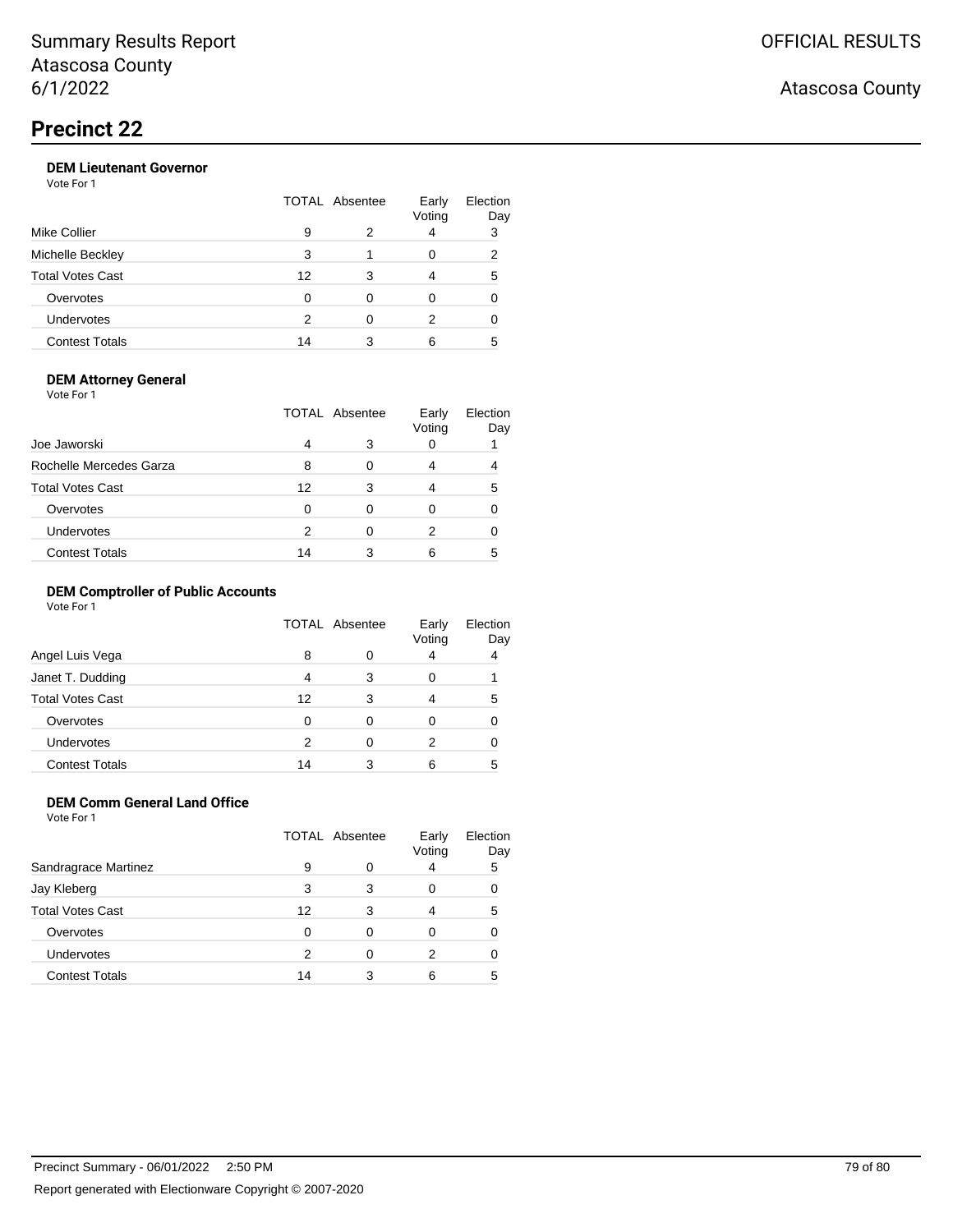## **DEM Lieutenant Governor**

Vote For 1

|    |   | Early<br>Voting | Election<br>Day |
|----|---|-----------------|-----------------|
| 9  |   | 4               | 3               |
| 3  |   | 0               | 2               |
| 12 |   | 4               | 5               |
| 0  | ∩ |                 |                 |
| 2  | ∩ | 2               |                 |
| 14 |   | 6               | 5               |
|    |   | TOTAL Absentee  |                 |

### **DEM Attorney General**

Vote For 1

|                         | TOTAL Absentee |   | Early<br>Voting | Election<br>Day |
|-------------------------|----------------|---|-----------------|-----------------|
| Joe Jaworski            | 4              | 3 |                 |                 |
| Rochelle Mercedes Garza | 8              | ∩ |                 |                 |
| <b>Total Votes Cast</b> | 12             | 3 |                 | 5               |
| Overvotes               | 0              | 0 |                 |                 |
| Undervotes              | 2              |   |                 |                 |
| <b>Contest Totals</b>   | 14             |   |                 | 5               |

## **DEM Comptroller of Public Accounts**

Vote For 1

|                         |    | <b>TOTAL Absentee</b> | Early<br>Voting | Election<br>Day |
|-------------------------|----|-----------------------|-----------------|-----------------|
| Angel Luis Vega         | 8  |                       |                 | 4               |
| Janet T. Dudding        | 4  | 3                     | O               |                 |
| <b>Total Votes Cast</b> | 12 | 3                     |                 | 5               |
| Overvotes               | 0  | 0                     | Ω               |                 |
| <b>Undervotes</b>       | 2  | Ω                     | 2               |                 |
| <b>Contest Totals</b>   | 14 |                       | 6               | 5               |

## **DEM Comm General Land Office**

Vote For 1

|                       | <b>TOTAL Absentee</b> |   | Early<br>Voting | Election<br>Day |
|-----------------------|-----------------------|---|-----------------|-----------------|
| Sandragrace Martinez  | 9                     | Ω |                 | 5               |
| Jay Kleberg           | 3                     | 3 |                 |                 |
| Total Votes Cast      | 12                    | 3 |                 | 5               |
| Overvotes             | 0                     | Ω |                 |                 |
| <b>Undervotes</b>     | 2                     | 0 | 2               |                 |
| <b>Contest Totals</b> | 14                    | 3 | 6               | 5               |